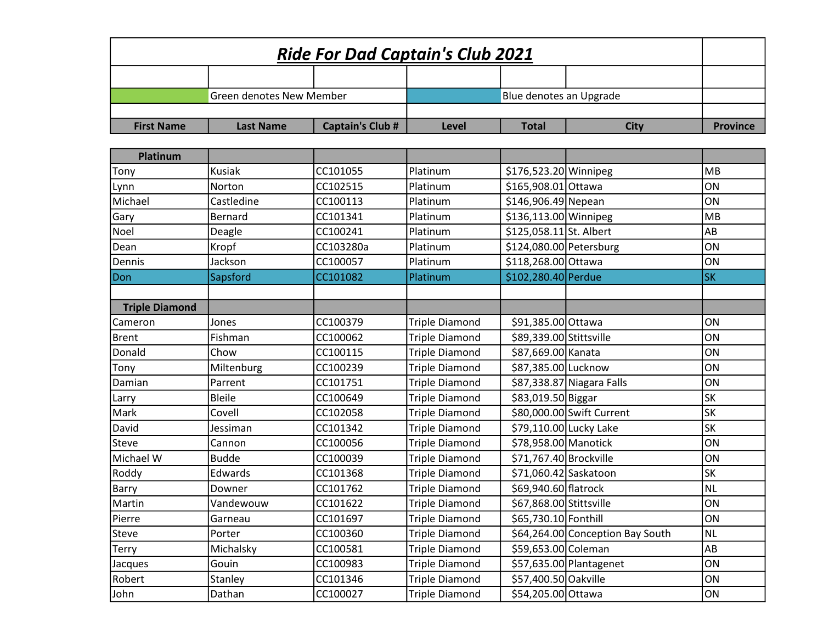| <b>Ride For Dad Captain's Club 2021</b> |                                 |                         |                       |                         |                                  |                 |  |
|-----------------------------------------|---------------------------------|-------------------------|-----------------------|-------------------------|----------------------------------|-----------------|--|
|                                         |                                 |                         |                       |                         |                                  |                 |  |
|                                         | <b>Green denotes New Member</b> |                         |                       | Blue denotes an Upgrade |                                  |                 |  |
|                                         |                                 |                         |                       |                         |                                  |                 |  |
| <b>First Name</b>                       | <b>Last Name</b>                | <b>Captain's Club #</b> | Level                 | <b>Total</b>            | <b>City</b>                      | <b>Province</b> |  |
|                                         |                                 |                         |                       |                         |                                  |                 |  |
| Platinum                                |                                 |                         |                       |                         |                                  |                 |  |
| Tony                                    | Kusiak                          | CC101055                | Platinum              | \$176,523.20 Winnipeg   |                                  | <b>MB</b>       |  |
| Lynn                                    | Norton                          | CC102515                | Platinum              | \$165,908.01 Ottawa     |                                  | ON              |  |
| Michael                                 | Castledine                      | CC100113                | Platinum              | \$146,906.49 Nepean     |                                  | ON              |  |
| Gary                                    | Bernard                         | CC101341                | Platinum              | \$136,113.00 Winnipeg   |                                  | <b>MB</b>       |  |
| Noel                                    | Deagle                          | CC100241                | Platinum              | \$125,058.11 St. Albert |                                  | AB              |  |
| Dean                                    | Kropf                           | CC103280a               | Platinum              | \$124,080.00 Petersburg |                                  | ON              |  |
| Dennis                                  | Jackson                         | CC100057                | Platinum              | \$118,268.00 Ottawa     |                                  | ON              |  |
| Don                                     | Sapsford                        | CC101082                | Platinum              | \$102,280.40 Perdue     |                                  | <b>SK</b>       |  |
|                                         |                                 |                         |                       |                         |                                  |                 |  |
| <b>Triple Diamond</b>                   |                                 |                         |                       |                         |                                  |                 |  |
| Cameron                                 | Jones                           | CC100379                | <b>Triple Diamond</b> | \$91,385.00 Ottawa      |                                  | ON              |  |
| <b>Brent</b>                            | Fishman                         | CC100062                | <b>Triple Diamond</b> | \$89,339.00 Stittsville |                                  | ON              |  |
| Donald                                  | Chow                            | CC100115                | <b>Triple Diamond</b> | \$87,669.00 Kanata      |                                  | ON              |  |
| Tony                                    | Miltenburg                      | CC100239                | <b>Triple Diamond</b> | \$87,385.00 Lucknow     |                                  | ON              |  |
| Damian                                  | Parrent                         | CC101751                | <b>Triple Diamond</b> |                         | \$87,338.87 Niagara Falls        | ON              |  |
| Larry                                   | <b>Bleile</b>                   | CC100649                | <b>Triple Diamond</b> | \$83,019.50 Biggar      |                                  | <b>SK</b>       |  |
| Mark                                    | Covell                          | CC102058                | <b>Triple Diamond</b> |                         | \$80,000.00 Swift Current        | <b>SK</b>       |  |
| David                                   | Jessiman                        | CC101342                | <b>Triple Diamond</b> | \$79,110.00 Lucky Lake  |                                  | <b>SK</b>       |  |
| Steve                                   | Cannon                          | CC100056                | <b>Triple Diamond</b> | \$78,958.00 Manotick    |                                  | ON              |  |
| Michael W                               | <b>Budde</b>                    | CC100039                | <b>Triple Diamond</b> | \$71,767.40 Brockville  |                                  | ON              |  |
| Roddy                                   | Edwards                         | CC101368                | <b>Triple Diamond</b> | \$71,060.42 Saskatoon   |                                  | <b>SK</b>       |  |
| Barry                                   | Downer                          | CC101762                | <b>Triple Diamond</b> | \$69,940.60 flatrock    |                                  | <b>NL</b>       |  |
| Martin                                  | Vandewouw                       | CC101622                | <b>Triple Diamond</b> | \$67,868.00 Stittsville |                                  | ON              |  |
| Pierre                                  | Garneau                         | CC101697                | <b>Triple Diamond</b> | \$65,730.10 Fonthill    |                                  | ON              |  |
| Steve                                   | Porter                          | CC100360                | <b>Triple Diamond</b> |                         | \$64,264.00 Conception Bay South | <b>NL</b>       |  |
| Terry                                   | Michalsky                       | CC100581                | <b>Triple Diamond</b> | \$59,653.00 Coleman     |                                  | AB              |  |
| Jacques                                 | Gouin                           | CC100983                | <b>Triple Diamond</b> |                         | \$57,635.00 Plantagenet          | ON              |  |
| Robert                                  | Stanley                         | CC101346                | <b>Triple Diamond</b> | \$57,400.50 Oakville    |                                  | ON              |  |
| John                                    | Dathan                          | CC100027                | <b>Triple Diamond</b> | \$54,205.00 Ottawa      |                                  | ON              |  |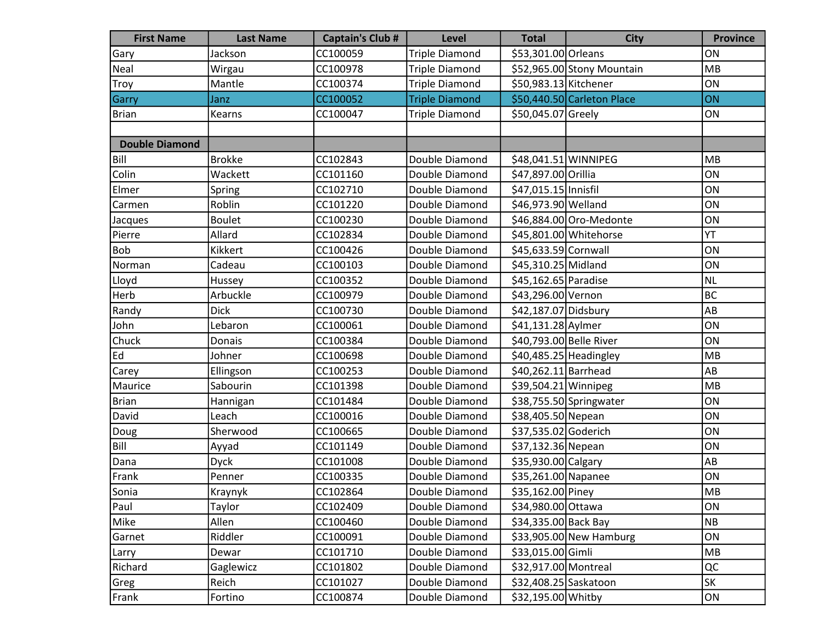| <b>First Name</b>     | <b>Last Name</b> | <b>Captain's Club #</b> | <b>Level</b>          | <b>Total</b>            | <b>City</b>                | <b>Province</b> |
|-----------------------|------------------|-------------------------|-----------------------|-------------------------|----------------------------|-----------------|
| Gary                  | Jackson          | CC100059                | <b>Triple Diamond</b> | \$53,301.00 Orleans     |                            | ON              |
| Neal                  | Wirgau           | CC100978                | <b>Triple Diamond</b> |                         | \$52,965.00 Stony Mountain | <b>MB</b>       |
| Troy                  | Mantle           | CC100374                | <b>Triple Diamond</b> | \$50,983.13 Kitchener   |                            | ON              |
| Garry                 | Janz             | CC100052                | <b>Triple Diamond</b> |                         | \$50,440.50 Carleton Place | ON              |
| <b>Brian</b>          | Kearns           | CC100047                | <b>Triple Diamond</b> | \$50,045.07 Greely      |                            | ON              |
|                       |                  |                         |                       |                         |                            |                 |
| <b>Double Diamond</b> |                  |                         |                       |                         |                            |                 |
| Bill                  | <b>Brokke</b>    | CC102843                | Double Diamond        | \$48,041.51 WINNIPEG    |                            | MB              |
| Colin                 | Wackett          | CC101160                | Double Diamond        | \$47,897.00 Orillia     |                            | ON              |
| Elmer                 | Spring           | CC102710                | Double Diamond        | \$47,015.15 Innisfil    |                            | ON              |
| Carmen                | Roblin           | CC101220                | Double Diamond        | \$46,973.90 Welland     |                            | ON              |
| Jacques               | <b>Boulet</b>    | CC100230                | Double Diamond        |                         | \$46,884.00 Oro-Medonte    | ON              |
| Pierre                | Allard           | CC102834                | Double Diamond        |                         | \$45,801.00 Whitehorse     | YT              |
| <b>Bob</b>            | Kikkert          | CC100426                | Double Diamond        | \$45,633.59 Cornwall    |                            | ON              |
| Norman                | Cadeau           | CC100103                | Double Diamond        | \$45,310.25 Midland     |                            | ON              |
| Lloyd                 | Hussey           | CC100352                | Double Diamond        | \$45,162.65 Paradise    |                            | NL              |
| Herb                  | Arbuckle         | CC100979                | Double Diamond        | \$43,296.00 Vernon      |                            | BC              |
| Randy                 | <b>Dick</b>      | CC100730                | Double Diamond        | \$42,187.07 Didsbury    |                            | AB              |
| John                  | Lebaron          | CC100061                | Double Diamond        | \$41,131.28 Aylmer      |                            | ON              |
| Chuck                 | Donais           | CC100384                | Double Diamond        | \$40,793.00 Belle River |                            | ON              |
| Ed                    | Johner           | CC100698                | Double Diamond        | $$40,485.25$ Headingley |                            | MB              |
| Carey                 | Ellingson        | CC100253                | Double Diamond        | \$40,262.11 Barrhead    |                            | AB              |
| Maurice               | Sabourin         | CC101398                | Double Diamond        | \$39,504.21 Winnipeg    |                            | MB              |
| <b>Brian</b>          | Hannigan         | CC101484                | Double Diamond        |                         | \$38,755.50 Springwater    | ON              |
| David                 | Leach            | CC100016                | Double Diamond        | \$38,405.50 Nepean      |                            | ON              |
| Doug                  | Sherwood         | CC100665                | Double Diamond        | \$37,535.02 Goderich    |                            | ON              |
| Bill                  | Ayyad            | CC101149                | Double Diamond        | \$37,132.36 Nepean      |                            | ON              |
| Dana                  | <b>Dyck</b>      | CC101008                | Double Diamond        | \$35,930.00 Calgary     |                            | AB              |
| Frank                 | Penner           | CC100335                | Double Diamond        | \$35,261.00 Napanee     |                            | ON              |
| Sonia                 | Kraynyk          | CC102864                | Double Diamond        | \$35,162.00 Piney       |                            | MB              |
| Paul                  | Taylor           | CC102409                | Double Diamond        | \$34,980.00 Ottawa      |                            | ON              |
| Mike                  | Allen            | CC100460                | Double Diamond        | \$34,335.00 Back Bay    |                            | N <sub>B</sub>  |
| Garnet                | Riddler          | CC100091                | Double Diamond        |                         | \$33,905.00 New Hamburg    | ON              |
| Larry                 | Dewar            | CC101710                | Double Diamond        | \$33,015.00 Gimli       |                            | MB              |
| Richard               | Gaglewicz        | CC101802                | Double Diamond        | \$32,917.00 Montreal    |                            | QC              |
| Greg                  | Reich            | CC101027                | Double Diamond        | \$32,408.25 Saskatoon   |                            | <b>SK</b>       |
| Frank                 | Fortino          | CC100874                | Double Diamond        | \$32,195.00 Whitby      |                            | ON              |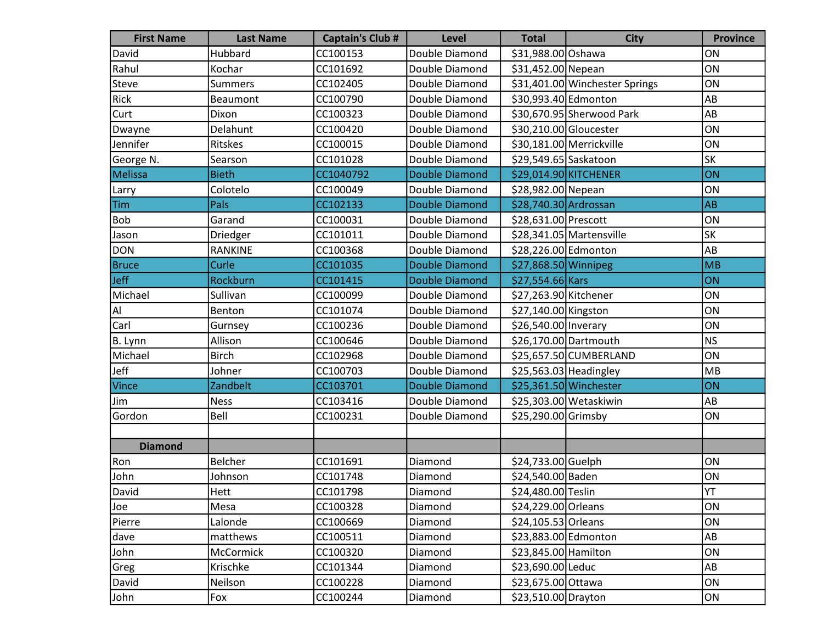| <b>First Name</b> | <b>Last Name</b> | <b>Captain's Club #</b> | <b>Level</b>          | <b>Total</b>            | <b>City</b>                    | <b>Province</b> |
|-------------------|------------------|-------------------------|-----------------------|-------------------------|--------------------------------|-----------------|
| David             | Hubbard          | CC100153                | Double Diamond        | \$31,988.00 Oshawa      |                                | ON              |
| Rahul             | Kochar           | CC101692                | Double Diamond        | \$31,452.00 Nepean      |                                | ON              |
| Steve             | <b>Summers</b>   | CC102405                | Double Diamond        |                         | \$31,401.00 Winchester Springs | ON              |
| Rick              | Beaumont         | CC100790                | Double Diamond        | \$30,993.40 Edmonton    |                                | AB              |
| Curt              | Dixon            | CC100323                | Double Diamond        |                         | \$30,670.95 Sherwood Park      | AB              |
| Dwayne            | Delahunt         | CC100420                | Double Diamond        | \$30,210.00 Gloucester  |                                | ON              |
| Jennifer          | <b>Ritskes</b>   | CC100015                | Double Diamond        |                         | \$30,181.00 Merrickville       | ON              |
| George N.         | Searson          | CC101028                | Double Diamond        | \$29,549.65 Saskatoon   |                                | <b>SK</b>       |
| Melissa           | <b>Bieth</b>     | CC1040792               | <b>Double Diamond</b> |                         | \$29,014.90 KITCHENER          | ON              |
| Larry             | Colotelo         | CC100049                | Double Diamond        | \$28,982.00 Nepean      |                                | ON              |
| <b>Tim</b>        | Pals             | CC102133                | <b>Double Diamond</b> | \$28,740.30 Ardrossan   |                                | AB              |
| <b>Bob</b>        | Garand           | CC100031                | Double Diamond        | \$28,631.00 Prescott    |                                | ON              |
| Jason             | Driedger         | CC101011                | Double Diamond        |                         | \$28,341.05 Martensville       | <b>SK</b>       |
| DON               | <b>RANKINE</b>   | CC100368                | Double Diamond        | \$28,226.00 Edmonton    |                                | AB              |
| <b>Bruce</b>      | Curle            | CC101035                | <b>Double Diamond</b> | \$27,868.50 Winnipeg    |                                | MB              |
| <b>Jeff</b>       | Rockburn         | CC101415                | <b>Double Diamond</b> | \$27,554.66 Kars        |                                | ON              |
| Michael           | Sullivan         | CC100099                | Double Diamond        | \$27,263.90 Kitchener   |                                | ON              |
| Al                | Benton           | CC101074                | Double Diamond        | $$27,140.00$ Kingston   |                                | ON              |
| Carl              | Gurnsey          | CC100236                | Double Diamond        | \$26,540.00 Inverary    |                                | ON              |
| B. Lynn           | Allison          | CC100646                | Double Diamond        | \$26,170.00 Dartmouth   |                                | NS              |
| Michael           | <b>Birch</b>     | CC102968                | Double Diamond        |                         | \$25,657.50 CUMBERLAND         | ON              |
| Jeff              | Johner           | CC100703                | Double Diamond        | $$25,563.03$ Headingley |                                | MB              |
| Vince             | Zandbelt         | CC103701                | <b>Double Diamond</b> |                         | \$25,361.50 Winchester         | ON              |
| Jim               | <b>Ness</b>      | CC103416                | Double Diamond        |                         | \$25,303.00 Wetaskiwin         | AB              |
| Gordon            | Bell             | CC100231                | Double Diamond        | \$25,290.00 Grimsby     |                                | ON              |
|                   |                  |                         |                       |                         |                                |                 |
| <b>Diamond</b>    |                  |                         |                       |                         |                                |                 |
| Ron               | Belcher          | CC101691                | Diamond               | \$24,733.00 Guelph      |                                | ON              |
| John              | Johnson          | CC101748                | Diamond               | \$24,540.00 Baden       |                                | ON              |
| David             | Hett             | CC101798                | Diamond               | \$24,480.00 Teslin      |                                | YT              |
| Joe               | Mesa             | CC100328                | Diamond               | \$24,229.00 Orleans     |                                | ON              |
| Pierre            | Lalonde          | CC100669                | Diamond               | \$24,105.53 Orleans     |                                | ON              |
| dave              | matthews         | CC100511                | Diamond               | \$23,883.00 Edmonton    |                                | AB              |
| John              | McCormick        | CC100320                | Diamond               | \$23,845.00 Hamilton    |                                | ON              |
| Greg              | Krischke         | CC101344                | Diamond               | \$23,690.00 Leduc       |                                | AB              |
| David             | Neilson          | CC100228                | Diamond               | \$23,675.00 Ottawa      |                                | ON              |
| John              | Fox              | CC100244                | Diamond               | \$23,510.00 Drayton     |                                | ON              |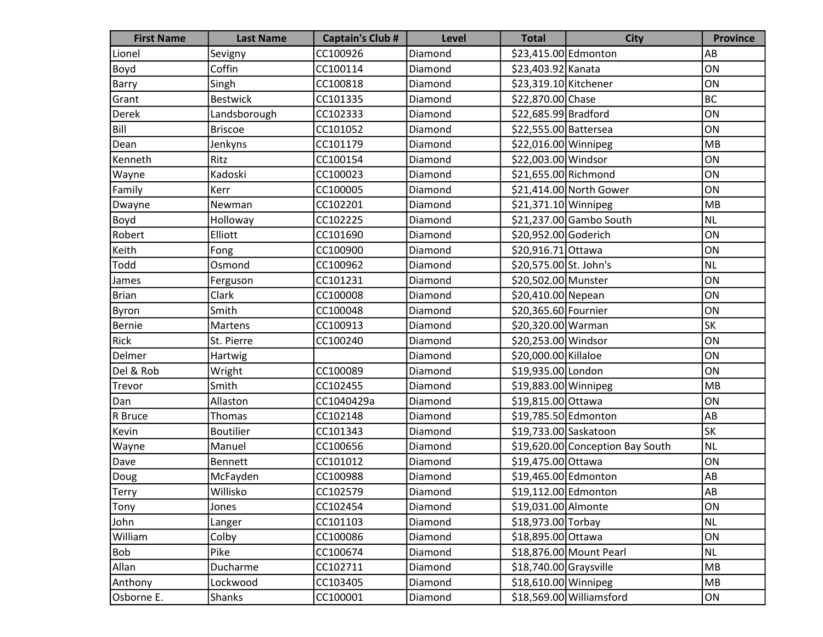| <b>First Name</b> | <b>Last Name</b> | <b>Captain's Club #</b> | <b>Level</b> | <b>Total</b>            | <b>City</b>                      | <b>Province</b> |
|-------------------|------------------|-------------------------|--------------|-------------------------|----------------------------------|-----------------|
| Lionel            | Sevigny          | CC100926                | Diamond      | \$23,415.00 Edmonton    |                                  | AB              |
| Boyd              | Coffin           | CC100114                | Diamond      | \$23,403.92 Kanata      |                                  | ON              |
| <b>Barry</b>      | Singh            | CC100818                | Diamond      | \$23,319.10 Kitchener   |                                  | ON              |
| Grant             | <b>Bestwick</b>  | CC101335                | Diamond      | \$22,870.00 Chase       |                                  | <b>BC</b>       |
| Derek             | Landsborough     | CC102333                | Diamond      | \$22,685.99 Bradford    |                                  | ON              |
| Bill              | <b>Briscoe</b>   | CC101052                | Diamond      | \$22,555.00 Battersea   |                                  | ON              |
| Dean              | Jenkyns          | CC101179                | Diamond      | \$22,016.00 Winnipeg    |                                  | MB              |
| Kenneth           | Ritz             | CC100154                | Diamond      | \$22,003.00 Windsor     |                                  | ON              |
| Wayne             | Kadoski          | CC100023                | Diamond      | \$21,655.00 Richmond    |                                  | ON              |
| Family            | Kerr             | CC100005                | Diamond      |                         | \$21,414.00 North Gower          | ON              |
| Dwayne            | Newman           | CC102201                | Diamond      | \$21,371.10 Winnipeg    |                                  | MB              |
| Boyd              | Holloway         | CC102225                | Diamond      |                         | \$21,237.00 Gambo South          | <b>NL</b>       |
| Robert            | Elliott          | CC101690                | Diamond      | \$20,952.00 Goderich    |                                  | ON              |
| Keith             | Fong             | CC100900                | Diamond      | \$20,916.71 Ottawa      |                                  | ON              |
| Todd              | Osmond           | CC100962                | Diamond      | \$20,575.00 St. John's  |                                  | <b>NL</b>       |
| James             | Ferguson         | CC101231                | Diamond      | \$20,502.00 Munster     |                                  | ON              |
| <b>Brian</b>      | Clark            | CC100008                | Diamond      | \$20,410.00 Nepean      |                                  | ON              |
| Byron             | Smith            | CC100048                | Diamond      | \$20,365.60 Fournier    |                                  | ON              |
| Bernie            | <b>Martens</b>   | CC100913                | Diamond      | \$20,320.00 Warman      |                                  | SK              |
| Rick              | St. Pierre       | CC100240                | Diamond      | \$20,253.00 Windsor     |                                  | ON              |
| Delmer            | Hartwig          |                         | Diamond      | \$20,000.00 Killaloe    |                                  | ON              |
| Del & Rob         | Wright           | CC100089                | Diamond      | \$19,935.00 London      |                                  | ON              |
| Trevor            | Smith            | CC102455                | Diamond      | \$19,883.00 Winnipeg    |                                  | MB              |
| Dan               | Allaston         | CC1040429a              | Diamond      | \$19,815.00 Ottawa      |                                  | ON              |
| R Bruce           | Thomas           | CC102148                | Diamond      | \$19,785.50 Edmonton    |                                  | AB              |
| Kevin             | <b>Boutilier</b> | CC101343                | Diamond      | \$19,733.00 Saskatoon   |                                  | SK              |
| Wayne             | Manuel           | CC100656                | Diamond      |                         | \$19,620.00 Conception Bay South | <b>NL</b>       |
| Dave              | <b>Bennett</b>   | CC101012                | Diamond      | \$19,475.00 Ottawa      |                                  | ON              |
| Doug              | McFayden         | CC100988                | Diamond      | \$19,465.00 Edmonton    |                                  | AB              |
| <b>Terry</b>      | Willisko         | CC102579                | Diamond      | \$19,112.00 Edmonton    |                                  | AB              |
| Tony              | Jones            | CC102454                | Diamond      | \$19,031.00 Almonte     |                                  | ON              |
| John              | Langer           | CC101103                | Diamond      | \$18,973.00 Torbay      |                                  | <b>NL</b>       |
| William           | Colby            | CC100086                | Diamond      | \$18,895.00 Ottawa      |                                  | ON              |
| Bob               | Pike             | CC100674                | Diamond      |                         | \$18,876.00 Mount Pearl          | <b>NL</b>       |
| Allan             | Ducharme         | CC102711                | Diamond      | $$18,740.00$ Graysville |                                  | MB              |
| Anthony           | Lockwood         | CC103405                | Diamond      | \$18,610.00 Winnipeg    |                                  | MB              |
| Osborne E.        | Shanks           | CC100001                | Diamond      |                         | \$18,569.00 Williamsford         | ON              |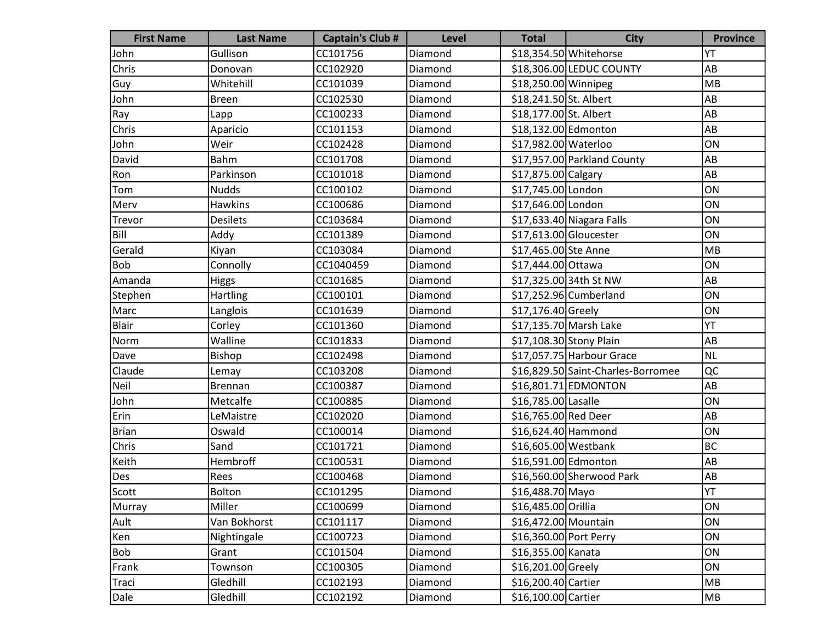| <b>First Name</b> | <b>Last Name</b> | <b>Captain's Club #</b> | <b>Level</b> | <b>Total</b>           | <b>City</b>                        | <b>Province</b> |
|-------------------|------------------|-------------------------|--------------|------------------------|------------------------------------|-----------------|
| John              | Gullison         | CC101756                | Diamond      |                        | \$18,354.50 Whitehorse             | YT              |
| Chris             | Donovan          | CC102920                | Diamond      |                        | \$18,306.00 LEDUC COUNTY           | AB              |
| Guy               | Whitehill        | CC101039                | Diamond      | \$18,250.00 Winnipeg   |                                    | MB              |
| John              | <b>Breen</b>     | CC102530                | Diamond      | \$18,241.50 St. Albert |                                    | AB              |
| Ray               | Lapp             | CC100233                | Diamond      | \$18,177.00 St. Albert |                                    | AB              |
| Chris             | Aparicio         | CC101153                | Diamond      | \$18,132.00 Edmonton   |                                    | AB              |
| John              | Weir             | CC102428                | Diamond      | \$17,982.00 Waterloo   |                                    | ON              |
| David             | Bahm             | CC101708                | Diamond      |                        | \$17,957.00 Parkland County        | AB              |
| Ron               | Parkinson        | CC101018                | Diamond      | \$17,875.00 Calgary    |                                    | AB              |
| Tom               | <b>Nudds</b>     | CC100102                | Diamond      | \$17,745.00 London     |                                    | ON              |
| Merv              | <b>Hawkins</b>   | CC100686                | Diamond      | \$17,646.00 London     |                                    | ON              |
| Trevor            | <b>Desilets</b>  | CC103684                | Diamond      |                        | $$17,633.40$ Niagara Falls         | ON              |
| Bill              | Addy             | CC101389                | Diamond      | \$17,613.00 Gloucester |                                    | ON              |
| Gerald            | Kiyan            | CC103084                | Diamond      | \$17,465.00 Ste Anne   |                                    | MB              |
| Bob               | Connolly         | CC1040459               | Diamond      | \$17,444.00 Ottawa     |                                    | ON              |
| Amanda            | Higgs            | CC101685                | Diamond      |                        | \$17,325.00 34th St NW             | AB              |
| Stephen           | Hartling         | CC100101                | Diamond      |                        | \$17,252.96 Cumberland             | ON              |
| Marc              | Langlois         | CC101639                | Diamond      | \$17,176.40 Greely     |                                    | ON              |
| Blair             | Corley           | CC101360                | Diamond      |                        | \$17,135.70 Marsh Lake             | YT              |
| Norm              | Walline          | CC101833                | Diamond      |                        | \$17,108.30 Stony Plain            | AB              |
| Dave              | Bishop           | CC102498                | Diamond      |                        | \$17,057.75 Harbour Grace          | <b>NL</b>       |
| Claude            | Lemay            | CC103208                | Diamond      |                        | \$16,829.50 Saint-Charles-Borromee | QC              |
| Neil              | Brennan          | CC100387                | Diamond      |                        | \$16,801.71 EDMONTON               | AB              |
| John              | Metcalfe         | CC100885                | Diamond      | \$16,785.00 Lasalle    |                                    | ON              |
| Erin              | LeMaistre        | CC102020                | Diamond      | \$16,765.00 Red Deer   |                                    | AB              |
| Brian             | Oswald           | CC100014                | Diamond      | \$16,624.40 Hammond    |                                    | ON              |
| Chris             | Sand             | CC101721                | Diamond      | \$16,605.00 Westbank   |                                    | <b>BC</b>       |
| Keith             | Hembroff         | CC100531                | Diamond      | \$16,591.00 Edmonton   |                                    | AB              |
| Des               | Rees             | CC100468                | Diamond      |                        | \$16,560.00 Sherwood Park          | AB              |
| Scott             | Bolton           | CC101295                | Diamond      | \$16,488.70 Mayo       |                                    | YT              |
| Murray            | Miller           | CC100699                | Diamond      | \$16,485.00 Orillia    |                                    | ON              |
| Ault              | Van Bokhorst     | CC101117                | Diamond      | \$16,472.00 Mountain   |                                    | ON              |
| Ken               | Nightingale      | CC100723                | Diamond      | \$16,360.00 Port Perry |                                    | ON              |
| Bob               | Grant            | CC101504                | Diamond      | \$16,355.00 Kanata     |                                    | ON              |
| Frank             | Townson          | CC100305                | Diamond      | \$16,201.00 Greely     |                                    | ON              |
| Traci             | Gledhill         | CC102193                | Diamond      | \$16,200.40 Cartier    |                                    | MB              |
| Dale              | Gledhill         | CC102192                | Diamond      | \$16,100.00 Cartier    |                                    | MB              |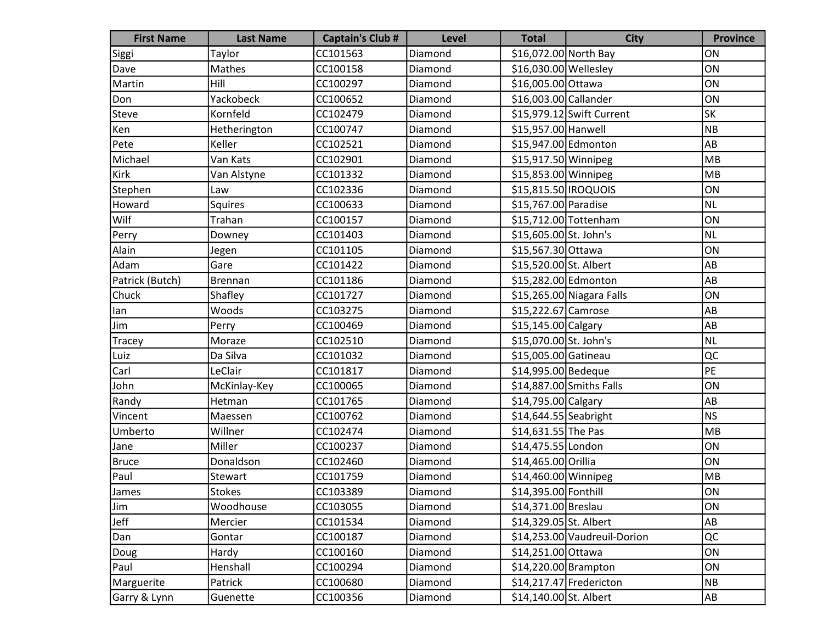| <b>First Name</b> | <b>Last Name</b> | <b>Captain's Club #</b> | <b>Level</b> | <b>Total</b>           | <b>City</b>                  | <b>Province</b> |
|-------------------|------------------|-------------------------|--------------|------------------------|------------------------------|-----------------|
| Siggi             | Taylor           | CC101563                | Diamond      | \$16,072.00 North Bay  |                              | ON              |
| Dave              | Mathes           | CC100158                | Diamond      | \$16,030.00 Wellesley  |                              | ON              |
| Martin            | Hill             | CC100297                | Diamond      | \$16,005.00 Ottawa     |                              | ON              |
| Don               | Yackobeck        | CC100652                | Diamond      | \$16,003.00 Callander  |                              | ON              |
| Steve             | Kornfeld         | CC102479                | Diamond      |                        | \$15,979.12 Swift Current    | <b>SK</b>       |
| Ken               | Hetherington     | CC100747                | Diamond      | \$15,957.00 Hanwell    |                              | NB              |
| Pete              | Keller           | CC102521                | Diamond      | \$15,947.00 Edmonton   |                              | AB              |
| Michael           | Van Kats         | CC102901                | Diamond      | \$15,917.50 Winnipeg   |                              | MB              |
| Kirk              | Van Alstyne      | CC101332                | Diamond      | \$15,853.00 Winnipeg   |                              | MB              |
| Stephen           | Law              | CC102336                | Diamond      | \$15,815.50   IROQUOIS |                              | ON              |
| Howard            | Squires          | CC100633                | Diamond      | \$15,767.00 Paradise   |                              | <b>NL</b>       |
| Wilf              | Trahan           | CC100157                | Diamond      |                        | \$15,712.00 Tottenham        | ON              |
| Perry             | Downey           | CC101403                | Diamond      | \$15,605.00 St. John's |                              | NL              |
| Alain             | Jegen            | CC101105                | Diamond      | \$15,567.30 Ottawa     |                              | ON              |
| Adam              | Gare             | CC101422                | Diamond      | \$15,520.00 St. Albert |                              | AB              |
| Patrick (Butch)   | <b>Brennan</b>   | CC101186                | Diamond      | \$15,282.00 Edmonton   |                              | AB              |
| Chuck             | Shafley          | CC101727                | Diamond      |                        | \$15,265.00 Niagara Falls    | ON              |
| lan               | Woods            | CC103275                | Diamond      | \$15,222.67 Camrose    |                              | AB              |
| Jim               | Perry            | CC100469                | Diamond      | \$15,145.00 Calgary    |                              | AB              |
| Tracey            | Moraze           | CC102510                | Diamond      | \$15,070.00 St. John's |                              | NL              |
| Luiz              | Da Silva         | CC101032                | Diamond      | \$15,005.00 Gatineau   |                              | QC              |
| Carl              | LeClair          | CC101817                | Diamond      | \$14,995.00 Bedeque    |                              | PE              |
| John              | McKinlay-Key     | CC100065                | Diamond      |                        | \$14,887.00 Smiths Falls     | ON              |
| Randy             | Hetman           | CC101765                | Diamond      | \$14,795.00 Calgary    |                              | AB              |
| Vincent           | Maessen          | CC100762                | Diamond      | $$14,644.55$ Seabright |                              | <b>NS</b>       |
| Umberto           | Willner          | CC102474                | Diamond      | \$14,631.55 The Pas    |                              | MB              |
| Jane              | Miller           | CC100237                | Diamond      | \$14,475.55 London     |                              | ON              |
| Bruce             | Donaldson        | CC102460                | Diamond      | \$14,465.00 Orillia    |                              | ON              |
| Paul              | Stewart          | CC101759                | Diamond      | \$14,460.00 Winnipeg   |                              | MB              |
| James             | <b>Stokes</b>    | CC103389                | Diamond      | \$14,395.00 Fonthill   |                              | ON              |
| Jim               | Woodhouse        | CC103055                | Diamond      | \$14,371.00 Breslau    |                              | ON              |
| Jeff              | Mercier          | CC101534                | Diamond      | \$14,329.05 St. Albert |                              | AB              |
| Dan               | Gontar           | CC100187                | Diamond      |                        | \$14,253.00 Vaudreuil-Dorion | QC              |
| Doug              | Hardy            | CC100160                | Diamond      | \$14,251.00 Ottawa     |                              | ON              |
| Paul              | Henshall         | CC100294                | Diamond      | \$14,220.00 Brampton   |                              | ON              |
| Marguerite        | Patrick          | CC100680                | Diamond      |                        | \$14,217.47 Fredericton      | NB              |
| Garry & Lynn      | Guenette         | CC100356                | Diamond      | \$14,140.00 St. Albert |                              | AB              |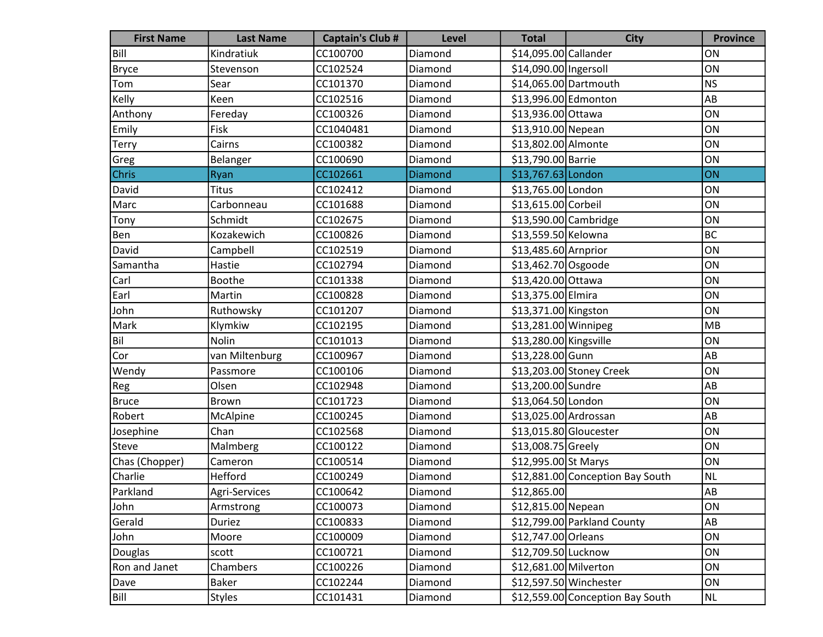| <b>First Name</b> | <b>Last Name</b> | <b>Captain's Club #</b> | <b>Level</b>   | <b>Total</b>           | <b>City</b>                      | <b>Province</b> |
|-------------------|------------------|-------------------------|----------------|------------------------|----------------------------------|-----------------|
| Bill              | Kindratiuk       | CC100700                | Diamond        | \$14,095.00 Callander  |                                  | ON              |
| Bryce             | Stevenson        | CC102524                | Diamond        | \$14,090.00 Ingersoll  |                                  | ON              |
| Tom               | Sear             | CC101370                | Diamond        |                        | \$14,065.00 Dartmouth            | NS              |
| Kelly             | Keen             | CC102516                | Diamond        | \$13,996.00 Edmonton   |                                  | AB              |
| Anthony           | Fereday          | CC100326                | Diamond        | \$13,936.00 Ottawa     |                                  | ON              |
| Emily             | Fisk             | CC1040481               | Diamond        | \$13,910.00 Nepean     |                                  | ON              |
| <b>Terry</b>      | Cairns           | CC100382                | Diamond        | \$13,802.00 Almonte    |                                  | ON              |
| Greg              | Belanger         | CC100690                | Diamond        | \$13,790.00 Barrie     |                                  | ON              |
| Chris             | Ryan             | CC102661                | <b>Diamond</b> | \$13,767.63 London     |                                  | ON              |
| David             | <b>Titus</b>     | CC102412                | Diamond        | \$13,765.00 London     |                                  | ON              |
| Marc              | Carbonneau       | CC101688                | Diamond        | \$13,615.00 Corbeil    |                                  | ON              |
| Tony              | Schmidt          | CC102675                | Diamond        | \$13,590.00 Cambridge  |                                  | ON              |
| Ben               | Kozakewich       | CC100826                | Diamond        | \$13,559.50 Kelowna    |                                  | BC              |
| David             | Campbell         | CC102519                | Diamond        | \$13,485.60 Arnprior   |                                  | ON              |
| Samantha          | Hastie           | CC102794                | Diamond        | \$13,462.70 Osgoode    |                                  | ON              |
| Carl              | <b>Boothe</b>    | CC101338                | Diamond        | \$13,420.00 Ottawa     |                                  | ON              |
| Earl              | Martin           | CC100828                | Diamond        | \$13,375.00 Elmira     |                                  | ON              |
| John              | Ruthowsky        | CC101207                | Diamond        | \$13,371.00 Kingston   |                                  | ON              |
| Mark              | Klymkiw          | CC102195                | Diamond        | \$13,281.00 Winnipeg   |                                  | MB              |
| Bil               | Nolin            | CC101013                | Diamond        | \$13,280.00 Kingsville |                                  | ON              |
| Cor               | van Miltenburg   | CC100967                | Diamond        | \$13,228.00 Gunn       |                                  | AB              |
| Wendy             | Passmore         | CC100106                | Diamond        |                        | \$13,203.00 Stoney Creek         | ON              |
| Reg               | Olsen            | CC102948                | Diamond        | \$13,200.00 Sundre     |                                  | AB              |
| <b>Bruce</b>      | <b>Brown</b>     | CC101723                | Diamond        | \$13,064.50 London     |                                  | ON              |
| Robert            | McAlpine         | CC100245                | Diamond        | \$13,025.00 Ardrossan  |                                  | AB              |
| Josephine         | Chan             | CC102568                | Diamond        | \$13,015.80 Gloucester |                                  | ON              |
| Steve             | Malmberg         | CC100122                | Diamond        | \$13,008.75 Greely     |                                  | ON              |
| Chas (Chopper)    | Cameron          | CC100514                | Diamond        | \$12,995.00 St Marys   |                                  | ON              |
| Charlie           | Hefford          | CC100249                | Diamond        |                        | \$12,881.00 Conception Bay South | <b>NL</b>       |
| Parkland          | Agri-Services    | CC100642                | Diamond        | \$12,865.00            |                                  | AB              |
| John              | Armstrong        | CC100073                | Diamond        | \$12,815.00 Nepean     |                                  | ON              |
| Gerald            | Duriez           | CC100833                | Diamond        |                        | \$12,799.00 Parkland County      | AB              |
| John              | Moore            | CC100009                | Diamond        | \$12,747.00 Orleans    |                                  | ON              |
| Douglas           | scott            | CC100721                | Diamond        | \$12,709.50 Lucknow    |                                  | ON              |
| Ron and Janet     | Chambers         | CC100226                | Diamond        | \$12,681.00 Milverton  |                                  | ON              |
| Dave              | Baker            | CC102244                | Diamond        |                        | \$12,597.50 Winchester           | ON              |
| Bill              | <b>Styles</b>    | CC101431                | Diamond        |                        | \$12,559.00 Conception Bay South | NL              |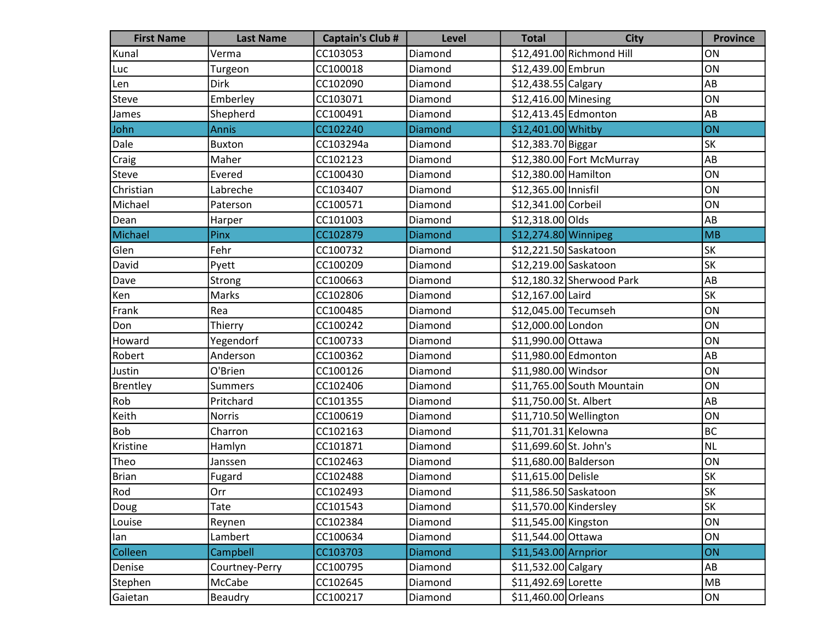| <b>First Name</b> | <b>Last Name</b> | <b>Captain's Club #</b> | <b>Level</b> | <b>Total</b>           | <b>City</b>                | <b>Province</b> |
|-------------------|------------------|-------------------------|--------------|------------------------|----------------------------|-----------------|
| Kunal             | Verma            | CC103053                | Diamond      |                        | \$12,491.00 Richmond Hill  | ON              |
| Luc               | Turgeon          | CC100018                | Diamond      | \$12,439.00 Embrun     |                            | ON              |
| Len               | Dirk             | CC102090                | Diamond      | \$12,438.55 Calgary    |                            | AB              |
| <b>Steve</b>      | Emberley         | CC103071                | Diamond      | \$12,416.00 Minesing   |                            | ON              |
| James             | Shepherd         | CC100491                | Diamond      | \$12,413.45 Edmonton   |                            | AB              |
| John              | <b>Annis</b>     | CC102240                | Diamond      | \$12,401.00 Whitby     |                            | ON              |
| Dale              | <b>Buxton</b>    | CC103294a               | Diamond      | \$12,383.70 Biggar     |                            | SK              |
| Craig             | Maher            | CC102123                | Diamond      |                        | \$12,380.00 Fort McMurray  | AB              |
| Steve             | Evered           | CC100430                | Diamond      | \$12,380.00 Hamilton   |                            | ON              |
| Christian         | Labreche         | CC103407                | Diamond      | \$12,365.00 Innisfil   |                            | ON              |
| Michael           | Paterson         | CC100571                | Diamond      | \$12,341.00 Corbeil    |                            | ON              |
| Dean              | Harper           | CC101003                | Diamond      | \$12,318.00 Olds       |                            | AB              |
| Michael           | Pinx             | CC102879                | Diamond      | \$12,274.80 Winnipeg   |                            | <b>MB</b>       |
| Glen              | Fehr             | CC100732                | Diamond      | \$12,221.50 Saskatoon  |                            | SK              |
| David             | Pyett            | CC100209                | Diamond      | \$12,219.00 Saskatoon  |                            | SK              |
| Dave              | Strong           | CC100663                | Diamond      |                        | $$12,180.32$ Sherwood Park | AB              |
| Ken               | Marks            | CC102806                | Diamond      | \$12,167.00 Laird      |                            | <b>SK</b>       |
| Frank             | Rea              | CC100485                | Diamond      | \$12,045.00 Tecumseh   |                            | ON              |
| Don               | Thierry          | CC100242                | Diamond      | \$12,000.00 London     |                            | ON              |
| Howard            | Yegendorf        | CC100733                | Diamond      | \$11,990.00 Ottawa     |                            | ON              |
| Robert            | Anderson         | CC100362                | Diamond      | \$11,980.00 Edmonton   |                            | AB              |
| Justin            | O'Brien          | CC100126                | Diamond      | \$11,980.00 Windsor    |                            | ON              |
| Brentley          | <b>Summers</b>   | CC102406                | Diamond      |                        | \$11,765.00 South Mountain | ON              |
| Rob               | Pritchard        | CC101355                | Diamond      | \$11,750.00 St. Albert |                            | AB              |
| Keith             | Norris           | CC100619                | Diamond      | \$11,710.50 Wellington |                            | ON              |
| Bob               | Charron          | CC102163                | Diamond      | \$11,701.31 Kelowna    |                            | <b>BC</b>       |
| Kristine          | Hamlyn           | CC101871                | Diamond      | \$11,699.60 St. John's |                            | <b>NL</b>       |
| Theo              | Janssen          | CC102463                | Diamond      | \$11,680.00 Balderson  |                            | ON              |
| <b>Brian</b>      | Fugard           | CC102488                | Diamond      | \$11,615.00 Delisle    |                            | <b>SK</b>       |
| Rod               | Orr              | CC102493                | Diamond      | \$11,586.50 Saskatoon  |                            | SK              |
| Doug              | Tate             | CC101543                | Diamond      | \$11,570.00 Kindersley |                            | SK              |
| Louise            | Reynen           | CC102384                | Diamond      | \$11,545.00 Kingston   |                            | ON              |
| lan               | Lambert          | CC100634                | Diamond      | \$11,544.00 Ottawa     |                            | ON              |
| Colleen           | Campbell         | CC103703                | Diamond      | \$11,543.00 Arnprior   |                            | ON              |
| Denise            | Courtney-Perry   | CC100795                | Diamond      | \$11,532.00 Calgary    |                            | AB              |
| Stephen           | McCabe           | CC102645                | Diamond      | \$11,492.69 Lorette    |                            | MB              |
| Gaietan           | Beaudry          | CC100217                | Diamond      | $$11,460.00$ Orleans   |                            | ON              |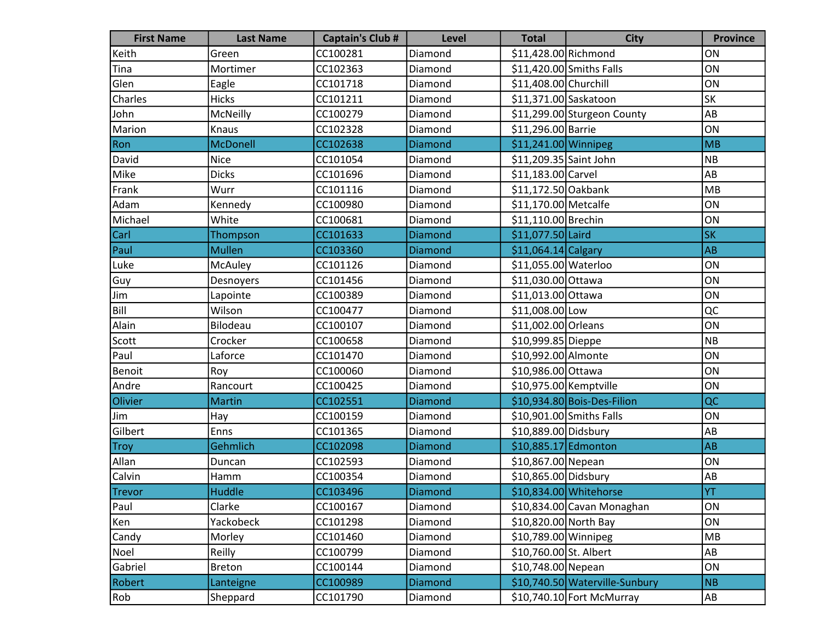| <b>First Name</b> | <b>Last Name</b> | <b>Captain's Club #</b> | <b>Level</b>   | <b>Total</b>           | <b>City</b>                    | <b>Province</b> |
|-------------------|------------------|-------------------------|----------------|------------------------|--------------------------------|-----------------|
| Keith             | Green            | CC100281                | Diamond        | \$11,428.00 Richmond   |                                | ON              |
| Tina              | Mortimer         | CC102363                | Diamond        |                        | \$11,420.00 Smiths Falls       | ON              |
| Glen              | Eagle            | CC101718                | Diamond        | \$11,408.00 Churchill  |                                | ON              |
| Charles           | <b>Hicks</b>     | CC101211                | Diamond        | \$11,371.00 Saskatoon  |                                | <b>SK</b>       |
| John              | McNeilly         | CC100279                | Diamond        |                        | \$11,299.00 Sturgeon County    | AB              |
| Marion            | Knaus            | CC102328                | Diamond        | \$11,296.00 Barrie     |                                | ON              |
| Ron               | <b>McDonell</b>  | CC102638                | Diamond        | \$11,241.00 Winnipeg   |                                | MB              |
| David             | <b>Nice</b>      | CC101054                | Diamond        | \$11,209.35 Saint John |                                | NB              |
| Mike              | <b>Dicks</b>     | CC101696                | Diamond        | \$11,183.00 Carvel     |                                | AB              |
| Frank             | Wurr             | CC101116                | Diamond        | \$11,172.50 Oakbank    |                                | MB              |
| Adam              | Kennedy          | CC100980                | Diamond        | \$11,170.00 Metcalfe   |                                | ON              |
| Michael           | White            | CC100681                | Diamond        | \$11,110.00 Brechin    |                                | ON              |
| Carl              | Thompson         | CC101633                | Diamond        | \$11,077.50 Laird      |                                | <b>SK</b>       |
| Paul              | <b>Mullen</b>    | CC103360                | <b>Diamond</b> | $$11,064.14$ Calgary   |                                | <b>AB</b>       |
| Luke              | McAuley          | CC101126                | Diamond        | \$11,055.00 Waterloo   |                                | ON              |
| Guy               | Desnoyers        | CC101456                | Diamond        | \$11,030.00 Ottawa     |                                | ON              |
| Jim               | Lapointe         | CC100389                | Diamond        | \$11,013.00 Ottawa     |                                | ON              |
| Bill              | Wilson           | CC100477                | Diamond        | \$11,008.00 Low        |                                | QC              |
| Alain             | Bilodeau         | CC100107                | Diamond        | \$11,002.00 Orleans    |                                | ON              |
| Scott             | Crocker          | CC100658                | Diamond        | \$10,999.85 Dieppe     |                                | N <sub>B</sub>  |
| Paul              | Laforce          | CC101470                | Diamond        | \$10,992.00 Almonte    |                                | ON              |
| Benoit            | Roy              | CC100060                | Diamond        | \$10,986.00 Ottawa     |                                | ON              |
| Andre             | Rancourt         | CC100425                | Diamond        | \$10,975.00 Kemptville |                                | ON              |
| Olivier           | <b>Martin</b>    | CC102551                | Diamond        |                        | \$10,934.80 Bois-Des-Filion    | QC              |
| Jim               | Hay              | CC100159                | Diamond        |                        | \$10,901.00 Smiths Falls       | ON              |
| Gilbert           | Enns             | CC101365                | Diamond        | \$10,889.00 Didsbury   |                                | AB              |
| <b>Troy</b>       | Gehmlich         | CC102098                | Diamond        | \$10,885.17 Edmonton   |                                | AB              |
| Allan             | Duncan           | CC102593                | Diamond        | \$10,867.00 Nepean     |                                | ON              |
| Calvin            | Hamm             | CC100354                | Diamond        | \$10,865.00 Didsbury   |                                | AB              |
| <b>Trevor</b>     | <b>Huddle</b>    | CC103496                | Diamond        |                        | \$10,834.00 Whitehorse         | <b>YT</b>       |
| Paul              | Clarke           | CC100167                | Diamond        |                        | \$10,834.00 Cavan Monaghan     | ON              |
| Ken               | Yackobeck        | CC101298                | Diamond        | \$10,820.00 North Bay  |                                | ON              |
| Candy             | Morley           | CC101460                | Diamond        | \$10,789.00 Winnipeg   |                                | MB              |
| Noel              | Reilly           | CC100799                | Diamond        | \$10,760.00 St. Albert |                                | AB              |
| Gabriel           | <b>Breton</b>    | CC100144                | Diamond        | \$10,748.00 Nepean     |                                | ON              |
| Robert            | Lanteigne        | CC100989                | Diamond        |                        | \$10,740.50 Waterville-Sunbury | NB              |
| Rob               | Sheppard         | CC101790                | Diamond        |                        | \$10,740.10 Fort McMurray      | AB              |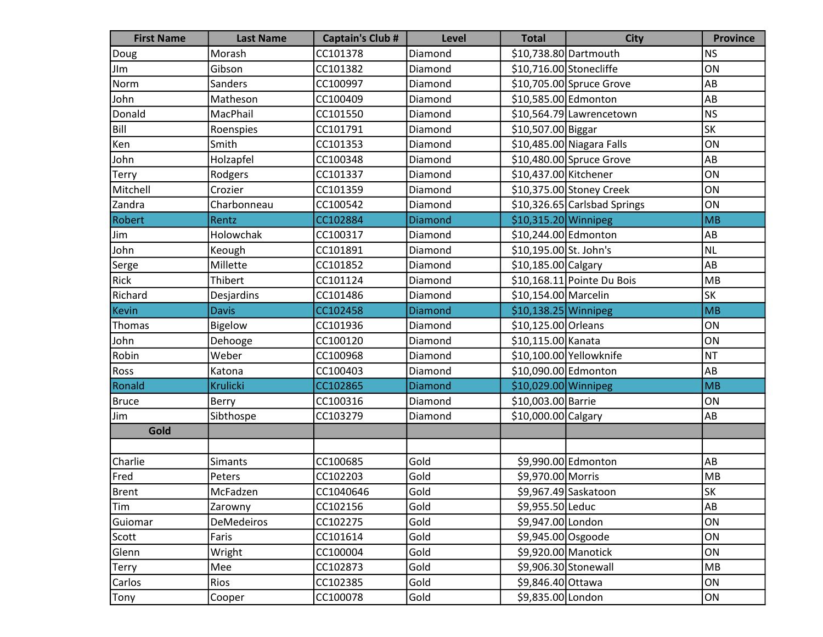| <b>First Name</b> | <b>Last Name</b> | <b>Captain's Club #</b> | <b>Level</b>   | <b>Total</b>            | <b>City</b>                  | <b>Province</b> |
|-------------------|------------------|-------------------------|----------------|-------------------------|------------------------------|-----------------|
| Doug              | Morash           | CC101378                | Diamond        |                         | \$10,738.80 Dartmouth        | <b>NS</b>       |
| JIm               | Gibson           | CC101382                | Diamond        | \$10,716.00 Stonecliffe |                              | ON              |
| Norm              | Sanders          | CC100997                | Diamond        |                         | \$10,705.00 Spruce Grove     | AB              |
| John              | Matheson         | CC100409                | Diamond        | \$10,585.00 Edmonton    |                              | AB              |
| Donald            | MacPhail         | CC101550                | Diamond        |                         | \$10,564.79 Lawrencetown     | NS              |
| <b>Bill</b>       | Roenspies        | CC101791                | Diamond        | \$10,507.00 Biggar      |                              | <b>SK</b>       |
| Ken               | Smith            | CC101353                | Diamond        |                         | \$10,485.00 Niagara Falls    | ON              |
| John              | Holzapfel        | CC100348                | Diamond        |                         | $$10,480.00$ Spruce Grove    | AB              |
| Terry             | Rodgers          | CC101337                | Diamond        | \$10,437.00 Kitchener   |                              | ON              |
| Mitchell          | Crozier          | CC101359                | Diamond        |                         | \$10,375.00 Stoney Creek     | ON              |
| Zandra            | Charbonneau      | CC100542                | Diamond        |                         | \$10,326.65 Carlsbad Springs | ON              |
| Robert            | Rentz            | CC102884                | <b>Diamond</b> | \$10,315.20 Winnipeg    |                              | MB              |
| Jim               | Holowchak        | CC100317                | Diamond        | \$10,244.00 Edmonton    |                              | AB              |
| John              | Keough           | CC101891                | Diamond        | \$10,195.00 St. John's  |                              | NL              |
| Serge             | Millette         | CC101852                | Diamond        | \$10,185.00 Calgary     |                              | AB              |
| Rick              | Thibert          | CC101124                | Diamond        |                         | \$10,168.11 Pointe Du Bois   | MB              |
| Richard           | Desjardins       | CC101486                | Diamond        | \$10,154.00 Marcelin    |                              | <b>SK</b>       |
| Kevin             | <b>Davis</b>     | CC102458                | Diamond        | \$10,138.25 Winnipeg    |                              | MB              |
| Thomas            | Bigelow          | CC101936                | Diamond        | \$10,125.00 Orleans     |                              | ON              |
| John              | Dehooge          | CC100120                | Diamond        | \$10,115.00 Kanata      |                              | ON              |
| Robin             | Weber            | CC100968                | Diamond        |                         | \$10,100.00 Yellowknife      | NT              |
| Ross              | Katona           | CC100403                | Diamond        | \$10,090.00 Edmonton    |                              | AB              |
| Ronald            | <b>Krulicki</b>  | CC102865                | Diamond        | \$10,029.00 Winnipeg    |                              | MB              |
| <b>Bruce</b>      | Berry            | CC100316                | Diamond        | \$10,003.00 Barrie      |                              | ON              |
| Jim               | Sibthospe        | CC103279                | Diamond        | \$10,000.00 Calgary     |                              | AB              |
| Gold              |                  |                         |                |                         |                              |                 |
|                   |                  |                         |                |                         |                              |                 |
| Charlie           | <b>Simants</b>   | CC100685                | Gold           |                         | \$9,990.00 Edmonton          | AB              |
| Fred              | Peters           | CC102203                | Gold           | \$9,970.00 Morris       |                              | MB              |
| Brent             | McFadzen         | CC1040646               | Gold           |                         | \$9,967.49 Saskatoon         | <b>SK</b>       |
| Tim               | Zarowny          | CC102156                | Gold           | \$9,955.50 Leduc        |                              | AB              |
| Guiomar           | DeMedeiros       | CC102275                | Gold           | \$9,947.00 London       |                              | ON              |
| Scott             | Faris            | CC101614                | Gold           | \$9,945.00 Osgoode      |                              | ON              |
| Glenn             | Wright           | CC100004                | Gold           | \$9,920.00 Manotick     |                              | ON              |
| Terry             | Mee              | CC102873                | Gold           |                         | \$9,906.30 Stonewall         | MB              |
| Carlos            | Rios             | CC102385                | Gold           | \$9,846.40 Ottawa       |                              | ON              |
| Tony              | Cooper           | CC100078                | Gold           | \$9,835.00 London       |                              | ON              |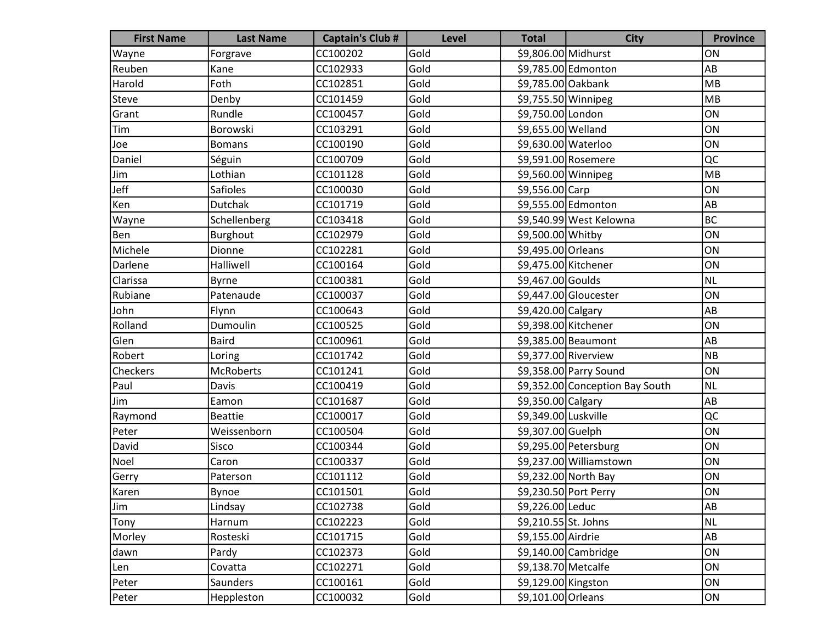| <b>First Name</b> | <b>Last Name</b> | <b>Captain's Club #</b> | <b>Level</b> | <b>Total</b>         | <b>City</b>                     | <b>Province</b> |
|-------------------|------------------|-------------------------|--------------|----------------------|---------------------------------|-----------------|
| Wayne             | Forgrave         | CC100202                | Gold         | \$9,806.00 Midhurst  |                                 | ON              |
| Reuben            | Kane             | CC102933                | Gold         |                      | \$9,785.00 Edmonton             | AB              |
| Harold            | Foth             | CC102851                | Gold         | \$9,785.00 Oakbank   |                                 | MB              |
| Steve             | Denby            | CC101459                | Gold         | \$9,755.50 Winnipeg  |                                 | <b>MB</b>       |
| Grant             | Rundle           | CC100457                | Gold         | \$9,750.00 London    |                                 | ON              |
| Tim               | Borowski         | CC103291                | Gold         | \$9,655.00 Welland   |                                 | ON              |
| Joe               | <b>Bomans</b>    | CC100190                | Gold         | \$9,630.00 Waterloo  |                                 | ON              |
| Daniel            | Séguin           | CC100709                | Gold         |                      | \$9,591.00 Rosemere             | QC              |
| Jim               | Lothian          | CC101128                | Gold         | \$9,560.00 Winnipeg  |                                 | MB              |
| Jeff              | <b>Safioles</b>  | CC100030                | Gold         | \$9,556.00 Carp      |                                 | ON              |
| Ken               | Dutchak          | CC101719                | Gold         |                      | \$9,555.00 Edmonton             | AB              |
| Wayne             | Schellenberg     | CC103418                | Gold         |                      | \$9,540.99 West Kelowna         | <b>BC</b>       |
| Ben               | Burghout         | CC102979                | Gold         | \$9,500.00 Whitby    |                                 | ON              |
| Michele           | Dionne           | CC102281                | Gold         | \$9,495.00 Orleans   |                                 | ON              |
| Darlene           | Halliwell        | CC100164                | Gold         | \$9,475.00 Kitchener |                                 | ON              |
| Clarissa          | <b>Byrne</b>     | CC100381                | Gold         | \$9,467.00 Goulds    |                                 | <b>NL</b>       |
| Rubiane           | Patenaude        | CC100037                | Gold         |                      | \$9,447.00 Gloucester           | ON              |
| John              | Flynn            | CC100643                | Gold         | \$9,420.00 Calgary   |                                 | AB              |
| Rolland           | Dumoulin         | CC100525                | Gold         | \$9,398.00 Kitchener |                                 | ON              |
| Glen              | <b>Baird</b>     | CC100961                | Gold         |                      | \$9,385.00 Beaumont             | AB              |
| Robert            | Loring           | CC101742                | Gold         | \$9,377.00 Riverview |                                 | NB              |
| Checkers          | <b>McRoberts</b> | CC101241                | Gold         |                      | \$9,358.00 Parry Sound          | ON              |
| Paul              | Davis            | CC100419                | Gold         |                      | \$9,352.00 Conception Bay South | <b>NL</b>       |
| Jim               | Eamon            | CC101687                | Gold         | \$9,350.00 Calgary   |                                 | AB              |
| Raymond           | <b>Beattie</b>   | CC100017                | Gold         | \$9,349.00 Luskville |                                 | QC              |
| Peter             | Weissenborn      | CC100504                | Gold         | \$9,307.00 Guelph    |                                 | ON              |
| David             | Sisco            | CC100344                | Gold         |                      | \$9,295.00 Petersburg           | ON              |
| Noel              | Caron            | CC100337                | Gold         |                      | \$9,237.00 Williamstown         | ON              |
| Gerry             | Paterson         | CC101112                | Gold         |                      | \$9,232.00 North Bay            | ON              |
| Karen             | Bynoe            | CC101501                | Gold         |                      | \$9,230.50 Port Perry           | ON              |
| Jim               | Lindsay          | CC102738                | Gold         | \$9,226.00 Leduc     |                                 | AB              |
| Tony              | Harnum           | CC102223                | Gold         | \$9,210.55 St. Johns |                                 | <b>NL</b>       |
| Morley            | Rosteski         | CC101715                | Gold         | \$9,155.00 Airdrie   |                                 | AB              |
| dawn              | Pardy            | CC102373                | Gold         |                      | $$9,140.00$ Cambridge           | ON              |
| Len               | Covatta          | CC102271                | Gold         | \$9,138.70 Metcalfe  |                                 | ON              |
| Peter             | Saunders         | CC100161                | Gold         | \$9,129.00 Kingston  |                                 | ON              |
| Peter             | Heppleston       | CC100032                | Gold         | \$9,101.00 Orleans   |                                 | ON              |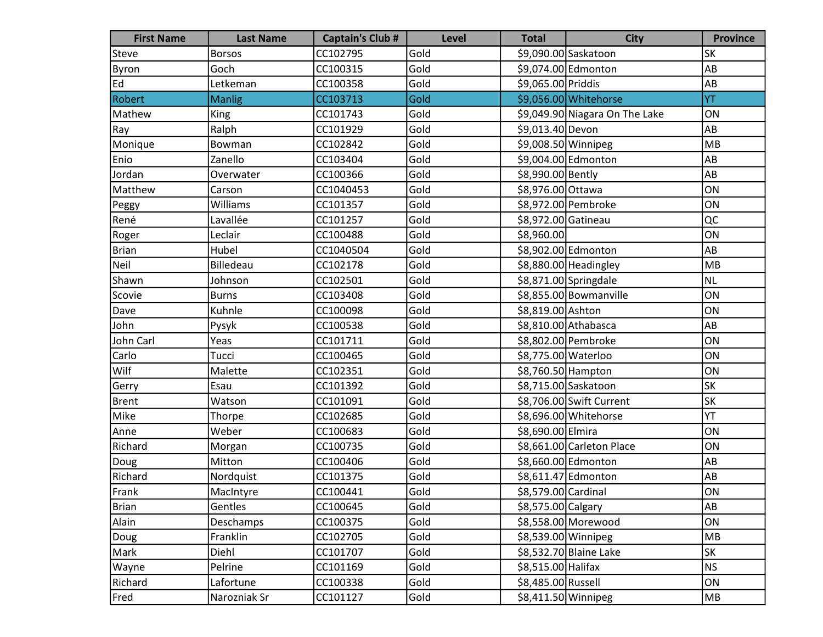| <b>First Name</b> | <b>Last Name</b> | <b>Captain's Club #</b> | Level | <b>Total</b>        | <b>City</b>                    | <b>Province</b> |
|-------------------|------------------|-------------------------|-------|---------------------|--------------------------------|-----------------|
| <b>Steve</b>      | <b>Borsos</b>    | CC102795                | Gold  |                     | \$9,090.00 Saskatoon           | <b>SK</b>       |
| Byron             | Goch             | CC100315                | Gold  |                     | \$9,074.00 Edmonton            | AB              |
| Ed                | Letkeman         | CC100358                | Gold  | \$9,065.00 Priddis  |                                | AB              |
| Robert            | <b>Manlig</b>    | CC103713                | Gold  |                     | \$9,056.00 Whitehorse          | YT              |
| Mathew            | King             | CC101743                | Gold  |                     | \$9,049.90 Niagara On The Lake | ON              |
| Ray               | Ralph            | CC101929                | Gold  | \$9,013.40 Devon    |                                | AB              |
| Monique           | Bowman           | CC102842                | Gold  | \$9,008.50 Winnipeg |                                | MB              |
| Enio              | Zanello          | CC103404                | Gold  |                     | \$9,004.00 Edmonton            | AB              |
| Jordan            | Overwater        | CC100366                | Gold  | \$8,990.00 Bently   |                                | AB              |
| Matthew           | Carson           | CC1040453               | Gold  | \$8,976.00 Ottawa   |                                | ON              |
| Peggy             | Williams         | CC101357                | Gold  |                     | \$8,972.00 Pembroke            | ON              |
| René              | Lavallée         | CC101257                | Gold  | \$8,972.00 Gatineau |                                | QC              |
| Roger             | Leclair          | CC100488                | Gold  | \$8,960.00          |                                | ON              |
| Brian             | Hubel            | CC1040504               | Gold  |                     | \$8,902.00 Edmonton            | AB              |
| Neil              | Billedeau        | CC102178                | Gold  |                     | \$8,880.00 Headingley          | MB              |
| Shawn             | Johnson          | CC102501                | Gold  |                     | \$8,871.00 Springdale          | NL              |
| Scovie            | <b>Burns</b>     | CC103408                | Gold  |                     | \$8,855.00 Bowmanville         | ON              |
| Dave              | Kuhnle           | CC100098                | Gold  | \$8,819.00 Ashton   |                                | ON              |
| John              | Pysyk            | CC100538                | Gold  |                     | \$8,810.00 Athabasca           | AB              |
| John Carl         | Yeas             | CC101711                | Gold  |                     | \$8,802.00 Pembroke            | ON              |
| Carlo             | Tucci            | CC100465                | Gold  | \$8,775.00 Waterloo |                                | ON              |
| Wilf              | Malette          | CC102351                | Gold  | \$8,760.50 Hampton  |                                | ON              |
| Gerry             | Esau             | CC101392                | Gold  |                     | \$8,715.00 Saskatoon           | <b>SK</b>       |
| Brent             | Watson           | CC101091                | Gold  |                     | \$8,706.00 Swift Current       | <b>SK</b>       |
| Mike              | Thorpe           | CC102685                | Gold  |                     | \$8,696.00 Whitehorse          | YT              |
| Anne              | Weber            | CC100683                | Gold  | \$8,690.00 Elmira   |                                | ON              |
| Richard           | Morgan           | CC100735                | Gold  |                     | \$8,661.00 Carleton Place      | ON              |
| Doug              | Mitton           | CC100406                | Gold  |                     | \$8,660.00 Edmonton            | AB              |
| Richard           | Nordquist        | CC101375                | Gold  |                     | \$8,611.47 Edmonton            | AB              |
| Frank             | MacIntyre        | CC100441                | Gold  | \$8,579.00 Cardinal |                                | ON              |
| <b>Brian</b>      | Gentles          | CC100645                | Gold  | \$8,575.00 Calgary  |                                | AB              |
| Alain             | Deschamps        | CC100375                | Gold  |                     | \$8,558.00 Morewood            | ON              |
| Doug              | Franklin         | CC102705                | Gold  | \$8,539.00 Winnipeg |                                | MB              |
| Mark              | Diehl            | CC101707                | Gold  |                     | \$8,532.70 Blaine Lake         | <b>SK</b>       |
| Wayne             | Pelrine          | CC101169                | Gold  | \$8,515.00 Halifax  |                                | NS              |
| Richard           | Lafortune        | CC100338                | Gold  | \$8,485.00 Russell  |                                | ON              |
| Fred              | Narozniak Sr     | CC101127                | Gold  | \$8,411.50 Winnipeg |                                | MB              |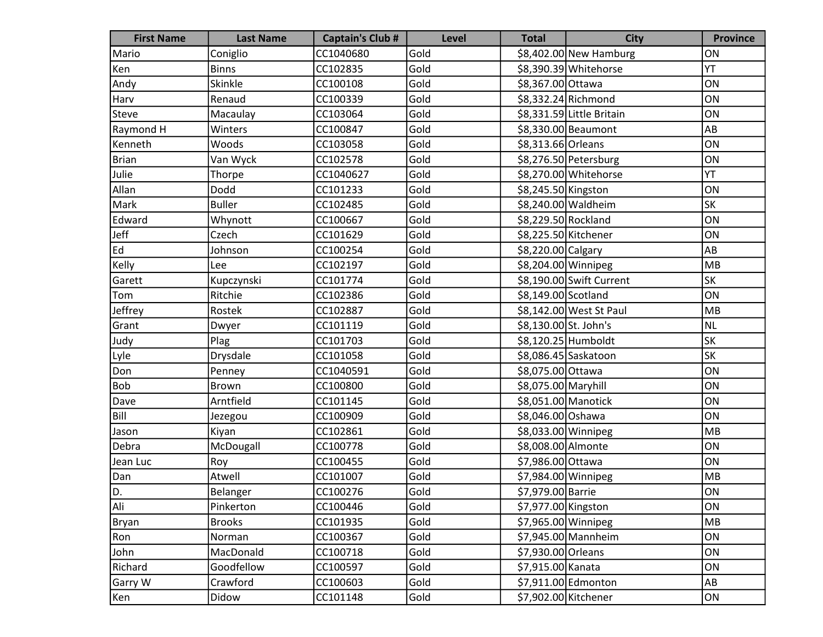| <b>First Name</b> | <b>Last Name</b> | <b>Captain's Club #</b> | Level | <b>Total</b>          | <b>City</b>               | <b>Province</b> |
|-------------------|------------------|-------------------------|-------|-----------------------|---------------------------|-----------------|
| Mario             | Coniglio         | CC1040680               | Gold  |                       | \$8,402.00 New Hamburg    | ON              |
| Ken               | <b>Binns</b>     | CC102835                | Gold  |                       | \$8,390.39 Whitehorse     | YT              |
| Andy              | Skinkle          | CC100108                | Gold  | \$8,367.00 Ottawa     |                           | ON              |
| Harv              | Renaud           | CC100339                | Gold  |                       | \$8,332.24 Richmond       | ON              |
| Steve             | Macaulay         | CC103064                | Gold  |                       | \$8,331.59 Little Britain | ON              |
| Raymond H         | Winters          | CC100847                | Gold  |                       | \$8,330.00 Beaumont       | AB              |
| Kenneth           | Woods            | CC103058                | Gold  | \$8,313.66 Orleans    |                           | ON              |
| Brian             | Van Wyck         | CC102578                | Gold  |                       | \$8,276.50 Petersburg     | ON              |
| Julie             | Thorpe           | CC1040627               | Gold  |                       | \$8,270.00 Whitehorse     | YT              |
| Allan             | Dodd             | CC101233                | Gold  | \$8,245.50 Kingston   |                           | ON              |
| Mark              | <b>Buller</b>    | CC102485                | Gold  |                       | \$8,240.00 Waldheim       | <b>SK</b>       |
| Edward            | Whynott          | CC100667                | Gold  | \$8,229.50 Rockland   |                           | ON              |
| Jeff              | Czech            | CC101629                | Gold  | \$8,225.50 Kitchener  |                           | ON              |
| Ed                | Johnson          | CC100254                | Gold  | \$8,220.00 Calgary    |                           | AB              |
| Kelly             | Lee              | CC102197                | Gold  | \$8,204.00 Winnipeg   |                           | MB              |
| Garett            | Kupczynski       | CC101774                | Gold  |                       | \$8,190.00 Swift Current  | <b>SK</b>       |
| Tom               | Ritchie          | CC102386                | Gold  | \$8,149.00 Scotland   |                           | ON              |
| Jeffrey           | Rostek           | CC102887                | Gold  |                       | \$8,142.00 West St Paul   | MB              |
| Grant             | Dwyer            | CC101119                | Gold  | \$8,130.00 St. John's |                           | NL              |
| Judy              | Plag             | CC101703                | Gold  |                       | \$8,120.25 Humboldt       | <b>SK</b>       |
| Lyle              | Drysdale         | CC101058                | Gold  |                       | \$8,086.45 Saskatoon      | SK              |
| Don               | Penney           | CC1040591               | Gold  | \$8,075.00 Ottawa     |                           | ON              |
| <b>Bob</b>        | <b>Brown</b>     | CC100800                | Gold  | \$8,075.00 Maryhill   |                           | ON              |
| Dave              | Arntfield        | CC101145                | Gold  | \$8,051.00 Manotick   |                           | ON              |
| Bill              | Jezegou          | CC100909                | Gold  | \$8,046.00 Oshawa     |                           | ON              |
| Jason             | Kiyan            | CC102861                | Gold  | \$8,033.00 Winnipeg   |                           | MB              |
| Debra             | McDougall        | CC100778                | Gold  | \$8,008.00 Almonte    |                           | ON              |
| Jean Luc          | Roy              | CC100455                | Gold  | \$7,986.00 Ottawa     |                           | ON              |
| Dan               | Atwell           | CC101007                | Gold  | \$7,984.00 Winnipeg   |                           | MB              |
| D.                | Belanger         | CC100276                | Gold  | \$7,979.00 Barrie     |                           | ON              |
| Ali               | Pinkerton        | CC100446                | Gold  | \$7,977.00 Kingston   |                           | ON              |
| <b>Bryan</b>      | <b>Brooks</b>    | CC101935                | Gold  | $$7,965.00$ Winnipeg  |                           | MB              |
| Ron               | Norman           | CC100367                | Gold  |                       | \$7,945.00 Mannheim       | ON              |
| John              | MacDonald        | CC100718                | Gold  | \$7,930.00 Orleans    |                           | ON              |
| Richard           | Goodfellow       | CC100597                | Gold  | \$7,915.00 Kanata     |                           | ON              |
| Garry W           | Crawford         | CC100603                | Gold  |                       | \$7,911.00 Edmonton       | AB              |
| Ken               | Didow            | CC101148                | Gold  | \$7,902.00 Kitchener  |                           | ON              |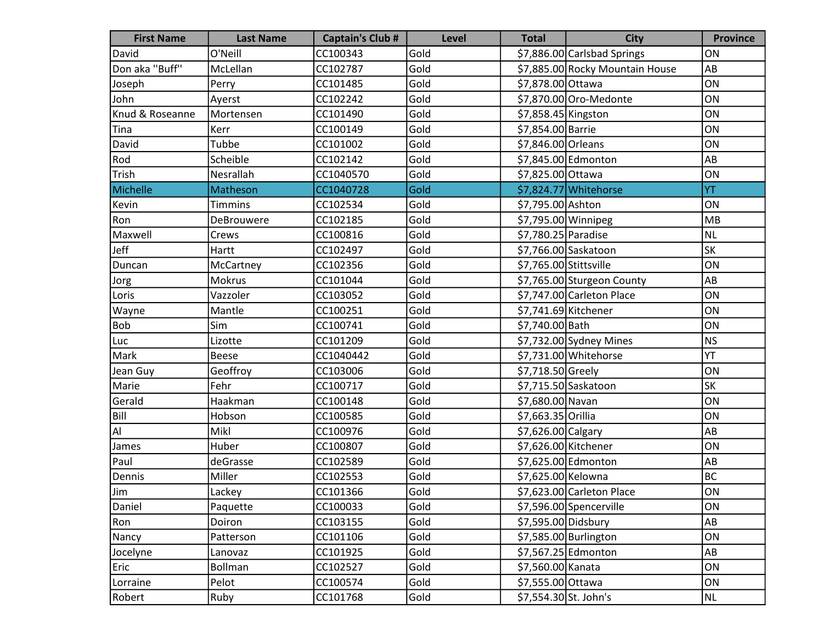| <b>First Name</b> | <b>Last Name</b> | <b>Captain's Club #</b> | <b>Level</b> | <b>Total</b>           | <b>City</b>                     | <b>Province</b> |
|-------------------|------------------|-------------------------|--------------|------------------------|---------------------------------|-----------------|
| David             | O'Neill          | CC100343                | Gold         |                        | \$7,886.00 Carlsbad Springs     | ON              |
| Don aka "Buff"    | McLellan         | CC102787                | Gold         |                        | \$7,885.00 Rocky Mountain House | AB              |
| Joseph            | Perry            | CC101485                | Gold         | \$7,878.00 Ottawa      |                                 | ON              |
| John              | Ayerst           | CC102242                | Gold         |                        | \$7,870.00 Oro-Medonte          | ON              |
| Knud & Roseanne   | Mortensen        | CC101490                | Gold         | \$7,858.45 Kingston    |                                 | ON              |
| Tina              | Kerr             | CC100149                | Gold         | \$7,854.00 Barrie      |                                 | ON              |
| David             | Tubbe            | CC101002                | Gold         | \$7,846.00 Orleans     |                                 | ON              |
| Rod               | Scheible         | CC102142                | Gold         |                        | \$7,845.00 Edmonton             | AB              |
| Trish             | Nesrallah        | CC1040570               | Gold         | \$7,825.00 Ottawa      |                                 | ON              |
| Michelle          | Matheson         | CC1040728               | Gold         |                        | \$7,824.77 Whitehorse           | YT              |
| Kevin             | <b>Timmins</b>   | CC102534                | Gold         | \$7,795.00 Ashton      |                                 | ON              |
| Ron               | DeBrouwere       | CC102185                | Gold         | \$7,795.00 Winnipeg    |                                 | MB              |
| Maxwell           | Crews            | CC100816                | Gold         | \$7,780.25 Paradise    |                                 | NL              |
| Jeff              | Hartt            | CC102497                | Gold         |                        | \$7,766.00 Saskatoon            | SK              |
| Duncan            | McCartney        | CC102356                | Gold         | \$7,765.00 Stittsville |                                 | ON              |
| Jorg              | Mokrus           | CC101044                | Gold         |                        | \$7,765.00 Sturgeon County      | AB              |
| Loris             | Vazzoler         | CC103052                | Gold         |                        | \$7,747.00 Carleton Place       | ON              |
| Wayne             | Mantle           | CC100251                | Gold         | \$7,741.69 Kitchener   |                                 | ON              |
| Bob               | Sim              | CC100741                | Gold         | \$7,740.00 Bath        |                                 | ON              |
| Luc               | Lizotte          | CC101209                | Gold         |                        | $$7,732.00$ Sydney Mines        | <b>NS</b>       |
| Mark              | Beese            | CC1040442               | Gold         |                        | \$7,731.00 Whitehorse           | YT              |
| Jean Guy          | Geoffroy         | CC103006                | Gold         | \$7,718.50 Greely      |                                 | ON              |
| Marie             | Fehr             | CC100717                | Gold         |                        | \$7,715.50 Saskatoon            | <b>SK</b>       |
| Gerald            | Haakman          | CC100148                | Gold         | \$7,680.00 Navan       |                                 | ON              |
| Bill              | Hobson           | CC100585                | Gold         | \$7,663.35 Orillia     |                                 | ON              |
| Al                | Mikl             | CC100976                | Gold         | \$7,626.00 Calgary     |                                 | AB              |
| James             | Huber            | CC100807                | Gold         | \$7,626.00 Kitchener   |                                 | ON              |
| Paul              | deGrasse         | CC102589                | Gold         |                        | \$7,625.00 Edmonton             | AB              |
| Dennis            | Miller           | CC102553                | Gold         | \$7,625.00 Kelowna     |                                 | <b>BC</b>       |
| Jim               | Lackey           | CC101366                | Gold         |                        | \$7,623.00 Carleton Place       | ON              |
| Daniel            | Paquette         | CC100033                | Gold         |                        | \$7,596.00 Spencerville         | ON              |
| Ron               | Doiron           | CC103155                | Gold         | \$7,595.00 Didsbury    |                                 | AB              |
| Nancy             | Patterson        | CC101106                | Gold         |                        | \$7,585.00 Burlington           | ON              |
| Jocelyne          | Lanovaz          | CC101925                | Gold         |                        | \$7,567.25 Edmonton             | AB              |
| Eric              | <b>Bollman</b>   | CC102527                | Gold         | \$7,560.00 Kanata      |                                 | ON              |
| Lorraine          | Pelot            | CC100574                | Gold         | \$7,555.00 Ottawa      |                                 | ON              |
| Robert            | Ruby             | CC101768                | Gold         | \$7,554.30 St. John's  |                                 | NL              |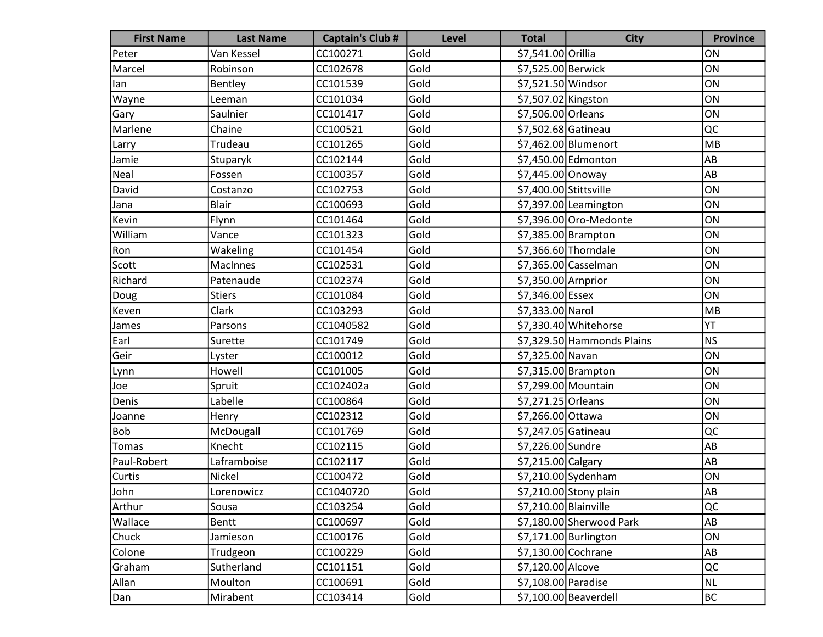| <b>First Name</b> | <b>Last Name</b> | <b>Captain's Club #</b> | <b>Level</b> | <b>Total</b>           | <b>City</b>                | <b>Province</b> |
|-------------------|------------------|-------------------------|--------------|------------------------|----------------------------|-----------------|
| Peter             | Van Kessel       | CC100271                | Gold         | \$7,541.00 Orillia     |                            | ON              |
| Marcel            | Robinson         | CC102678                | Gold         | \$7,525.00 Berwick     |                            | ON              |
| lan               | Bentley          | CC101539                | Gold         | \$7,521.50 Windsor     |                            | ON              |
| Wayne             | Leeman           | CC101034                | Gold         | \$7,507.02 Kingston    |                            | ON              |
| Gary              | Saulnier         | CC101417                | Gold         | \$7,506.00 Orleans     |                            | ON              |
| Marlene           | Chaine           | CC100521                | Gold         | \$7,502.68 Gatineau    |                            | QC              |
| Larry             | Trudeau          | CC101265                | Gold         |                        | \$7,462.00 Blumenort       | MB              |
| Jamie             | Stuparyk         | CC102144                | Gold         |                        | \$7,450.00 Edmonton        | AB              |
| Neal              | Fossen           | CC100357                | Gold         | \$7,445.00 Onoway      |                            | AB              |
| David             | Costanzo         | CC102753                | Gold         | \$7,400.00 Stittsville |                            | ON              |
| Jana              | <b>Blair</b>     | CC100693                | Gold         |                        | \$7,397.00 Leamington      | ON              |
| Kevin             | Flynn            | CC101464                | Gold         |                        | \$7,396.00 Oro-Medonte     | ON              |
| William           | Vance            | CC101323                | Gold         |                        | \$7,385.00 Brampton        | ON              |
| Ron               | Wakeling         | CC101454                | Gold         |                        | \$7,366.60 Thorndale       | ON              |
| Scott             | <b>MacInnes</b>  | CC102531                | Gold         |                        | \$7,365.00 Casselman       | ON              |
| Richard           | Patenaude        | CC102374                | Gold         | \$7,350.00 Arnprior    |                            | ON              |
| Doug              | <b>Stiers</b>    | CC101084                | Gold         | \$7,346.00 Essex       |                            | ON              |
| Keven             | Clark            | CC103293                | Gold         | \$7,333.00 Narol       |                            | MB              |
| James             | Parsons          | CC1040582               | Gold         |                        | \$7,330.40 Whitehorse      | YT              |
| Earl              | Surette          | CC101749                | Gold         |                        | \$7,329.50 Hammonds Plains | <b>NS</b>       |
| Geir              | Lyster           | CC100012                | Gold         | \$7,325.00 Navan       |                            | ON              |
| Lynn              | Howell           | CC101005                | Gold         |                        | $$7,315.00$ Brampton       | ON              |
| Joe               | Spruit           | CC102402a               | Gold         | \$7,299.00 Mountain    |                            | ON              |
| Denis             | Labelle          | CC100864                | Gold         | \$7,271.25 Orleans     |                            | ON              |
| Joanne            | Henry            | CC102312                | Gold         | \$7,266.00 Ottawa      |                            | ON              |
| Bob               | McDougall        | CC101769                | Gold         | \$7,247.05 Gatineau    |                            | QC              |
| Tomas             | Knecht           | CC102115                | Gold         | \$7,226.00 Sundre      |                            | AB              |
| Paul-Robert       | Laframboise      | CC102117                | Gold         | \$7,215.00 Calgary     |                            | AB              |
| Curtis            | Nickel           | CC100472                | Gold         |                        | \$7,210.00 Sydenham        | ON              |
| John              | Lorenowicz       | CC1040720               | Gold         |                        | \$7,210.00 Stony plain     | AB              |
| Arthur            | Sousa            | CC103254                | Gold         | \$7,210.00 Blainville  |                            | QC              |
| Wallace           | Bentt            | CC100697                | Gold         |                        | \$7,180.00 Sherwood Park   | AB              |
| Chuck             | Jamieson         | CC100176                | Gold         |                        | \$7,171.00 Burlington      | ON              |
| Colone            | Trudgeon         | CC100229                | Gold         | \$7,130.00 Cochrane    |                            | AB              |
| Graham            | Sutherland       | CC101151                | Gold         | \$7,120.00 Alcove      |                            | QC              |
| Allan             | Moulton          | CC100691                | Gold         | \$7,108.00 Paradise    |                            | <b>NL</b>       |
| Dan               | Mirabent         | CC103414                | Gold         |                        | $$7,100.00$ Beaverdell     | <b>BC</b>       |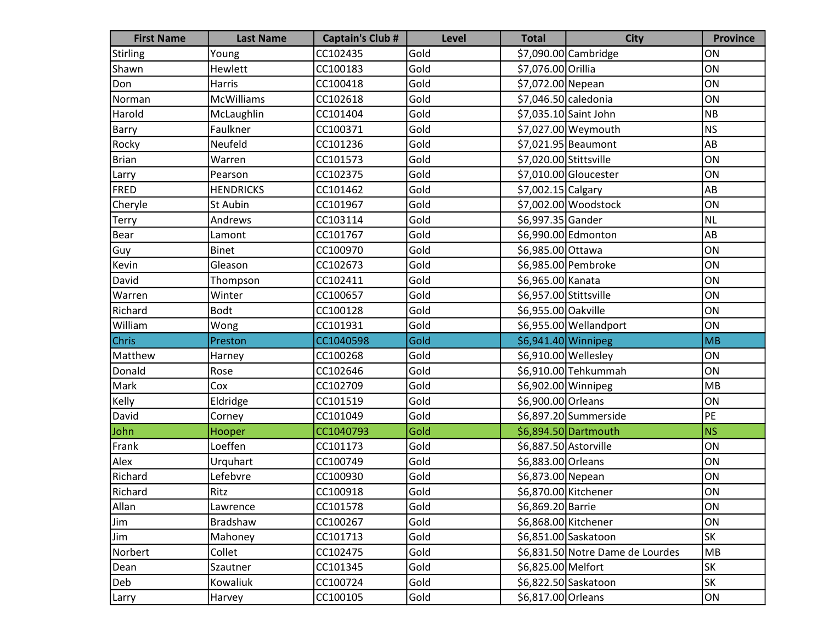| <b>First Name</b> | <b>Last Name</b>  | <b>Captain's Club #</b> | Level | <b>Total</b>           | <b>City</b>                      | <b>Province</b> |
|-------------------|-------------------|-------------------------|-------|------------------------|----------------------------------|-----------------|
| Stirling          | Young             | CC102435                | Gold  |                        | \$7,090.00 Cambridge             | ON              |
| Shawn             | Hewlett           | CC100183                | Gold  | \$7,076.00 Orillia     |                                  | ON              |
| Don               | Harris            | CC100418                | Gold  | \$7,072.00 Nepean      |                                  | ON              |
| Norman            | <b>McWilliams</b> | CC102618                | Gold  | \$7,046.50 caledonia   |                                  | ON              |
| Harold            | McLaughlin        | CC101404                | Gold  |                        | \$7,035.10 Saint John            | <b>NB</b>       |
| Barry             | Faulkner          | CC100371                | Gold  |                        | \$7,027.00 Weymouth              | <b>NS</b>       |
| Rocky             | Neufeld           | CC101236                | Gold  |                        | \$7,021.95 Beaumont              | AB              |
| Brian             | Warren            | CC101573                | Gold  | \$7,020.00 Stittsville |                                  | ON              |
| Larry             | Pearson           | CC102375                | Gold  |                        | \$7,010.00 Gloucester            | ON              |
| FRED              | <b>HENDRICKS</b>  | CC101462                | Gold  | \$7,002.15 Calgary     |                                  | AB              |
| Cheryle           | St Aubin          | CC101967                | Gold  |                        | \$7,002.00 Woodstock             | ON              |
| <b>Terry</b>      | Andrews           | CC103114                | Gold  | \$6,997.35 Gander      |                                  | <b>NL</b>       |
| Bear              | Lamont            | CC101767                | Gold  |                        | \$6,990.00 Edmonton              | AB              |
| Guy               | <b>Binet</b>      | CC100970                | Gold  | \$6,985.00 Ottawa      |                                  | ON              |
| Kevin             | Gleason           | CC102673                | Gold  |                        | \$6,985.00 Pembroke              | ON              |
| David             | Thompson          | CC102411                | Gold  | \$6,965.00 Kanata      |                                  | ON              |
| Warren            | Winter            | CC100657                | Gold  | \$6,957.00 Stittsville |                                  | ON              |
| Richard           | <b>Bodt</b>       | CC100128                | Gold  | \$6,955.00 Oakville    |                                  | ON              |
| William           | Wong              | CC101931                | Gold  |                        | \$6,955.00 Wellandport           | ON              |
| <b>Chris</b>      | Preston           | CC1040598               | Gold  | \$6,941.40 Winnipeg    |                                  | MB              |
| Matthew           | Harney            | CC100268                | Gold  | \$6,910.00 Wellesley   |                                  | ON              |
| Donald            | Rose              | CC102646                | Gold  |                        | \$6,910.00 Tehkummah             | ON              |
| Mark              | Cox               | CC102709                | Gold  | \$6,902.00 Winnipeg    |                                  | MB              |
| Kelly             | Eldridge          | CC101519                | Gold  | \$6,900.00 Orleans     |                                  | ON              |
| David             | Corney            | CC101049                | Gold  |                        | \$6,897.20 Summerside            | PE              |
| John              | Hooper            | CC1040793               | Gold  |                        | \$6,894.50 Dartmouth             | <b>NS</b>       |
| Frank             | Loeffen           | CC101173                | Gold  | \$6,887.50 Astorville  |                                  | ON              |
| Alex              | Urquhart          | CC100749                | Gold  | \$6,883.00 Orleans     |                                  | ON              |
| Richard           | Lefebvre          | CC100930                | Gold  | \$6,873.00 Nepean      |                                  | ON              |
| Richard           | Ritz              | CC100918                | Gold  |                        | \$6,870.00 Kitchener             | ON              |
| Allan             | Lawrence          | CC101578                | Gold  | \$6,869.20 Barrie      |                                  | ON              |
| Jim               | Bradshaw          | CC100267                | Gold  | \$6,868.00 Kitchener   |                                  | ON              |
| Jim               | Mahoney           | CC101713                | Gold  |                        | \$6,851.00 Saskatoon             | SK              |
| Norbert           | Collet            | CC102475                | Gold  |                        | \$6,831.50 Notre Dame de Lourdes | MB              |
| Dean              | Szautner          | CC101345                | Gold  | \$6,825.00 Melfort     |                                  | SK              |
| Deb               | Kowaliuk          | CC100724                | Gold  |                        | \$6,822.50 Saskatoon             | SK              |
| Larry             | Harvey            | CC100105                | Gold  | \$6,817.00 Orleans     |                                  | ON              |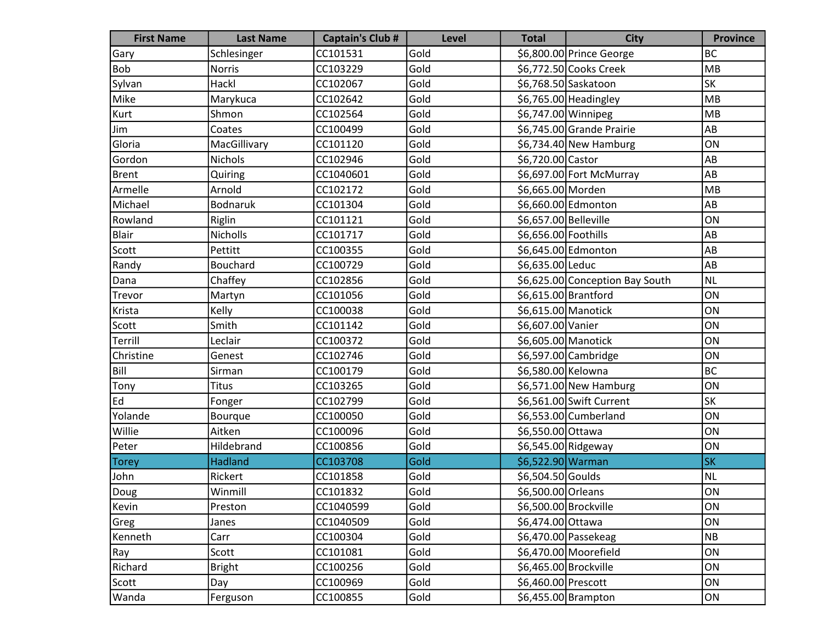| <b>First Name</b> | <b>Last Name</b> | <b>Captain's Club #</b> | <b>Level</b> | <b>Total</b>          | <b>City</b>                     | <b>Province</b> |
|-------------------|------------------|-------------------------|--------------|-----------------------|---------------------------------|-----------------|
| Gary              | Schlesinger      | CC101531                | Gold         |                       | \$6,800.00 Prince George        | <b>BC</b>       |
| Bob               | <b>Norris</b>    | CC103229                | Gold         |                       | \$6,772.50 Cooks Creek          | MB              |
| Sylvan            | Hackl            | CC102067                | Gold         |                       | \$6,768.50 Saskatoon            | SK              |
| Mike              | Marykuca         | CC102642                | Gold         |                       | \$6,765.00 Headingley           | MB              |
| Kurt              | Shmon            | CC102564                | Gold         | \$6,747.00 Winnipeg   |                                 | MB              |
| Jim               | Coates           | CC100499                | Gold         |                       | \$6,745.00 Grande Prairie       | AB              |
| Gloria            | MacGillivary     | CC101120                | Gold         |                       | $$6,734.40$ New Hamburg         | ON              |
| Gordon            | <b>Nichols</b>   | CC102946                | Gold         | \$6,720.00 Castor     |                                 | AB              |
| Brent             | Quiring          | CC1040601               | Gold         |                       | \$6,697.00 Fort McMurray        | AB              |
| Armelle           | Arnold           | CC102172                | Gold         | \$6,665.00 Morden     |                                 | MB              |
| Michael           | <b>Bodnaruk</b>  | CC101304                | Gold         |                       | \$6,660.00 Edmonton             | AB              |
| Rowland           | Riglin           | CC101121                | Gold         | \$6,657.00 Belleville |                                 | ON              |
| Blair             | <b>Nicholls</b>  | CC101717                | Gold         | \$6,656.00 Foothills  |                                 | AB              |
| Scott             | Pettitt          | CC100355                | Gold         |                       | \$6,645.00 Edmonton             | AB              |
| Randy             | <b>Bouchard</b>  | CC100729                | Gold         | \$6,635.00 Leduc      |                                 | AB              |
| Dana              | Chaffey          | CC102856                | Gold         |                       | \$6,625.00 Conception Bay South | <b>NL</b>       |
| Trevor            | Martyn           | CC101056                | Gold         | \$6,615.00 Brantford  |                                 | ON              |
| Krista            | Kelly            | CC100038                | Gold         | \$6,615.00 Manotick   |                                 | ON              |
| Scott             | Smith            | CC101142                | Gold         | \$6,607.00 Vanier     |                                 | ON              |
| Terrill           | Leclair          | CC100372                | Gold         | \$6,605.00 Manotick   |                                 | ON              |
| Christine         | Genest           | CC102746                | Gold         |                       | \$6,597.00 Cambridge            | ON              |
| Bill              | Sirman           | CC100179                | Gold         | \$6,580.00 Kelowna    |                                 | <b>BC</b>       |
| Tony              | Titus            | CC103265                | Gold         |                       | \$6,571.00 New Hamburg          | ON              |
| Ed                | Fonger           | CC102799                | Gold         |                       | \$6,561.00 Swift Current        | <b>SK</b>       |
| Yolande           | Bourque          | CC100050                | Gold         |                       | \$6,553.00 Cumberland           | ON              |
| Willie            | Aitken           | CC100096                | Gold         | \$6,550.00 Ottawa     |                                 | ON              |
| Peter             | Hildebrand       | CC100856                | Gold         | \$6,545.00 Ridgeway   |                                 | ON              |
| <b>Torey</b>      | Hadland          | CC103708                | Gold         | \$6,522.90 Warman     |                                 | <b>SK</b>       |
| John              | Rickert          | CC101858                | Gold         | \$6,504.50 Goulds     |                                 | <b>NL</b>       |
| Doug              | Winmill          | CC101832                | Gold         | \$6,500.00 Orleans    |                                 | ON              |
| Kevin             | Preston          | CC1040599               | Gold         | \$6,500.00 Brockville |                                 | ON              |
| Greg              | Janes            | CC1040509               | Gold         | \$6,474.00 Ottawa     |                                 | ON              |
| Kenneth           | Carr             | CC100304                | Gold         |                       | \$6,470.00 Passekeag            | NB              |
| Ray               | Scott            | CC101081                | Gold         |                       | \$6,470.00 Moorefield           | ON              |
| Richard           | <b>Bright</b>    | CC100256                | Gold         |                       | \$6,465.00 Brockville           | ON              |
| Scott             | Day              | CC100969                | Gold         | \$6,460.00 Prescott   |                                 | ON              |
| Wanda             | Ferguson         | CC100855                | Gold         |                       | \$6,455.00 Brampton             | ON              |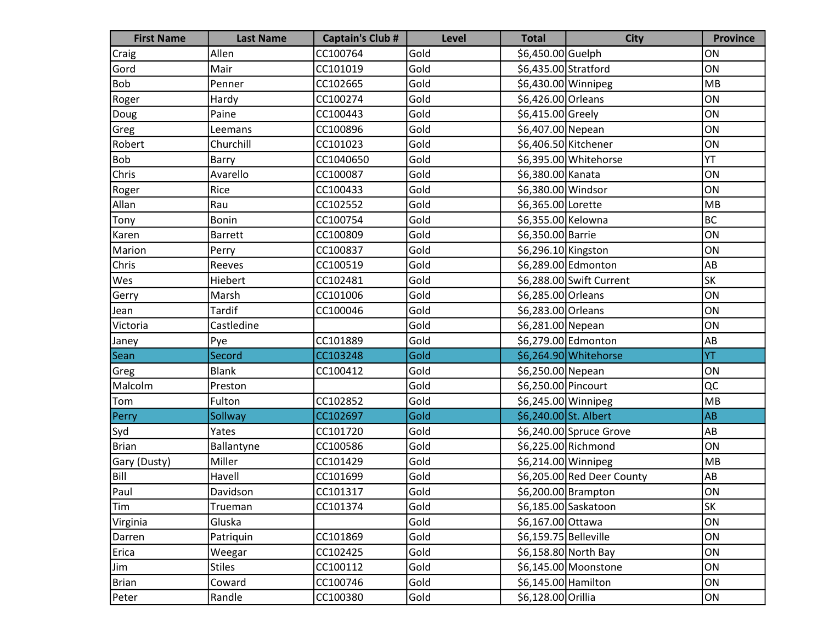| <b>First Name</b> | <b>Last Name</b> | <b>Captain's Club #</b> | <b>Level</b> | <b>Total</b>          | <b>City</b>                | <b>Province</b> |
|-------------------|------------------|-------------------------|--------------|-----------------------|----------------------------|-----------------|
| Craig             | Allen            | CC100764                | Gold         | \$6,450.00 Guelph     |                            | ON              |
| Gord              | Mair             | CC101019                | Gold         | \$6,435.00 Stratford  |                            | ON              |
| <b>Bob</b>        | Penner           | CC102665                | Gold         | \$6,430.00 Winnipeg   |                            | MB              |
| Roger             | Hardy            | CC100274                | Gold         | \$6,426.00 Orleans    |                            | ON              |
| Doug              | Paine            | CC100443                | Gold         | \$6,415.00 Greely     |                            | ON              |
| Greg              | Leemans          | CC100896                | Gold         | \$6,407.00 Nepean     |                            | ON              |
| Robert            | Churchill        | CC101023                | Gold         | \$6,406.50 Kitchener  |                            | ON              |
| Bob               | Barry            | CC1040650               | Gold         |                       | \$6,395.00 Whitehorse      | YT              |
| Chris             | Avarello         | CC100087                | Gold         | \$6,380.00 Kanata     |                            | ON              |
| Roger             | Rice             | CC100433                | Gold         | \$6,380.00 Windsor    |                            | ON              |
| Allan             | Rau              | CC102552                | Gold         | \$6,365.00 Lorette    |                            | MB              |
| Tony              | <b>Bonin</b>     | CC100754                | Gold         | \$6,355.00 Kelowna    |                            | BC              |
| Karen             | <b>Barrett</b>   | CC100809                | Gold         | \$6,350.00 Barrie     |                            | ON              |
| Marion            | Perry            | CC100837                | Gold         | \$6,296.10 Kingston   |                            | ON              |
| Chris             | Reeves           | CC100519                | Gold         |                       | \$6,289.00 Edmonton        | AB              |
| Wes               | Hiebert          | CC102481                | Gold         |                       | \$6,288.00 Swift Current   | <b>SK</b>       |
| Gerry             | Marsh            | CC101006                | Gold         | \$6,285.00 Orleans    |                            | ON              |
| Jean              | <b>Tardif</b>    | CC100046                | Gold         | \$6,283.00 Orleans    |                            | ON              |
| Victoria          | Castledine       |                         | Gold         | \$6,281.00 Nepean     |                            | ON              |
| Janey             | Pye              | CC101889                | Gold         |                       | \$6,279.00 Edmonton        | AB              |
| Sean              | Secord           | CC103248                | Gold         |                       | \$6,264.90 Whitehorse      | YT              |
| Greg              | <b>Blank</b>     | CC100412                | Gold         | \$6,250.00 Nepean     |                            | ON              |
| Malcolm           | Preston          |                         | Gold         | \$6,250.00 Pincourt   |                            | QC              |
| Tom               | Fulton           | CC102852                | Gold         | \$6,245.00 Winnipeg   |                            | MB              |
| Perry             | Sollway          | CC102697                | Gold         | \$6,240.00 St. Albert |                            | AB              |
| Syd               | Yates            | CC101720                | Gold         |                       | \$6,240.00 Spruce Grove    | AB              |
| Brian             | Ballantyne       | CC100586                | Gold         |                       | \$6,225.00 Richmond        | ON              |
| Gary (Dusty)      | Miller           | CC101429                | Gold         | \$6,214.00 Winnipeg   |                            | MB              |
| Bill              | Havell           | CC101699                | Gold         |                       | \$6,205.00 Red Deer County | AB              |
| [Paul             | Davidson         | CC101317                | Gold         |                       | \$6,200.00 Brampton        | ON              |
| Tim               | Trueman          | CC101374                | Gold         |                       | \$6,185.00 Saskatoon       | <b>SK</b>       |
| Virginia          | Gluska           |                         | Gold         | \$6,167.00 Ottawa     |                            | ON              |
| Darren            | Patriquin        | CC101869                | Gold         | \$6,159.75 Belleville |                            | ON              |
| Erica             | Weegar           | CC102425                | Gold         |                       | \$6,158.80 North Bay       | ON              |
| Jim               | <b>Stiles</b>    | CC100112                | Gold         |                       | \$6,145.00 Moonstone       | ON              |
| Brian             | Coward           | CC100746                | Gold         | \$6,145.00 Hamilton   |                            | ON              |
| Peter             | Randle           | CC100380                | Gold         | \$6,128.00 Orillia    |                            | ON              |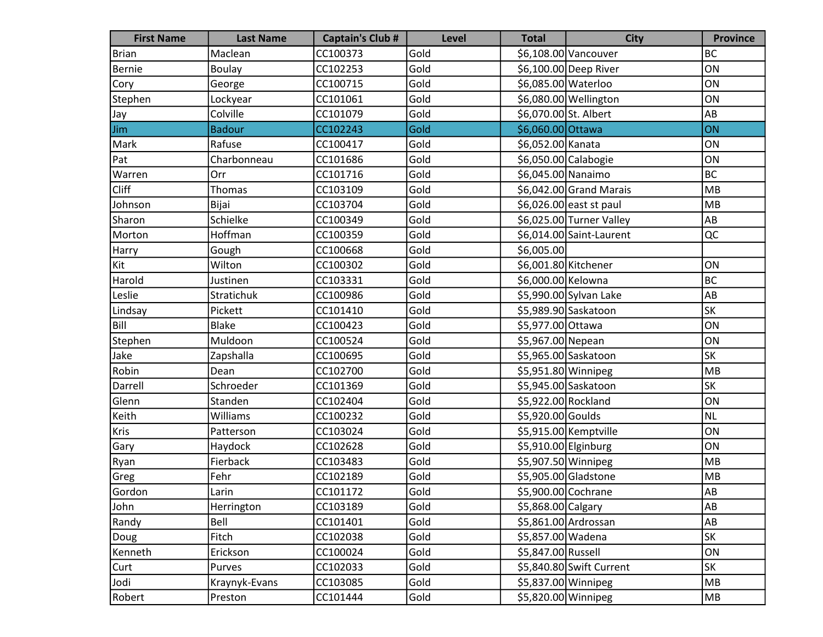| <b>First Name</b> | <b>Last Name</b> | <b>Captain's Club #</b> | Level | <b>Total</b>          | <b>City</b>              | <b>Province</b> |
|-------------------|------------------|-------------------------|-------|-----------------------|--------------------------|-----------------|
| Brian             | Maclean          | CC100373                | Gold  |                       | \$6,108.00 Vancouver     | <b>BC</b>       |
| Bernie            | <b>Boulay</b>    | CC102253                | Gold  |                       | \$6,100.00 Deep River    | ON              |
| Cory              | George           | CC100715                | Gold  | \$6,085.00 Waterloo   |                          | ON              |
| Stephen           | Lockyear         | CC101061                | Gold  |                       | \$6,080.00 Wellington    | ON              |
| (Jay              | Colville         | CC101079                | Gold  | \$6,070.00 St. Albert |                          | AB              |
| Jim               | <b>Badour</b>    | CC102243                | Gold  | \$6,060.00 Ottawa     |                          | ON              |
| Mark              | Rafuse           | CC100417                | Gold  | \$6,052.00 Kanata     |                          | ON              |
| Pat               | Charbonneau      | CC101686                | Gold  | \$6,050.00 Calabogie  |                          | ON              |
| Warren            | Orr              | CC101716                | Gold  | \$6,045.00 Nanaimo    |                          | <b>BC</b>       |
| Cliff             | Thomas           | CC103109                | Gold  |                       | \$6,042.00 Grand Marais  | MB              |
| Johnson           | Bijai            | CC103704                | Gold  |                       | \$6,026.00 east st paul  | MB              |
| Sharon            | Schielke         | CC100349                | Gold  |                       | \$6,025.00 Turner Valley | AB              |
| Morton            | Hoffman          | CC100359                | Gold  |                       | \$6,014.00 Saint-Laurent | QC              |
| Harry             | Gough            | CC100668                | Gold  | \$6,005.00            |                          |                 |
| Kit               | Wilton           | CC100302                | Gold  | \$6,001.80 Kitchener  |                          | ON              |
| Harold            | Justinen         | CC103331                | Gold  | \$6,000.00 Kelowna    |                          | <b>BC</b>       |
| Leslie            | Stratichuk       | CC100986                | Gold  |                       | \$5,990.00 Sylvan Lake   | AB              |
| Lindsay           | Pickett          | CC101410                | Gold  |                       | \$5,989.90 Saskatoon     | <b>SK</b>       |
| Bill              | Blake            | CC100423                | Gold  | \$5,977.00 Ottawa     |                          | ON              |
| Stephen           | Muldoon          | CC100524                | Gold  | \$5,967.00 Nepean     |                          | ON              |
| Jake              | Zapshalla        | CC100695                | Gold  |                       | \$5,965.00 Saskatoon     | <b>SK</b>       |
| Robin             | Dean             | CC102700                | Gold  | \$5,951.80 Winnipeg   |                          | MB              |
| Darrell           | Schroeder        | CC101369                | Gold  |                       | \$5,945.00 Saskatoon     | <b>SK</b>       |
| Glenn             | Standen          | CC102404                | Gold  | \$5,922.00 Rockland   |                          | ON              |
| Keith             | Williams         | CC100232                | Gold  | \$5,920.00 Goulds     |                          | <b>NL</b>       |
| Kris              | Patterson        | CC103024                | Gold  |                       | \$5,915.00 Kemptville    | ON              |
| Gary              | Haydock          | CC102628                | Gold  | \$5,910.00 Elginburg  |                          | ON              |
| Ryan              | Fierback         | CC103483                | Gold  | \$5,907.50 Winnipeg   |                          | MB              |
| Greg              | Fehr             | CC102189                | Gold  |                       | \$5,905.00 Gladstone     | MB              |
| Gordon            | Larin            | CC101172                | Gold  | \$5,900.00 Cochrane   |                          | A <sub>B</sub>  |
| John              | Herrington       | CC103189                | Gold  | \$5,868.00 Calgary    |                          | AB              |
| Randy             | Bell             | CC101401                | Gold  |                       | \$5,861.00 Ardrossan     | AB              |
| Doug              | Fitch            | CC102038                | Gold  | \$5,857.00 Wadena     |                          | SK              |
| Kenneth           | Erickson         | CC100024                | Gold  | \$5,847.00 Russell    |                          | ON              |
| Curt              | Purves           | CC102033                | Gold  |                       | \$5,840.80 Swift Current | SK              |
| Jodi              | Kraynyk-Evans    | CC103085                | Gold  | \$5,837.00 Winnipeg   |                          | MB              |
| Robert            | Preston          | CC101444                | Gold  | \$5,820.00 Winnipeg   |                          | MB              |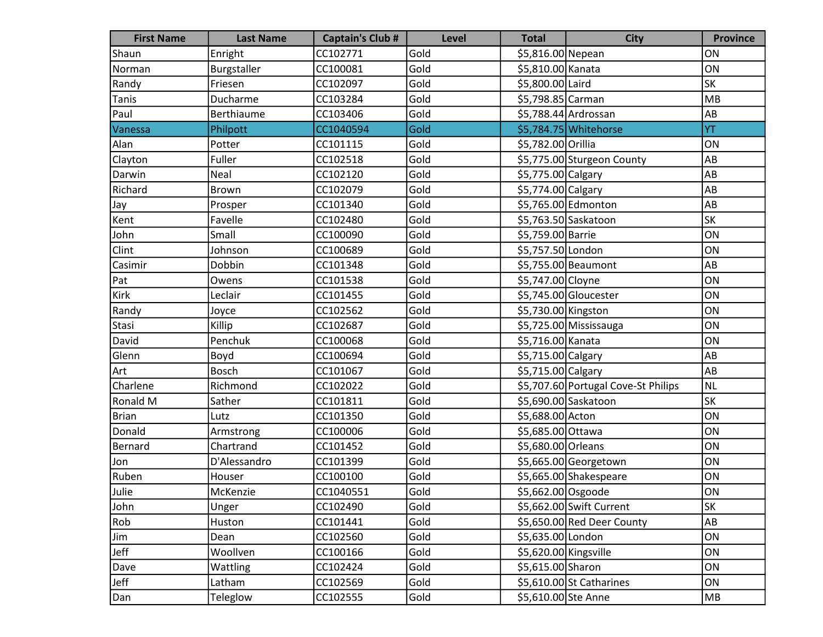| <b>First Name</b> | <b>Last Name</b> | <b>Captain's Club #</b> | Level | <b>Total</b>          | <b>City</b>                         | <b>Province</b> |
|-------------------|------------------|-------------------------|-------|-----------------------|-------------------------------------|-----------------|
| Shaun             | Enright          | CC102771                | Gold  | \$5,816.00 Nepean     |                                     | ON              |
| Norman            | Burgstaller      | CC100081                | Gold  | \$5,810.00 Kanata     |                                     | ON              |
| Randy             | Friesen          | CC102097                | Gold  | \$5,800.00 Laird      |                                     | SK              |
| Tanis             | Ducharme         | CC103284                | Gold  | \$5,798.85 Carman     |                                     | MB              |
| Paul              | Berthiaume       | CC103406                | Gold  |                       | \$5,788.44 Ardrossan                | AB              |
| Vanessa           | Philpott         | CC1040594               | Gold  |                       | \$5,784.75 Whitehorse               | YT              |
| Alan              | Potter           | CC101115                | Gold  | \$5,782.00 Orillia    |                                     | ON              |
| Clayton           | Fuller           | CC102518                | Gold  |                       | \$5,775.00 Sturgeon County          | AB              |
| Darwin            | Neal             | CC102120                | Gold  | \$5,775.00 Calgary    |                                     | AB              |
| Richard           | <b>Brown</b>     | CC102079                | Gold  | \$5,774.00 Calgary    |                                     | AB              |
| Jay               | Prosper          | CC101340                | Gold  |                       | \$5,765.00 Edmonton                 | AB              |
| Kent              | Favelle          | CC102480                | Gold  |                       | \$5,763.50 Saskatoon                | <b>SK</b>       |
| John              | Small            | CC100090                | Gold  | \$5,759.00 Barrie     |                                     | ON              |
| Clint             | Johnson          | CC100689                | Gold  | \$5,757.50 London     |                                     | ON              |
| Casimir           | Dobbin           | CC101348                | Gold  |                       | \$5,755.00 Beaumont                 | AB              |
| Pat               | Owens            | CC101538                | Gold  | \$5,747.00 Cloyne     |                                     | ON              |
| Kirk              | Leclair          | CC101455                | Gold  |                       | \$5,745.00 Gloucester               | ON              |
| Randy             | Joyce            | CC102562                | Gold  | \$5,730.00 Kingston   |                                     | ON              |
| Stasi             | Killip           | CC102687                | Gold  |                       | \$5,725.00 Mississauga              | ON              |
| David             | Penchuk          | CC100068                | Gold  | \$5,716.00 Kanata     |                                     | ON              |
| Glenn             | Boyd             | CC100694                | Gold  | \$5,715.00 Calgary    |                                     | AB              |
| Art               | Bosch            | CC101067                | Gold  | \$5,715.00 Calgary    |                                     | AB              |
| Charlene          | Richmond         | CC102022                | Gold  |                       | \$5,707.60 Portugal Cove-St Philips | <b>NL</b>       |
| Ronald M          | Sather           | CC101811                | Gold  |                       | \$5,690.00 Saskatoon                | <b>SK</b>       |
| Brian             | Lutz             | CC101350                | Gold  | \$5,688.00 Acton      |                                     | ON              |
| Donald            | Armstrong        | CC100006                | Gold  | \$5,685.00 Ottawa     |                                     | ON              |
| Bernard           | Chartrand        | CC101452                | Gold  | \$5,680.00 Orleans    |                                     | ON              |
| Jon               | D'Alessandro     | CC101399                | Gold  |                       | \$5,665.00 Georgetown               | ON              |
| Ruben             | Houser           | CC100100                | Gold  |                       | \$5,665.00 Shakespeare              | ON              |
| Julie             | McKenzie         | CC1040551               | Gold  | \$5,662.00 Osgoode    |                                     | ON              |
| John              | Unger            | CC102490                | Gold  |                       | \$5,662.00 Swift Current            | SK              |
| Rob               | Huston           | CC101441                | Gold  |                       | \$5,650.00 Red Deer County          | AB              |
| Jim               | Dean             | CC102560                | Gold  | \$5,635.00 London     |                                     | ON              |
| Jeff              | Woollven         | CC100166                | Gold  | \$5,620.00 Kingsville |                                     | ON              |
| Dave              | Wattling         | CC102424                | Gold  | \$5,615.00 Sharon     |                                     | ON              |
| Jeff              | Latham           | CC102569                | Gold  |                       | \$5,610.00 St Catharines            | ON              |
| Dan               | Teleglow         | CC102555                | Gold  | \$5,610.00 Ste Anne   |                                     | MB              |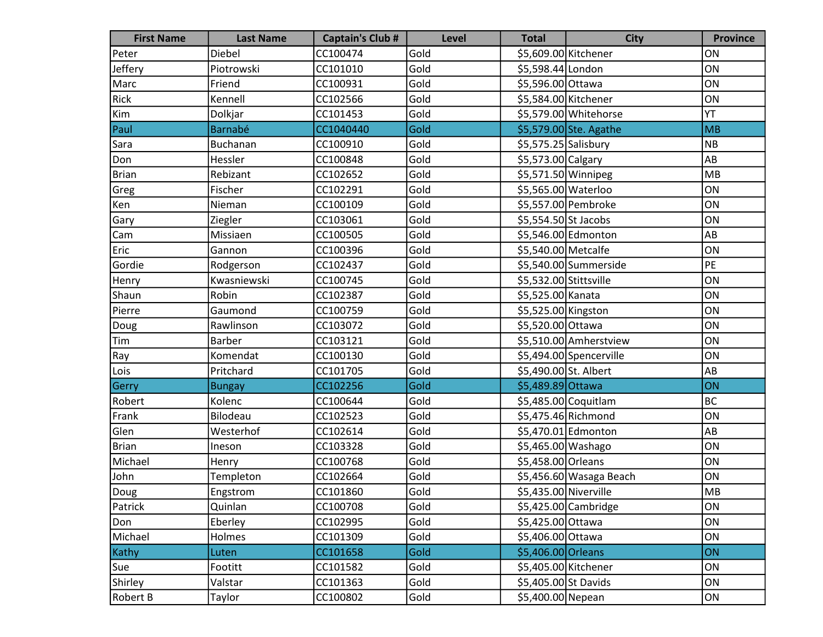| <b>First Name</b> | <b>Last Name</b> | <b>Captain's Club #</b> | Level | <b>Total</b>           | <b>City</b>             | <b>Province</b> |
|-------------------|------------------|-------------------------|-------|------------------------|-------------------------|-----------------|
| Peter             | Diebel           | CC100474                | Gold  | \$5,609.00 Kitchener   |                         | ON              |
| Jeffery           | Piotrowski       | CC101010                | Gold  | \$5,598.44 London      |                         | ON              |
| Marc              | Friend           | CC100931                | Gold  | \$5,596.00 Ottawa      |                         | ON              |
| Rick              | Kennell          | CC102566                | Gold  | \$5,584.00 Kitchener   |                         | ON              |
| Kim               | Dolkjar          | CC101453                | Gold  |                        | \$5,579.00 Whitehorse   | YT              |
| Paul              | <b>Barnabé</b>   | CC1040440               | Gold  |                        | \$5,579.00 Ste. Agathe  | MB              |
| Sara              | Buchanan         | CC100910                | Gold  | \$5,575.25 Salisbury   |                         | N <sub>B</sub>  |
| Don               | Hessler          | CC100848                | Gold  | \$5,573.00 Calgary     |                         | AB              |
| <b>Brian</b>      | Rebizant         | CC102652                | Gold  | \$5,571.50 Winnipeg    |                         | MB              |
| Greg              | Fischer          | CC102291                | Gold  | \$5,565.00 Waterloo    |                         | ON              |
| Ken               | Nieman           | CC100109                | Gold  |                        | \$5,557.00 Pembroke     | ON              |
| Gary              | Ziegler          | CC103061                | Gold  | \$5,554.50 St Jacobs   |                         | ON              |
| Cam               | Missiaen         | CC100505                | Gold  |                        | \$5,546.00 Edmonton     | AB              |
| Eric              | Gannon           | CC100396                | Gold  | \$5,540.00 Metcalfe    |                         | ON              |
| Gordie            | Rodgerson        | CC102437                | Gold  |                        | \$5,540.00 Summerside   | PE              |
| Henry             | Kwasniewski      | CC100745                | Gold  | \$5,532.00 Stittsville |                         | ON              |
| Shaun             | Robin            | CC102387                | Gold  | \$5,525.00 Kanata      |                         | ON              |
| Pierre            | Gaumond          | CC100759                | Gold  | \$5,525.00 Kingston    |                         | ON              |
| Doug              | Rawlinson        | CC103072                | Gold  | \$5,520.00 Ottawa      |                         | ON              |
| Tim               | <b>Barber</b>    | CC103121                | Gold  |                        | \$5,510.00 Amherstview  | ON              |
| Ray               | Komendat         | CC100130                | Gold  |                        | \$5,494.00 Spencerville | ON              |
| Lois              | Pritchard        | CC101705                | Gold  | \$5,490.00 St. Albert  |                         | AB              |
| Gerry             | <b>Bungay</b>    | CC102256                | Gold  | \$5,489.89 Ottawa      |                         | ON              |
| Robert            | Kolenc           | CC100644                | Gold  |                        | \$5,485.00 Coquitlam    | BC              |
| Frank             | Bilodeau         | CC102523                | Gold  |                        | \$5,475.46 Richmond     | ON              |
| Glen              | Westerhof        | CC102614                | Gold  |                        | \$5,470.01 Edmonton     | AB              |
| Brian             | Ineson           | CC103328                | Gold  | \$5,465.00 Washago     |                         | ON              |
| Michael           | Henry            | CC100768                | Gold  | \$5,458.00 Orleans     |                         | ON              |
| John              | Templeton        | CC102664                | Gold  |                        | \$5,456.60 Wasaga Beach | ON              |
| Doug              | Engstrom         | CC101860                | Gold  | \$5,435.00 Niverville  |                         | MB              |
| Patrick           | Quinlan          | CC100708                | Gold  |                        | \$5,425.00 Cambridge    | ON              |
| Don               | Eberley          | CC102995                | Gold  | \$5,425.00 Ottawa      |                         | ON              |
| Michael           | Holmes           | CC101309                | Gold  | \$5,406.00 Ottawa      |                         | ON              |
| Kathy             | Luten            | CC101658                | Gold  | \$5,406.00 Orleans     |                         | <b>ON</b>       |
| Sue               | Footitt          | CC101582                | Gold  | \$5,405.00 Kitchener   |                         | ON              |
| Shirley           | Valstar          | CC101363                | Gold  | \$5,405.00 St Davids   |                         | ON              |
| <b>Robert B</b>   | Taylor           | CC100802                | Gold  | \$5,400.00 Nepean      |                         | ON              |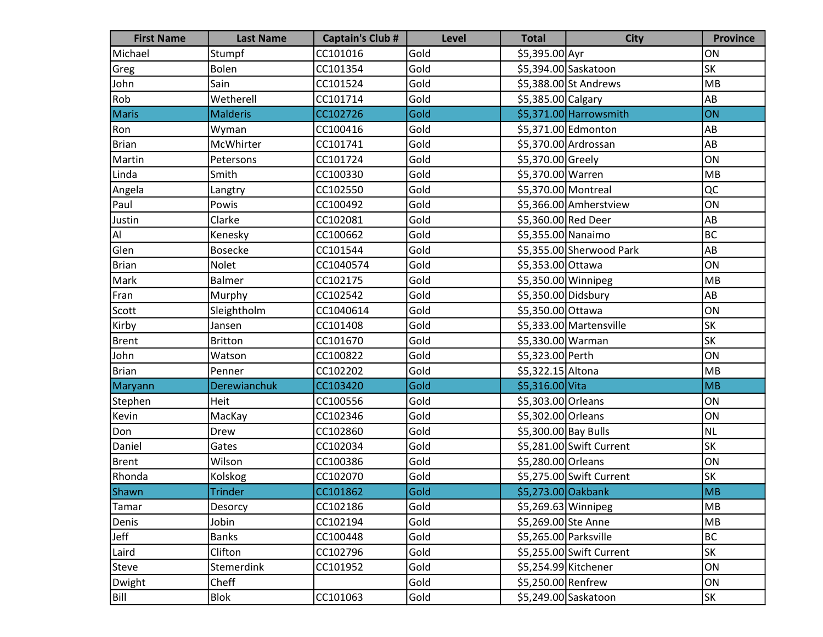| <b>First Name</b> | <b>Last Name</b>    | <b>Captain's Club #</b> | <b>Level</b> | <b>Total</b>          | <b>City</b>              | <b>Province</b> |
|-------------------|---------------------|-------------------------|--------------|-----------------------|--------------------------|-----------------|
| Michael           | Stumpf              | CC101016                | Gold         | \$5,395.00 Ayr        |                          | ON              |
| Greg              | <b>Bolen</b>        | CC101354                | Gold         |                       | \$5,394.00 Saskatoon     | <b>SK</b>       |
| John              | Sain                | CC101524                | Gold         |                       | \$5,388.00 St Andrews    | MB              |
| Rob               | Wetherell           | CC101714                | Gold         | \$5,385.00 Calgary    |                          | AB              |
| Maris             | <b>Malderis</b>     | CC102726                | Gold         |                       | \$5,371.00 Harrowsmith   | ON              |
| Ron               | Wyman               | CC100416                | Gold         |                       | \$5,371.00 Edmonton      | AB              |
| <b>Brian</b>      | McWhirter           | CC101741                | Gold         |                       | \$5,370.00 Ardrossan     | AB              |
| Martin            | Petersons           | CC101724                | Gold         | \$5,370.00 Greely     |                          | ON              |
| Linda             | Smith               | CC100330                | Gold         | \$5,370.00 Warren     |                          | MB              |
| Angela            | Langtry             | CC102550                | Gold         | \$5,370.00 Montreal   |                          | QC              |
| Paul              | Powis               | CC100492                | Gold         |                       | \$5,366.00 Amherstview   | ON              |
| Justin            | Clarke              | CC102081                | Gold         | \$5,360.00 Red Deer   |                          | AB              |
| Al                | Kenesky             | CC100662                | Gold         | \$5,355.00 Nanaimo    |                          | BC              |
| Glen              | <b>Bosecke</b>      | CC101544                | Gold         |                       | \$5,355.00 Sherwood Park | AB              |
| Brian             | Nolet               | CC1040574               | Gold         | \$5,353.00 Ottawa     |                          | ON              |
| Mark              | <b>Balmer</b>       | CC102175                | Gold         | \$5,350.00 Winnipeg   |                          | MB              |
| Fran              | Murphy              | CC102542                | Gold         | \$5,350.00 Didsbury   |                          | AB              |
| Scott             | Sleightholm         | CC1040614               | Gold         | \$5,350.00 Ottawa     |                          | ON              |
| Kirby             | Jansen              | CC101408                | Gold         |                       | \$5,333.00 Martensville  | <b>SK</b>       |
| Brent             | <b>Britton</b>      | CC101670                | Gold         | \$5,330.00 Warman     |                          | <b>SK</b>       |
| John              | Watson              | CC100822                | Gold         | \$5,323.00 Perth      |                          | ON              |
| Brian             | Penner              | CC102202                | Gold         | \$5,322.15 Altona     |                          | MB              |
| Maryann           | <b>Derewianchuk</b> | CC103420                | Gold         | \$5,316.00 Vita       |                          | MB              |
| Stephen           | Heit                | CC100556                | Gold         | \$5,303.00 Orleans    |                          | ON              |
| Kevin             | MacKay              | CC102346                | Gold         | \$5,302.00 Orleans    |                          | ON              |
| Don               | Drew                | CC102860                | Gold         | \$5,300.00 Bay Bulls  |                          | NL              |
| Daniel            | Gates               | CC102034                | Gold         |                       | \$5,281.00 Swift Current | <b>SK</b>       |
| Brent             | Wilson              | CC100386                | Gold         | \$5,280.00 Orleans    |                          | ON              |
| Rhonda            | Kolskog             | CC102070                | Gold         |                       | \$5,275.00 Swift Current | SK              |
| Shawn             | <b>Trinder</b>      | CC101862                | Gold         | \$5,273.00 Oakbank    |                          | <b>MB</b>       |
| Tamar             | Desorcy             | CC102186                | Gold         | \$5,269.63 Winnipeg   |                          | MB              |
| Denis             | Jobin               | CC102194                | Gold         | \$5,269.00 Ste Anne   |                          | MB              |
| Jeff              | <b>Banks</b>        | CC100448                | Gold         | \$5,265.00 Parksville |                          | BC              |
| Laird             | Clifton             | CC102796                | Gold         |                       | \$5,255.00 Swift Current | <b>SK</b>       |
| Steve             | Stemerdink          | CC101952                | Gold         | \$5,254.99 Kitchener  |                          | ON              |
| Dwight            | Cheff               |                         | Gold         | \$5,250.00 Renfrew    |                          | ON              |
| Bill              | <b>Blok</b>         | CC101063                | Gold         |                       | \$5,249.00 Saskatoon     | SK              |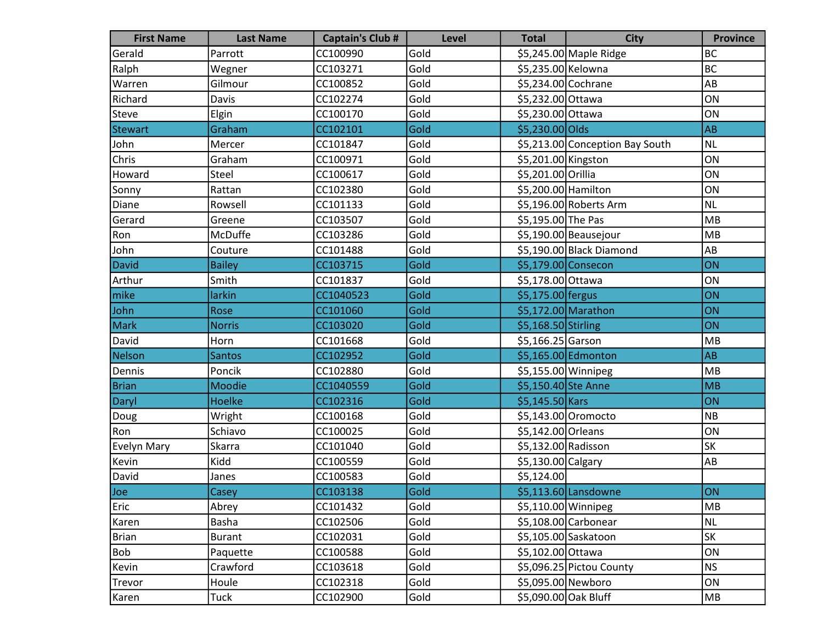| <b>First Name</b> | <b>Last Name</b> | <b>Captain's Club #</b> | <b>Level</b> | <b>Total</b>         | <b>City</b>                     | <b>Province</b> |
|-------------------|------------------|-------------------------|--------------|----------------------|---------------------------------|-----------------|
| Gerald            | Parrott          | CC100990                | Gold         |                      | \$5,245.00 Maple Ridge          | <b>BC</b>       |
| Ralph             | Wegner           | CC103271                | Gold         | \$5,235.00 Kelowna   |                                 | <b>BC</b>       |
| Warren            | Gilmour          | CC100852                | Gold         | \$5,234.00 Cochrane  |                                 | AB              |
| Richard           | Davis            | CC102274                | Gold         | \$5,232.00 Ottawa    |                                 | ON              |
| Steve             | Elgin            | CC100170                | Gold         | \$5,230.00 Ottawa    |                                 | ON              |
| <b>Stewart</b>    | Graham           | CC102101                | Gold         | \$5,230.00 Olds      |                                 | <b>AB</b>       |
| John              | Mercer           | CC101847                | Gold         |                      | \$5,213.00 Conception Bay South | <b>NL</b>       |
| Chris             | Graham           | CC100971                | Gold         | \$5,201.00 Kingston  |                                 | ON              |
| Howard            | Steel            | CC100617                | Gold         | \$5,201.00 Orillia   |                                 | ON              |
| Sonny             | Rattan           | CC102380                | Gold         | \$5,200.00 Hamilton  |                                 | ON              |
| Diane             | Rowsell          | CC101133                | Gold         |                      | \$5,196.00 Roberts Arm          | <b>NL</b>       |
| Gerard            | Greene           | CC103507                | Gold         | \$5,195.00 The Pas   |                                 | MB              |
| Ron               | McDuffe          | CC103286                | Gold         |                      | \$5,190.00 Beausejour           | <b>MB</b>       |
| John              | Couture          | CC101488                | Gold         |                      | \$5,190.00 Black Diamond        | AB              |
| David             | <b>Bailey</b>    | CC103715                | Gold         | \$5,179.00 Consecon  |                                 | ON              |
| Arthur            | Smith            | CC101837                | Gold         | \$5,178.00 Ottawa    |                                 | ON              |
| mike              | larkin           | CC1040523               | Gold         | \$5,175.00 fergus    |                                 | ON              |
| John              | Rose             | CC101060                | Gold         |                      | $$5,172.00$ Marathon            | ON              |
| Mark              | <b>Norris</b>    | CC103020                | Gold         | \$5,168.50 Stirling  |                                 | ON              |
| David             | Horn             | CC101668                | Gold         | \$5,166.25 Garson    |                                 | MB              |
| Nelson            | <b>Santos</b>    | CC102952                | Gold         |                      | \$5,165.00 Edmonton             | <b>AB</b>       |
| Dennis            | Poncik           | CC102880                | Gold         | \$5,155.00 Winnipeg  |                                 | MB              |
| <b>Brian</b>      | Moodie           | CC1040559               | Gold         | \$5,150.40 Ste Anne  |                                 | MB              |
| Daryl             | <b>Hoelke</b>    | CC102316                | Gold         | $$5,145.50$ Kars     |                                 | ON              |
| Doug              | Wright           | CC100168                | Gold         |                      | \$5,143.00 Oromocto             | <b>NB</b>       |
| Ron               | Schiavo          | CC100025                | Gold         | \$5,142.00 Orleans   |                                 | ON              |
| Evelyn Mary       | <b>Skarra</b>    | CC101040                | Gold         | \$5,132.00 Radisson  |                                 | <b>SK</b>       |
| Kevin             | Kidd             | CC100559                | Gold         | \$5,130.00 Calgary   |                                 | AB              |
| David             | Janes            | CC100583                | Gold         | \$5,124.00           |                                 |                 |
| Joe               | Casey            | CC103138                | Gold         |                      | \$5,113.60 Lansdowne            | ON              |
| Eric              | Abrey            | CC101432                | Gold         | \$5,110.00 Winnipeg  |                                 | <b>MB</b>       |
| Karen             | Basha            | CC102506                | Gold         |                      | $$5,108.00$ Carbonear           | <b>NL</b>       |
| <b>Brian</b>      | <b>Burant</b>    | CC102031                | Gold         |                      | \$5,105.00 Saskatoon            | <b>SK</b>       |
| Bob               | Paquette         | CC100588                | Gold         | \$5,102.00 Ottawa    |                                 | ON              |
| Kevin             | Crawford         | CC103618                | Gold         |                      | \$5,096.25 Pictou County        | <b>NS</b>       |
| Trevor            | Houle            | CC102318                | Gold         | \$5,095.00 Newboro   |                                 | ON              |
| Karen             | Tuck             | CC102900                | Gold         | \$5,090.00 Oak Bluff |                                 | MB              |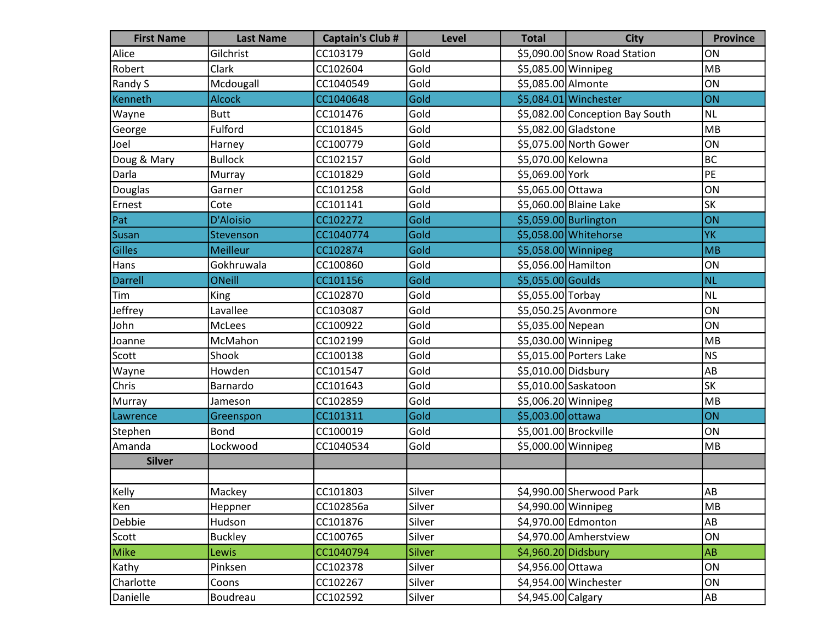| <b>First Name</b> | <b>Last Name</b> | <b>Captain's Club #</b> | Level  | <b>Total</b>          | <b>City</b>                     | <b>Province</b> |
|-------------------|------------------|-------------------------|--------|-----------------------|---------------------------------|-----------------|
| Alice             | Gilchrist        | CC103179                | Gold   |                       | \$5,090.00 Snow Road Station    | ON              |
| Robert            | Clark            | CC102604                | Gold   | \$5,085.00 Winnipeg   |                                 | MB              |
| Randy S           | Mcdougall        | CC1040549               | Gold   | \$5,085.00 Almonte    |                                 | ON              |
| Kenneth           | <b>Alcock</b>    | CC1040648               | Gold   |                       | \$5,084.01 Winchester           | ON              |
| Wayne             | <b>Butt</b>      | CC101476                | Gold   |                       | \$5,082.00 Conception Bay South | NL              |
| George            | Fulford          | CC101845                | Gold   |                       | \$5,082.00 Gladstone            | MB              |
| Joel              | Harney           | CC100779                | Gold   |                       | \$5,075.00 North Gower          | ON              |
| Doug & Mary       | <b>Bullock</b>   | CC102157                | Gold   | \$5,070.00 Kelowna    |                                 | BC              |
| Darla             | Murray           | CC101829                | Gold   | \$5,069.00 York       |                                 | PE              |
| Douglas           | Garner           | CC101258                | Gold   | \$5,065.00 Ottawa     |                                 | ON              |
| Ernest            | Cote             | CC101141                | Gold   |                       | \$5,060.00 Blaine Lake          | <b>SK</b>       |
| Pat               | D'Aloisio        | CC102272                | Gold   |                       | \$5,059.00 Burlington           | ON              |
| Susan             | Stevenson        | CC1040774               | Gold   |                       | \$5,058.00 Whitehorse           | <b>YK</b>       |
| Gilles            | <b>Meilleur</b>  | CC102874                | Gold   | \$5,058.00 Winnipeg   |                                 | MB              |
| Hans              | Gokhruwala       | CC100860                | Gold   | \$5,056.00 Hamilton   |                                 | ON              |
| Darrell           | <b>ONeill</b>    | CC101156                | Gold   | \$5,055.00 Goulds     |                                 | <b>NL</b>       |
| Tim               | King             | CC102870                | Gold   | \$5,055.00 Torbay     |                                 | NL              |
| Jeffrey           | Lavallee         | CC103087                | Gold   |                       | \$5,050.25 Avonmore             | ON              |
| John              | McLees           | CC100922                | Gold   | \$5,035.00 Nepean     |                                 | ON              |
| Joanne            | McMahon          | CC102199                | Gold   | \$5,030.00 Winnipeg   |                                 | MB              |
| Scott             | Shook            | CC100138                | Gold   |                       | \$5,015.00 Porters Lake         | NS              |
| Wayne             | Howden           | CC101547                | Gold   | \$5,010.00 Didsbury   |                                 | AB              |
| Chris             | Barnardo         | CC101643                | Gold   |                       | \$5,010.00 Saskatoon            | <b>SK</b>       |
| Murray            | Jameson          | CC102859                | Gold   | \$5,006.20 Winnipeg   |                                 | MB              |
| Lawrence          | Greenspon        | CC101311                | Gold   | \$5,003.00 ottawa     |                                 | ON              |
| Stephen           | <b>Bond</b>      | CC100019                | Gold   | \$5,001.00 Brockville |                                 | ON              |
| Amanda            | Lockwood         | CC1040534               | Gold   | \$5,000.00 Winnipeg   |                                 | MB              |
| <b>Silver</b>     |                  |                         |        |                       |                                 |                 |
|                   |                  |                         |        |                       |                                 |                 |
| Kelly             | Mackey           | CC101803                | Silver |                       | \$4,990.00 Sherwood Park        | AB              |
| Ken               | Heppner          | CC102856a               | Silver | \$4,990.00 Winnipeg   |                                 | MB              |
| Debbie            | Hudson           | CC101876                | Silver |                       | \$4,970.00 Edmonton             | AB              |
| Scott             | <b>Buckley</b>   | CC100765                | Silver |                       | \$4,970.00 Amherstview          | ON              |
| Mike              | Lewis            | CC1040794               | Silver | \$4,960.20 Didsbury   |                                 | <b>AB</b>       |
| Kathy             | Pinksen          | CC102378                | Silver | \$4,956.00 Ottawa     |                                 | ON              |
| Charlotte         | Coons            | CC102267                | Silver |                       | \$4,954.00 Winchester           | ON              |
| Danielle          | Boudreau         | CC102592                | Silver | \$4,945.00 Calgary    |                                 | AB              |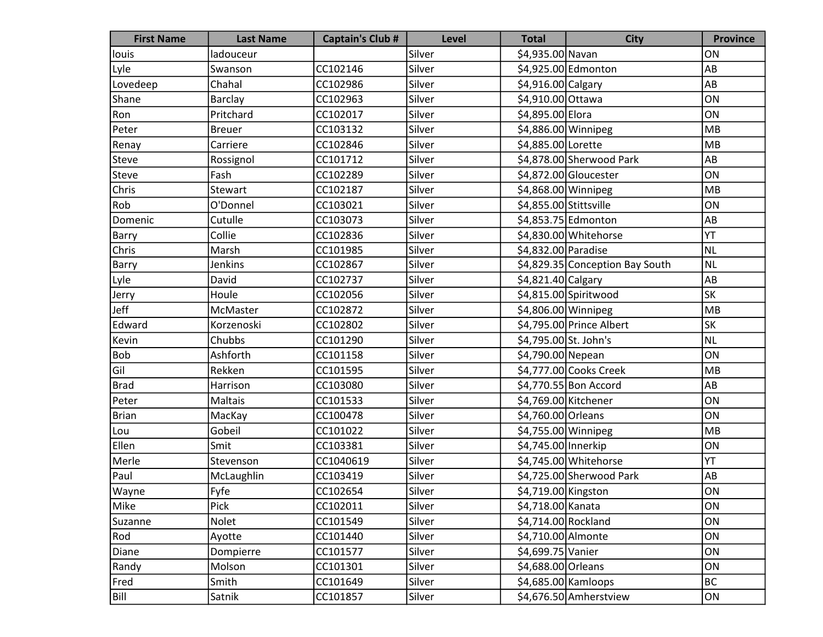| <b>First Name</b> | <b>Last Name</b> | <b>Captain's Club #</b> | <b>Level</b> | <b>Total</b>           | <b>City</b>                     | <b>Province</b> |
|-------------------|------------------|-------------------------|--------------|------------------------|---------------------------------|-----------------|
| louis             | ladouceur        |                         | Silver       | \$4,935.00 Navan       |                                 | ON              |
| Lyle              | Swanson          | CC102146                | Silver       |                        | \$4,925.00 Edmonton             | AB              |
| Lovedeep          | Chahal           | CC102986                | Silver       | \$4,916.00 Calgary     |                                 | AB              |
| Shane             | Barclay          | CC102963                | Silver       | \$4,910.00 Ottawa      |                                 | ON              |
| Ron               | Pritchard        | CC102017                | Silver       | \$4,895.00 Elora       |                                 | ON              |
| Peter             | <b>Breuer</b>    | CC103132                | Silver       | \$4,886.00 Winnipeg    |                                 | MB              |
| Renay             | Carriere         | CC102846                | Silver       | \$4,885.00 Lorette     |                                 | MB              |
| Steve             | Rossignol        | CC101712                | Silver       |                        | \$4,878.00 Sherwood Park        | AB              |
| Steve             | Fash             | CC102289                | Silver       |                        | \$4,872.00 Gloucester           | ON              |
| Chris             | Stewart          | CC102187                | Silver       | \$4,868.00 Winnipeg    |                                 | MB              |
| Rob               | O'Donnel         | CC103021                | Silver       | \$4,855.00 Stittsville |                                 | ON              |
| Domenic           | Cutulle          | CC103073                | Silver       |                        | \$4,853.75 Edmonton             | AB              |
| <b>Barry</b>      | Collie           | CC102836                | Silver       |                        | \$4,830.00 Whitehorse           | YT              |
| Chris             | Marsh            | CC101985                | Silver       | \$4,832.00 Paradise    |                                 | <b>NL</b>       |
| <b>Barry</b>      | Jenkins          | CC102867                | Silver       |                        | \$4,829.35 Conception Bay South | <b>NL</b>       |
| Lyle              | David            | CC102737                | Silver       | \$4,821.40 Calgary     |                                 | AB              |
| Jerry             | Houle            | CC102056                | Silver       |                        | \$4,815.00 Spiritwood           | SK              |
| Jeff              | McMaster         | CC102872                | Silver       | \$4,806.00 Winnipeg    |                                 | MB              |
| Edward            | Korzenoski       | CC102802                | Silver       |                        | \$4,795.00 Prince Albert        | SK              |
| Kevin             | Chubbs           | CC101290                | Silver       | \$4,795.00 St. John's  |                                 | <b>NL</b>       |
| <b>Bob</b>        | Ashforth         | CC101158                | Silver       | \$4,790.00 Nepean      |                                 | ON              |
| Gil               | Rekken           | CC101595                | Silver       |                        | \$4,777.00 Cooks Creek          | MB              |
| <b>Brad</b>       | Harrison         | CC103080                | Silver       |                        | \$4,770.55 Bon Accord           | AB              |
| Peter             | Maltais          | CC101533                | Silver       | \$4,769.00 Kitchener   |                                 | ON              |
| Brian             | MacKay           | CC100478                | Silver       | \$4,760.00 Orleans     |                                 | ON              |
| Lou               | Gobeil           | CC101022                | Silver       | \$4,755.00 Winnipeg    |                                 | MB              |
| Ellen             | Smit             | CC103381                | Silver       | \$4,745.00 Innerkip    |                                 | ON              |
| Merle             | Stevenson        | CC1040619               | Silver       |                        | \$4,745.00 Whitehorse           | YT              |
| Paul              | McLaughlin       | CC103419                | Silver       |                        | \$4,725.00 Sherwood Park        | AB              |
| <b>Wayne</b>      | Fyfe             | CC102654                | Silver       | \$4,719.00 Kingston    |                                 | ON              |
| Mike              | Pick             | CC102011                | Silver       | \$4,718.00 Kanata      |                                 | ON              |
| Suzanne           | Nolet            | CC101549                | Silver       | \$4,714.00 Rockland    |                                 | ON              |
| Rod               | Ayotte           | CC101440                | Silver       | \$4,710.00 Almonte     |                                 | ON              |
| Diane             | Dompierre        | CC101577                | Silver       | \$4,699.75 Vanier      |                                 | ON              |
| Randy             | Molson           | CC101301                | Silver       | \$4,688.00 Orleans     |                                 | ON              |
| Fred              | Smith            | CC101649                | Silver       | \$4,685.00 Kamloops    |                                 | BC              |
| Bill              | Satnik           | CC101857                | Silver       |                        | \$4,676.50 Amherstview          | ON              |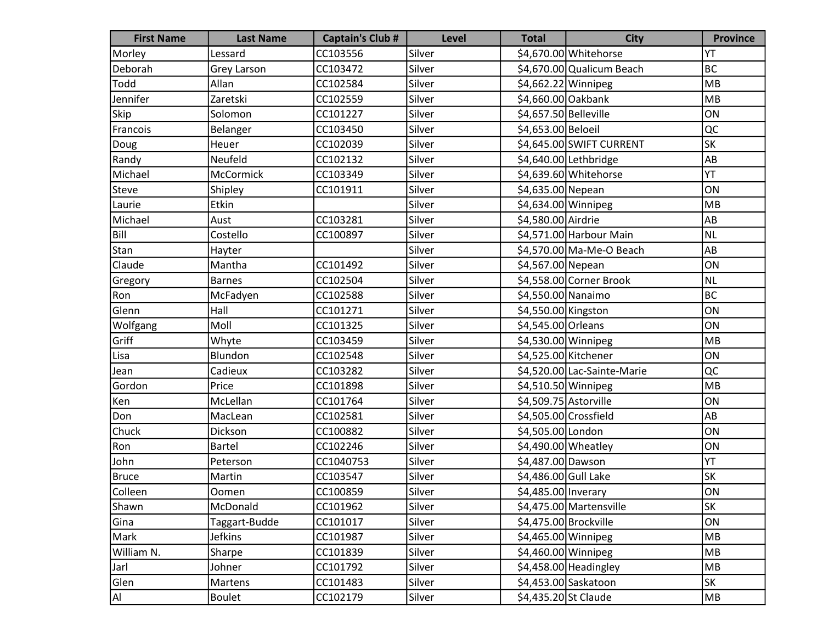| <b>First Name</b> | <b>Last Name</b>   | <b>Captain's Club #</b> | Level  | <b>Total</b>          | <b>City</b>                 | <b>Province</b> |
|-------------------|--------------------|-------------------------|--------|-----------------------|-----------------------------|-----------------|
| Morley            | Lessard            | CC103556                | Silver |                       | \$4,670.00 Whitehorse       | YT              |
| Deborah           | <b>Grey Larson</b> | CC103472                | Silver |                       | \$4,670.00 Qualicum Beach   | <b>BC</b>       |
| Todd              | Allan              | CC102584                | Silver | \$4,662.22 Winnipeg   |                             | <b>MB</b>       |
| Jennifer          | Zaretski           | CC102559                | Silver | \$4,660.00 Oakbank    |                             | <b>MB</b>       |
| Skip              | Solomon            | CC101227                | Silver | \$4,657.50 Belleville |                             | ON              |
| Francois          | Belanger           | CC103450                | Silver | \$4,653.00 Beloeil    |                             | QC              |
| Doug              | Heuer              | CC102039                | Silver |                       | \$4,645.00 SWIFT CURRENT    | <b>SK</b>       |
| Randy             | Neufeld            | CC102132                | Silver |                       | \$4,640.00 Lethbridge       | AB              |
| Michael           | <b>McCormick</b>   | CC103349                | Silver |                       | \$4,639.60 Whitehorse       | YT              |
| Steve             | Shipley            | CC101911                | Silver | \$4,635.00 Nepean     |                             | ON              |
| Laurie            | Etkin              |                         | Silver | \$4,634.00 Winnipeg   |                             | MB              |
| Michael           | Aust               | CC103281                | Silver | \$4,580.00 Airdrie    |                             | AB              |
| Bill              | Costello           | CC100897                | Silver |                       | \$4,571.00 Harbour Main     | <b>NL</b>       |
| Stan              | Hayter             |                         | Silver |                       | \$4,570.00 Ma-Me-O Beach    | AB              |
| Claude            | Mantha             | CC101492                | Silver | \$4,567.00 Nepean     |                             | ON              |
| Gregory           | <b>Barnes</b>      | CC102504                | Silver |                       | \$4,558.00 Corner Brook     | <b>NL</b>       |
| Ron               | McFadyen           | CC102588                | Silver | \$4,550.00 Nanaimo    |                             | <b>BC</b>       |
| Glenn             | Hall               | CC101271                | Silver | \$4,550.00 Kingston   |                             | ON              |
| Wolfgang          | Moll               | CC101325                | Silver | \$4,545.00 Orleans    |                             | ON              |
| Griff             | Whyte              | CC103459                | Silver | \$4,530.00 Winnipeg   |                             | <b>MB</b>       |
| Lisa              | Blundon            | CC102548                | Silver | \$4,525.00 Kitchener  |                             | ON              |
| Jean              | Cadieux            | CC103282                | Silver |                       | \$4,520.00 Lac-Sainte-Marie | QC              |
| Gordon            | Price              | CC101898                | Silver | \$4,510.50 Winnipeg   |                             | <b>MB</b>       |
| Ken               | McLellan           | CC101764                | Silver | \$4,509.75 Astorville |                             | ON              |
| Don               | MacLean            | CC102581                | Silver | \$4,505.00 Crossfield |                             | AB              |
| Chuck             | Dickson            | CC100882                | Silver | \$4,505.00 London     |                             | ON              |
| Ron               | <b>Bartel</b>      | CC102246                | Silver | $$4,490.00$ Wheatley  |                             | ON              |
| John              | Peterson           | CC1040753               | Silver | \$4,487.00 Dawson     |                             | YT              |
| <b>Bruce</b>      | Martin             | CC103547                | Silver | \$4,486.00 Gull Lake  |                             | <b>SK</b>       |
| Colleen           | Oomen              | CC100859                | Silver | \$4,485.00 Inverary   |                             | ON              |
| Shawn             | McDonald           | CC101962                | Silver |                       | \$4,475.00 Martensville     | <b>SK</b>       |
| Gina              | Taggart-Budde      | CC101017                | Silver | \$4,475.00 Brockville |                             | ON              |
| Mark              | <b>Jefkins</b>     | CC101987                | Silver | \$4,465.00 Winnipeg   |                             | MB              |
| William N.        | Sharpe             | CC101839                | Silver | $$4,460.00$ Winnipeg  |                             | MB              |
| Jarl              | Johner             | CC101792                | Silver |                       | $$4,458.00$ Headingley      | <b>MB</b>       |
| Glen              | Martens            | CC101483                | Silver |                       | \$4,453.00 Saskatoon        | <b>SK</b>       |
| AI                | <b>Boulet</b>      | CC102179                | Silver | \$4,435.20 St Claude  |                             | MB              |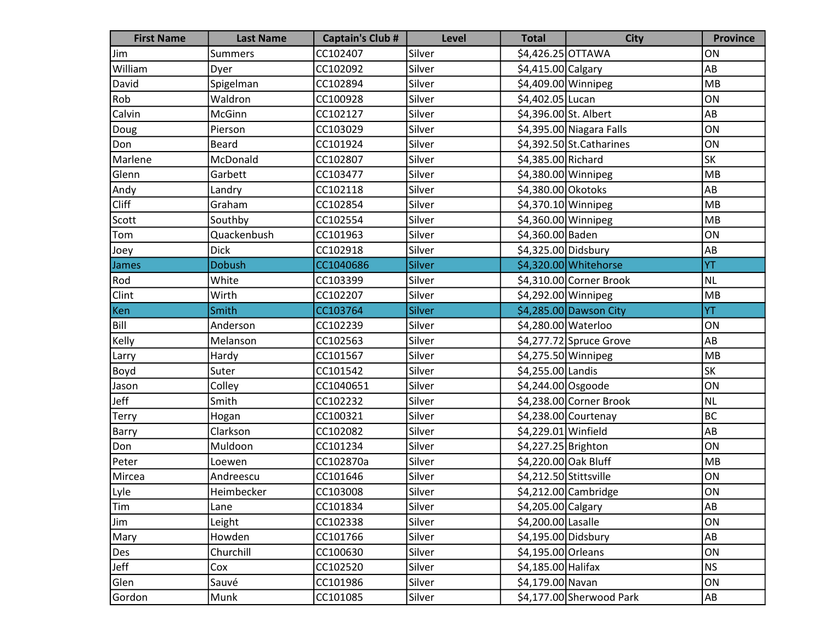| <b>First Name</b> | <b>Last Name</b> | <b>Captain's Club #</b> | <b>Level</b> | <b>Total</b>           | <b>City</b>                | <b>Province</b> |
|-------------------|------------------|-------------------------|--------------|------------------------|----------------------------|-----------------|
| Jim               | <b>Summers</b>   | CC102407                | Silver       | \$4,426.25 OTTAWA      |                            | ON              |
| William           | Dyer             | CC102092                | Silver       | \$4,415.00 Calgary     |                            | AB              |
| David             | Spigelman        | CC102894                | Silver       | \$4,409.00 Winnipeg    |                            | MB              |
| Rob               | Waldron          | CC100928                | Silver       | \$4,402.05 Lucan       |                            | ON              |
| Calvin            | McGinn           | CC102127                | Silver       | \$4,396.00 St. Albert  |                            | AB              |
| Doug              | Pierson          | CC103029                | Silver       |                        | \$4,395.00 Niagara Falls   | ON              |
| Don               | <b>Beard</b>     | CC101924                | Silver       |                        | $$4,392.50$ St. Catharines | ON              |
| Marlene           | McDonald         | CC102807                | Silver       | \$4,385.00 Richard     |                            | SK              |
| Glenn             | Garbett          | CC103477                | Silver       | \$4,380.00 Winnipeg    |                            | MB              |
| Andy              | Landry           | CC102118                | Silver       | \$4,380.00 Okotoks     |                            | AB              |
| <b>Cliff</b>      | Graham           | CC102854                | Silver       | \$4,370.10 Winnipeg    |                            | MB              |
| Scott             | Southby          | CC102554                | Silver       | \$4,360.00 Winnipeg    |                            | MB              |
| Tom               | Quackenbush      | CC101963                | Silver       | \$4,360.00 Baden       |                            | ON              |
| Joey              | <b>Dick</b>      | CC102918                | Silver       | \$4,325.00 Didsbury    |                            | AB              |
| James             | <b>Dobush</b>    | CC1040686               | Silver       |                        | \$4,320.00 Whitehorse      | YT              |
| Rod               | White            | CC103399                | Silver       |                        | $$4,310.00$ Corner Brook   | <b>NL</b>       |
| Clint             | Wirth            | CC102207                | Silver       | \$4,292.00 Winnipeg    |                            | MB              |
| Ken               | Smith            | CC103764                | Silver       |                        | \$4,285.00 Dawson City     | YT              |
| Bill              | Anderson         | CC102239                | Silver       | \$4,280.00 Waterloo    |                            | ON              |
| Kelly             | Melanson         | CC102563                | Silver       |                        | $$4,277.72$ Spruce Grove   | AB              |
| Larry             | Hardy            | CC101567                | Silver       | \$4,275.50 Winnipeg    |                            | MB              |
| Boyd              | Suter            | CC101542                | Silver       | \$4,255.00 Landis      |                            | <b>SK</b>       |
| Jason             | Colley           | CC1040651               | Silver       | \$4,244.00 Osgoode     |                            | ON              |
| Jeff              | Smith            | CC102232                | Silver       |                        | \$4,238.00 Corner Brook    | <b>NL</b>       |
| Terry             | Hogan            | CC100321                | Silver       |                        | $$4,238.00$ Courtenay      | BC              |
| Barry             | Clarkson         | CC102082                | Silver       | \$4,229.01 Winfield    |                            | AB              |
| Don               | Muldoon          | CC101234                | Silver       | \$4,227.25 Brighton    |                            | ON              |
| Peter             | Loewen           | CC102870a               | Silver       | \$4,220.00 Oak Bluff   |                            | MB              |
| Mircea            | Andreescu        | CC101646                | Silver       | \$4,212.50 Stittsville |                            | ON              |
| Lyle              | Heimbecker       | CC103008                | Silver       |                        | \$4,212.00 Cambridge       | ON              |
| Tim               | Lane             | CC101834                | Silver       | \$4,205.00 Calgary     |                            | AB              |
| <b>Jim</b>        | Leight           | CC102338                | Silver       | \$4,200.00 Lasalle     |                            | ON              |
| Mary              | Howden           | CC101766                | Silver       | \$4,195.00 Didsbury    |                            | AB              |
| Des               | Churchill        | CC100630                | Silver       | \$4,195.00 Orleans     |                            | ON              |
| Jeff              | Cox              | CC102520                | Silver       | $$4,185.00$ Halifax    |                            | <b>NS</b>       |
| Glen              | Sauvé            | CC101986                | Silver       | \$4,179.00 Navan       |                            | ON              |
| Gordon            | Munk             | CC101085                | Silver       |                        | \$4,177.00 Sherwood Park   | AB              |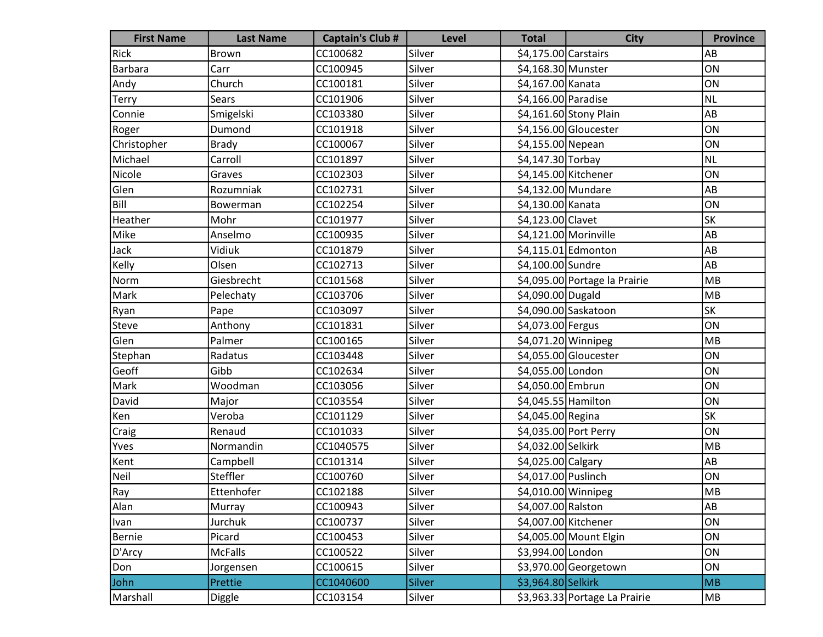| <b>First Name</b> | <b>Last Name</b> | <b>Captain's Club #</b> | <b>Level</b>  | <b>Total</b>         | <b>City</b>                   | <b>Province</b> |
|-------------------|------------------|-------------------------|---------------|----------------------|-------------------------------|-----------------|
| Rick              | Brown            | CC100682                | Silver        | \$4,175.00 Carstairs |                               | AB              |
| Barbara           | Carr             | CC100945                | Silver        | \$4,168.30 Munster   |                               | ON              |
| Andy              | Church           | CC100181                | Silver        | \$4,167.00 Kanata    |                               | ON              |
| Terry             | Sears            | CC101906                | Silver        | \$4,166.00 Paradise  |                               | NL              |
| Connie            | Smigelski        | CC103380                | Silver        |                      | \$4,161.60 Stony Plain        | AB              |
| Roger             | Dumond           | CC101918                | Silver        |                      | \$4,156.00 Gloucester         | ON              |
| Christopher       | <b>Brady</b>     | CC100067                | Silver        | \$4,155.00 Nepean    |                               | ON              |
| Michael           | Carroll          | CC101897                | Silver        | \$4,147.30 Torbay    |                               | NL              |
| Nicole            | Graves           | CC102303                | Silver        | \$4,145.00 Kitchener |                               | ON              |
| Glen              | Rozumniak        | CC102731                | Silver        | \$4,132.00 Mundare   |                               | AB              |
| Bill              | Bowerman         | CC102254                | Silver        | \$4,130.00 Kanata    |                               | ON              |
| Heather           | Mohr             | CC101977                | Silver        | \$4,123.00 Clavet    |                               | <b>SK</b>       |
| Mike              | Anselmo          | CC100935                | Silver        |                      | \$4,121.00 Morinville         | AB              |
| Jack              | Vidiuk           | CC101879                | Silver        |                      | $$4,115.01$ Edmonton          | AB              |
| Kelly             | Olsen            | CC102713                | Silver        | \$4,100.00 Sundre    |                               | AB              |
| Norm              | Giesbrecht       | CC101568                | Silver        |                      | \$4,095.00 Portage la Prairie | MB              |
| Mark              | Pelechaty        | CC103706                | Silver        | \$4,090.00 Dugald    |                               | MB              |
| Ryan              | Pape             | CC103097                | Silver        |                      | \$4,090.00 Saskatoon          | <b>SK</b>       |
| Steve             | Anthony          | CC101831                | Silver        | \$4,073.00 Fergus    |                               | ON              |
| Glen              | Palmer           | CC100165                | Silver        | \$4,071.20 Winnipeg  |                               | MB              |
| Stephan           | Radatus          | CC103448                | Silver        |                      | \$4,055.00 Gloucester         | ON              |
| Geoff             | Gibb             | CC102634                | Silver        | \$4,055.00 London    |                               | ON              |
| Mark              | Woodman          | CC103056                | Silver        | \$4,050.00 Embrun    |                               | ON              |
| David             | Major            | CC103554                | Silver        | \$4,045.55 Hamilton  |                               | ON              |
| Ken               | Veroba           | CC101129                | Silver        | \$4,045.00 Regina    |                               | <b>SK</b>       |
| Craig             | Renaud           | CC101033                | Silver        |                      | \$4,035.00 Port Perry         | ON              |
| Yves              | Normandin        | CC1040575               | Silver        | \$4,032.00 Selkirk   |                               | MB              |
| Kent              | Campbell         | CC101314                | Silver        | \$4,025.00 Calgary   |                               | AB              |
| Neil              | Steffler         | CC100760                | Silver        | \$4,017.00 Puslinch  |                               | ON              |
| Ray               | Ettenhofer       | CC102188                | Silver        | \$4,010.00 Winnipeg  |                               | MB              |
| Alan              | Murray           | CC100943                | Silver        | \$4,007.00 Ralston   |                               | AB              |
| Ivan              | Jurchuk          | CC100737                | Silver        | \$4,007.00 Kitchener |                               | ON              |
| Bernie            | Picard           | CC100453                | Silver        |                      | \$4,005.00 Mount Elgin        | ON              |
| D'Arcy            | <b>McFalls</b>   | CC100522                | Silver        | \$3,994.00 London    |                               | ON              |
| Don               | Jorgensen        | CC100615                | Silver        |                      | \$3,970.00 Georgetown         | ON              |
| John              | Prettie          | CC1040600               | <b>Silver</b> | \$3,964.80 Selkirk   |                               | <b>MB</b>       |
| Marshall          | Diggle           | CC103154                | Silver        |                      | \$3,963.33 Portage La Prairie | MB              |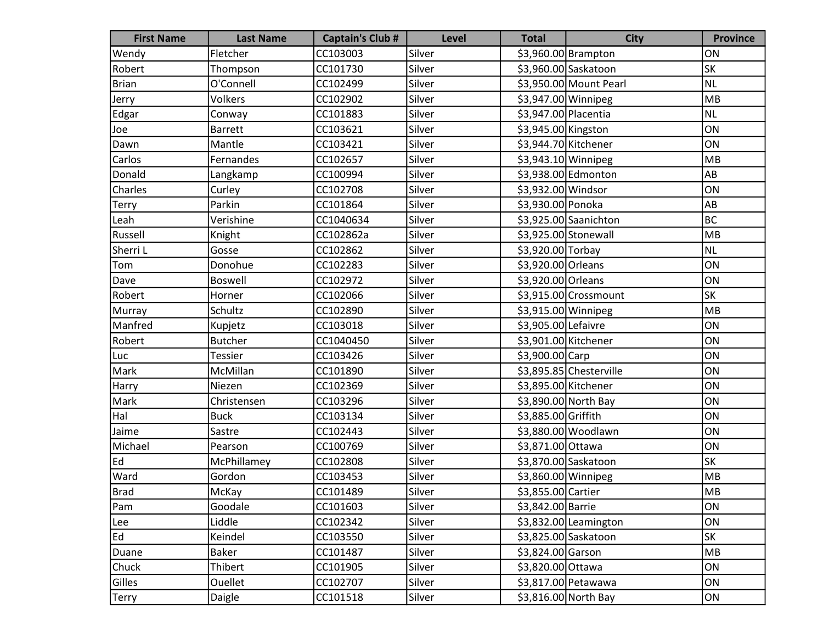| <b>First Name</b> | <b>Last Name</b> | <b>Captain's Club #</b> | Level  | <b>Total</b>         | <b>City</b>             | <b>Province</b> |
|-------------------|------------------|-------------------------|--------|----------------------|-------------------------|-----------------|
| Wendy             | Fletcher         | CC103003                | Silver |                      | \$3,960.00 Brampton     | ON              |
| Robert            | Thompson         | CC101730                | Silver |                      | \$3,960.00 Saskatoon    | <b>SK</b>       |
| Brian             | O'Connell        | CC102499                | Silver |                      | \$3,950.00 Mount Pearl  | NL              |
| Jerry             | Volkers          | CC102902                | Silver | \$3,947.00 Winnipeg  |                         | MB              |
| Edgar             | Conway           | CC101883                | Silver | \$3,947.00 Placentia |                         | NL              |
| Joe               | <b>Barrett</b>   | CC103621                | Silver | \$3,945.00 Kingston  |                         | ON              |
| Dawn              | Mantle           | CC103421                | Silver | \$3,944.70 Kitchener |                         | ON              |
| Carlos            | Fernandes        | CC102657                | Silver | \$3,943.10 Winnipeg  |                         | MB              |
| Donald            | Langkamp         | CC100994                | Silver |                      | \$3,938.00 Edmonton     | AB              |
| Charles           | Curley           | CC102708                | Silver | \$3,932.00 Windsor   |                         | ON              |
| Terry             | Parkin           | CC101864                | Silver | \$3,930.00 Ponoka    |                         | AB              |
| Leah              | Verishine        | CC1040634               | Silver |                      | \$3,925.00 Saanichton   | BC              |
| Russell           | Knight           | CC102862a               | Silver | \$3,925.00 Stonewall |                         | MB              |
| Sherri L          | Gosse            | CC102862                | Silver | \$3,920.00 Torbay    |                         | NL              |
| Tom               | Donohue          | CC102283                | Silver | \$3,920.00 Orleans   |                         | ON              |
| Dave              | Boswell          | CC102972                | Silver | \$3,920.00 Orleans   |                         | ON              |
| Robert            | Horner           | CC102066                | Silver |                      | $$3,915.00$ Crossmount  | <b>SK</b>       |
| Murray            | Schultz          | CC102890                | Silver | \$3,915.00 Winnipeg  |                         | MB              |
| Manfred           | Kupjetz          | CC103018                | Silver | \$3,905.00 Lefaivre  |                         | ON              |
| Robert            | <b>Butcher</b>   | CC1040450               | Silver | \$3,901.00 Kitchener |                         | ON              |
| Luc               | <b>Tessier</b>   | CC103426                | Silver | \$3,900.00 Carp      |                         | ON              |
| Mark              | McMillan         | CC101890                | Silver |                      | \$3,895.85 Chesterville | ON              |
| Harry             | Niezen           | CC102369                | Silver | \$3,895.00 Kitchener |                         | ON              |
| Mark              | Christensen      | CC103296                | Silver |                      | \$3,890.00 North Bay    | ON              |
| Hal               | <b>Buck</b>      | CC103134                | Silver | \$3,885.00 Griffith  |                         | ON              |
| Jaime             | Sastre           | CC102443                | Silver |                      | \$3,880.00 Woodlawn     | ON              |
| Michael           | Pearson          | CC100769                | Silver | \$3,871.00 Ottawa    |                         | ON              |
| Ed                | McPhillamey      | CC102808                | Silver |                      | \$3,870.00 Saskatoon    | <b>SK</b>       |
| Ward              | Gordon           | CC103453                | Silver | \$3,860.00 Winnipeg  |                         | MB              |
| Brad              | McKay            | CC101489                | Silver | \$3,855.00 Cartier   |                         | <b>MB</b>       |
| Pam               | Goodale          | CC101603                | Silver | \$3,842.00 Barrie    |                         | ON              |
| Lee               | Liddle           | CC102342                | Silver |                      | \$3,832.00 Leamington   | ON              |
| Ed                | Keindel          | CC103550                | Silver |                      | \$3,825.00 Saskatoon    | <b>SK</b>       |
| Duane             | Baker            | CC101487                | Silver | \$3,824.00 Garson    |                         | MB              |
| Chuck             | Thibert          | CC101905                | Silver | \$3,820.00 Ottawa    |                         | ON              |
| Gilles            | Ouellet          | CC102707                | Silver |                      | \$3,817.00 Petawawa     | ON              |
| Terry             | Daigle           | CC101518                | Silver |                      | \$3,816.00 North Bay    | ON              |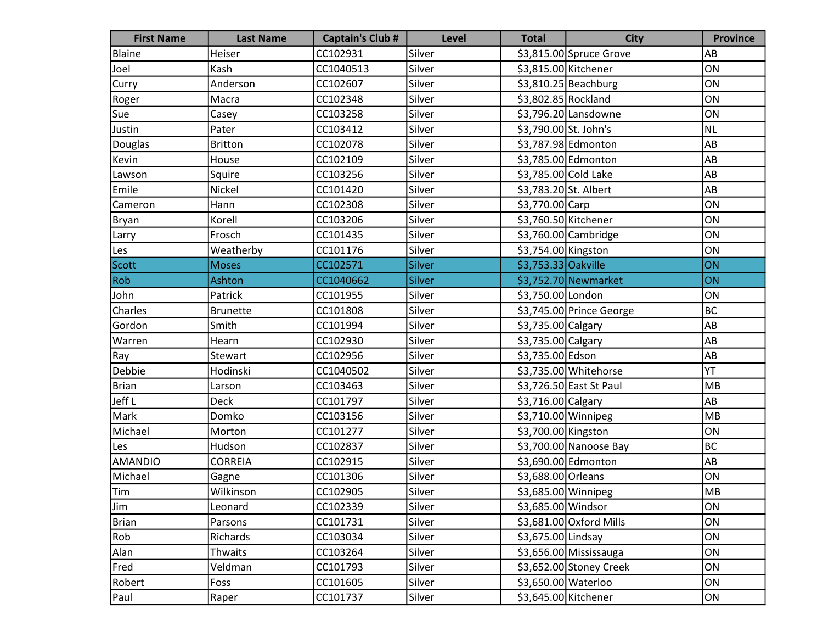| <b>First Name</b> | <b>Last Name</b> | <b>Captain's Club #</b> | <b>Level</b>  | <b>Total</b>          | <b>City</b>              | <b>Province</b> |
|-------------------|------------------|-------------------------|---------------|-----------------------|--------------------------|-----------------|
| Blaine            | Heiser           | CC102931                | Silver        |                       | \$3,815.00 Spruce Grove  | AB              |
| Joel              | Kash             | CC1040513               | Silver        | \$3,815.00 Kitchener  |                          | ON              |
| Curry             | Anderson         | CC102607                | Silver        |                       | $$3,810.25$ Beachburg    | ON              |
| Roger             | Macra            | CC102348                | Silver        | \$3,802.85 Rockland   |                          | ON              |
| Sue               | Casey            | CC103258                | Silver        |                       | \$3,796.20 Lansdowne     | ON              |
| Justin            | Pater            | CC103412                | Silver        | \$3,790.00 St. John's |                          | NL              |
| Douglas           | <b>Britton</b>   | CC102078                | Silver        |                       | \$3,787.98 Edmonton      | AB              |
| Kevin             | House            | CC102109                | Silver        |                       | \$3,785.00 Edmonton      | AB              |
| Lawson            | Squire           | CC103256                | Silver        | \$3,785.00 Cold Lake  |                          | AB              |
| Emile             | Nickel           | CC101420                | Silver        | \$3,783.20 St. Albert |                          | AB              |
| Cameron           | Hann             | CC102308                | Silver        | \$3,770.00 Carp       |                          | ON              |
| Bryan             | Korell           | CC103206                | Silver        | \$3,760.50 Kitchener  |                          | ON              |
| Larry             | Frosch           | CC101435                | Silver        |                       | \$3,760.00 Cambridge     | ON              |
| Les               | Weatherby        | CC101176                | Silver        | \$3,754.00 Kingston   |                          | ON              |
| Scott             | <b>Moses</b>     | CC102571                | Silver        | \$3,753.33 Oakville   |                          | ON              |
| Rob               | Ashton           | CC1040662               | <b>Silver</b> |                       | \$3,752.70 Newmarket     | ON              |
| John              | Patrick          | CC101955                | Silver        | \$3,750.00 London     |                          | ON              |
| Charles           | <b>Brunette</b>  | CC101808                | Silver        |                       | \$3,745.00 Prince George | BC              |
| Gordon            | Smith            | CC101994                | Silver        | \$3,735.00 Calgary    |                          | AB              |
| Warren            | Hearn            | CC102930                | Silver        | \$3,735.00 Calgary    |                          | AB              |
| Ray               | Stewart          | CC102956                | Silver        | \$3,735.00 Edson      |                          | AB              |
| Debbie            | Hodinski         | CC1040502               | Silver        |                       | \$3,735.00 Whitehorse    | YT              |
| <b>Brian</b>      | Larson           | CC103463                | Silver        |                       | \$3,726.50 East St Paul  | MB              |
| Jeff L            | <b>Deck</b>      | CC101797                | Silver        | \$3,716.00 Calgary    |                          | AB              |
| Mark              | Domko            | CC103156                | Silver        | \$3,710.00 Winnipeg   |                          | MB              |
| Michael           | Morton           | CC101277                | Silver        | \$3,700.00 Kingston   |                          | ON              |
| Les               | Hudson           | CC102837                | Silver        |                       | \$3,700.00 Nanoose Bay   | BC              |
| <b>AMANDIO</b>    | <b>CORREIA</b>   | CC102915                | Silver        |                       | \$3,690.00 Edmonton      | AB              |
| Michael           | Gagne            | CC101306                | Silver        | \$3,688.00 Orleans    |                          | ON              |
| Tim               | Wilkinson        | CC102905                | Silver        | \$3,685.00 Winnipeg   |                          | MB              |
| Jim               | Leonard          | CC102339                | Silver        | \$3,685.00 Windsor    |                          | ON              |
| <b>Brian</b>      | Parsons          | CC101731                | Silver        |                       | \$3,681.00 Oxford Mills  | ON              |
| Rob               | Richards         | CC103034                | Silver        | \$3,675.00 Lindsay    |                          | ON              |
| Alan              | Thwaits          | CC103264                | Silver        |                       | \$3,656.00 Mississauga   | ON              |
| Fred              | Veldman          | CC101793                | Silver        |                       | \$3,652.00 Stoney Creek  | ON              |
| Robert            | Foss             | CC101605                | Silver        | \$3,650.00 Waterloo   |                          | ON              |
| Paul              | Raper            | CC101737                | Silver        | \$3,645.00 Kitchener  |                          | ON              |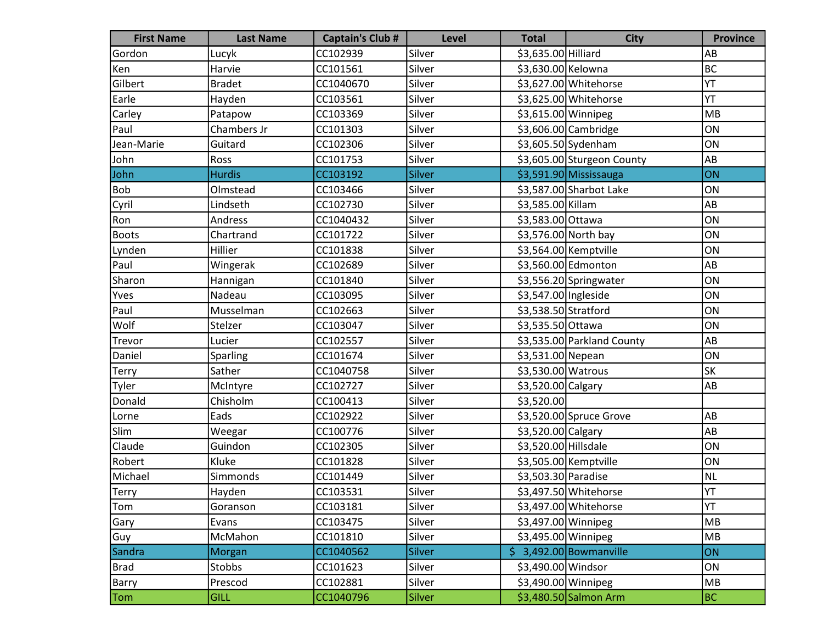| <b>First Name</b> | <b>Last Name</b> | <b>Captain's Club #</b> | <b>Level</b>  | <b>Total</b>         | <b>City</b>                | <b>Province</b> |
|-------------------|------------------|-------------------------|---------------|----------------------|----------------------------|-----------------|
| Gordon            | Lucyk            | CC102939                | Silver        | \$3,635.00 Hilliard  |                            | AB              |
| Ken               | Harvie           | CC101561                | Silver        | \$3,630.00 Kelowna   |                            | <b>BC</b>       |
| Gilbert           | <b>Bradet</b>    | CC1040670               | Silver        |                      | \$3,627.00 Whitehorse      | YT              |
| Earle             | Hayden           | CC103561                | Silver        |                      | \$3,625.00 Whitehorse      | YT              |
| Carley            | Patapow          | CC103369                | Silver        | \$3,615.00 Winnipeg  |                            | MB              |
| Paul              | Chambers Jr      | CC101303                | Silver        |                      | \$3,606.00 Cambridge       | ON              |
| Jean-Marie        | Guitard          | CC102306                | Silver        |                      | \$3,605.50 Sydenham        | ON              |
| John              | Ross             | CC101753                | Silver        |                      | \$3,605.00 Sturgeon County | AB              |
| John              | <b>Hurdis</b>    | CC103192                | <b>Silver</b> |                      | \$3,591.90 Mississauga     | ON              |
| Bob               | Olmstead         | CC103466                | Silver        |                      | \$3,587.00 Sharbot Lake    | ON              |
| Cyril             | Lindseth         | CC102730                | Silver        | \$3,585.00 Killam    |                            | AB              |
| Ron               | Andress          | CC1040432               | Silver        | \$3,583.00 Ottawa    |                            | ON              |
| <b>Boots</b>      | Chartrand        | CC101722                | Silver        |                      | \$3,576.00 North bay       | ON              |
| Lynden            | Hillier          | CC101838                | Silver        |                      | \$3,564.00 Kemptville      | ON              |
| Paul              | Wingerak         | CC102689                | Silver        |                      | \$3,560.00 Edmonton        | AB              |
| Sharon            | Hannigan         | CC101840                | Silver        |                      | \$3,556.20 Springwater     | ON              |
| Yves              | Nadeau           | CC103095                | Silver        | \$3,547.00 Ingleside |                            | ON              |
| Paul              | Musselman        | CC102663                | Silver        | \$3,538.50 Stratford |                            | ON              |
| Wolf              | Stelzer          | CC103047                | Silver        | \$3,535.50 Ottawa    |                            | ON              |
| Trevor            | Lucier           | CC102557                | Silver        |                      | \$3,535.00 Parkland County | AB              |
| Daniel            | Sparling         | CC101674                | Silver        | \$3,531.00 Nepean    |                            | ON              |
| Terry             | Sather           | CC1040758               | Silver        | \$3,530.00 Watrous   |                            | <b>SK</b>       |
| Tyler             | McIntyre         | CC102727                | Silver        | \$3,520.00 Calgary   |                            | AB              |
| Donald            | Chisholm         | CC100413                | Silver        | \$3,520.00           |                            |                 |
| Lorne             | Eads             | CC102922                | Silver        |                      | \$3,520.00 Spruce Grove    | AB              |
| Slim              | Weegar           | CC100776                | Silver        | \$3,520.00 Calgary   |                            | AB              |
| Claude            | Guindon          | CC102305                | Silver        | \$3,520.00 Hillsdale |                            | ON              |
| Robert            | Kluke            | CC101828                | Silver        |                      | \$3,505.00 Kemptville      | ON              |
| Michael           | Simmonds         | CC101449                | Silver        | \$3,503.30 Paradise  |                            | <b>NL</b>       |
| <b>Terry</b>      | Hayden           | CC103531                | Silver        |                      | \$3,497.50 Whitehorse      | YT              |
| Tom               | Goranson         | CC103181                | Silver        |                      | \$3,497.00 Whitehorse      | YT              |
| Gary              | Evans            | CC103475                | Silver        | \$3,497.00 Winnipeg  |                            | MB              |
| Guy               | McMahon          | CC101810                | Silver        | \$3,495.00 Winnipeg  |                            | MB              |
| Sandra            | Morgan           | CC1040562               | Silver        |                      | $$3,492.00$ Bowmanville    | <b>ON</b>       |
| <b>Brad</b>       | Stobbs           | CC101623                | Silver        | \$3,490.00 Windsor   |                            | ON              |
| <b>Barry</b>      | Prescod          | CC102881                | Silver        | \$3,490.00 Winnipeg  |                            | MB              |
| Tom               | <b>GILL</b>      | CC1040796               | Silver        |                      | \$3,480.50 Salmon Arm      | <b>BC</b>       |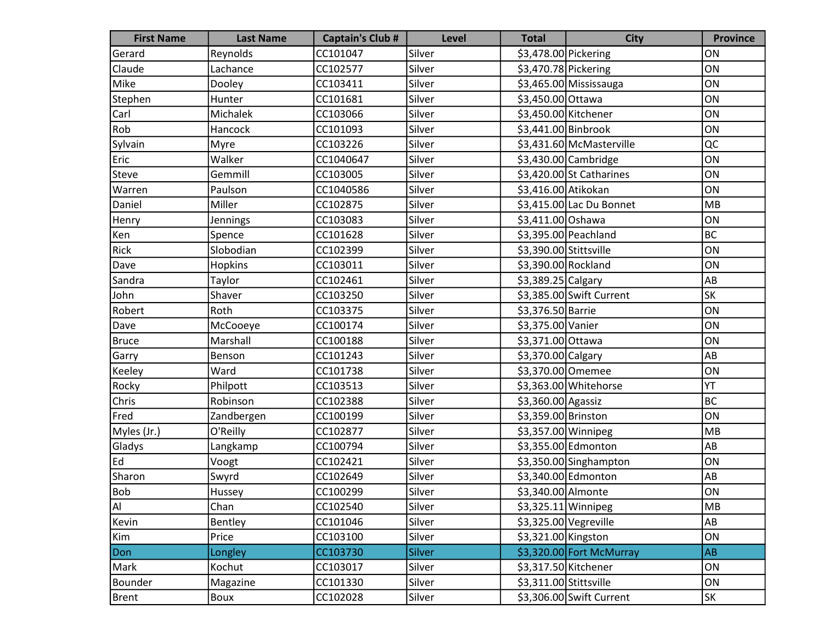| <b>First Name</b> | <b>Last Name</b> | <b>Captain's Club #</b> | <b>Level</b> | <b>Total</b>           | <b>City</b>               | <b>Province</b> |
|-------------------|------------------|-------------------------|--------------|------------------------|---------------------------|-----------------|
| Gerard            | Reynolds         | CC101047                | Silver       | \$3,478.00 Pickering   |                           | ON              |
| Claude            | Lachance         | CC102577                | Silver       | \$3,470.78 Pickering   |                           | ON              |
| Mike              | Dooley           | CC103411                | Silver       |                        | \$3,465.00 Mississauga    | ON              |
| Stephen           | Hunter           | CC101681                | Silver       | \$3,450.00 Ottawa      |                           | ON              |
| Carl              | Michalek         | CC103066                | Silver       | \$3,450.00 Kitchener   |                           | ON              |
| Rob               | Hancock          | CC101093                | Silver       | \$3,441.00 Binbrook    |                           | ON              |
| Sylvain           | Myre             | CC103226                | Silver       |                        | \$3,431.60 McMasterville  | QC              |
| Eric              | Walker           | CC1040647               | Silver       |                        | \$3,430.00 Cambridge      | ON              |
| Steve             | Gemmill          | CC103005                | Silver       |                        | $$3,420.00$ St Catharines | ON              |
| Warren            | Paulson          | CC1040586               | Silver       | \$3,416.00 Atikokan    |                           | ON              |
| Daniel            | Miller           | CC102875                | Silver       |                        | \$3,415.00 Lac Du Bonnet  | MB              |
| Henry             | Jennings         | CC103083                | Silver       | \$3,411.00 Oshawa      |                           | ON              |
| Ken               | Spence           | CC101628                | Silver       |                        | \$3,395.00 Peachland      | BC              |
| Rick              | Slobodian        | CC102399                | Silver       | \$3,390.00 Stittsville |                           | ON              |
| Dave              | Hopkins          | CC103011                | Silver       | \$3,390.00 Rockland    |                           | ON              |
| Sandra            | Taylor           | CC102461                | Silver       | \$3,389.25 Calgary     |                           | AB              |
| John              | Shaver           | CC103250                | Silver       |                        | \$3,385.00 Swift Current  | <b>SK</b>       |
| Robert            | Roth             | CC103375                | Silver       | \$3,376.50 Barrie      |                           | ON              |
| Dave              | McCooeye         | CC100174                | Silver       | \$3,375.00 Vanier      |                           | ON              |
| Bruce             | Marshall         | CC100188                | Silver       | \$3,371.00 Ottawa      |                           | ON              |
| Garry             | Benson           | CC101243                | Silver       | \$3,370.00 Calgary     |                           | AB              |
| Keeley            | Ward             | CC101738                | Silver       | \$3,370.00 Omemee      |                           | ON              |
| Rocky             | Philpott         | CC103513                | Silver       |                        | \$3,363.00 Whitehorse     | YT              |
| Chris             | Robinson         | CC102388                | Silver       | \$3,360.00 Agassiz     |                           | <b>BC</b>       |
| Fred              | Zandbergen       | CC100199                | Silver       | \$3,359.00 Brinston    |                           | ON              |
| Myles (Jr.)       | O'Reilly         | CC102877                | Silver       | \$3,357.00 Winnipeg    |                           | MB              |
| Gladys            | Langkamp         | CC100794                | Silver       |                        | \$3,355.00 Edmonton       | AB              |
| Ed                | Voogt            | CC102421                | Silver       |                        | \$3,350.00 Singhampton    | ON              |
| Sharon            | Swyrd            | CC102649                | Silver       |                        | \$3,340.00 Edmonton       | AB              |
| <b>Bob</b>        | Hussey           | CC100299                | Silver       | \$3,340.00 Almonte     |                           | ON              |
| Al                | Chan             | CC102540                | Silver       | \$3,325.11 Winnipeg    |                           | MB              |
| Kevin             | Bentley          | CC101046                | Silver       | $$3,325.00$ Vegreville |                           | AB              |
| Kim               | Price            | CC103100                | Silver       | \$3,321.00 Kingston    |                           | ON              |
| Don               | Longley          | CC103730                | Silver       |                        | \$3,320.00 Fort McMurray  | AB              |
| Mark              | Kochut           | CC103017                | Silver       | \$3,317.50 Kitchener   |                           | ON              |
| Bounder           | Magazine         | CC101330                | Silver       | \$3,311.00 Stittsville |                           | ON              |
| Brent             | Boux             | CC102028                | Silver       |                        | \$3,306.00 Swift Current  | SK              |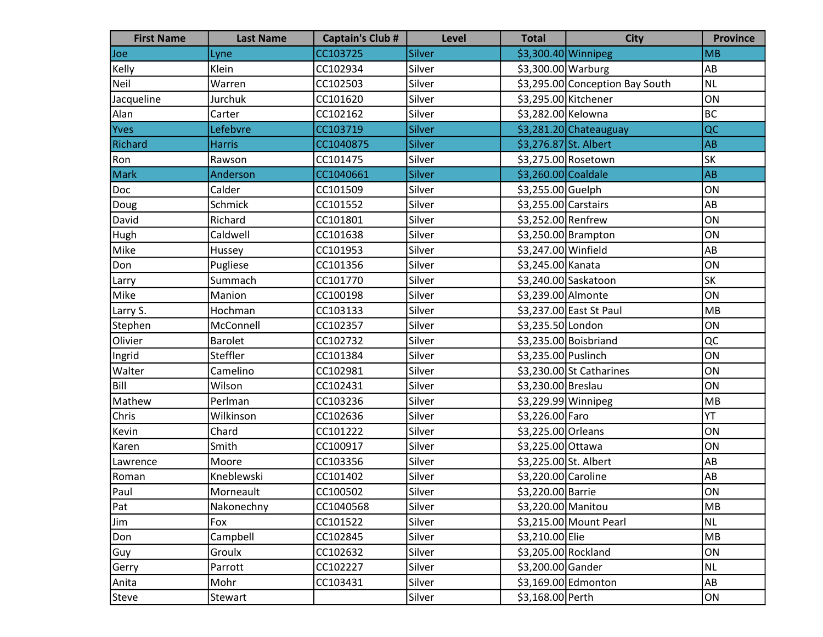| <b>First Name</b> | <b>Last Name</b> | <b>Captain's Club #</b> | <b>Level</b>  | <b>Total</b>          | <b>City</b>                     | <b>Province</b> |
|-------------------|------------------|-------------------------|---------------|-----------------------|---------------------------------|-----------------|
| Joe               | Lyne             | CC103725                | Silver        | \$3,300.40 Winnipeg   |                                 | <b>MB</b>       |
| Kelly             | Klein            | CC102934                | Silver        | \$3,300.00 Warburg    |                                 | AB              |
| Neil              | Warren           | CC102503                | Silver        |                       | \$3,295.00 Conception Bay South | <b>NL</b>       |
| Jacqueline        | Jurchuk          | CC101620                | Silver        | \$3,295.00 Kitchener  |                                 | ON              |
| Alan              | Carter           | CC102162                | Silver        | \$3,282.00 Kelowna    |                                 | <b>BC</b>       |
| Yves              | Lefebvre         | CC103719                | Silver        |                       | \$3,281.20 Chateauguay          | QC              |
| <b>Richard</b>    | <b>Harris</b>    | CC1040875               | Silver        | \$3,276.87 St. Albert |                                 | <b>AB</b>       |
| Ron               | Rawson           | CC101475                | Silver        |                       | \$3,275.00 Rosetown             | <b>SK</b>       |
| <b>Mark</b>       | Anderson         | CC1040661               | <b>Silver</b> | \$3,260.00 Coaldale   |                                 | <b>AB</b>       |
| Doc               | Calder           | CC101509                | Silver        | \$3,255.00 Guelph     |                                 | ON              |
| Doug              | Schmick          | CC101552                | Silver        | \$3,255.00 Carstairs  |                                 | AB              |
| David             | Richard          | CC101801                | Silver        | \$3,252.00 Renfrew    |                                 | ON              |
| Hugh              | Caldwell         | CC101638                | Silver        |                       | $$3,250.00$ Brampton            | ON              |
| Mike              | Hussey           | CC101953                | Silver        | \$3,247.00 Winfield   |                                 | AB              |
| Don               | Pugliese         | CC101356                | Silver        | \$3,245.00 Kanata     |                                 | ON              |
| Larry             | Summach          | CC101770                | Silver        |                       | \$3,240.00 Saskatoon            | <b>SK</b>       |
| Mike              | Manion           | CC100198                | Silver        | \$3,239.00 Almonte    |                                 | ON              |
| Larry S.          | Hochman          | CC103133                | Silver        |                       | \$3,237.00 East St Paul         | <b>MB</b>       |
| Stephen           | McConnell        | CC102357                | Silver        | \$3,235.50 London     |                                 | ON              |
| Olivier           | <b>Barolet</b>   | CC102732                | Silver        |                       | \$3,235.00 Boisbriand           | QC              |
| Ingrid            | Steffler         | CC101384                | Silver        | \$3,235.00 Puslinch   |                                 | ON              |
| Walter            | Camelino         | CC102981                | Silver        |                       | \$3,230.00 St Catharines        | ON              |
| Bill              | Wilson           | CC102431                | Silver        | \$3,230.00 Breslau    |                                 | ON              |
| Mathew            | Perlman          | CC103236                | Silver        | \$3,229.99 Winnipeg   |                                 | <b>MB</b>       |
| Chris             | Wilkinson        | CC102636                | Silver        | \$3,226.00 Faro       |                                 | YT              |
| Kevin             | Chard            | CC101222                | Silver        | \$3,225.00 Orleans    |                                 | ON              |
| Karen             | Smith            | CC100917                | Silver        | \$3,225.00 Ottawa     |                                 | ON              |
| Lawrence          | Moore            | CC103356                | Silver        | \$3,225.00 St. Albert |                                 | AB              |
| Roman             | Kneblewski       | CC101402                | Silver        | \$3,220.00 Caroline   |                                 | AB              |
| Paul              | Morneault        | CC100502                | Silver        | \$3,220.00 Barrie     |                                 | ON              |
| Pat               | Nakonechny       | CC1040568               | Silver        | \$3,220.00 Manitou    |                                 | <b>MB</b>       |
| Jim               | Fox              | CC101522                | Silver        |                       | \$3,215.00 Mount Pearl          | NL              |
| Don               | Campbell         | CC102845                | Silver        | \$3,210.00 Elie       |                                 | MB              |
| Guy               | Groulx           | CC102632                | Silver        | \$3,205.00 Rockland   |                                 | ON              |
| Gerry             | Parrott          | CC102227                | Silver        | \$3,200.00 Gander     |                                 | <b>NL</b>       |
| Anita             | Mohr             | CC103431                | Silver        |                       | \$3,169.00 Edmonton             | AB              |
| <b>Steve</b>      | Stewart          |                         | Silver        | \$3,168.00 Perth      |                                 | ON              |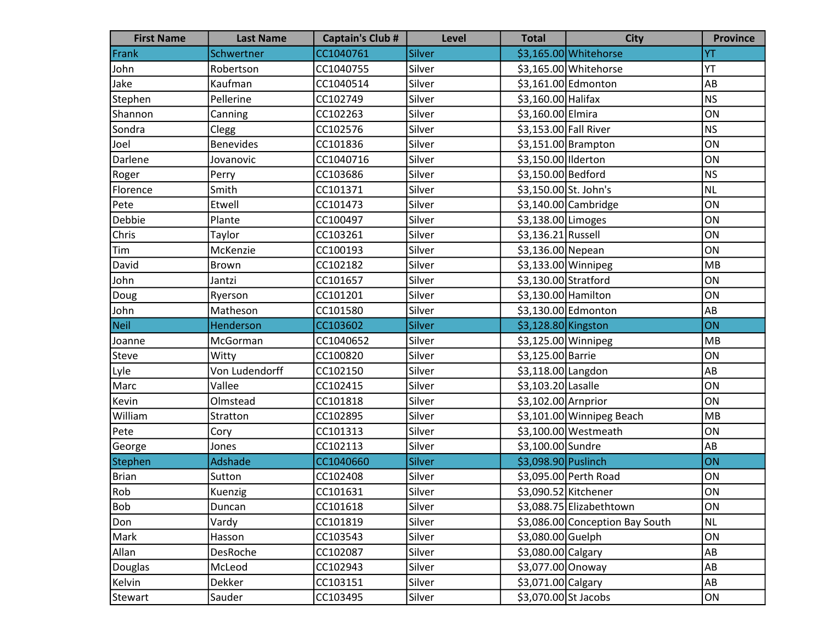| <b>First Name</b> | <b>Last Name</b> | <b>Captain's Club #</b> | <b>Level</b>  | <b>Total</b>          | <b>City</b>                     | <b>Province</b> |
|-------------------|------------------|-------------------------|---------------|-----------------------|---------------------------------|-----------------|
| Frank             | Schwertner       | CC1040761               | Silver        |                       | \$3,165.00 Whitehorse           | YT              |
| John              | Robertson        | CC1040755               | Silver        |                       | \$3,165.00 Whitehorse           | YT              |
| Jake              | Kaufman          | CC1040514               | Silver        |                       | \$3,161.00 Edmonton             | AB              |
| Stephen           | Pellerine        | CC102749                | Silver        | \$3,160.00 Halifax    |                                 | <b>NS</b>       |
| Shannon           | Canning          | CC102263                | Silver        | \$3,160.00 Elmira     |                                 | ON              |
| Sondra            | Clegg            | CC102576                | Silver        | \$3,153.00 Fall River |                                 | <b>NS</b>       |
| Joel              | <b>Benevides</b> | CC101836                | Silver        |                       | $$3,151.00$ Brampton            | ON              |
| Darlene           | Jovanovic        | CC1040716               | Silver        | \$3,150.00 Ilderton   |                                 | ON              |
| Roger             | Perry            | CC103686                | Silver        | \$3,150.00 Bedford    |                                 | <b>NS</b>       |
| Florence          | Smith            | CC101371                | Silver        | \$3,150.00 St. John's |                                 | <b>NL</b>       |
| Pete              | Etwell           | CC101473                | Silver        |                       | \$3,140.00 Cambridge            | ON              |
| Debbie            | Plante           | CC100497                | Silver        | \$3,138.00 Limoges    |                                 | ON              |
| Chris             | Taylor           | CC103261                | Silver        | \$3,136.21 Russell    |                                 | ON              |
| Tim               | McKenzie         | CC100193                | Silver        | \$3,136.00 Nepean     |                                 | ON              |
| David             | Brown            | CC102182                | Silver        | \$3,133.00 Winnipeg   |                                 | MB              |
| John              | Jantzi           | CC101657                | Silver        | \$3,130.00 Stratford  |                                 | ON              |
| Doug              | Ryerson          | CC101201                | Silver        | \$3,130.00 Hamilton   |                                 | ON              |
| John              | Matheson         | CC101580                | Silver        |                       | \$3,130.00 Edmonton             | AB              |
| Neil              | Henderson        | CC103602                | Silver        | \$3,128.80 Kingston   |                                 | ON              |
| Joanne            | McGorman         | CC1040652               | Silver        | \$3,125.00 Winnipeg   |                                 | MB              |
| Steve             | Witty            | CC100820                | Silver        | \$3,125.00 Barrie     |                                 | ON              |
| Lyle              | Von Ludendorff   | CC102150                | Silver        | \$3,118.00 Langdon    |                                 | AB              |
| Marc              | Vallee           | CC102415                | Silver        | \$3,103.20 Lasalle    |                                 | ON              |
| Kevin             | Olmstead         | CC101818                | Silver        | \$3,102.00 Arnprior   |                                 | ON              |
| William           | Stratton         | CC102895                | Silver        |                       | \$3,101.00 Winnipeg Beach       | MB              |
| Pete              | Cory             | CC101313                | Silver        |                       | \$3,100.00 Westmeath            | ON              |
| George            | Jones            | CC102113                | Silver        | \$3,100.00 Sundre     |                                 | AB              |
| Stephen           | <b>Adshade</b>   | CC1040660               | <b>Silver</b> | \$3,098.90 Puslinch   |                                 | ON              |
| Brian             | Sutton           | CC102408                | Silver        |                       | \$3,095.00 Perth Road           | ON              |
| Rob               | Kuenzig          | CC101631                | Silver        | \$3,090.52 Kitchener  |                                 | ON              |
| Bob               | Duncan           | CC101618                | Silver        |                       | \$3,088.75 Elizabethtown        | ON              |
| Don               | Vardy            | CC101819                | Silver        |                       | \$3,086.00 Conception Bay South | <b>NL</b>       |
| Mark              | Hasson           | CC103543                | Silver        | \$3,080.00 Guelph     |                                 | ON              |
| Allan             | DesRoche         | CC102087                | Silver        | \$3,080.00 Calgary    |                                 | AB              |
| Douglas           | McLeod           | CC102943                | Silver        | \$3,077.00 Onoway     |                                 | AB              |
| Kelvin            | Dekker           | CC103151                | Silver        | \$3,071.00 Calgary    |                                 | AB              |
| Stewart           | Sauder           | CC103495                | Silver        | \$3,070.00 St Jacobs  |                                 | ON              |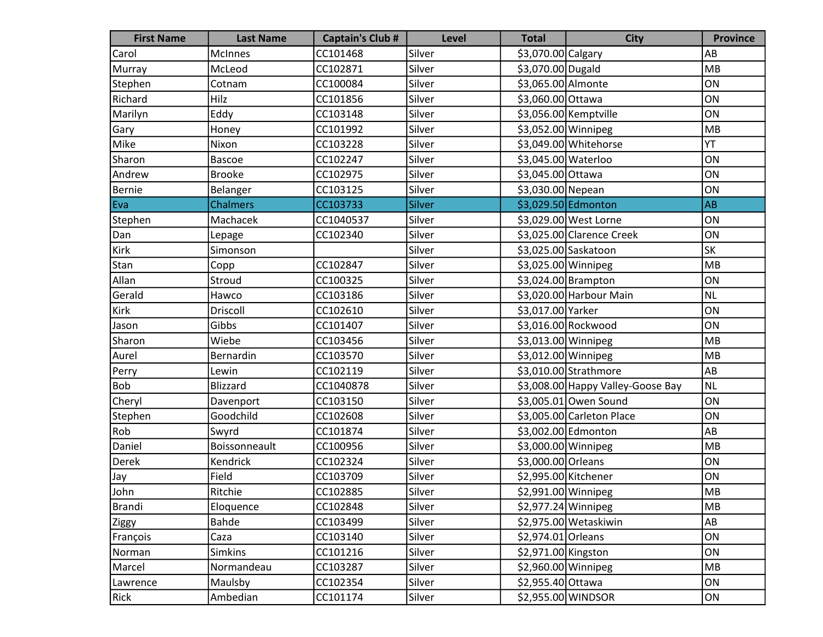| <b>First Name</b> | <b>Last Name</b> | <b>Captain's Club #</b> | <b>Level</b>  | <b>Total</b>         | <b>City</b>                       | <b>Province</b> |
|-------------------|------------------|-------------------------|---------------|----------------------|-----------------------------------|-----------------|
| Carol             | <b>McInnes</b>   | CC101468                | Silver        | \$3,070.00 Calgary   |                                   | AB              |
| Murray            | McLeod           | CC102871                | Silver        | \$3,070.00 Dugald    |                                   | MB              |
| Stephen           | Cotnam           | CC100084                | Silver        | \$3,065.00 Almonte   |                                   | ON              |
| Richard           | Hilz             | CC101856                | Silver        | \$3,060.00 Ottawa    |                                   | ON              |
| Marilyn           | Eddy             | CC103148                | Silver        |                      | \$3,056.00 Kemptville             | ON              |
| Gary              | Honey            | CC101992                | Silver        | \$3,052.00 Winnipeg  |                                   | MB              |
| Mike              | Nixon            | CC103228                | Silver        |                      | \$3,049.00 Whitehorse             | YT              |
| Sharon            | <b>Bascoe</b>    | CC102247                | Silver        | \$3,045.00 Waterloo  |                                   | ON              |
| Andrew            | <b>Brooke</b>    | CC102975                | Silver        | \$3,045.00 Ottawa    |                                   | ON              |
| Bernie            | Belanger         | CC103125                | Silver        | \$3,030.00 Nepean    |                                   | ON              |
| Eva               | <b>Chalmers</b>  | CC103733                | <b>Silver</b> |                      | \$3,029.50 Edmonton               | <b>AB</b>       |
| Stephen           | Machacek         | CC1040537               | Silver        |                      | \$3,029.00 West Lorne             | ON              |
| Dan               | Lepage           | CC102340                | Silver        |                      | \$3,025.00 Clarence Creek         | ON              |
| Kirk              | Simonson         |                         | Silver        |                      | \$3,025.00 Saskatoon              | SK              |
| Stan              | Copp             | CC102847                | Silver        | \$3,025.00 Winnipeg  |                                   | MB              |
| Allan             | Stroud           | CC100325                | Silver        |                      | \$3,024.00 Brampton               | ON              |
| Gerald            | Hawco            | CC103186                | Silver        |                      | \$3,020.00 Harbour Main           | <b>NL</b>       |
| Kirk              | Driscoll         | CC102610                | Silver        | \$3,017.00 Yarker    |                                   | ON              |
| Jason             | Gibbs            | CC101407                | Silver        |                      | \$3,016.00 Rockwood               | ON              |
| Sharon            | Wiebe            | CC103456                | Silver        | \$3,013.00 Winnipeg  |                                   | MB              |
| Aurel             | Bernardin        | CC103570                | Silver        | \$3,012.00 Winnipeg  |                                   | MB              |
| Perry             | Lewin            | CC102119                | Silver        |                      | \$3,010.00 Strathmore             | AB              |
| <b>Bob</b>        | <b>Blizzard</b>  | CC1040878               | Silver        |                      | \$3,008.00 Happy Valley-Goose Bay | <b>NL</b>       |
| Cheryl            | Davenport        | CC103150                | Silver        |                      | \$3,005.01 Owen Sound             | ON              |
| Stephen           | Goodchild        | CC102608                | Silver        |                      | \$3,005.00 Carleton Place         | ON              |
| Rob               | Swyrd            | CC101874                | Silver        |                      | \$3,002.00 Edmonton               | AB              |
| Daniel            | Boissonneault    | CC100956                | Silver        | \$3,000.00 Winnipeg  |                                   | MB              |
| Derek             | Kendrick         | CC102324                | Silver        | \$3,000.00 Orleans   |                                   | ON              |
| Jay               | Field            | CC103709                | Silver        | \$2,995.00 Kitchener |                                   | ON              |
| John              | Ritchie          | CC102885                | Silver        | \$2,991.00 Winnipeg  |                                   | <b>MB</b>       |
| Brandi            | Eloquence        | CC102848                | Silver        | \$2,977.24 Winnipeg  |                                   | MB              |
| Ziggy             | Bahde            | CC103499                | Silver        |                      | \$2,975.00 Wetaskiwin             | AB              |
| François          | Caza             | CC103140                | Silver        | \$2,974.01 Orleans   |                                   | ON              |
| Norman            | <b>Simkins</b>   | CC101216                | Silver        | \$2,971.00 Kingston  |                                   | ON              |
| Marcel            | Normandeau       | CC103287                | Silver        | \$2,960.00 Winnipeg  |                                   | MB              |
| Lawrence          | Maulsby          | CC102354                | Silver        | \$2,955.40 Ottawa    |                                   | ON              |
| Rick              | Ambedian         | CC101174                | Silver        |                      | \$2,955.00 WINDSOR                | ON              |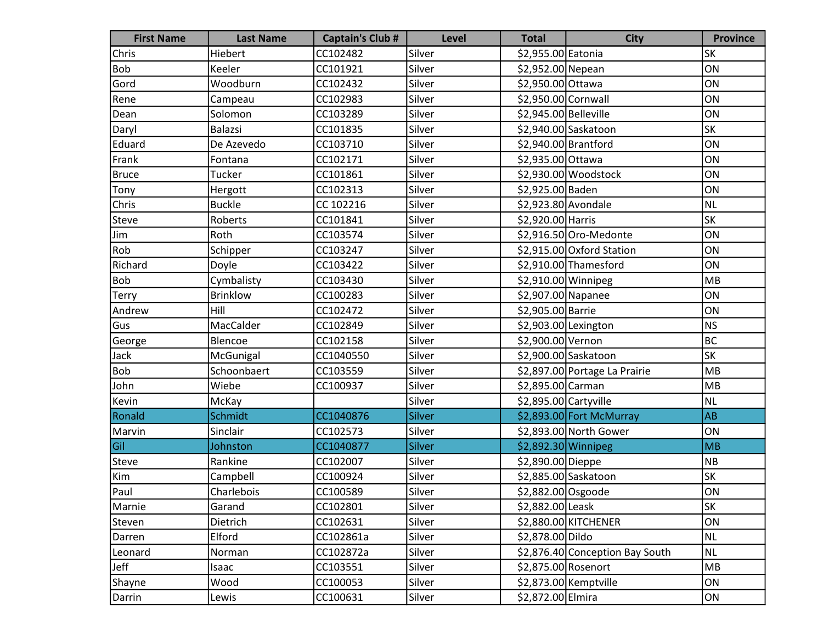| <b>First Name</b> | <b>Last Name</b> | <b>Captain's Club #</b> | <b>Level</b> | <b>Total</b>          | <b>City</b>                     | <b>Province</b> |
|-------------------|------------------|-------------------------|--------------|-----------------------|---------------------------------|-----------------|
| Chris             | Hiebert          | CC102482                | Silver       | \$2,955.00 Eatonia    |                                 | <b>SK</b>       |
| <b>Bob</b>        | Keeler           | CC101921                | Silver       | \$2,952.00 Nepean     |                                 | ON              |
| Gord              | Woodburn         | CC102432                | Silver       | \$2,950.00 Ottawa     |                                 | ON              |
| Rene              | Campeau          | CC102983                | Silver       | \$2,950.00 Cornwall   |                                 | ON              |
| Dean              | Solomon          | CC103289                | Silver       | \$2,945.00 Belleville |                                 | ON              |
| Daryl             | Balazsi          | CC101835                | Silver       |                       | \$2,940.00 Saskatoon            | SK              |
| Eduard            | De Azevedo       | CC103710                | Silver       | \$2,940.00 Brantford  |                                 | ON              |
| Frank             | Fontana          | CC102171                | Silver       | \$2,935.00 Ottawa     |                                 | ON              |
| Bruce             | Tucker           | CC101861                | Silver       |                       | \$2,930.00 Woodstock            | ON              |
| Tony              | Hergott          | CC102313                | Silver       | \$2,925.00 Baden      |                                 | ON              |
| Chris             | <b>Buckle</b>    | CC 102216               | Silver       | \$2,923.80 Avondale   |                                 | <b>NL</b>       |
| Steve             | Roberts          | CC101841                | Silver       | \$2,920.00 Harris     |                                 | SK              |
| Jim               | Roth             | CC103574                | Silver       |                       | \$2,916.50 Oro-Medonte          | ON              |
| Rob               | Schipper         | CC103247                | Silver       |                       | \$2,915.00 Oxford Station       | ON              |
| Richard           | Doyle            | CC103422                | Silver       |                       | \$2,910.00 Thamesford           | ON              |
| Bob               | Cymbalisty       | CC103430                | Silver       | $$2,910.00$ Winnipeg  |                                 | MB              |
| <b>Terry</b>      | <b>Brinklow</b>  | CC100283                | Silver       | \$2,907.00 Napanee    |                                 | ON              |
| Andrew            | Hill             | CC102472                | Silver       | \$2,905.00 Barrie     |                                 | ON              |
| Gus               | MacCalder        | CC102849                | Silver       | \$2,903.00 Lexington  |                                 | <b>NS</b>       |
| George            | Blencoe          | CC102158                | Silver       | \$2,900.00 Vernon     |                                 | <b>BC</b>       |
| Jack              | McGunigal        | CC1040550               | Silver       |                       | \$2,900.00 Saskatoon            | SK              |
| <b>Bob</b>        | Schoonbaert      | CC103559                | Silver       |                       | \$2,897.00 Portage La Prairie   | MB              |
| John              | Wiebe            | CC100937                | Silver       | \$2,895.00 Carman     |                                 | MB              |
| Kevin             | McKay            |                         | Silver       | \$2,895.00 Cartyville |                                 | <b>NL</b>       |
| Ronald            | Schmidt          | CC1040876               | Silver       |                       | \$2,893.00 Fort McMurray        | <b>AB</b>       |
| Marvin            | Sinclair         | CC102573                | Silver       |                       | \$2,893.00 North Gower          | ON              |
| Gil               | Johnston         | CC1040877               | Silver       | \$2,892.30 Winnipeg   |                                 | MB              |
| Steve             | Rankine          | CC102007                | Silver       | \$2,890.00 Dieppe     |                                 | NB              |
| Kim               | Campbell         | CC100924                | Silver       |                       | \$2,885.00 Saskatoon            | <b>SK</b>       |
| Paul              | Charlebois       | CC100589                | Silver       | \$2,882.00 Osgoode    |                                 | ON              |
| Marnie            | Garand           | CC102801                | Silver       | \$2,882.00 Leask      |                                 | <b>SK</b>       |
| Steven            | Dietrich         | CC102631                | Silver       |                       | \$2,880.00 KITCHENER            | ON              |
| Darren            | Elford           | CC102861a               | Silver       | \$2,878.00 Dildo      |                                 | <b>NL</b>       |
| Leonard           | Norman           | CC102872a               | Silver       |                       | \$2,876.40 Conception Bay South | <b>NL</b>       |
| Jeff              | Isaac            | CC103551                | Silver       | \$2,875.00 Rosenort   |                                 | MB              |
| Shayne            | Wood             | CC100053                | Silver       |                       | \$2,873.00 Kemptville           | ON              |
| Darrin            | Lewis            | CC100631                | Silver       | \$2,872.00 Elmira     |                                 | ON              |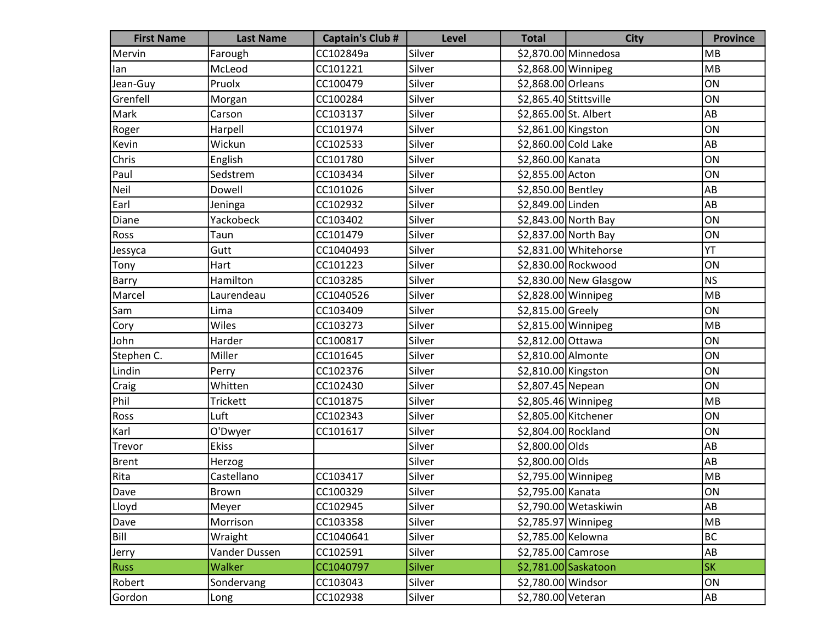| <b>First Name</b> | <b>Last Name</b> | <b>Captain's Club #</b> | Level         | <b>Total</b>           | <b>City</b>             | <b>Province</b> |
|-------------------|------------------|-------------------------|---------------|------------------------|-------------------------|-----------------|
| Mervin            | Farough          | CC102849a               | Silver        |                        | \$2,870.00 Minnedosa    | MB              |
| lan               | McLeod           | CC101221                | Silver        | $$2,868.00$ Winnipeg   |                         | MB              |
| Jean-Guy          | Pruolx           | CC100479                | Silver        | \$2,868.00 Orleans     |                         | ON              |
| Grenfell          | Morgan           | CC100284                | Silver        | \$2,865.40 Stittsville |                         | ON              |
| Mark              | Carson           | CC103137                | Silver        | \$2,865.00 St. Albert  |                         | AB              |
| Roger             | Harpell          | CC101974                | Silver        | \$2,861.00 Kingston    |                         | ON              |
| Kevin             | Wickun           | CC102533                | Silver        | \$2,860.00 Cold Lake   |                         | AB              |
| Chris             | English          | CC101780                | Silver        | \$2,860.00 Kanata      |                         | ON              |
| Paul              | Sedstrem         | CC103434                | Silver        | \$2,855.00 Acton       |                         | ON              |
| Neil              | Dowell           | CC101026                | Silver        | \$2,850.00 Bentley     |                         | AB              |
| Earl              | Jeninga          | CC102932                | Silver        | \$2,849.00 Linden      |                         | AB              |
| Diane             | Yackobeck        | CC103402                | Silver        |                        | \$2,843.00 North Bay    | ON              |
| Ross              | Taun             | CC101479                | Silver        |                        | \$2,837.00 North Bay    | ON              |
| Jessyca           | Gutt             | CC1040493               | Silver        |                        | \$2,831.00 Whitehorse   | YT              |
| Tony              | Hart             | CC101223                | Silver        |                        | \$2,830.00 Rockwood     | ON              |
| Barry             | Hamilton         | CC103285                | Silver        |                        | $$2,830.00$ New Glasgow | <b>NS</b>       |
| Marcel            | Laurendeau       | CC1040526               | Silver        | \$2,828.00 Winnipeg    |                         | MB              |
| Sam               | Lima             | CC103409                | Silver        | \$2,815.00 Greely      |                         | ON              |
| Cory              | Wiles            | CC103273                | Silver        | \$2,815.00 Winnipeg    |                         | MB              |
| John              | Harder           | CC100817                | Silver        | \$2,812.00 Ottawa      |                         | ON              |
| Stephen C.        | Miller           | CC101645                | Silver        | \$2,810.00 Almonte     |                         | ON              |
| Lindin            | Perry            | CC102376                | Silver        | \$2,810.00 Kingston    |                         | ON              |
| Craig             | Whitten          | CC102430                | Silver        | \$2,807.45 Nepean      |                         | ON              |
| Phil              | Trickett         | CC101875                | Silver        | \$2,805.46 Winnipeg    |                         | MB              |
| Ross              | Luft             | CC102343                | Silver        | \$2,805.00 Kitchener   |                         | ON              |
| Karl              | O'Dwyer          | CC101617                | Silver        | \$2,804.00 Rockland    |                         | ON              |
| Trevor            | <b>Ekiss</b>     |                         | Silver        | \$2,800.00 Olds        |                         | AB              |
| Brent             | Herzog           |                         | Silver        | \$2,800.00 Olds        |                         | AB              |
| Rita              | Castellano       | CC103417                | Silver        | \$2,795.00 Winnipeg    |                         | MB              |
| Dave              | <b>Brown</b>     | CC100329                | Silver        | \$2,795.00 Kanata      |                         | ON              |
| Lloyd             | Meyer            | CC102945                | Silver        |                        | \$2,790.00 Wetaskiwin   | AB              |
| Dave              | Morrison         | CC103358                | Silver        | $$2,785.97$ Winnipeg   |                         | MB              |
| Bill              | Wraight          | CC1040641               | Silver        | \$2,785.00 Kelowna     |                         | BC              |
| Jerry             | Vander Dussen    | CC102591                | Silver        | \$2,785.00 Camrose     |                         | AB              |
| <b>Russ</b>       | Walker           | CC1040797               | <b>Silver</b> |                        | \$2,781.00 Saskatoon    | <b>SK</b>       |
| Robert            | Sondervang       | CC103043                | Silver        | \$2,780.00 Windsor     |                         | ON              |
| Gordon            | Long             | CC102938                | Silver        | \$2,780.00 Veteran     |                         | AB              |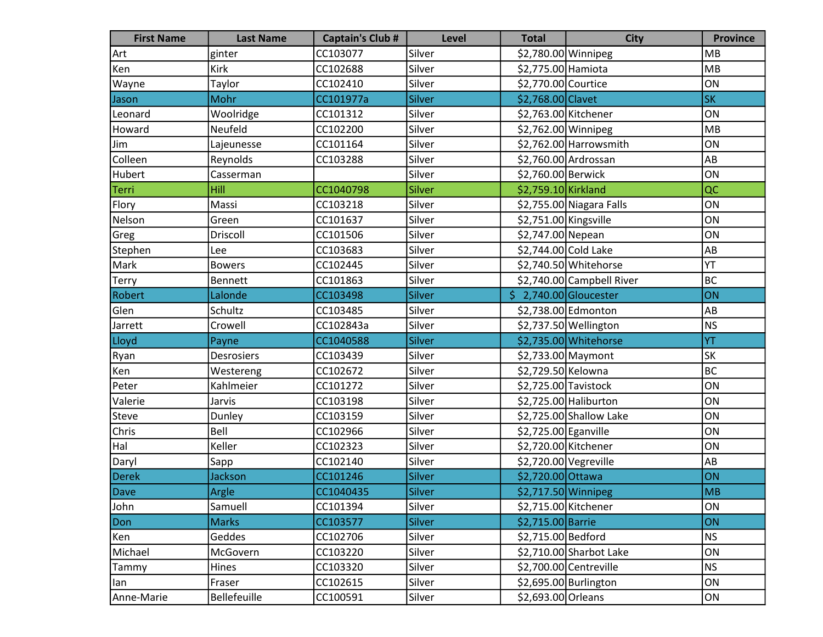| <b>First Name</b> | <b>Last Name</b> | <b>Captain's Club #</b> | <b>Level</b>  | <b>Total</b>                     | <b>City</b>               | <b>Province</b> |
|-------------------|------------------|-------------------------|---------------|----------------------------------|---------------------------|-----------------|
| Art               | ginter           | CC103077                | Silver        | \$2,780.00 Winnipeg              |                           | MB              |
| Ken               | Kirk             | CC102688                | Silver        | \$2,775.00 Hamiota               |                           | MB              |
| Wayne             | Taylor           | CC102410                | Silver        | \$2,770.00 Courtice              |                           | ON              |
| Jason             | Mohr             | CC101977a               | <b>Silver</b> | \$2,768.00 Clavet                |                           | <b>SK</b>       |
| Leonard           | Woolridge        | CC101312                | Silver        | \$2,763.00 Kitchener             |                           | ON              |
| Howard            | Neufeld          | CC102200                | Silver        | \$2,762.00 Winnipeg              |                           | MB              |
| Jim               | Lajeunesse       | CC101164                | Silver        |                                  | $$2,762.00$ Harrowsmith   | ON              |
| Colleen           | Reynolds         | CC103288                | Silver        |                                  | \$2,760.00 Ardrossan      | AB              |
| Hubert            | Casserman        |                         | Silver        | \$2,760.00 Berwick               |                           | ON              |
| Terri             | Hill             | CC1040798               | Silver        | \$2,759.10 Kirkland              |                           | QC              |
| Flory             | Massi            | CC103218                | Silver        |                                  | \$2,755.00 Niagara Falls  | ON              |
| Nelson            | Green            | CC101637                | Silver        | \$2,751.00 Kingsville            |                           | ON              |
| Greg              | Driscoll         | CC101506                | Silver        | \$2,747.00 Nepean                |                           | ON              |
| Stephen           | Lee              | CC103683                | Silver        | \$2,744.00 Cold Lake             |                           | AB              |
| Mark              | <b>Bowers</b>    | CC102445                | Silver        |                                  | \$2,740.50 Whitehorse     | YT              |
| Terry             | <b>Bennett</b>   | CC101863                | Silver        |                                  | \$2,740.00 Campbell River | BC              |
| Robert            | Lalonde          | CC103498                | Silver        | $\frac{1}{2}$ ,740.00 Gloucester |                           | ON              |
| Glen              | Schultz          | CC103485                | Silver        |                                  | \$2,738.00 Edmonton       | AB              |
| Jarrett           | Crowell          | CC102843a               | Silver        |                                  | \$2,737.50 Wellington     | NS              |
| Lloyd             | Payne            | CC1040588               | Silver        |                                  | \$2,735.00 Whitehorse     | YT              |
| Ryan              | Desrosiers       | CC103439                | Silver        |                                  | $$2,733.00$ Maymont       | <b>SK</b>       |
| Ken               | Westereng        | CC102672                | Silver        | \$2,729.50 Kelowna               |                           | <b>BC</b>       |
| Peter             | Kahlmeier        | CC101272                | Silver        | \$2,725.00 Tavistock             |                           | ON              |
| Valerie           | Jarvis           | CC103198                | Silver        |                                  | \$2,725.00 Haliburton     | ON              |
| Steve             | Dunley           | CC103159                | Silver        |                                  | \$2,725.00 Shallow Lake   | ON              |
| Chris             | Bell             | CC102966                | Silver        | \$2,725.00 Eganville             |                           | ON              |
| Hal               | Keller           | CC102323                | Silver        | \$2,720.00 Kitchener             |                           | ON              |
| Daryl             | Sapp             | CC102140                | Silver        | \$2,720.00 Vegreville            |                           | AB              |
| <b>Derek</b>      | Jackson          | CC101246                | Silver        | \$2,720.00 Ottawa                |                           | ON              |
| Dave              | Argle            | CC1040435               | Silver        | \$2,717.50 Winnipeg              |                           | <b>MB</b>       |
| John              | Samuell          | CC101394                | Silver        | \$2,715.00 Kitchener             |                           | ON              |
| Don               | <b>Marks</b>     | CC103577                | Silver        | \$2,715.00 Barrie                |                           | ON              |
| Ken               | Geddes           | CC102706                | Silver        | \$2,715.00 Bedford               |                           | <b>NS</b>       |
| Michael           | McGovern         | CC103220                | Silver        |                                  | \$2,710.00 Sharbot Lake   | ON              |
| Tammy             | Hines            | CC103320                | Silver        |                                  | \$2,700.00 Centreville    | NS              |
| lan               | Fraser           | CC102615                | Silver        |                                  | \$2,695.00 Burlington     | ON              |
| Anne-Marie        | Bellefeuille     | CC100591                | Silver        | \$2,693.00 Orleans               |                           | ON              |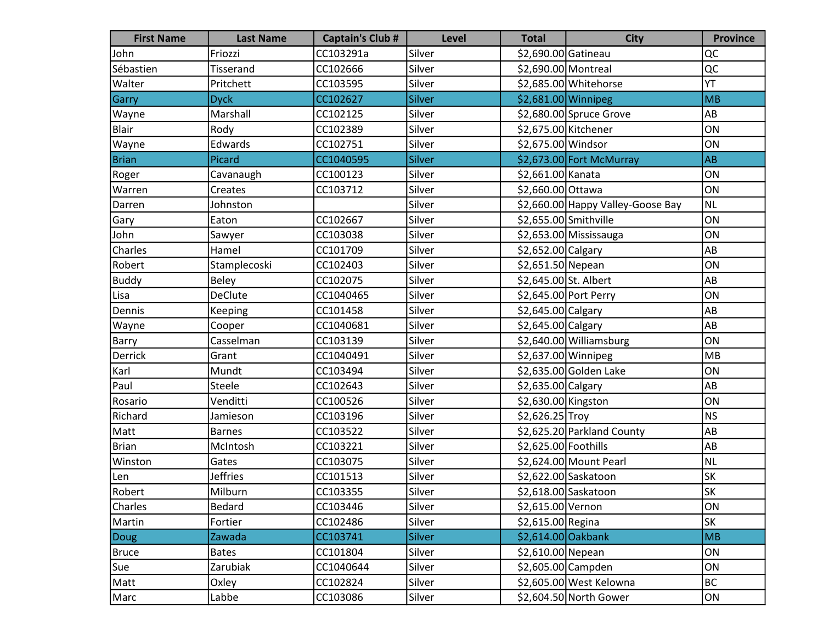| <b>First Name</b> | <b>Last Name</b> | <b>Captain's Club #</b> | <b>Level</b>  | <b>Total</b>          | <b>City</b>                       | <b>Province</b> |
|-------------------|------------------|-------------------------|---------------|-----------------------|-----------------------------------|-----------------|
| John              | Friozzi          | CC103291a               | Silver        | \$2,690.00 Gatineau   |                                   | QC              |
| Sébastien         | Tisserand        | CC102666                | Silver        | \$2,690.00 Montreal   |                                   | QC              |
| Walter            | Pritchett        | CC103595                | Silver        |                       | \$2,685.00 Whitehorse             | YT              |
| Garry             | <b>Dyck</b>      | CC102627                | <b>Silver</b> | \$2,681.00 Winnipeg   |                                   | <b>MB</b>       |
| Wayne             | Marshall         | CC102125                | Silver        |                       | $$2,680.00$ Spruce Grove          | AB              |
| Blair             | Rody             | CC102389                | Silver        | \$2,675.00 Kitchener  |                                   | ON              |
| Wayne             | Edwards          | CC102751                | Silver        | \$2,675.00 Windsor    |                                   | ON              |
| <b>Brian</b>      | Picard           | CC1040595               | Silver        |                       | \$2,673.00 Fort McMurray          | AB              |
| Roger             | Cavanaugh        | CC100123                | Silver        | \$2,661.00 Kanata     |                                   | ON              |
| Warren            | Creates          | CC103712                | Silver        | \$2,660.00 Ottawa     |                                   | ON              |
| Darren            | Johnston         |                         | Silver        |                       | \$2,660.00 Happy Valley-Goose Bay | <b>NL</b>       |
| Gary              | Eaton            | CC102667                | Silver        | \$2,655.00 Smithville |                                   | ON              |
| John              | Sawyer           | CC103038                | Silver        |                       | \$2,653.00 Mississauga            | ON              |
| Charles           | Hamel            | CC101709                | Silver        | \$2,652.00 Calgary    |                                   | AB              |
| Robert            | Stamplecoski     | CC102403                | Silver        | \$2,651.50 Nepean     |                                   | ON              |
| <b>Buddy</b>      | Beley            | CC102075                | Silver        | \$2,645.00 St. Albert |                                   | AB              |
| Lisa              | <b>DeClute</b>   | CC1040465               | Silver        |                       | \$2,645.00 Port Perry             | ON              |
| Dennis            | Keeping          | CC101458                | Silver        | \$2,645.00 Calgary    |                                   | AB              |
| Wayne             | Cooper           | CC1040681               | Silver        | \$2,645.00 Calgary    |                                   | AB              |
| <b>Barry</b>      | Casselman        | CC103139                | Silver        |                       | \$2,640.00 Williamsburg           | ON              |
| Derrick           | Grant            | CC1040491               | Silver        | \$2,637.00 Winnipeg   |                                   | <b>MB</b>       |
| Karl              | Mundt            | CC103494                | Silver        |                       | \$2,635.00 Golden Lake            | ON              |
| Paul              | Steele           | CC102643                | Silver        | \$2,635.00 Calgary    |                                   | AB              |
| Rosario           | Venditti         | CC100526                | Silver        | \$2,630.00 Kingston   |                                   | ON              |
| Richard           | Jamieson         | CC103196                | Silver        | \$2,626.25 Troy       |                                   | <b>NS</b>       |
| Matt              | <b>Barnes</b>    | CC103522                | Silver        |                       | \$2,625.20 Parkland County        | AB              |
| Brian             | McIntosh         | CC103221                | Silver        | \$2,625.00 Foothills  |                                   | AB              |
| Winston           | Gates            | CC103075                | Silver        |                       | \$2,624.00 Mount Pearl            | <b>NL</b>       |
| Len               | <b>Jeffries</b>  | CC101513                | Silver        |                       | \$2,622.00 Saskatoon              | <b>SK</b>       |
| Robert            | Milburn          | CC103355                | Silver        |                       | \$2,618.00 Saskatoon              | SK              |
| Charles           | Bedard           | CC103446                | Silver        | \$2,615.00 Vernon     |                                   | ON              |
| Martin            | Fortier          | CC102486                | Silver        | \$2,615.00 Regina     |                                   | SK              |
| <b>Doug</b>       | Zawada           | CC103741                | <b>Silver</b> | $$2,614.00$ Oakbank   |                                   | M <sub>B</sub>  |
| <b>Bruce</b>      | <b>Bates</b>     | CC101804                | Silver        | \$2,610.00 Nepean     |                                   | ON              |
| Sue               | Zarubiak         | CC1040644               | Silver        | \$2,605.00 Campden    |                                   | ON              |
| Matt              | Oxley            | CC102824                | Silver        |                       | \$2,605.00 West Kelowna           | <b>BC</b>       |
| Marc              | Labbe            | CC103086                | Silver        |                       | \$2,604.50 North Gower            | ON              |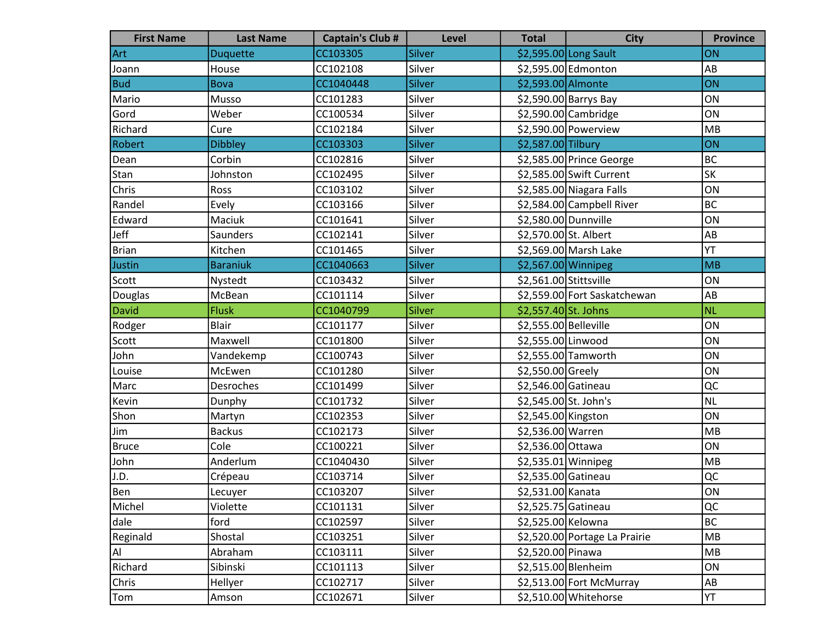| <b>First Name</b> | <b>Last Name</b> | <b>Captain's Club #</b> | <b>Level</b> | <b>Total</b>           | <b>City</b>                   | <b>Province</b> |
|-------------------|------------------|-------------------------|--------------|------------------------|-------------------------------|-----------------|
| Art               | <b>Duquette</b>  | CC103305                | Silver       |                        | \$2,595.00 Long Sault         | ON              |
| Joann             | House            | CC102108                | Silver       |                        | \$2,595.00 Edmonton           | AB              |
| <b>Bud</b>        | <b>Bova</b>      | CC1040448               | Silver       | \$2,593.00 Almonte     |                               | ON              |
| Mario             | Musso            | CC101283                | Silver       |                        | $$2,590.00$ Barrys Bay        | ON              |
| Gord              | Weber            | CC100534                | Silver       |                        | \$2,590.00 Cambridge          | ON              |
| Richard           | Cure             | CC102184                | Silver       |                        | \$2,590.00 Powerview          | MB              |
| Robert            | <b>Dibbley</b>   | CC103303                | Silver       | \$2,587.00 Tilbury     |                               | ON              |
| Dean              | Corbin           | CC102816                | Silver       |                        | \$2,585.00 Prince George      | <b>BC</b>       |
| Stan              | Johnston         | CC102495                | Silver       |                        | \$2,585.00 Swift Current      | <b>SK</b>       |
| Chris             | Ross             | CC103102                | Silver       |                        | \$2,585.00 Niagara Falls      | ON              |
| Randel            | Evely            | CC103166                | Silver       |                        | \$2,584.00 Campbell River     | <b>BC</b>       |
| Edward            | Maciuk           | CC101641                | Silver       | \$2,580.00 Dunnville   |                               | ON              |
| Jeff              | <b>Saunders</b>  | CC102141                | Silver       | \$2,570.00 St. Albert  |                               | AB              |
| <b>Brian</b>      | Kitchen          | CC101465                | Silver       |                        | \$2,569.00 Marsh Lake         | YT              |
| Justin            | <b>Baraniuk</b>  | CC1040663               | Silver       | \$2,567.00 Winnipeg    |                               | MB              |
| Scott             | Nystedt          | CC103432                | Silver       | \$2,561.00 Stittsville |                               | ON              |
| Douglas           | McBean           | CC101114                | Silver       |                        | \$2,559.00 Fort Saskatchewan  | AB              |
| David             | <b>Flusk</b>     | CC1040799               | Silver       | \$2,557.40 St. Johns   |                               | NL.             |
| Rodger            | <b>Blair</b>     | CC101177                | Silver       | \$2,555.00 Belleville  |                               | ON              |
| Scott             | Maxwell          | CC101800                | Silver       | \$2,555.00 Linwood     |                               | ON              |
| John              | Vandekemp        | CC100743                | Silver       |                        | \$2,555.00 Tamworth           | ON              |
| Louise            | McEwen           | CC101280                | Silver       | \$2,550.00 Greely      |                               | ON              |
| Marc              | Desroches        | CC101499                | Silver       | \$2,546.00 Gatineau    |                               | QC              |
| Kevin             | Dunphy           | CC101732                | Silver       | \$2,545.00 St. John's  |                               | <b>NL</b>       |
| Shon              | Martyn           | CC102353                | Silver       | \$2,545.00 Kingston    |                               | ON              |
| Jim               | <b>Backus</b>    | CC102173                | Silver       | \$2,536.00 Warren      |                               | MB              |
| <b>Bruce</b>      | Cole             | CC100221                | Silver       | \$2,536.00 Ottawa      |                               | ON              |
| John              | Anderlum         | CC1040430               | Silver       | \$2,535.01 Winnipeg    |                               | MB              |
| J.D.              | Crépeau          | CC103714                | Silver       | \$2,535.00 Gatineau    |                               | QC              |
| Ben               | Lecuyer          | CC103207                | Silver       | \$2,531.00 Kanata      |                               | ON              |
| Michel            | Violette         | CC101131                | Silver       | \$2,525.75 Gatineau    |                               | QC              |
| dale              | ford             | CC102597                | Silver       | \$2,525.00 Kelowna     |                               | <b>BC</b>       |
| Reginald          | Shostal          | CC103251                | Silver       |                        | \$2,520.00 Portage La Prairie | MB              |
| Al                | Abraham          | CC103111                | Silver       | \$2,520.00 Pinawa      |                               | MB              |
| Richard           | Sibinski         | CC101113                | Silver       | \$2,515.00 Blenheim    |                               | ON              |
| Chris             | Hellyer          | CC102717                | Silver       |                        | \$2,513.00 Fort McMurray      | AB              |
| Tom               | Amson            | CC102671                | Silver       |                        | \$2,510.00 Whitehorse         | YT              |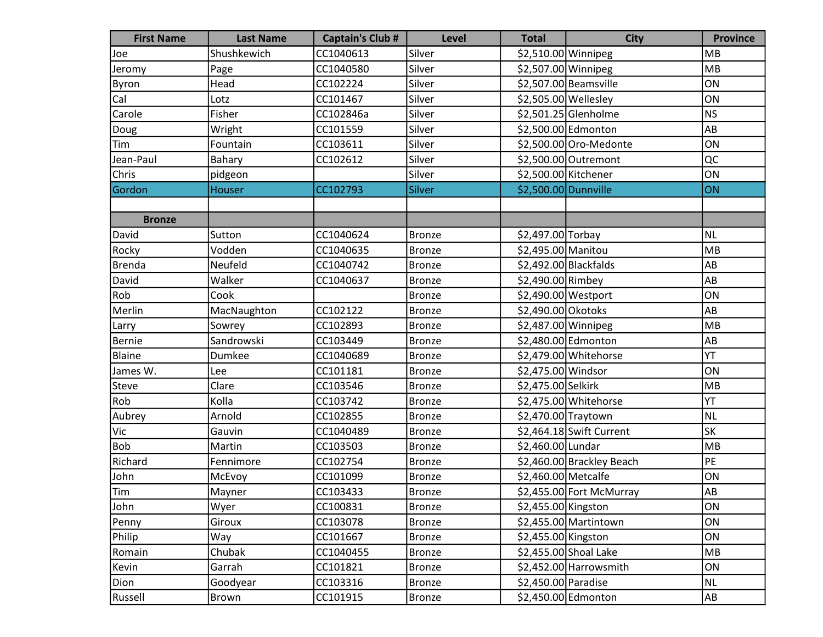| <b>First Name</b> | <b>Last Name</b> | <b>Captain's Club #</b> | <b>Level</b>  | <b>Total</b>         | <b>City</b>               | <b>Province</b> |
|-------------------|------------------|-------------------------|---------------|----------------------|---------------------------|-----------------|
| Joe               | Shushkewich      | CC1040613               | Silver        | \$2,510.00 Winnipeg  |                           | <b>MB</b>       |
| Jeromy            | Page             | CC1040580               | Silver        | \$2,507.00 Winnipeg  |                           | MB              |
| Byron             | Head             | CC102224                | Silver        |                      | \$2,507.00 Beamsville     | ON              |
| Cal               | Lotz             | CC101467                | Silver        | \$2,505.00 Wellesley |                           | ON              |
| Carole            | Fisher           | CC102846a               | Silver        |                      | \$2,501.25 Glenholme      | <b>NS</b>       |
| Doug              | Wright           | CC101559                | Silver        |                      | \$2,500.00 Edmonton       | AB              |
| Tim               | Fountain         | CC103611                | Silver        |                      | \$2,500.00 Oro-Medonte    | ON              |
| Jean-Paul         | Bahary           | CC102612                | Silver        |                      | \$2,500.00 Outremont      | QC              |
| Chris             | pidgeon          |                         | Silver        | \$2,500.00 Kitchener |                           | ON              |
| Gordon            | Houser           | CC102793                | Silver        | \$2,500.00 Dunnville |                           | ON              |
|                   |                  |                         |               |                      |                           |                 |
| <b>Bronze</b>     |                  |                         |               |                      |                           |                 |
| David             | Sutton           | CC1040624               | <b>Bronze</b> | \$2,497.00 Torbay    |                           | <b>NL</b>       |
| Rocky             | Vodden           | CC1040635               | <b>Bronze</b> | \$2,495.00 Manitou   |                           | MB              |
| Brenda            | Neufeld          | CC1040742               | <b>Bronze</b> |                      | $$2,492.00$ Blackfalds    | AB              |
| David             | Walker           | CC1040637               | <b>Bronze</b> | \$2,490.00 Rimbey    |                           | AB              |
| Rob               | Cook             |                         | <b>Bronze</b> | \$2,490.00 Westport  |                           | ON              |
| Merlin            | MacNaughton      | CC102122                | <b>Bronze</b> | \$2,490.00 Okotoks   |                           | AB              |
| Larry             | Sowrey           | CC102893                | <b>Bronze</b> | \$2,487.00 Winnipeg  |                           | MB              |
| Bernie            | Sandrowski       | CC103449                | <b>Bronze</b> |                      | \$2,480.00 Edmonton       | AB              |
| Blaine            | Dumkee           | CC1040689               | <b>Bronze</b> |                      | \$2,479.00 Whitehorse     | YT              |
| James W.          | Lee              | CC101181                | <b>Bronze</b> | \$2,475.00 Windsor   |                           | ON              |
| Steve             | Clare            | CC103546                | <b>Bronze</b> | \$2,475.00 Selkirk   |                           | MB              |
| Rob               | Kolla            | CC103742                | <b>Bronze</b> |                      | \$2,475.00 Whitehorse     | YT              |
| Aubrey            | Arnold           | CC102855                | <b>Bronze</b> | \$2,470.00 Traytown  |                           | <b>NL</b>       |
| Vic               | Gauvin           | CC1040489               | <b>Bronze</b> |                      | $$2,464.18$ Swift Current | SK              |
| <b>Bob</b>        | Martin           | CC103503                | <b>Bronze</b> | \$2,460.00 Lundar    |                           | MB              |
| Richard           | Fennimore        | CC102754                | <b>Bronze</b> |                      | \$2,460.00 Brackley Beach | <b>PE</b>       |
| John              | McEvoy           | CC101099                | <b>Bronze</b> | \$2,460.00 Metcalfe  |                           | ON              |
| <b>Tim</b>        | Mayner           | CC103433                | Bronze        |                      | \$2,455.00 Fort McMurray  | AB              |
| John              | Wyer             | CC100831                | <b>Bronze</b> | \$2,455.00 Kingston  |                           | ON              |
| Penny             | Giroux           | CC103078                | <b>Bronze</b> |                      | \$2,455.00 Martintown     | ON              |
| Philip            | Way              | CC101667                | <b>Bronze</b> | \$2,455.00 Kingston  |                           | ON              |
| Romain            | Chubak           | CC1040455               | <b>Bronze</b> |                      | \$2,455.00 Shoal Lake     | MB              |
| Kevin             | Garrah           | CC101821                | <b>Bronze</b> |                      | \$2,452.00 Harrowsmith    | ON              |
| Dion              | Goodyear         | CC103316                | <b>Bronze</b> | \$2,450.00 Paradise  |                           | <b>NL</b>       |
| Russell           | Brown            | CC101915                | <b>Bronze</b> |                      | \$2,450.00 Edmonton       | AB              |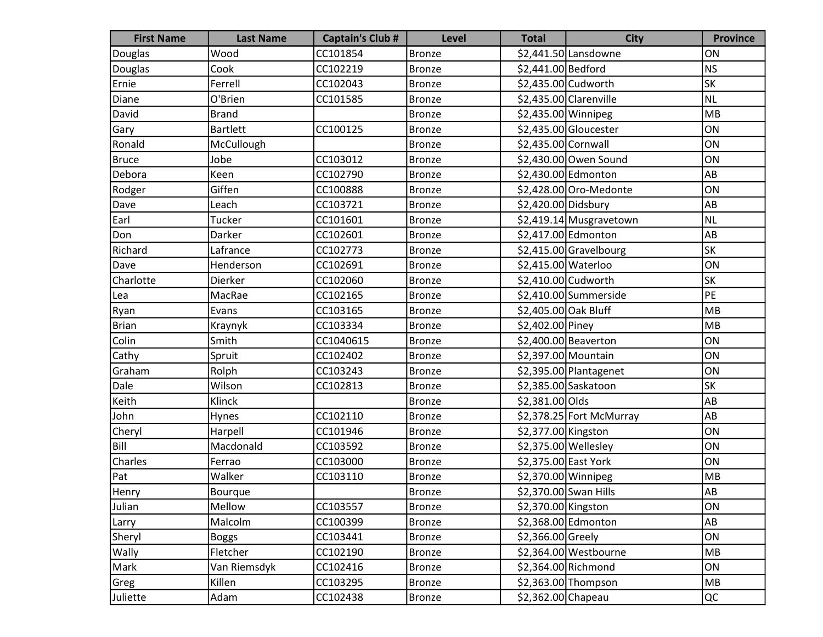| <b>First Name</b> | <b>Last Name</b> | <b>Captain's Club #</b> | <b>Level</b>  | <b>Total</b>         | <b>City</b>              | <b>Province</b> |
|-------------------|------------------|-------------------------|---------------|----------------------|--------------------------|-----------------|
| Douglas           | Wood             | CC101854                | <b>Bronze</b> |                      | \$2,441.50 Lansdowne     | ON              |
| Douglas           | Cook             | CC102219                | <b>Bronze</b> | \$2,441.00 Bedford   |                          | NS              |
| Ernie             | Ferrell          | CC102043                | <b>Bronze</b> | \$2,435.00 Cudworth  |                          | <b>SK</b>       |
| Diane             | O'Brien          | CC101585                | <b>Bronze</b> |                      | $$2,435.00$ Clarenville  | NL              |
| David             | <b>Brand</b>     |                         | <b>Bronze</b> | \$2,435.00 Winnipeg  |                          | MB              |
| Gary              | <b>Bartlett</b>  | CC100125                | <b>Bronze</b> |                      | \$2,435.00 Gloucester    | ON              |
| Ronald            | McCullough       |                         | <b>Bronze</b> | \$2,435.00 Cornwall  |                          | ON              |
| Bruce             | Jobe             | CC103012                | <b>Bronze</b> |                      | \$2,430.00 Owen Sound    | ON              |
| Debora            | Keen             | CC102790                | <b>Bronze</b> |                      | \$2,430.00 Edmonton      | AB              |
| Rodger            | Giffen           | CC100888                | <b>Bronze</b> |                      | \$2,428.00 Oro-Medonte   | ON              |
| Dave              | Leach            | CC103721                | <b>Bronze</b> | \$2,420.00 Didsbury  |                          | AB              |
| Earl              | Tucker           | CC101601                | <b>Bronze</b> |                      | \$2,419.14 Musgravetown  | NL              |
| Don               | Darker           | CC102601                | <b>Bronze</b> |                      | \$2,417.00 Edmonton      | AB              |
| Richard           | Lafrance         | CC102773                | <b>Bronze</b> |                      | \$2,415.00 Gravelbourg   | <b>SK</b>       |
| Dave              | Henderson        | CC102691                | <b>Bronze</b> | \$2,415.00 Waterloo  |                          | ON              |
| Charlotte         | Dierker          | CC102060                | <b>Bronze</b> | \$2,410.00 Cudworth  |                          | <b>SK</b>       |
| Lea               | MacRae           | CC102165                | <b>Bronze</b> |                      | \$2,410.00 Summerside    | PE              |
| Ryan              | Evans            | CC103165                | <b>Bronze</b> | \$2,405.00 Oak Bluff |                          | MB              |
| Brian             | Kraynyk          | CC103334                | <b>Bronze</b> | \$2,402.00 Piney     |                          | MB              |
| Colin             | Smith            | CC1040615               | <b>Bronze</b> |                      | \$2,400.00 Beaverton     | ON              |
| Cathy             | Spruit           | CC102402                | <b>Bronze</b> | \$2,397.00 Mountain  |                          | ON              |
| Graham            | Rolph            | CC103243                | <b>Bronze</b> |                      | \$2,395.00 Plantagenet   | ON              |
| Dale              | Wilson           | CC102813                | <b>Bronze</b> |                      | \$2,385.00 Saskatoon     | <b>SK</b>       |
| Keith             | Klinck           |                         | <b>Bronze</b> | \$2,381.00 Olds      |                          | AB              |
| John              | Hynes            | CC102110                | <b>Bronze</b> |                      | \$2,378.25 Fort McMurray | AB              |
| Cheryl            | Harpell          | CC101946                | <b>Bronze</b> | \$2,377.00 Kingston  |                          | ON              |
| Bill              | Macdonald        | CC103592                | <b>Bronze</b> | \$2,375.00 Wellesley |                          | ON              |
| Charles           | Ferrao           | CC103000                | <b>Bronze</b> | \$2,375.00 East York |                          | ON              |
| Pat               | Walker           | CC103110                | <b>Bronze</b> | \$2,370.00 Winnipeg  |                          | MB              |
| Henry             | Bourque          |                         | Bronze        |                      | \$2,370.00 Swan Hills    | AB              |
| Julian            | Mellow           | CC103557                | Bronze        | \$2,370.00 Kingston  |                          | ON              |
| Larry             | Malcolm          | CC100399                | <b>Bronze</b> |                      | \$2,368.00 Edmonton      | AB              |
| Sheryl            | <b>Boggs</b>     | CC103441                | <b>Bronze</b> | \$2,366.00 Greely    |                          | ON              |
| <b>Wally</b>      | Fletcher         | CC102190                | <b>Bronze</b> |                      | \$2,364.00 Westbourne    | MB              |
| Mark              | Van Riemsdyk     | CC102416                | <b>Bronze</b> |                      | \$2,364.00 Richmond      | ON              |
| Greg              | Killen           | CC103295                | <b>Bronze</b> |                      | $$2,363.00$ Thompson     | MB              |
| Juliette          | Adam             | CC102438                | <b>Bronze</b> | $$2,362.00$ Chapeau  |                          | QC              |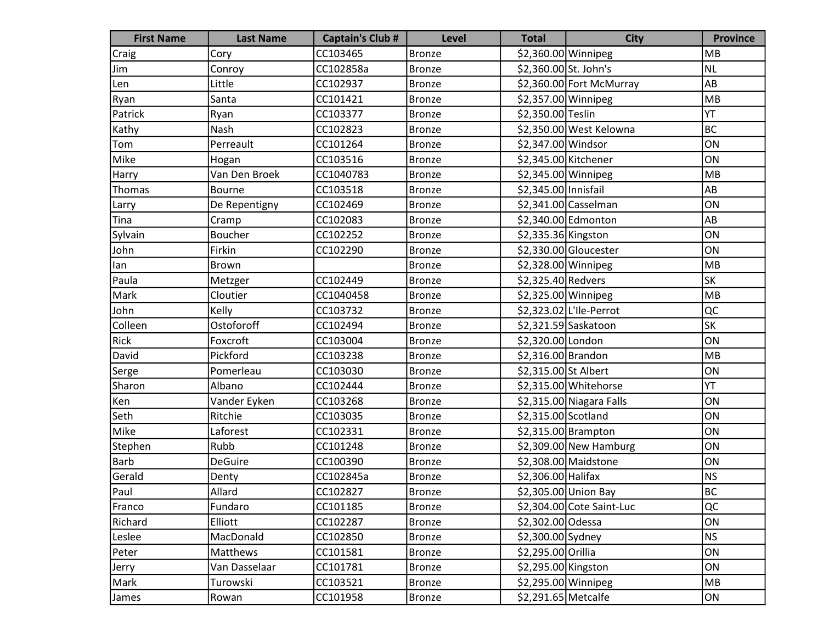| <b>First Name</b> | <b>Last Name</b> | <b>Captain's Club #</b> | <b>Level</b>  | <b>Total</b>          | <b>City</b>               | <b>Province</b> |
|-------------------|------------------|-------------------------|---------------|-----------------------|---------------------------|-----------------|
| Craig             | Cory             | CC103465                | <b>Bronze</b> | \$2,360.00 Winnipeg   |                           | <b>MB</b>       |
| Jim               | Conroy           | CC102858a               | <b>Bronze</b> | \$2,360.00 St. John's |                           | <b>NL</b>       |
| Len               | Little           | CC102937                | <b>Bronze</b> |                       | \$2,360.00 Fort McMurray  | AB              |
| Ryan              | Santa            | CC101421                | <b>Bronze</b> | \$2,357.00 Winnipeg   |                           | MB              |
| Patrick           | Ryan             | CC103377                | <b>Bronze</b> | \$2,350.00 Teslin     |                           | YT              |
| Kathy             | Nash             | CC102823                | <b>Bronze</b> |                       | \$2,350.00 West Kelowna   | BC              |
| Tom               | Perreault        | CC101264                | <b>Bronze</b> | \$2,347.00 Windsor    |                           | ON              |
| Mike              | Hogan            | CC103516                | <b>Bronze</b> | \$2,345.00 Kitchener  |                           | ON              |
| Harry             | Van Den Broek    | CC1040783               | <b>Bronze</b> | $$2,345.00$ Winnipeg  |                           | MB              |
| Thomas            | Bourne           | CC103518                | <b>Bronze</b> | \$2,345.00 Innisfail  |                           | AB              |
| Larry             | De Repentigny    | CC102469                | <b>Bronze</b> |                       | $$2,341.00$ Casselman     | ON              |
| Tina              | Cramp            | CC102083                | <b>Bronze</b> |                       | \$2,340.00 Edmonton       | AB              |
| Sylvain           | Boucher          | CC102252                | <b>Bronze</b> | \$2,335.36 Kingston   |                           | ON              |
| John              | Firkin           | CC102290                | <b>Bronze</b> |                       | \$2,330.00 Gloucester     | ON              |
| lan               | Brown            |                         | <b>Bronze</b> | \$2,328.00 Winnipeg   |                           | MB              |
| Paula             | Metzger          | CC102449                | <b>Bronze</b> | \$2,325.40 Redvers    |                           | SK              |
| Mark              | Cloutier         | CC1040458               | <b>Bronze</b> | \$2,325.00 Winnipeg   |                           | MB              |
| John              | Kelly            | CC103732                | <b>Bronze</b> |                       | \$2,323.02 L'Ile-Perrot   | QC              |
| Colleen           | Ostoforoff       | CC102494                | <b>Bronze</b> |                       | \$2,321.59 Saskatoon      | SK              |
| Rick              | Foxcroft         | CC103004                | <b>Bronze</b> | \$2,320.00 London     |                           | ON              |
| David             | Pickford         | CC103238                | <b>Bronze</b> | \$2,316.00 Brandon    |                           | MB              |
| Serge             | Pomerleau        | CC103030                | <b>Bronze</b> | \$2,315.00 St Albert  |                           | ON              |
| Sharon            | Albano           | CC102444                | <b>Bronze</b> |                       | \$2,315.00 Whitehorse     | YT              |
| Ken               | Vander Eyken     | CC103268                | <b>Bronze</b> |                       | \$2,315.00 Niagara Falls  | ON              |
| Seth              | Ritchie          | CC103035                | <b>Bronze</b> | \$2,315.00 Scotland   |                           | ON              |
| Mike              | Laforest         | CC102331                | <b>Bronze</b> |                       | \$2,315.00 Brampton       | ON              |
| Stephen           | Rubb             | CC101248                | <b>Bronze</b> |                       | $$2,309.00$ New Hamburg   | ON              |
| Barb              | <b>DeGuire</b>   | CC100390                | <b>Bronze</b> |                       | \$2,308.00 Maidstone      | ON              |
| Gerald            | Denty            | CC102845a               | <b>Bronze</b> | \$2,306.00 Halifax    |                           | <b>NS</b>       |
| Paul              | Allard           | CC102827                | Bronze        |                       | \$2,305.00 Union Bay      | <b>BC</b>       |
| Franco            | Fundaro          | CC101185                | <b>Bronze</b> |                       | \$2,304.00 Cote Saint-Luc | QC              |
| Richard           | Elliott          | CC102287                | <b>Bronze</b> | \$2,302.00 Odessa     |                           | ON              |
| Leslee            | MacDonald        | CC102850                | <b>Bronze</b> | \$2,300.00 Sydney     |                           | <b>NS</b>       |
| Peter             | <b>Matthews</b>  | CC101581                | <b>Bronze</b> | \$2,295.00 Orillia    |                           | ON              |
| Jerry             | Van Dasselaar    | CC101781                | <b>Bronze</b> | \$2,295.00 Kingston   |                           | ON              |
| Mark              | Turowski         | CC103521                | <b>Bronze</b> | \$2,295.00 Winnipeg   |                           | MB              |
| James             | Rowan            | CC101958                | <b>Bronze</b> | \$2,291.65 Metcalfe   |                           | ON              |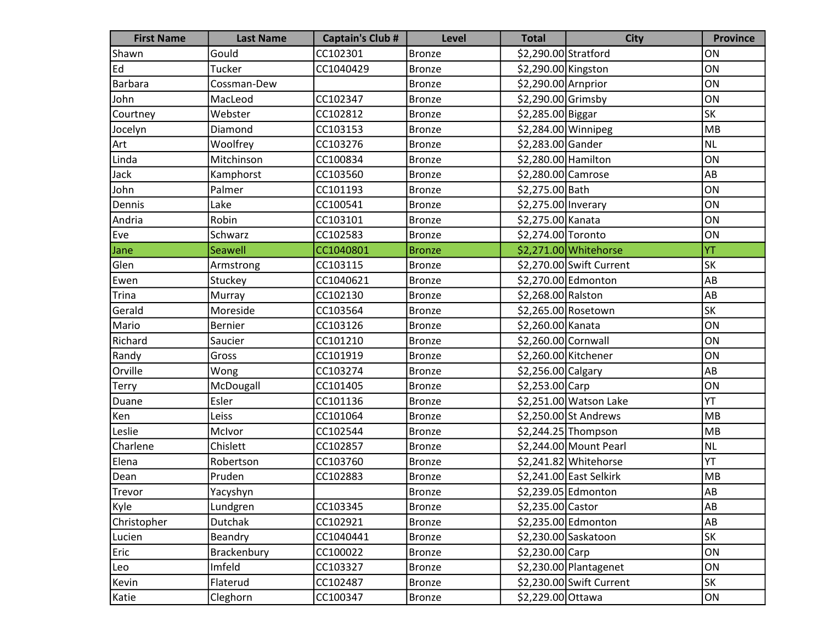| <b>First Name</b> | <b>Last Name</b> | <b>Captain's Club #</b> | <b>Level</b>  | <b>Total</b>         | <b>City</b>              | <b>Province</b> |
|-------------------|------------------|-------------------------|---------------|----------------------|--------------------------|-----------------|
| Shawn             | Gould            | CC102301                | <b>Bronze</b> | \$2,290.00 Stratford |                          | ON              |
| Ed                | Tucker           | CC1040429               | <b>Bronze</b> | \$2,290.00 Kingston  |                          | ON              |
| Barbara           | Cossman-Dew      |                         | <b>Bronze</b> | \$2,290.00 Arnprior  |                          | ON              |
| John              | MacLeod          | CC102347                | <b>Bronze</b> | \$2,290.00 Grimsby   |                          | ON              |
| Courtney          | Webster          | CC102812                | <b>Bronze</b> | \$2,285.00 Biggar    |                          | <b>SK</b>       |
| Jocelyn           | Diamond          | CC103153                | <b>Bronze</b> | \$2,284.00 Winnipeg  |                          | MB              |
| Art               | Woolfrey         | CC103276                | <b>Bronze</b> | \$2,283.00 Gander    |                          | <b>NL</b>       |
| Linda             | Mitchinson       | CC100834                | <b>Bronze</b> | \$2,280.00 Hamilton  |                          | ON              |
| Jack              | Kamphorst        | CC103560                | <b>Bronze</b> | \$2,280.00 Camrose   |                          | AB              |
| John              | Palmer           | CC101193                | <b>Bronze</b> | \$2,275.00 Bath      |                          | ON              |
| Dennis            | Lake             | CC100541                | <b>Bronze</b> | \$2,275.00 Inverary  |                          | ON              |
| Andria            | Robin            | CC103101                | <b>Bronze</b> | \$2,275.00 Kanata    |                          | ON              |
| Eve               | Schwarz          | CC102583                | <b>Bronze</b> | \$2,274.00 Toronto   |                          | ON              |
| Jane              | <b>Seawell</b>   | CC1040801               | <b>Bronze</b> |                      | \$2,271.00 Whitehorse    | YT              |
| Glen              | Armstrong        | CC103115                | <b>Bronze</b> |                      | \$2,270.00 Swift Current | SK              |
| Ewen              | Stuckey          | CC1040621               | <b>Bronze</b> |                      | \$2,270.00 Edmonton      | AB              |
| <b>Trina</b>      | Murray           | CC102130                | <b>Bronze</b> | \$2,268.00 Ralston   |                          | AB              |
| Gerald            | Moreside         | CC103564                | <b>Bronze</b> |                      | \$2,265.00 Rosetown      | SK              |
| Mario             | <b>Bernier</b>   | CC103126                | <b>Bronze</b> | \$2,260.00 Kanata    |                          | ON              |
| Richard           | Saucier          | CC101210                | <b>Bronze</b> | \$2,260.00 Cornwall  |                          | ON              |
| Randy             | Gross            | CC101919                | <b>Bronze</b> | \$2,260.00 Kitchener |                          | ON              |
| Orville           | Wong             | CC103274                | <b>Bronze</b> | \$2,256.00 Calgary   |                          | AB              |
| Terry             | McDougall        | CC101405                | <b>Bronze</b> | $$2,253.00$ Carp     |                          | ON              |
| Duane             | Esler            | CC101136                | <b>Bronze</b> |                      | \$2,251.00 Watson Lake   | YT              |
| Ken               | Leiss            | CC101064                | <b>Bronze</b> |                      | \$2,250.00 St Andrews    | MB              |
| Leslie            | McIvor           | CC102544                | <b>Bronze</b> |                      | $$2,244.25$ Thompson     | MB              |
| Charlene          | Chislett         | CC102857                | <b>Bronze</b> |                      | \$2,244.00 Mount Pearl   | <b>NL</b>       |
| Elena             | Robertson        | CC103760                | <b>Bronze</b> |                      | \$2,241.82 Whitehorse    | YT              |
| Dean              | Pruden           | CC102883                | <b>Bronze</b> |                      | \$2,241.00 East Selkirk  | MB              |
| Trevor            | Yacyshyn         |                         | Bronze        |                      | \$2,239.05 Edmonton      | AB              |
| Kyle              | Lundgren         | CC103345                | <b>Bronze</b> | \$2,235.00 Castor    |                          | AB              |
| Christopher       | <b>Dutchak</b>   | CC102921                | <b>Bronze</b> |                      | \$2,235.00 Edmonton      | AB              |
| Lucien            | Beandry          | CC1040441               | <b>Bronze</b> |                      | \$2,230.00 Saskatoon     | SK              |
| Eric              | Brackenbury      | CC100022                | <b>Bronze</b> | \$2,230.00 Carp      |                          | ON              |
| Leo               | Imfeld           | CC103327                | <b>Bronze</b> |                      | \$2,230.00 Plantagenet   | ON              |
| Kevin             | Flaterud         | CC102487                | <b>Bronze</b> |                      | \$2,230.00 Swift Current | <b>SK</b>       |
| Katie             | Cleghorn         | CC100347                | <b>Bronze</b> | \$2,229.00 Ottawa    |                          | ON              |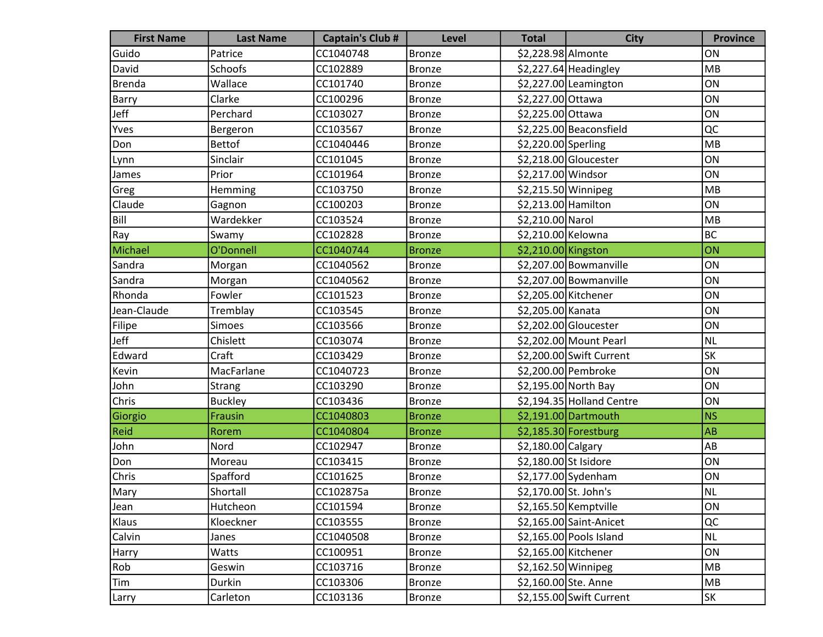| <b>First Name</b> | <b>Last Name</b> | <b>Captain's Club #</b> | <b>Level</b>  | <b>Total</b>          | <b>City</b>               | <b>Province</b> |
|-------------------|------------------|-------------------------|---------------|-----------------------|---------------------------|-----------------|
| Guido             | Patrice          | CC1040748               | <b>Bronze</b> | \$2,228.98 Almonte    |                           | ON              |
| David             | <b>Schoofs</b>   | CC102889                | <b>Bronze</b> |                       | \$2,227.64 Headingley     | MB              |
| Brenda            | Wallace          | CC101740                | <b>Bronze</b> |                       | \$2,227.00 Leamington     | ON              |
| Barry             | Clarke           | CC100296                | <b>Bronze</b> | \$2,227.00 Ottawa     |                           | ON              |
| Jeff              | Perchard         | CC103027                | <b>Bronze</b> | \$2,225.00 Ottawa     |                           | ON              |
| Yves              | Bergeron         | CC103567                | <b>Bronze</b> |                       | \$2,225.00 Beaconsfield   | QC              |
| Don               | <b>Bettof</b>    | CC1040446               | <b>Bronze</b> | \$2,220.00 Sperling   |                           | MB              |
| Lynn              | Sinclair         | CC101045                | <b>Bronze</b> |                       | \$2,218.00 Gloucester     | ON              |
| James             | Prior            | CC101964                | <b>Bronze</b> | \$2,217.00 Windsor    |                           | ON              |
| Greg              | Hemming          | CC103750                | <b>Bronze</b> | \$2,215.50 Winnipeg   |                           | MB              |
| Claude            | Gagnon           | CC100203                | <b>Bronze</b> | \$2,213.00 Hamilton   |                           | ON              |
| Bill              | Wardekker        | CC103524                | <b>Bronze</b> | \$2,210.00 Narol      |                           | MB              |
| Ray               | Swamy            | CC102828                | <b>Bronze</b> | \$2,210.00 Kelowna    |                           | <b>BC</b>       |
| Michael           | O'Donnell        | CC1040744               | <b>Bronze</b> | \$2,210.00 Kingston   |                           | ON              |
| Sandra            | Morgan           | CC1040562               | <b>Bronze</b> |                       | \$2,207.00 Bowmanville    | ON              |
| Sandra            | Morgan           | CC1040562               | <b>Bronze</b> |                       | \$2,207.00 Bowmanville    | ON              |
| Rhonda            | Fowler           | CC101523                | <b>Bronze</b> | \$2,205.00 Kitchener  |                           | ON              |
| Jean-Claude       | Tremblay         | CC103545                | <b>Bronze</b> | \$2,205.00 Kanata     |                           | ON              |
| Filipe            | Simoes           | CC103566                | <b>Bronze</b> |                       | \$2,202.00 Gloucester     | ON              |
| Jeff              | Chislett         | CC103074                | <b>Bronze</b> |                       | \$2,202.00 Mount Pearl    | <b>NL</b>       |
| Edward            | Craft            | CC103429                | <b>Bronze</b> |                       | \$2,200.00 Swift Current  | SK              |
| Kevin             | MacFarlane       | CC1040723               | <b>Bronze</b> |                       | \$2,200.00 Pembroke       | ON              |
| John              | Strang           | CC103290                | <b>Bronze</b> |                       | \$2,195.00 North Bay      | ON              |
| Chris             | <b>Buckley</b>   | CC103436                | <b>Bronze</b> |                       | \$2,194.35 Holland Centre | ON              |
| Giorgio           | <b>Frausin</b>   | CC1040803               | <b>Bronze</b> |                       | $$2,191.00$ Dartmouth     | <b>NS</b>       |
| <b>Reid</b>       | Rorem            | CC1040804               | <b>Bronze</b> |                       | $$2,185.30$ Forestburg    | <b>AB</b>       |
| John              | Nord             | CC102947                | <b>Bronze</b> | $$2,180.00$ Calgary   |                           | AB              |
| Don               | Moreau           | CC103415                | <b>Bronze</b> | \$2,180.00 St Isidore |                           | ON              |
| Chris             | Spafford         | CC101625                | <b>Bronze</b> |                       | $$2,177.00$ Sydenham      | ON              |
| Mary              | Shortall         | CC102875a               | Bronze        | \$2,170.00 St. John's |                           | N <sub>L</sub>  |
| Jean              | Hutcheon         | CC101594                | <b>Bronze</b> |                       | \$2,165.50 Kemptville     | ON              |
| Klaus             | Kloeckner        | CC103555                | <b>Bronze</b> |                       | \$2,165.00 Saint-Anicet   | QC              |
| Calvin            | Janes            | CC1040508               | <b>Bronze</b> |                       | \$2,165.00 Pools Island   | <b>NL</b>       |
| Harry             | Watts            | CC100951                | <b>Bronze</b> | \$2,165.00 Kitchener  |                           | ON              |
| Rob               | Geswin           | CC103716                | <b>Bronze</b> | $$2,162.50$ Winnipeg  |                           | MB              |
| Tim               | Durkin           | CC103306                | <b>Bronze</b> | \$2,160.00 Ste. Anne  |                           | MB              |
| Larry             | Carleton         | CC103136                | <b>Bronze</b> |                       | \$2,155.00 Swift Current  | SK              |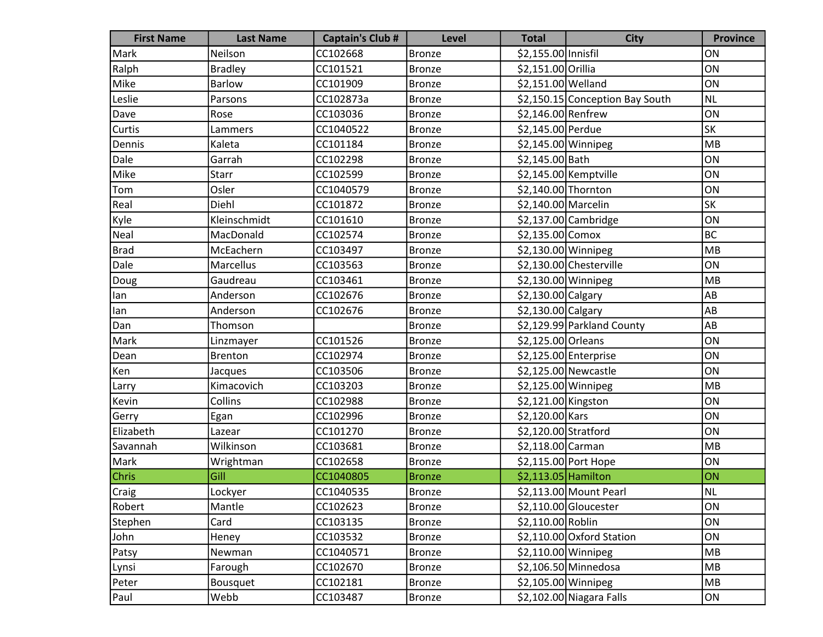| <b>First Name</b> | <b>Last Name</b> | <b>Captain's Club #</b> | <b>Level</b>  | <b>Total</b>         | <b>City</b>                     | <b>Province</b> |
|-------------------|------------------|-------------------------|---------------|----------------------|---------------------------------|-----------------|
| Mark              | Neilson          | CC102668                | <b>Bronze</b> | \$2,155.00 Innisfil  |                                 | ON              |
| Ralph             | <b>Bradley</b>   | CC101521                | <b>Bronze</b> | \$2,151.00 Orillia   |                                 | ON              |
| Mike              | <b>Barlow</b>    | CC101909                | <b>Bronze</b> | \$2,151.00 Welland   |                                 | ON              |
| Leslie            | Parsons          | CC102873a               | <b>Bronze</b> |                      | \$2,150.15 Conception Bay South | <b>NL</b>       |
| Dave              | Rose             | CC103036                | <b>Bronze</b> | \$2,146.00 Renfrew   |                                 | ON              |
| Curtis            | Lammers          | CC1040522               | <b>Bronze</b> | \$2,145.00 Perdue    |                                 | <b>SK</b>       |
| Dennis            | Kaleta           | CC101184                | <b>Bronze</b> | \$2,145.00 Winnipeg  |                                 | MB              |
| Dale              | Garrah           | CC102298                | <b>Bronze</b> | \$2,145.00 Bath      |                                 | ON              |
| Mike              | Starr            | CC102599                | <b>Bronze</b> |                      | \$2,145.00 Kemptville           | ON              |
| Tom               | Osler            | CC1040579               | <b>Bronze</b> | \$2,140.00 Thornton  |                                 | ON              |
| Real              | Diehl            | CC101872                | <b>Bronze</b> | \$2,140.00 Marcelin  |                                 | SK              |
| Kyle              | Kleinschmidt     | CC101610                | <b>Bronze</b> |                      | $$2,137.00$ Cambridge           | ON              |
| Neal              | MacDonald        | CC102574                | <b>Bronze</b> | \$2,135.00 Comox     |                                 | BC              |
| <b>Brad</b>       | McEachern        | CC103497                | <b>Bronze</b> | \$2,130.00 Winnipeg  |                                 | MB              |
| Dale              | Marcellus        | CC103563                | <b>Bronze</b> |                      | \$2,130.00 Chesterville         | ON              |
| Doug              | Gaudreau         | CC103461                | <b>Bronze</b> | $$2,130.00$ Winnipeg |                                 | MB              |
| lan               | Anderson         | CC102676                | <b>Bronze</b> | \$2,130.00 Calgary   |                                 | AB              |
| lan               | Anderson         | CC102676                | <b>Bronze</b> | \$2,130.00 Calgary   |                                 | AB              |
| Dan               | Thomson          |                         | <b>Bronze</b> |                      | \$2,129.99 Parkland County      | AB              |
| Mark              | Linzmayer        | CC101526                | <b>Bronze</b> | \$2,125.00 Orleans   |                                 | ON              |
| Dean              | <b>Brenton</b>   | CC102974                | <b>Bronze</b> |                      | \$2,125.00 Enterprise           | ON              |
| Ken               | Jacques          | CC103506                | <b>Bronze</b> |                      | \$2,125.00 Newcastle            | ON              |
| Larry             | Kimacovich       | CC103203                | <b>Bronze</b> | \$2,125.00 Winnipeg  |                                 | MB              |
| Kevin             | Collins          | CC102988                | <b>Bronze</b> | \$2,121.00 Kingston  |                                 | ON              |
| Gerry             | Egan             | CC102996                | <b>Bronze</b> | \$2,120.00 Kars      |                                 | ON              |
| Elizabeth         | Lazear           | CC101270                | <b>Bronze</b> | \$2,120.00 Stratford |                                 | ON              |
| Savannah          | Wilkinson        | CC103681                | <b>Bronze</b> | \$2,118.00 Carman    |                                 | MB              |
| Mark              | Wrightman        | CC102658                | <b>Bronze</b> |                      | \$2,115.00 Port Hope            | ON              |
| <b>Chris</b>      | Gill             | CC1040805               | <b>Bronze</b> | \$2,113.05 Hamilton  |                                 | ON              |
| Craig             | Lockyer          | CC1040535               | Bronze        |                      | \$2,113.00 Mount Pearl          | NL              |
| Robert            | Mantle           | CC102623                | <b>Bronze</b> |                      | $$2,110.00$ Gloucester          | ON              |
| Stephen           | Card             | CC103135                | <b>Bronze</b> | \$2,110.00 Roblin    |                                 | ON              |
| John              | Heney            | CC103532                | <b>Bronze</b> |                      | $$2,110.00$ Oxford Station      | ON              |
| Patsy             | Newman           | CC1040571               | <b>Bronze</b> | $$2,110.00$ Winnipeg |                                 | MB              |
| Lynsi             | Farough          | CC102670                | <b>Bronze</b> |                      | \$2,106.50 Minnedosa            | MB              |
| Peter             | Bousquet         | CC102181                | <b>Bronze</b> | \$2,105.00 Winnipeg  |                                 | MB              |
| Paul              | Webb             | CC103487                | <b>Bronze</b> |                      | \$2,102.00 Niagara Falls        | ON              |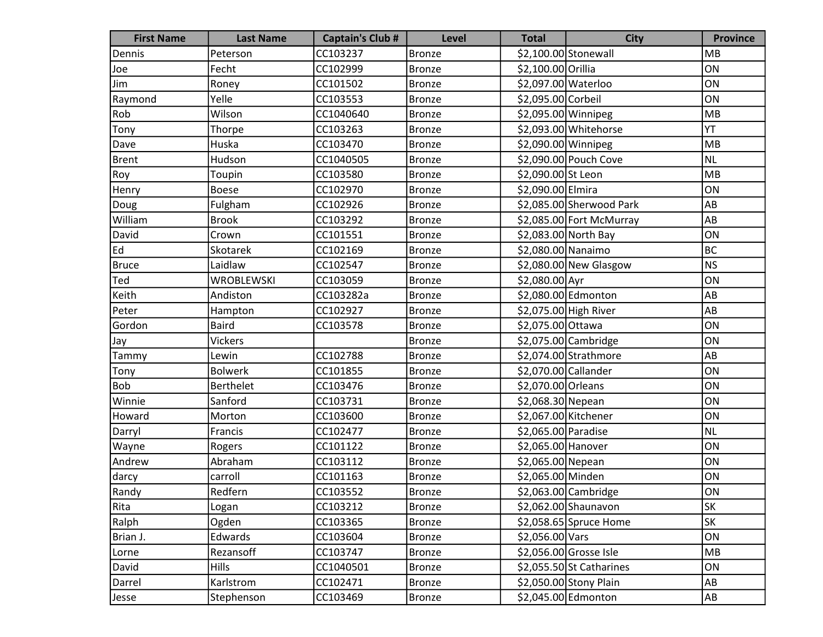| <b>First Name</b> | <b>Last Name</b>  | <b>Captain's Club #</b> | <b>Level</b>  | <b>Total</b>          | <b>City</b>               | <b>Province</b> |
|-------------------|-------------------|-------------------------|---------------|-----------------------|---------------------------|-----------------|
| Dennis            | Peterson          | CC103237                | <b>Bronze</b> | $$2,100.00$ Stonewall |                           | MB              |
| Joe               | Fecht             | CC102999                | <b>Bronze</b> | \$2,100.00 Orillia    |                           | ON              |
| Jim               | Roney             | CC101502                | <b>Bronze</b> | \$2,097.00 Waterloo   |                           | ON              |
| Raymond           | Yelle             | CC103553                | <b>Bronze</b> | \$2,095.00 Corbeil    |                           | ON              |
| Rob               | Wilson            | CC1040640               | <b>Bronze</b> | \$2,095.00 Winnipeg   |                           | MB              |
| Tony              | Thorpe            | CC103263                | <b>Bronze</b> |                       | \$2,093.00 Whitehorse     | YT              |
| Dave              | Huska             | CC103470                | <b>Bronze</b> | \$2,090.00 Winnipeg   |                           | MB              |
| Brent             | Hudson            | CC1040505               | <b>Bronze</b> |                       | \$2,090.00 Pouch Cove     | <b>NL</b>       |
| Roy               | Toupin            | CC103580                | <b>Bronze</b> | \$2,090.00 St Leon    |                           | MB              |
| Henry             | <b>Boese</b>      | CC102970                | <b>Bronze</b> | \$2,090.00 Elmira     |                           | ON              |
| Doug              | Fulgham           | CC102926                | <b>Bronze</b> |                       | \$2,085.00 Sherwood Park  | AB              |
| William           | <b>Brook</b>      | CC103292                | <b>Bronze</b> |                       | \$2,085.00 Fort McMurray  | AB              |
| David             | Crown             | CC101551                | <b>Bronze</b> |                       | \$2,083.00 North Bay      | ON              |
| Ed                | Skotarek          | CC102169                | <b>Bronze</b> | \$2,080.00 Nanaimo    |                           | <b>BC</b>       |
| <b>Bruce</b>      | Laidlaw           | CC102547                | <b>Bronze</b> |                       | $$2,080.00$ New Glasgow   | <b>NS</b>       |
| Ted               | <b>WROBLEWSKI</b> | CC103059                | <b>Bronze</b> | \$2,080.00 Ayr        |                           | ON              |
| Keith             | Andiston          | CC103282a               | <b>Bronze</b> |                       | \$2,080.00 Edmonton       | AB              |
| Peter             | Hampton           | CC102927                | <b>Bronze</b> |                       | \$2,075.00 High River     | AB              |
| Gordon            | <b>Baird</b>      | CC103578                | <b>Bronze</b> | \$2,075.00 Ottawa     |                           | ON              |
| Jay               | <b>Vickers</b>    |                         | <b>Bronze</b> |                       | $$2,075.00$ Cambridge     | ON              |
| Tammy             | Lewin             | CC102788                | <b>Bronze</b> |                       | \$2,074.00 Strathmore     | AB              |
| Tony              | <b>Bolwerk</b>    | CC101855                | <b>Bronze</b> | \$2,070.00 Callander  |                           | ON              |
| <b>Bob</b>        | <b>Berthelet</b>  | CC103476                | <b>Bronze</b> | \$2,070.00 Orleans    |                           | ON              |
| Winnie            | Sanford           | CC103731                | <b>Bronze</b> | \$2,068.30 Nepean     |                           | ON              |
| Howard            | Morton            | CC103600                | <b>Bronze</b> | \$2,067.00 Kitchener  |                           | ON              |
| Darryl            | Francis           | CC102477                | <b>Bronze</b> | \$2,065.00 Paradise   |                           | <b>NL</b>       |
| Wayne             | Rogers            | CC101122                | <b>Bronze</b> | \$2,065.00 Hanover    |                           | ON              |
| Andrew            | Abraham           | CC103112                | <b>Bronze</b> | \$2,065.00 Nepean     |                           | ON              |
| darcy             | carroll           | CC101163                | <b>Bronze</b> | \$2,065.00 Minden     |                           | ON              |
| Randy             | Redfern           | CC103552                | Bronze        |                       | \$2,063.00 Cambridge      | ON              |
| Rita              | Logan             | CC103212                | <b>Bronze</b> |                       | \$2,062.00 Shaunavon      | SK              |
| Ralph             | Ogden             | CC103365                | <b>Bronze</b> |                       | $$2,058.65$ Spruce Home   | SK              |
| Brian J.          | Edwards           | CC103604                | <b>Bronze</b> | \$2,056.00 Vars       |                           | ON              |
| Lorne             | Rezansoff         | CC103747                | <b>Bronze</b> |                       | \$2,056.00 Grosse Isle    | MB              |
| David             | Hills             | CC1040501               | <b>Bronze</b> |                       | $$2,055.50$ St Catharines | ON              |
| Darrel            | Karlstrom         | CC102471                | <b>Bronze</b> |                       | \$2,050.00 Stony Plain    | AB              |
| Jesse             | Stephenson        | CC103469                | <b>Bronze</b> |                       | \$2,045.00 Edmonton       | A <sub>B</sub>  |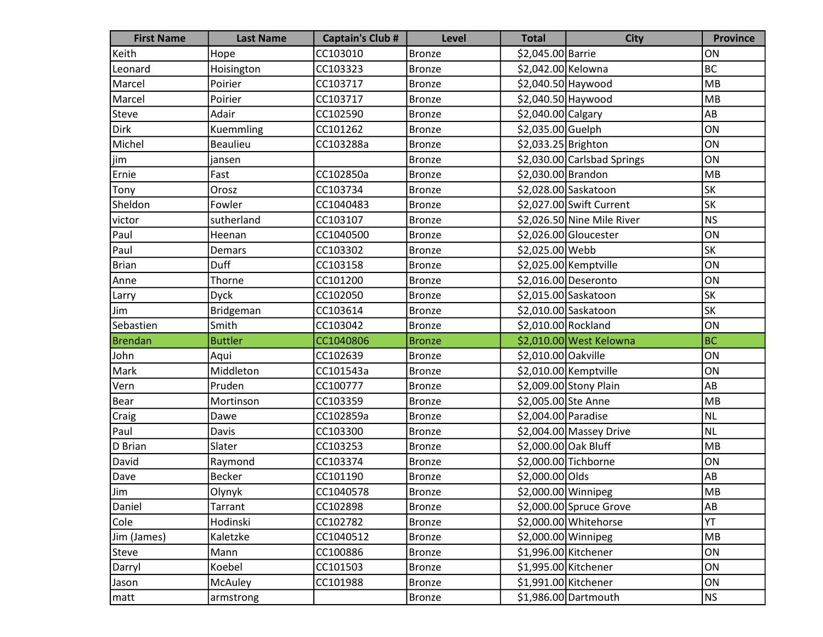| <b>First Name</b> | <b>Last Name</b> | <b>Captain's Club #</b> | Level         | <b>Total</b>         | <b>City</b>                 | <b>Province</b> |
|-------------------|------------------|-------------------------|---------------|----------------------|-----------------------------|-----------------|
| Keith             | Hope             | CC103010                | <b>Bronze</b> | \$2,045.00 Barrie    |                             | ON              |
| Leonard           | Hoisington       | CC103323                | <b>Bronze</b> | \$2,042.00 Kelowna   |                             | BC              |
| Marcel            | Poirier          | CC103717                | <b>Bronze</b> | \$2,040.50 Haywood   |                             | MB              |
| Marcel            | Poirier          | CC103717                | <b>Bronze</b> | \$2,040.50 Haywood   |                             | MB              |
| Steve             | Adair            | CC102590                | <b>Bronze</b> | \$2,040.00 Calgary   |                             | AB              |
| Dirk              | Kuemmling        | CC101262                | <b>Bronze</b> | \$2,035.00 Guelph    |                             | ON              |
| Michel            | <b>Beaulieu</b>  | CC103288a               | <b>Bronze</b> | \$2,033.25 Brighton  |                             | ON              |
| (jim              | jansen           |                         | <b>Bronze</b> |                      | \$2,030.00 Carlsbad Springs | ON              |
| Ernie             | Fast             | CC102850a               | <b>Bronze</b> | \$2,030.00 Brandon   |                             | MB              |
| Tony              | Orosz            | CC103734                | <b>Bronze</b> |                      | \$2,028.00 Saskatoon        | <b>SK</b>       |
| Sheldon           | Fowler           | CC1040483               | <b>Bronze</b> |                      | \$2,027.00 Swift Current    | <b>SK</b>       |
| victor            | sutherland       | CC103107                | <b>Bronze</b> |                      | \$2,026.50 Nine Mile River  | NS              |
| Paul              | Heenan           | CC1040500               | <b>Bronze</b> |                      | \$2,026.00 Gloucester       | ON              |
| Paul              | Demars           | CC103302                | <b>Bronze</b> | \$2,025.00 Webb      |                             | <b>SK</b>       |
| <b>Brian</b>      | <b>Duff</b>      | CC103158                | <b>Bronze</b> |                      | \$2,025.00 Kemptville       | ON              |
| Anne              | Thorne           | CC101200                | <b>Bronze</b> |                      | \$2,016.00 Deseronto        | ON              |
| Larry             | <b>Dyck</b>      | CC102050                | <b>Bronze</b> |                      | \$2,015.00 Saskatoon        | <b>SK</b>       |
| Jim               | Bridgeman        | CC103614                | <b>Bronze</b> |                      | \$2,010.00 Saskatoon        | <b>SK</b>       |
| Sebastien         | Smith            | CC103042                | <b>Bronze</b> | \$2,010.00 Rockland  |                             | ON              |
| Brendan           | <b>Buttler</b>   | CC1040806               | <b>Bronze</b> |                      | \$2,010.00 West Kelowna     | <b>BC</b>       |
| John              | Aqui             | CC102639                | <b>Bronze</b> | \$2,010.00 Oakville  |                             | ON              |
| Mark              | Middleton        | CC101543a               | <b>Bronze</b> |                      | \$2,010.00 Kemptville       | ON              |
| Vern              | Pruden           | CC100777                | <b>Bronze</b> |                      | \$2,009.00 Stony Plain      | AB              |
| Bear              | Mortinson        | CC103359                | <b>Bronze</b> | \$2,005.00 Ste Anne  |                             | MB              |
| Craig             | Dawe             | CC102859a               | <b>Bronze</b> | \$2,004.00 Paradise  |                             | NL              |
| Paul              | Davis            | CC103300                | <b>Bronze</b> |                      | \$2,004.00 Massey Drive     | NL              |
| D Brian           | Slater           | CC103253                | <b>Bronze</b> | \$2,000.00 Oak Bluff |                             | MB              |
| David             | Raymond          | CC103374                | <b>Bronze</b> |                      | \$2,000.00 Tichborne        | ON              |
| Dave              | <b>Becker</b>    | CC101190                | <b>Bronze</b> | \$2,000.00 Olds      |                             | AB              |
| Jim               | Olynyk           | CC1040578               | <b>Bronze</b> |                      | \$2,000.00 Winnipeg         | MB              |
| Daniel            | Tarrant          | CC102898                | <b>Bronze</b> |                      | \$2,000.00 Spruce Grove     | AB              |
| Cole              | Hodinski         | CC102782                | <b>Bronze</b> |                      | \$2,000.00 Whitehorse       | YT              |
| Jim (James)       | Kaletzke         | CC1040512               | <b>Bronze</b> | \$2,000.00 Winnipeg  |                             | MB              |
| Steve             | Mann             | CC100886                | <b>Bronze</b> |                      | \$1,996.00 Kitchener        | ON              |
| Darryl            | Koebel           | CC101503                | <b>Bronze</b> | \$1,995.00 Kitchener |                             | ON              |
| Jason             | <b>McAuley</b>   | CC101988                | Bronze        | \$1,991.00 Kitchener |                             | ON              |
| $ $ matt          | armstrong        |                         | <b>Bronze</b> |                      | \$1,986.00 Dartmouth        | N <sub>S</sub>  |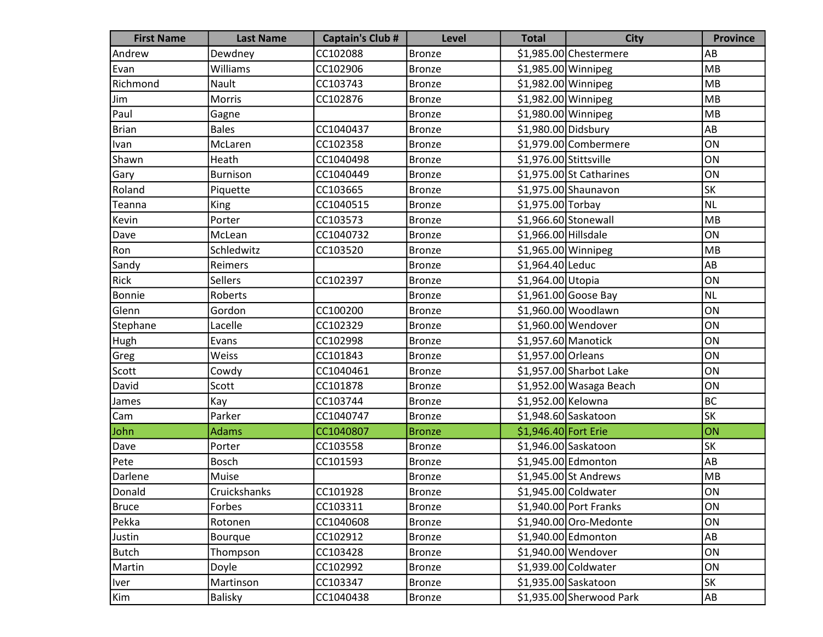| <b>First Name</b> | <b>Last Name</b> | <b>Captain's Club #</b> | <b>Level</b>  | <b>Total</b>           | <b>City</b>               | <b>Province</b> |
|-------------------|------------------|-------------------------|---------------|------------------------|---------------------------|-----------------|
| Andrew            | Dewdney          | CC102088                | <b>Bronze</b> |                        | \$1,985.00 Chestermere    | AB              |
| Evan              | Williams         | CC102906                | <b>Bronze</b> | $$1,985.00$ Winnipeg   |                           | MB              |
| Richmond          | Nault            | CC103743                | <b>Bronze</b> | \$1,982.00 Winnipeg    |                           | MB              |
| Jim               | Morris           | CC102876                | <b>Bronze</b> | \$1,982.00 Winnipeg    |                           | MB              |
| Paul              | Gagne            |                         | <b>Bronze</b> | \$1,980.00 Winnipeg    |                           | MB              |
| <b>Brian</b>      | <b>Bales</b>     | CC1040437               | <b>Bronze</b> | \$1,980.00 Didsbury    |                           | AB              |
| Ivan              | McLaren          | CC102358                | <b>Bronze</b> |                        | \$1,979.00 Combermere     | ON              |
| Shawn             | Heath            | CC1040498               | <b>Bronze</b> | \$1,976.00 Stittsville |                           | ON              |
| Gary              | <b>Burnison</b>  | CC1040449               | <b>Bronze</b> |                        | $$1,975.00$ St Catharines | ON              |
| Roland            | Piquette         | CC103665                | <b>Bronze</b> |                        | \$1,975.00 Shaunavon      | SK              |
| Teanna            | King             | CC1040515               | <b>Bronze</b> | \$1,975.00 Torbay      |                           | <b>NL</b>       |
| Kevin             | Porter           | CC103573                | <b>Bronze</b> | \$1,966.60 Stonewall   |                           | MB              |
| Dave              | McLean           | CC1040732               | <b>Bronze</b> | \$1,966.00 Hillsdale   |                           | ON              |
| Ron               | Schledwitz       | CC103520                | <b>Bronze</b> | \$1,965.00 Winnipeg    |                           | MB              |
| Sandy             | Reimers          |                         | <b>Bronze</b> | \$1,964.40 Leduc       |                           | AB              |
| Rick              | Sellers          | CC102397                | <b>Bronze</b> | \$1,964.00 Utopia      |                           | ON              |
| Bonnie            | Roberts          |                         | <b>Bronze</b> |                        | $$1,961.00$ Goose Bay     | <b>NL</b>       |
| Glenn             | Gordon           | CC100200                | <b>Bronze</b> |                        | \$1,960.00 Woodlawn       | ON              |
| Stephane          | Lacelle          | CC102329                | <b>Bronze</b> |                        | \$1,960.00 Wendover       | ON              |
| Hugh              | Evans            | CC102998                | <b>Bronze</b> | \$1,957.60 Manotick    |                           | ON              |
| Greg              | Weiss            | CC101843                | <b>Bronze</b> | \$1,957.00 Orleans     |                           | ON              |
| Scott             | Cowdy            | CC1040461               | <b>Bronze</b> |                        | \$1,957.00 Sharbot Lake   | ON              |
| David             | Scott            | CC101878                | <b>Bronze</b> |                        | \$1,952.00 Wasaga Beach   | ON              |
| James             | Kay              | CC103744                | <b>Bronze</b> | \$1,952.00 Kelowna     |                           | <b>BC</b>       |
| Cam               | Parker           | CC1040747               | <b>Bronze</b> |                        | \$1,948.60 Saskatoon      | SK              |
| John              | <b>Adams</b>     | CC1040807               | <b>Bronze</b> | \$1,946.40 Fort Erie   |                           | ON              |
| Dave              | Porter           | CC103558                | <b>Bronze</b> |                        | \$1,946.00 Saskatoon      | <b>SK</b>       |
| Pete              | Bosch            | CC101593                | <b>Bronze</b> |                        | \$1,945.00 Edmonton       | AB              |
| Darlene           | Muise            |                         | <b>Bronze</b> |                        | $$1,945.00$ St Andrews    | MB              |
| Donald            | Cruickshanks     | CC101928                | Bronze        |                        | \$1,945.00 Coldwater      | ON              |
| <b>Bruce</b>      | Forbes           | CC103311                | <b>Bronze</b> |                        | \$1,940.00 Port Franks    | ON              |
| Pekka             | Rotonen          | CC1040608               | <b>Bronze</b> |                        | \$1,940.00 Oro-Medonte    | ON              |
| Justin            | Bourque          | CC102912                | <b>Bronze</b> |                        | \$1,940.00 Edmonton       | AB              |
| <b>Butch</b>      | Thompson         | CC103428                | <b>Bronze</b> |                        | \$1,940.00 Wendover       | ON              |
| Martin            | Doyle            | CC102992                | <b>Bronze</b> |                        | \$1,939.00 Coldwater      | ON              |
| <b>Iver</b>       | Martinson        | CC103347                | <b>Bronze</b> |                        | \$1,935.00 Saskatoon      | <b>SK</b>       |
| Kim               | <b>Balisky</b>   | CC1040438               | <b>Bronze</b> |                        | \$1,935.00 Sherwood Park  | AB              |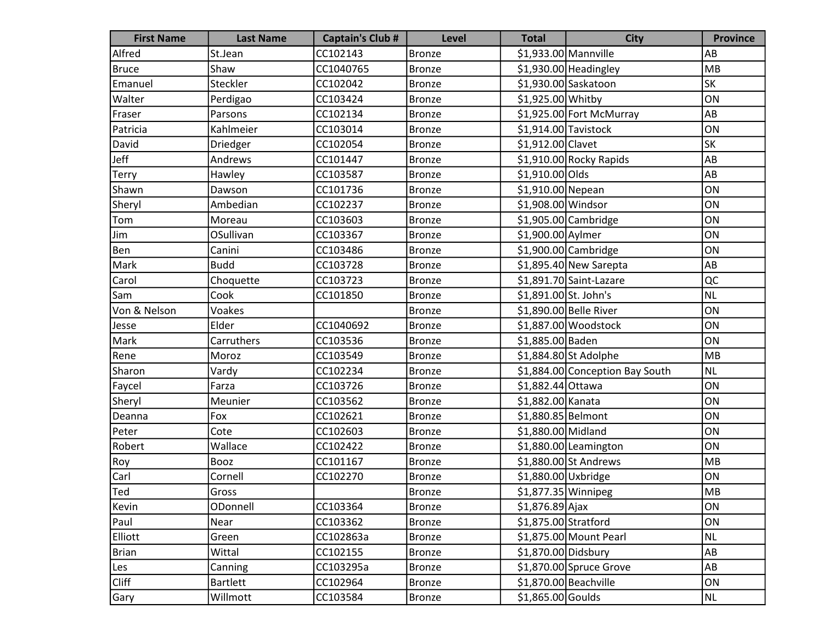| <b>First Name</b> | <b>Last Name</b> | <b>Captain's Club #</b> | <b>Level</b>  | <b>Total</b>          | <b>City</b>                     | <b>Province</b> |
|-------------------|------------------|-------------------------|---------------|-----------------------|---------------------------------|-----------------|
| Alfred            | St.Jean          | CC102143                | <b>Bronze</b> |                       | $$1,933.00$ Mannville           | AB              |
| Bruce             | Shaw             | CC1040765               | <b>Bronze</b> |                       | $$1,930.00$ Headingley          | MB              |
| Emanuel           | Steckler         | CC102042                | <b>Bronze</b> |                       | \$1,930.00 Saskatoon            | SK              |
| Walter            | Perdigao         | CC103424                | <b>Bronze</b> | \$1,925.00 Whitby     |                                 | ON              |
| Fraser            | Parsons          | CC102134                | <b>Bronze</b> |                       | \$1,925.00 Fort McMurray        | AB              |
| Patricia          | Kahlmeier        | CC103014                | <b>Bronze</b> | $$1,914.00$ Tavistock |                                 | ON              |
| David             | Driedger         | CC102054                | <b>Bronze</b> | \$1,912.00 Clavet     |                                 | <b>SK</b>       |
| Jeff              | Andrews          | CC101447                | <b>Bronze</b> |                       | $$1,910.00$ Rocky Rapids        | AB              |
| Terry             | Hawley           | CC103587                | <b>Bronze</b> | \$1,910.00 Olds       |                                 | AB              |
| Shawn             | Dawson           | CC101736                | <b>Bronze</b> | \$1,910.00 Nepean     |                                 | ON              |
| Sheryl            | Ambedian         | CC102237                | <b>Bronze</b> | \$1,908.00 Windsor    |                                 | ON              |
| Tom               | Moreau           | CC103603                | <b>Bronze</b> |                       | $$1,905.00$ Cambridge           | ON              |
| Jim               | OSullivan        | CC103367                | <b>Bronze</b> | \$1,900.00 Aylmer     |                                 | ON              |
| Ben               | Canini           | CC103486                | <b>Bronze</b> |                       | $$1,900.00$ Cambridge           | ON              |
| Mark              | <b>Budd</b>      | CC103728                | <b>Bronze</b> |                       | $$1,895.40$ New Sarepta         | AB              |
| Carol             | Choquette        | CC103723                | <b>Bronze</b> |                       | \$1,891.70 Saint-Lazare         | QC              |
| Sam               | Cook             | CC101850                | <b>Bronze</b> | \$1,891.00 St. John's |                                 | <b>NL</b>       |
| Von & Nelson      | Voakes           |                         | <b>Bronze</b> |                       | \$1,890.00 Belle River          | ON              |
| Jesse             | Elder            | CC1040692               | <b>Bronze</b> |                       | \$1,887.00 Woodstock            | ON              |
| Mark              | Carruthers       | CC103536                | <b>Bronze</b> | \$1,885.00 Baden      |                                 | ON              |
| Rene              | Moroz            | CC103549                | <b>Bronze</b> |                       | $$1,884.80$ St Adolphe          | MB              |
| Sharon            | Vardy            | CC102234                | <b>Bronze</b> |                       | \$1,884.00 Conception Bay South | <b>NL</b>       |
| Faycel            | Farza            | CC103726                | <b>Bronze</b> | \$1,882.44 Ottawa     |                                 | ON              |
| Sheryl            | Meunier          | CC103562                | <b>Bronze</b> | \$1,882.00 Kanata     |                                 | ON              |
| Deanna            | Fox              | CC102621                | <b>Bronze</b> | \$1,880.85 Belmont    |                                 | ON              |
| Peter             | Cote             | CC102603                | <b>Bronze</b> | \$1,880.00 Midland    |                                 | ON              |
| Robert            | Wallace          | CC102422                | <b>Bronze</b> |                       | \$1,880.00 Leamington           | ON              |
| Roy               | Booz             | CC101167                | <b>Bronze</b> |                       | \$1,880.00 St Andrews           | MB              |
| Carl              | Cornell          | CC102270                | <b>Bronze</b> | \$1,880.00 Uxbridge   |                                 | ON              |
| Ted               | Gross            |                         | <b>Bronze</b> |                       | $\overline{$}1,877.35$ Winnipeg | <b>MB</b>       |
| Kevin             | ODonnell         | CC103364                | <b>Bronze</b> | $$1,876.89$ Ajax      |                                 | ON              |
| Paul              | Near             | CC103362                | <b>Bronze</b> | \$1,875.00 Stratford  |                                 | ON              |
| Elliott           | Green            | CC102863a               | <b>Bronze</b> |                       | \$1,875.00 Mount Pearl          | <b>NL</b>       |
| <b>Brian</b>      | Wittal           | CC102155                | <b>Bronze</b> | \$1,870.00 Didsbury   |                                 | AB              |
| Les               | Canning          | CC103295a               | <b>Bronze</b> |                       | $$1,870.00$ Spruce Grove        | AB              |
| <b>Cliff</b>      | <b>Bartlett</b>  | CC102964                | Bronze        |                       | $$1,870.00$ Beachville          | ON              |
| Gary              | Willmott         | CC103584                | <b>Bronze</b> | $$1,865.00$ Goulds    |                                 | <b>NL</b>       |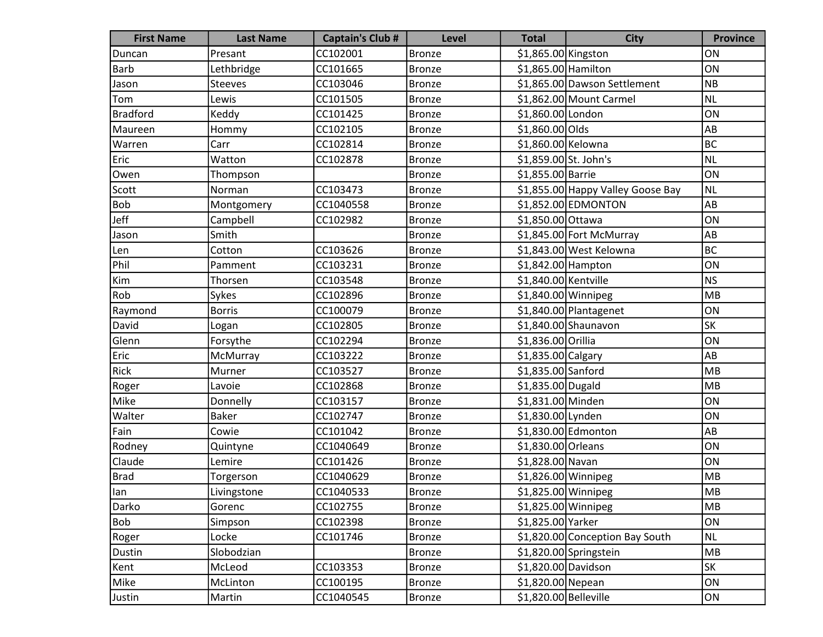| <b>First Name</b> | <b>Last Name</b> | <b>Captain's Club #</b> | <b>Level</b>  | <b>Total</b>          | <b>City</b>                       | <b>Province</b> |
|-------------------|------------------|-------------------------|---------------|-----------------------|-----------------------------------|-----------------|
| Duncan            | Presant          | CC102001                | <b>Bronze</b> | \$1,865.00 Kingston   |                                   | ON              |
| Barb              | Lethbridge       | CC101665                | <b>Bronze</b> | \$1,865.00 Hamilton   |                                   | ON              |
| Jason             | <b>Steeves</b>   | CC103046                | <b>Bronze</b> |                       | \$1,865.00 Dawson Settlement      | <b>NB</b>       |
| Tom               | Lewis            | CC101505                | <b>Bronze</b> |                       | \$1,862.00 Mount Carmel           | <b>NL</b>       |
| Bradford          | Keddy            | CC101425                | <b>Bronze</b> | \$1,860.00 London     |                                   | ON              |
| Maureen           | Hommy            | CC102105                | <b>Bronze</b> | \$1,860.00 Olds       |                                   | AB              |
| Warren            | Carr             | CC102814                | <b>Bronze</b> | \$1,860.00 Kelowna    |                                   | <b>BC</b>       |
| Eric              | Watton           | CC102878                | <b>Bronze</b> | \$1,859.00 St. John's |                                   | <b>NL</b>       |
| Owen              | Thompson         |                         | <b>Bronze</b> | \$1,855.00 Barrie     |                                   | ON              |
| Scott             | Norman           | CC103473                | <b>Bronze</b> |                       | \$1,855.00 Happy Valley Goose Bay | <b>NL</b>       |
| Bob               | Montgomery       | CC1040558               | <b>Bronze</b> |                       | \$1,852.00 EDMONTON               | AB              |
| Jeff              | Campbell         | CC102982                | <b>Bronze</b> | \$1,850.00 Ottawa     |                                   | ON              |
| Jason             | Smith            |                         | <b>Bronze</b> |                       | \$1,845.00 Fort McMurray          | ${\sf AB}$      |
| Len               | Cotton           | CC103626                | <b>Bronze</b> |                       | \$1,843.00 West Kelowna           | <b>BC</b>       |
| Phil              | Pamment          | CC103231                | <b>Bronze</b> | \$1,842.00 Hampton    |                                   | ON              |
| Kim               | Thorsen          | CC103548                | <b>Bronze</b> | \$1,840.00 Kentville  |                                   | <b>NS</b>       |
| Rob               | Sykes            | CC102896                | <b>Bronze</b> | \$1,840.00 Winnipeg   |                                   | MB              |
| Raymond           | <b>Borris</b>    | CC100079                | <b>Bronze</b> |                       | \$1,840.00 Plantagenet            | ON              |
| David             | Logan            | CC102805                | <b>Bronze</b> |                       | $$1,840.00$ Shaunavon             | SK              |
| Glenn             | Forsythe         | CC102294                | <b>Bronze</b> | \$1,836.00 Orillia    |                                   | ON              |
| Eric              | McMurray         | CC103222                | <b>Bronze</b> | \$1,835.00 Calgary    |                                   | AB              |
| Rick              | Murner           | CC103527                | <b>Bronze</b> | \$1,835.00 Sanford    |                                   | MB              |
| Roger             | Lavoie           | CC102868                | <b>Bronze</b> | \$1,835.00 Dugald     |                                   | MB              |
| Mike              | Donnelly         | CC103157                | <b>Bronze</b> | \$1,831.00 Minden     |                                   | ON              |
| Walter            | <b>Baker</b>     | CC102747                | <b>Bronze</b> | \$1,830.00 Lynden     |                                   | ON              |
| Fain              | Cowie            | CC101042                | <b>Bronze</b> |                       | \$1,830.00 Edmonton               | AB              |
| Rodney            | Quintyne         | CC1040649               | <b>Bronze</b> | \$1,830.00 Orleans    |                                   | ON              |
| Claude            | Lemire           | CC101426                | <b>Bronze</b> | \$1,828.00 Navan      |                                   | ON              |
| <b>Brad</b>       | Torgerson        | CC1040629               | <b>Bronze</b> | \$1,826.00 Winnipeg   |                                   | MB              |
| llan              | Livingstone      | CC1040533               | Bronze        | \$1,825.00 Winnipeg   |                                   | ${\sf MB}$      |
| Darko             | Gorenc           | CC102755                | <b>Bronze</b> | \$1,825.00 Winnipeg   |                                   | MB              |
| Bob               | Simpson          | CC102398                | <b>Bronze</b> | \$1,825.00 Yarker     |                                   | ON              |
| Roger             | Locke            | CC101746                | <b>Bronze</b> |                       | \$1,820.00 Conception Bay South   | <b>NL</b>       |
| Dustin            | Slobodzian       |                         | <b>Bronze</b> |                       | \$1,820.00 Springstein            | MB              |
| Kent              | McLeod           | CC103353                | <b>Bronze</b> | \$1,820.00 Davidson   |                                   | SK              |
| Mike              | McLinton         | CC100195                | <b>Bronze</b> | \$1,820.00 Nepean     |                                   | ON              |
| Justin            | Martin           | CC1040545               | <b>Bronze</b> | \$1,820.00 Belleville |                                   | ON              |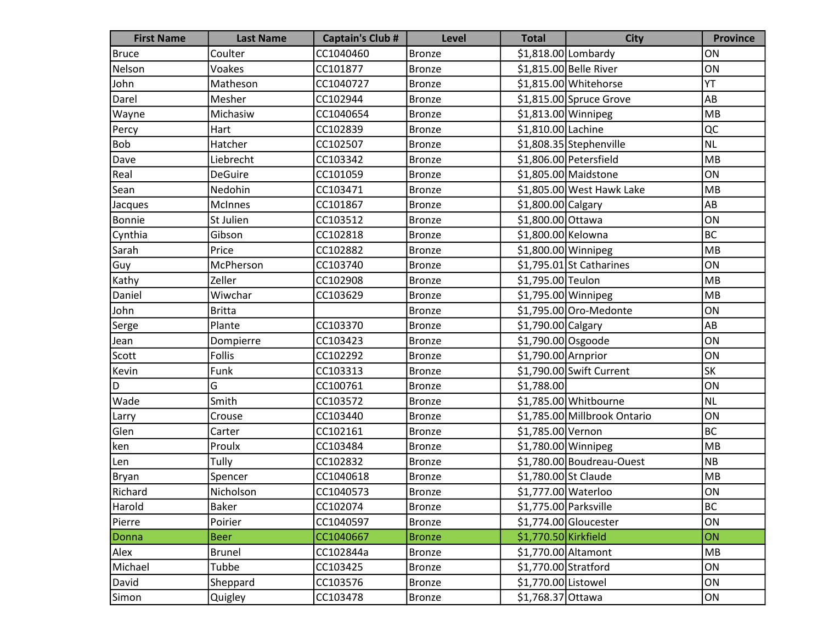| <b>First Name</b> | <b>Last Name</b> | <b>Captain's Club #</b> | <b>Level</b>  | <b>Total</b>          | <b>City</b>                  | <b>Province</b> |
|-------------------|------------------|-------------------------|---------------|-----------------------|------------------------------|-----------------|
| <b>Bruce</b>      | Coulter          | CC1040460               | <b>Bronze</b> |                       | $$1,818.00$ Lombardy         | ON              |
| Nelson            | Voakes           | CC101877                | <b>Bronze</b> |                       | \$1,815.00 Belle River       | ON              |
| John              | Matheson         | CC1040727               | <b>Bronze</b> |                       | \$1,815.00 Whitehorse        | YT              |
| Darel             | Mesher           | CC102944                | <b>Bronze</b> |                       | \$1,815.00 Spruce Grove      | AB              |
| Wayne             | Michasiw         | CC1040654               | <b>Bronze</b> | \$1,813.00 Winnipeg   |                              | MB              |
| Percy             | Hart             | CC102839                | <b>Bronze</b> | \$1,810.00 Lachine    |                              | QC              |
| <b>Bob</b>        | Hatcher          | CC102507                | <b>Bronze</b> |                       | \$1,808.35 Stephenville      | <b>NL</b>       |
| Dave              | Liebrecht        | CC103342                | <b>Bronze</b> |                       | \$1,806.00 Petersfield       | MB              |
| Real              | <b>DeGuire</b>   | CC101059                | <b>Bronze</b> |                       | \$1,805.00 Maidstone         | ON              |
| Sean              | Nedohin          | CC103471                | <b>Bronze</b> |                       | \$1,805.00 West Hawk Lake    | MB              |
| Jacques           | <b>McInnes</b>   | CC101867                | <b>Bronze</b> | \$1,800.00 Calgary    |                              | AB              |
| Bonnie            | St Julien        | CC103512                | <b>Bronze</b> | \$1,800.00 Ottawa     |                              | ON              |
| Cynthia           | Gibson           | CC102818                | <b>Bronze</b> | \$1,800.00 Kelowna    |                              | <b>BC</b>       |
| Sarah             | Price            | CC102882                | <b>Bronze</b> | \$1,800.00 Winnipeg   |                              | MB              |
| Guy               | McPherson        | CC103740                | <b>Bronze</b> |                       | \$1,795.01 St Catharines     | ON              |
| Kathy             | Zeller           | CC102908                | <b>Bronze</b> | \$1,795.00 Teulon     |                              | MB              |
| Daniel            | Wiwchar          | CC103629                | <b>Bronze</b> | \$1,795.00 Winnipeg   |                              | MB              |
| John              | <b>Britta</b>    |                         | <b>Bronze</b> |                       | \$1,795.00 Oro-Medonte       | ON              |
| Serge             | Plante           | CC103370                | <b>Bronze</b> | \$1,790.00 Calgary    |                              | AB              |
| Jean              | Dompierre        | CC103423                | <b>Bronze</b> | \$1,790.00 Osgoode    |                              | ON              |
| Scott             | <b>Follis</b>    | CC102292                | <b>Bronze</b> | \$1,790.00 Arnprior   |                              | ON              |
| Kevin             | Funk             | CC103313                | <b>Bronze</b> |                       | \$1,790.00 Swift Current     | SK              |
| D                 | G                | CC100761                | <b>Bronze</b> | \$1,788.00            |                              | ON              |
| Wade              | Smith            | CC103572                | <b>Bronze</b> |                       | \$1,785.00 Whitbourne        | <b>NL</b>       |
| Larry             | Crouse           | CC103440                | <b>Bronze</b> |                       | \$1,785.00 Millbrook Ontario | ON              |
| Glen              | Carter           | CC102161                | <b>Bronze</b> | \$1,785.00 Vernon     |                              | <b>BC</b>       |
| ken               | Proulx           | CC103484                | <b>Bronze</b> | \$1,780.00 Winnipeg   |                              | MB              |
| Len               | Tully            | CC102832                | <b>Bronze</b> |                       | \$1,780.00 Boudreau-Ouest    | <b>NB</b>       |
| <b>Bryan</b>      | Spencer          | CC1040618               | <b>Bronze</b> | \$1,780.00 St Claude  |                              | MB              |
| Richard           | Nicholson        | CC1040573               | <b>Bronze</b> | \$1,777.00 Waterloo   |                              | ON              |
| Harold            | Baker            | CC102074                | <b>Bronze</b> | \$1,775.00 Parksville |                              | <b>BC</b>       |
| Pierre            | Poirier          | CC1040597               | <b>Bronze</b> |                       | $$1,774.00$ Gloucester       | ON              |
| Donna             | <b>Beer</b>      | CC1040667               | <b>Bronze</b> | \$1,770.50 Kirkfield  |                              | ON              |
| Alex              | <b>Brunel</b>    | CC102844a               | <b>Bronze</b> | \$1,770.00 Altamont   |                              | MB              |
| Michael           | Tubbe            | CC103425                | <b>Bronze</b> | \$1,770.00 Stratford  |                              | ON              |
| David             | Sheppard         | CC103576                | <b>Bronze</b> | \$1,770.00 Listowel   |                              | ON              |
| Simon             | Quigley          | CC103478                | <b>Bronze</b> | \$1,768.37 Ottawa     |                              | ON              |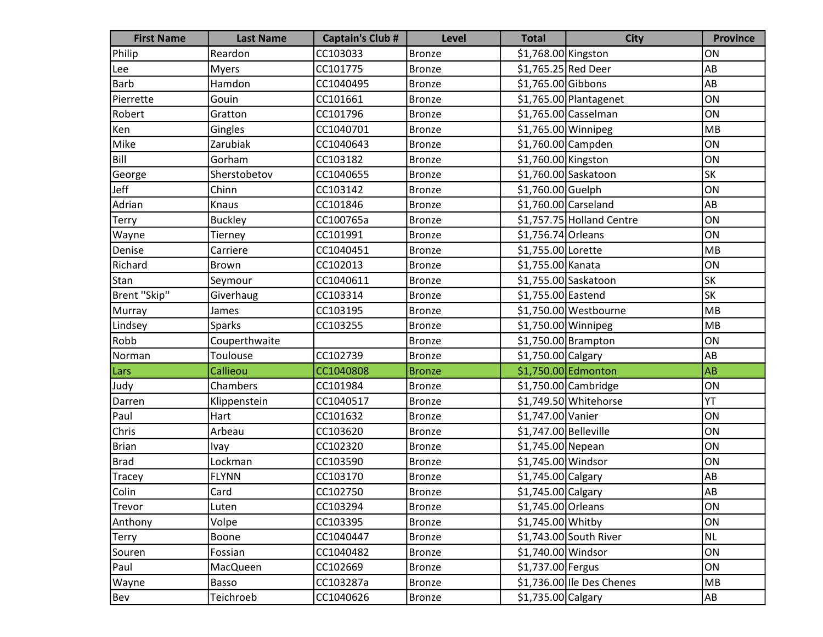| <b>First Name</b> | <b>Last Name</b> | <b>Captain's Club #</b> | <b>Level</b>  | <b>Total</b>                   | <b>City</b>               | <b>Province</b> |
|-------------------|------------------|-------------------------|---------------|--------------------------------|---------------------------|-----------------|
| Philip            | Reardon          | CC103033                | <b>Bronze</b> | \$1,768.00 Kingston            |                           | ON              |
| Lee               | <b>Myers</b>     | CC101775                | <b>Bronze</b> | \$1,765.25 Red Deer            |                           | AB              |
| Barb              | Hamdon           | CC1040495               | <b>Bronze</b> | \$1,765.00 Gibbons             |                           | AB              |
| Pierrette         | Gouin            | CC101661                | <b>Bronze</b> |                                | \$1,765.00 Plantagenet    | ON              |
| Robert            | Gratton          | CC101796                | <b>Bronze</b> |                                | \$1,765.00 Casselman      | ON              |
| Ken               | Gingles          | CC1040701               | <b>Bronze</b> | \$1,765.00 Winnipeg            |                           | MB              |
| Mike              | Zarubiak         | CC1040643               | <b>Bronze</b> | \$1,760.00 Campden             |                           | ON              |
| Bill              | Gorham           | CC103182                | <b>Bronze</b> | \$1,760.00 Kingston            |                           | ON              |
| George            | Sherstobetov     | CC1040655               | <b>Bronze</b> |                                | \$1,760.00 Saskatoon      | SK              |
| Jeff              | Chinn            | CC103142                | <b>Bronze</b> | \$1,760.00 Guelph              |                           | ON              |
| Adrian            | Knaus            | CC101846                | <b>Bronze</b> | $$1,760.00$ Carseland          |                           | AB              |
| <b>Terry</b>      | <b>Buckley</b>   | CC100765a               | <b>Bronze</b> |                                | \$1,757.75 Holland Centre | ON              |
| Wayne             | Tierney          | CC101991                | <b>Bronze</b> | \$1,756.74 Orleans             |                           | ON              |
| Denise            | Carriere         | CC1040451               | <b>Bronze</b> | \$1,755.00 Lorette             |                           | MB              |
| Richard           | <b>Brown</b>     | CC102013                | <b>Bronze</b> | \$1,755.00 Kanata              |                           | ON              |
| Stan              | Seymour          | CC1040611               | <b>Bronze</b> |                                | \$1,755.00 Saskatoon      | SK              |
| Brent "Skip"      | Giverhaug        | CC103314                | <b>Bronze</b> | \$1,755.00 Eastend             |                           | <b>SK</b>       |
| Murray            | James            | CC103195                | <b>Bronze</b> |                                | \$1,750.00 Westbourne     | MB              |
| Lindsey           | <b>Sparks</b>    | CC103255                | <b>Bronze</b> | \$1,750.00 Winnipeg            |                           | MB              |
| Robb              | Couperthwaite    |                         | <b>Bronze</b> |                                | \$1,750.00 Brampton       | ON              |
| Norman            | Toulouse         | CC102739                | <b>Bronze</b> | \$1,750.00 Calgary             |                           | AB              |
| Lars              | Callieou         | CC1040808               | <b>Bronze</b> |                                | \$1,750.00 Edmonton       | <b>AB</b>       |
| Judy              | Chambers         | CC101984                | <b>Bronze</b> |                                | \$1,750.00 Cambridge      | ON              |
| Darren            | Klippenstein     | CC1040517               | <b>Bronze</b> |                                | \$1,749.50 Whitehorse     | YT              |
| Paul              | Hart             | CC101632                | <b>Bronze</b> | \$1,747.00 Vanier              |                           | ON              |
| Chris             | Arbeau           | CC103620                | <b>Bronze</b> | \$1,747.00 Belleville          |                           | ON              |
| <b>Brian</b>      | Ivay             | CC102320                | <b>Bronze</b> | \$1,745.00 Nepean              |                           | ON              |
| <b>Brad</b>       | Lockman          | CC103590                | <b>Bronze</b> | \$1,745.00 Windsor             |                           | ON              |
| Tracey            | <b>FLYNN</b>     | CC103170                | <b>Bronze</b> | \$1,745.00 Calgary             |                           | AB              |
| Colin             | Card             | CC102750                | <b>Bronze</b> | $\overline{$1,745.00}$ Calgary |                           | AB              |
| Trevor            | Luten            | CC103294                | <b>Bronze</b> | \$1,745.00 Orleans             |                           | ON              |
| Anthony           | Volpe            | CC103395                | <b>Bronze</b> | \$1,745.00 Whitby              |                           | ON              |
| Terry             | Boone            | CC1040447               | <b>Bronze</b> |                                | $$1,743.00$ South River   | <b>NL</b>       |
| Souren            | Fossian          | CC1040482               | <b>Bronze</b> | \$1,740.00 Windsor             |                           | ON              |
| Paul              | <b>MacQueen</b>  | CC102669                | <b>Bronze</b> | \$1,737.00 Fergus              |                           | ON              |
| Wayne             | Basso            | CC103287a               | <b>Bronze</b> |                                | \$1,736.00 Ile Des Chenes | MB              |
| Bev               | Teichroeb        | CC1040626               | <b>Bronze</b> | $$1,735.00$ Calgary            |                           | AB              |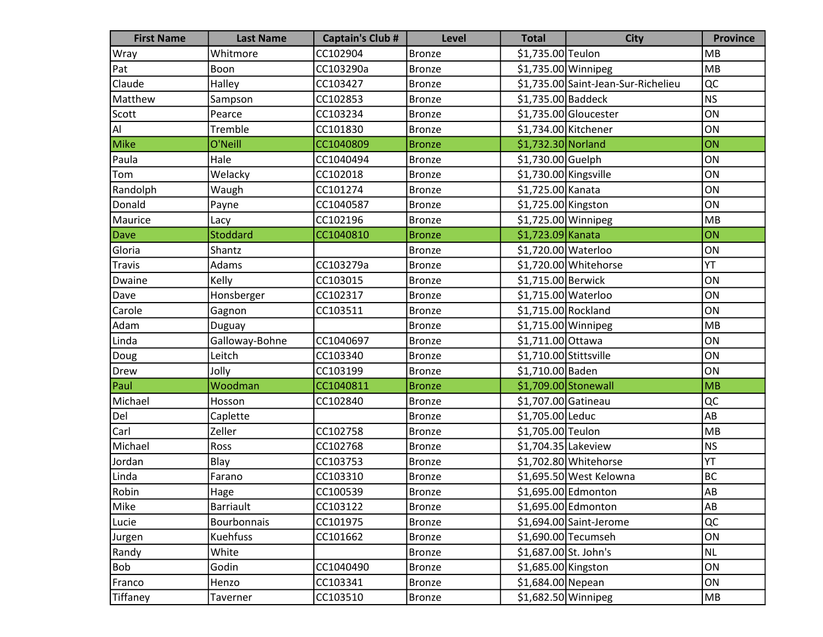| <b>First Name</b> | <b>Last Name</b> | <b>Captain's Club #</b> | Level         | <b>Total</b>           | <b>City</b>                         | <b>Province</b> |
|-------------------|------------------|-------------------------|---------------|------------------------|-------------------------------------|-----------------|
| Wray              | Whitmore         | CC102904                | <b>Bronze</b> | \$1,735.00 Teulon      |                                     | MB              |
| Pat               | Boon             | CC103290a               | <b>Bronze</b> | $$1,735.00$ Winnipeg   |                                     | MB              |
| Claude            | Halley           | CC103427                | <b>Bronze</b> |                        | \$1,735.00 Saint-Jean-Sur-Richelieu | QC              |
| Matthew           | Sampson          | CC102853                | <b>Bronze</b> | \$1,735.00 Baddeck     |                                     | NS              |
| Scott             | Pearce           | CC103234                | <b>Bronze</b> |                        | \$1,735.00 Gloucester               | ON              |
| Al                | Tremble          | CC101830                | <b>Bronze</b> |                        | \$1,734.00 Kitchener                | ON              |
| Mike              | O'Neill          | CC1040809               | <b>Bronze</b> | \$1,732.30 Norland     |                                     | ON              |
| Paula             | Hale             | CC1040494               | <b>Bronze</b> | $$1,730.00$ Guelph     |                                     | ON              |
| Tom               | Welacky          | CC102018                | <b>Bronze</b> | \$1,730.00 Kingsville  |                                     | ON              |
| Randolph          | Waugh            | CC101274                | <b>Bronze</b> | \$1,725.00 Kanata      |                                     | ON              |
| Donald            | Payne            | CC1040587               | <b>Bronze</b> | \$1,725.00 Kingston    |                                     | ON              |
| Maurice           | Lacy             | CC102196                | <b>Bronze</b> |                        | \$1,725.00 Winnipeg                 | MB              |
| Dave              | <b>Stoddard</b>  | CC1040810               | <b>Bronze</b> | \$1,723.09 Kanata      |                                     | ON              |
| Gloria            | Shantz           |                         | <b>Bronze</b> | \$1,720.00 Waterloo    |                                     | ON              |
| Travis            | Adams            | CC103279a               | <b>Bronze</b> |                        | \$1,720.00 Whitehorse               | YT              |
| Dwaine            | Kelly            | CC103015                | <b>Bronze</b> | \$1,715.00 Berwick     |                                     | ON              |
| Dave              | Honsberger       | CC102317                | <b>Bronze</b> | \$1,715.00 Waterloo    |                                     | ON              |
| Carole            | Gagnon           | CC103511                | <b>Bronze</b> | \$1,715.00 Rockland    |                                     | ON              |
| Adam              | Duguay           |                         | <b>Bronze</b> | \$1,715.00 Winnipeg    |                                     | MB              |
| Linda             | Galloway-Bohne   | CC1040697               | <b>Bronze</b> | \$1,711.00 Ottawa      |                                     | ON              |
| Doug              | Leitch           | CC103340                | <b>Bronze</b> | \$1,710.00 Stittsville |                                     | ON              |
| Drew              | Jolly            | CC103199                | <b>Bronze</b> | \$1,710.00 Baden       |                                     | ON              |
| Paul              | Woodman          | CC1040811               | <b>Bronze</b> |                        | \$1,709.00 Stonewall                | MB              |
| Michael           | Hosson           | CC102840                | <b>Bronze</b> | \$1,707.00 Gatineau    |                                     | QC              |
| Del               | Caplette         |                         | <b>Bronze</b> | \$1,705.00 Leduc       |                                     | AB              |
| Carl              | Zeller           | CC102758                | <b>Bronze</b> | \$1,705.00 Teulon      |                                     | MB              |
| Michael           | Ross             | CC102768                | <b>Bronze</b> | \$1,704.35 Lakeview    |                                     | NS              |
| Jordan            | Blay             | CC103753                | <b>Bronze</b> |                        | \$1,702.80 Whitehorse               | YT              |
| Linda             | Farano           | CC103310                | <b>Bronze</b> |                        | \$1,695.50 West Kelowna             | BC              |
| Robin             | Hage             | CC100539                | <b>Bronze</b> |                        | \$1,695.00 Edmonton                 | AB              |
| Mike              | Barriault        | CC103122                | <b>Bronze</b> |                        | \$1,695.00 Edmonton                 | AB              |
| Lucie             | Bourbonnais      | CC101975                | <b>Bronze</b> |                        | \$1,694.00 Saint-Jerome             | QC              |
| Jurgen            | Kuehfuss         | CC101662                | <b>Bronze</b> |                        | \$1,690.00 Tecumseh                 | ON              |
| Randy             | White            |                         | <b>Bronze</b> | \$1,687.00 St. John's  |                                     | NL              |
| Bob               | Godin            | CC1040490               | <b>Bronze</b> | \$1,685.00 Kingston    |                                     | ON              |
| Franco            | Henzo            | CC103341                | <b>Bronze</b> | \$1,684.00 Nepean      |                                     | ON              |
| Tiffaney          | Taverner         | CC103510                | <b>Bronze</b> |                        | \$1,682.50 Winnipeg                 | MB              |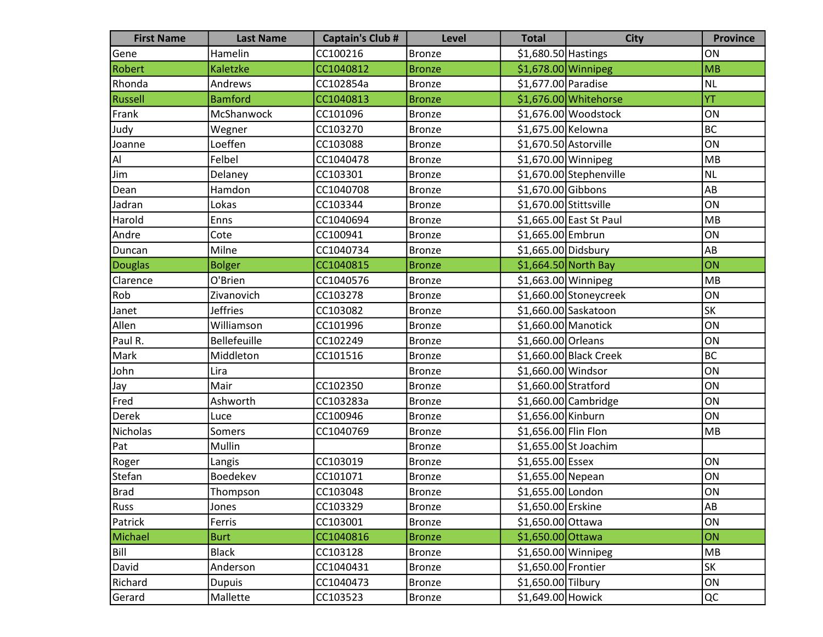| <b>First Name</b> | <b>Last Name</b>    | <b>Captain's Club #</b> | <b>Level</b>  | <b>Total</b>           | <b>City</b>             | <b>Province</b> |
|-------------------|---------------------|-------------------------|---------------|------------------------|-------------------------|-----------------|
| Gene              | Hamelin             | CC100216                | <b>Bronze</b> | $$1,680.50$ Hastings   |                         | ON              |
| Robert            | Kaletzke            | CC1040812               | <b>Bronze</b> | \$1,678.00 Winnipeg    |                         | MB              |
| Rhonda            | Andrews             | CC102854a               | <b>Bronze</b> | \$1,677.00 Paradise    |                         | <b>NL</b>       |
| Russell           | <b>Bamford</b>      | CC1040813               | <b>Bronze</b> |                        | \$1,676.00 Whitehorse   | YT              |
| Frank             | McShanwock          | CC101096                | <b>Bronze</b> |                        | \$1,676.00 Woodstock    | ON              |
| Judy              | Wegner              | CC103270                | <b>Bronze</b> | \$1,675.00 Kelowna     |                         | BC              |
| Joanne            | Loeffen             | CC103088                | <b>Bronze</b> | \$1,670.50 Astorville  |                         | ON              |
| Al                | Felbel              | CC1040478               | <b>Bronze</b> | \$1,670.00 Winnipeg    |                         | MB              |
| Jim               | Delaney             | CC103301                | <b>Bronze</b> |                        | \$1,670.00 Stephenville | <b>NL</b>       |
| Dean              | Hamdon              | CC1040708               | <b>Bronze</b> | \$1,670.00 Gibbons     |                         | AB              |
| Jadran            | Lokas               | CC103344                | <b>Bronze</b> | \$1,670.00 Stittsville |                         | ON              |
| Harold            | Enns                | CC1040694               | <b>Bronze</b> |                        | \$1,665.00 East St Paul | MB              |
| Andre             | Cote                | CC100941                | <b>Bronze</b> | \$1,665.00 Embrun      |                         | ON              |
| Duncan            | Milne               | CC1040734               | <b>Bronze</b> | \$1,665.00 Didsbury    |                         | AB              |
| Douglas           | <b>Bolger</b>       | CC1040815               | <b>Bronze</b> | \$1,664.50 North Bay   |                         | ON              |
| Clarence          | O'Brien             | CC1040576               | <b>Bronze</b> | \$1,663.00 Winnipeg    |                         | MB              |
| Rob               | Zivanovich          | CC103278                | <b>Bronze</b> |                        | \$1,660.00 Stoneycreek  | ON              |
| Janet             | <b>Jeffries</b>     | CC103082                | <b>Bronze</b> |                        | $$1,660.00$ Saskatoon   | SK              |
| Allen             | Williamson          | CC101996                | <b>Bronze</b> | \$1,660.00 Manotick    |                         | ON              |
| Paul R.           | <b>Bellefeuille</b> | CC102249                | <b>Bronze</b> | \$1,660.00 Orleans     |                         | ON              |
| Mark              | Middleton           | CC101516                | <b>Bronze</b> |                        | \$1,660.00 Black Creek  | <b>BC</b>       |
| John              | Lira                |                         | <b>Bronze</b> | \$1,660.00 Windsor     |                         | ON              |
| Jay               | Mair                | CC102350                | <b>Bronze</b> | $$1,660.00$ Stratford  |                         | ON              |
| Fred              | Ashworth            | CC103283a               | <b>Bronze</b> |                        | $$1,660.00$ Cambridge   | ON              |
| Derek             | Luce                | CC100946                | <b>Bronze</b> | \$1,656.00 Kinburn     |                         | ON              |
| Nicholas          | Somers              | CC1040769               | <b>Bronze</b> | \$1,656.00 Flin Flon   |                         | MB              |
| Pat               | Mullin              |                         | <b>Bronze</b> |                        | \$1,655.00 St Joachim   |                 |
| Roger             | Langis              | CC103019                | <b>Bronze</b> | $$1,655.00$ Essex      |                         | ON              |
| Stefan            | Boedekev            | CC101071                | <b>Bronze</b> | \$1,655.00 Nepean      |                         | ON              |
| Brad              | Thompson            | CC103048                | <b>Bronze</b> | \$1,655.00 London      |                         | ON              |
| Russ              | Jones               | CC103329                | <b>Bronze</b> | \$1,650.00 Erskine     |                         | AB              |
| Patrick           | Ferris              | CC103001                | <b>Bronze</b> | \$1,650.00 Ottawa      |                         | ON              |
| Michael           | <b>Burt</b>         | CC1040816               | <b>Bronze</b> | \$1,650.00 Ottawa      |                         | ON              |
| Bill              | <b>Black</b>        | CC103128                | <b>Bronze</b> | \$1,650.00 Winnipeg    |                         | MB              |
| David             | Anderson            | CC1040431               | <b>Bronze</b> | \$1,650.00 Frontier    |                         | SK              |
| Richard           | <b>Dupuis</b>       | CC1040473               | <b>Bronze</b> | \$1,650.00 Tilbury     |                         | ON              |
| Gerard            | Mallette            | CC103523                | <b>Bronze</b> | \$1,649.00 Howick      |                         | QC              |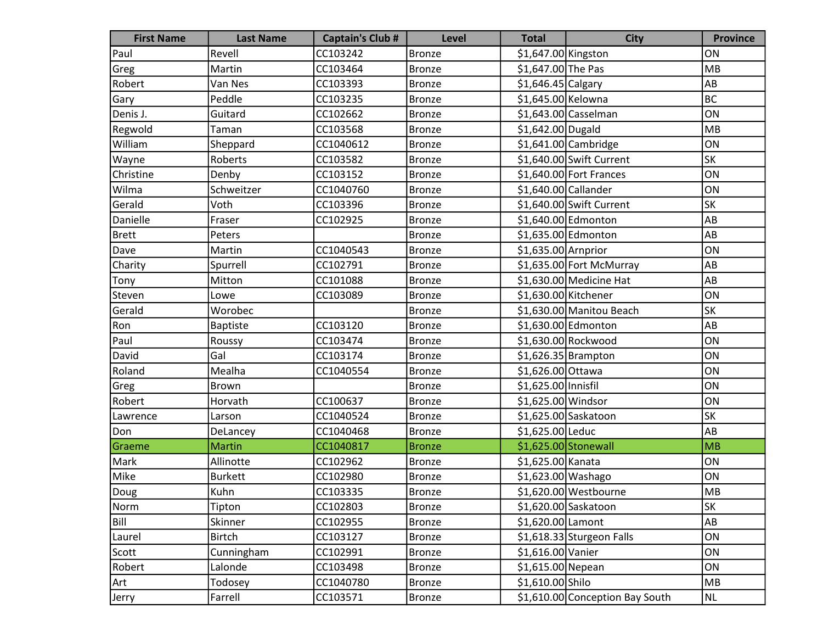| <b>First Name</b> | <b>Last Name</b> | <b>Captain's Club #</b> | Level         | <b>Total</b>          | <b>City</b>                     | <b>Province</b> |
|-------------------|------------------|-------------------------|---------------|-----------------------|---------------------------------|-----------------|
| Paul              | Revell           | CC103242                | Bronze        | \$1,647.00 Kingston   |                                 | ON              |
| Greg              | Martin           | CC103464                | Bronze        | \$1,647.00 The Pas    |                                 | MB              |
| Robert            | Van Nes          | CC103393                | <b>Bronze</b> | $$1,646.45$ Calgary   |                                 | AB              |
| Gary              | Peddle           | CC103235                | <b>Bronze</b> | \$1,645.00 Kelowna    |                                 | BC              |
| Denis J.          | Guitard          | CC102662                | <b>Bronze</b> |                       | \$1,643.00 Casselman            | ON              |
| Regwold           | Taman            | CC103568                | <b>Bronze</b> | \$1,642.00 Dugald     |                                 | MB              |
| William           | Sheppard         | CC1040612               | Bronze        |                       | $$1,641.00$ Cambridge           | ON              |
| Wayne             | Roberts          | CC103582                | <b>Bronze</b> |                       | \$1,640.00 Swift Current        | <b>SK</b>       |
| <b>Christine</b>  | Denby            | CC103152                | <b>Bronze</b> |                       | \$1,640.00 Fort Frances         | ON              |
| Wilma             | Schweitzer       | CC1040760               | <b>Bronze</b> | \$1,640.00 Callander  |                                 | ON              |
| Gerald            | Voth             | CC103396                | <b>Bronze</b> |                       | \$1,640.00 Swift Current        | <b>SK</b>       |
| Danielle          | Fraser           | CC102925                | <b>Bronze</b> |                       | \$1,640.00 Edmonton             | AB              |
| <b>Brett</b>      | Peters           |                         | <b>Bronze</b> |                       | \$1,635.00 Edmonton             | AB              |
| Dave              | Martin           | CC1040543               | Bronze        | \$1,635.00 Arnprior   |                                 | ON              |
| Charity           | Spurrell         | CC102791                | <b>Bronze</b> |                       | \$1,635.00 Fort McMurray        | AB              |
| Tony              | Mitton           | CC101088                | Bronze        |                       | \$1,630.00 Medicine Hat         | AB              |
| Steven            | Lowe             | CC103089                | <b>Bronze</b> | \$1,630.00 Kitchener  |                                 | ON              |
| Gerald            | Worobec          |                         | <b>Bronze</b> |                       | \$1,630.00 Manitou Beach        | <b>SK</b>       |
| Ron               | <b>Baptiste</b>  | CC103120                | <b>Bronze</b> |                       | \$1,630.00 Edmonton             | AB              |
| Paul              | Roussy           | CC103474                | <b>Bronze</b> |                       | \$1,630.00 Rockwood             | ON              |
| David             | Gal              | CC103174                | Bronze        |                       | \$1,626.35 Brampton             | ON              |
| Roland            | Mealha           | CC1040554               | <b>Bronze</b> | \$1,626.00 Ottawa     |                                 | ON              |
| Greg              | Brown            |                         | <b>Bronze</b> | \$1,625.00 Innisfil   |                                 | ON              |
| Robert            | Horvath          | CC100637                | <b>Bronze</b> | \$1,625.00 Windsor    |                                 | ON              |
| Lawrence          | Larson           | CC1040524               | <b>Bronze</b> |                       | \$1,625.00 Saskatoon            | <b>SK</b>       |
| Don               | DeLancey         | CC1040468               | Bronze        | \$1,625.00 Leduc      |                                 | AB              |
| Graeme            | <b>Martin</b>    | CC1040817               | <b>Bronze</b> | $$1,625.00$ Stonewall |                                 | MB              |
| Mark              | Allinotte        | CC102962                | Bronze        | \$1,625.00 Kanata     |                                 | ON              |
| Mike              | <b>Burkett</b>   | CC102980                | <b>Bronze</b> | \$1,623.00 Washago    |                                 | ON              |
| Doug              | Kuhn             | CC103335                | <b>Bronze</b> |                       | \$1,620.00 Westbourne           | MB              |
| Norm              | Tipton           | CC102803                | <b>Bronze</b> |                       | \$1,620.00 Saskatoon            | SK              |
| Bill              | Skinner          | CC102955                | <b>Bronze</b> | \$1,620.00 Lamont     |                                 | AB              |
| Laurel            | Birtch           | CC103127                | <b>Bronze</b> |                       | \$1,618.33 Sturgeon Falls       | ON              |
| Scott             | Cunningham       | CC102991                | <b>Bronze</b> | \$1,616.00 Vanier     |                                 | ON              |
| Robert            | Lalonde          | CC103498                | <b>Bronze</b> | \$1,615.00 Nepean     |                                 | ON              |
| Art               | Todosey          | CC1040780               | <b>Bronze</b> | \$1,610.00 Shilo      |                                 | MB              |
| Jerry             | Farrell          | CC103571                | <b>Bronze</b> |                       | \$1,610.00 Conception Bay South | NL              |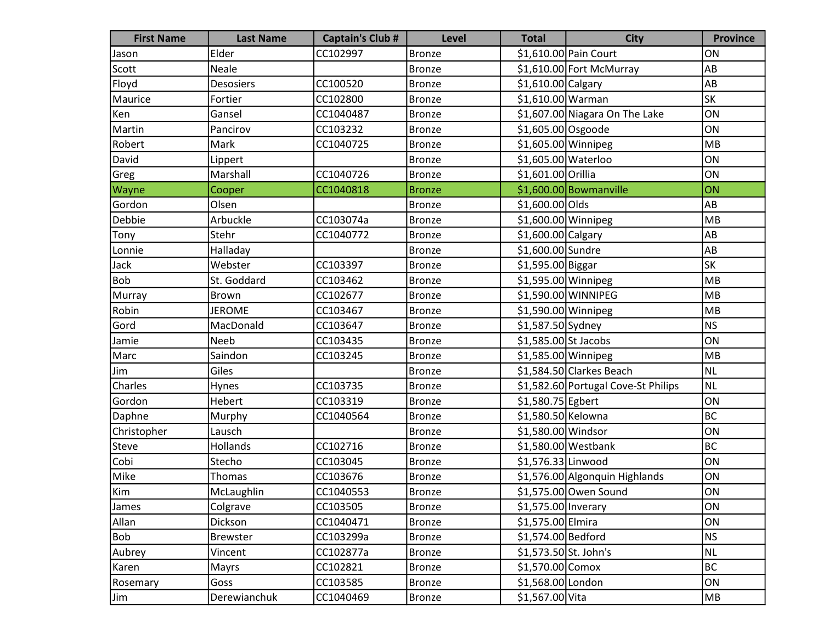| <b>First Name</b> | <b>Last Name</b> | <b>Captain's Club #</b> | <b>Level</b>  | <b>Total</b>          | <b>City</b>                         | <b>Province</b> |
|-------------------|------------------|-------------------------|---------------|-----------------------|-------------------------------------|-----------------|
| Jason             | Elder            | CC102997                | <b>Bronze</b> |                       | \$1,610.00 Pain Court               | ON              |
| Scott             | Neale            |                         | <b>Bronze</b> |                       | \$1,610.00 Fort McMurray            | AB              |
| Floyd             | <b>Desosiers</b> | CC100520                | <b>Bronze</b> | $$1,610.00$ Calgary   |                                     | AB              |
| Maurice           | Fortier          | CC102800                | <b>Bronze</b> | \$1,610.00 Warman     |                                     | <b>SK</b>       |
| Ken               | Gansel           | CC1040487               | <b>Bronze</b> |                       | \$1,607.00 Niagara On The Lake      | ON              |
| Martin            | Pancirov         | CC103232                | <b>Bronze</b> | $$1,605.00$ Osgoode   |                                     | ON              |
| Robert            | Mark             | CC1040725               | <b>Bronze</b> | \$1,605.00 Winnipeg   |                                     | MB              |
| David             | Lippert          |                         | <b>Bronze</b> | \$1,605.00 Waterloo   |                                     | ON              |
| Greg              | Marshall         | CC1040726               | <b>Bronze</b> | \$1,601.00 Orillia    |                                     | ON              |
| Wayne             | Cooper           | CC1040818               | <b>Bronze</b> |                       | \$1,600.00 Bowmanville              | ON              |
| Gordon            | Olsen            |                         | <b>Bronze</b> | \$1,600.00 Olds       |                                     | AB              |
| Debbie            | Arbuckle         | CC103074a               | <b>Bronze</b> | \$1,600.00 Winnipeg   |                                     | MB              |
| Tony              | Stehr            | CC1040772               | <b>Bronze</b> | \$1,600.00 Calgary    |                                     | AB              |
| Lonnie            | Halladay         |                         | <b>Bronze</b> | \$1,600.00 Sundre     |                                     | AB              |
| Jack              | Webster          | CC103397                | <b>Bronze</b> | \$1,595.00 Biggar     |                                     | <b>SK</b>       |
| Bob               | St. Goddard      | CC103462                | <b>Bronze</b> | $$1,595.00$ Winnipeg  |                                     | MB              |
| Murray            | <b>Brown</b>     | CC102677                | <b>Bronze</b> |                       | \$1,590.00 WINNIPEG                 | MB              |
| Robin             | <b>JEROME</b>    | CC103467                | <b>Bronze</b> | \$1,590.00 Winnipeg   |                                     | MB              |
| Gord              | MacDonald        | CC103647                | <b>Bronze</b> | \$1,587.50 Sydney     |                                     | NS              |
| Jamie             | Neeb             | CC103435                | <b>Bronze</b> | \$1,585.00 St Jacobs  |                                     | ON              |
| Marc              | Saindon          | CC103245                | <b>Bronze</b> | \$1,585.00 Winnipeg   |                                     | MB              |
| Jim               | Giles            |                         | <b>Bronze</b> |                       | \$1,584.50 Clarkes Beach            | NL              |
| Charles           | Hynes            | CC103735                | <b>Bronze</b> |                       | \$1,582.60 Portugal Cove-St Philips | NL.             |
| Gordon            | Hebert           | CC103319                | <b>Bronze</b> | \$1,580.75 Egbert     |                                     | ON              |
| Daphne            | Murphy           | CC1040564               | <b>Bronze</b> | \$1,580.50 Kelowna    |                                     | BC              |
| Christopher       | Lausch           |                         | <b>Bronze</b> | \$1,580.00 Windsor    |                                     | ON              |
| Steve             | Hollands         | CC102716                | <b>Bronze</b> |                       | $$1,580.00$ Westbank                | BC              |
| Cobi              | Stecho           | CC103045                | <b>Bronze</b> | \$1,576.33 Linwood    |                                     | ON              |
| Mike              | Thomas           | CC103676                | <b>Bronze</b> |                       | \$1,576.00 Algonquin Highlands      | ON              |
| Kim               | McLaughlin       | CC1040553               | Bronze        |                       | \$1,575.00 Owen Sound               | ON              |
| James             | Colgrave         | CC103505                | Bronze        | \$1,575.00 Inverary   |                                     | ON              |
| Allan             | Dickson          | CC1040471               | <b>Bronze</b> | \$1,575.00 Elmira     |                                     | ON              |
| Bob               | <b>Brewster</b>  | CC103299a               | <b>Bronze</b> | \$1,574.00 Bedford    |                                     | NS              |
| Aubrey            | Vincent          | CC102877a               | <b>Bronze</b> | \$1,573.50 St. John's |                                     | NL              |
| Karen             | Mayrs            | CC102821                | <b>Bronze</b> | $$1,570.00$ Comox     |                                     | BC              |
| Rosemary          | Goss             | CC103585                | <b>Bronze</b> | \$1,568.00 London     |                                     | ON              |
| Jim               | Derewianchuk     | CC1040469               | <b>Bronze</b> | \$1,567.00 Vita       |                                     | MB              |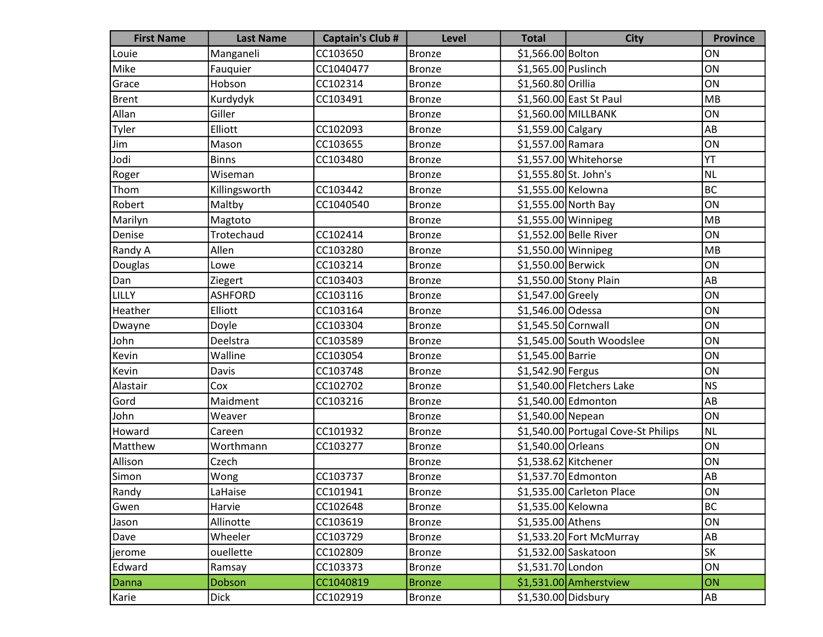| <b>First Name</b> | <b>Last Name</b> | <b>Captain's Club #</b> | <b>Level</b>  | <b>Total</b>          | <b>City</b>                         | <b>Province</b> |
|-------------------|------------------|-------------------------|---------------|-----------------------|-------------------------------------|-----------------|
| Louie             | Manganeli        | CC103650                | <b>Bronze</b> | \$1,566.00 Bolton     |                                     | ON              |
| Mike              | Fauquier         | CC1040477               | <b>Bronze</b> | \$1,565.00 Puslinch   |                                     | ON              |
| Grace             | Hobson           | CC102314                | <b>Bronze</b> | \$1,560.80 Orillia    |                                     | ON              |
| <b>Brent</b>      | Kurdydyk         | CC103491                | <b>Bronze</b> |                       | \$1,560.00 East St Paul             | MB              |
| Allan             | Giller           |                         | <b>Bronze</b> |                       | \$1,560.00 MILLBANK                 | ON              |
| Tyler             | Elliott          | CC102093                | <b>Bronze</b> | \$1,559.00 Calgary    |                                     | AB              |
| Jim               | Mason            | CC103655                | <b>Bronze</b> | \$1,557.00 Ramara     |                                     | ON              |
| Jodi              | <b>Binns</b>     | CC103480                | <b>Bronze</b> |                       | \$1,557.00 Whitehorse               | YT              |
| Roger             | Wiseman          |                         | <b>Bronze</b> | \$1,555.80 St. John's |                                     | <b>NL</b>       |
| Thom              | Killingsworth    | CC103442                | <b>Bronze</b> | \$1,555.00 Kelowna    |                                     | <b>BC</b>       |
| Robert            | Maltby           | CC1040540               | <b>Bronze</b> |                       | \$1,555.00 North Bay                | ON              |
| Marilyn           | Magtoto          |                         | <b>Bronze</b> | \$1,555.00 Winnipeg   |                                     | MB              |
| Denise            | Trotechaud       | CC102414                | <b>Bronze</b> |                       | \$1,552.00 Belle River              | ON              |
| Randy A           | Allen            | CC103280                | <b>Bronze</b> | \$1,550.00 Winnipeg   |                                     | MB              |
| Douglas           | Lowe             | CC103214                | <b>Bronze</b> | \$1,550.00 Berwick    |                                     | ON              |
| Dan               | Ziegert          | CC103403                | <b>Bronze</b> |                       | \$1,550.00 Stony Plain              | AB              |
| LILLY             | <b>ASHFORD</b>   | CC103116                | <b>Bronze</b> | \$1,547.00 Greely     |                                     | ON              |
| Heather           | Elliott          | CC103164                | <b>Bronze</b> | \$1,546.00 Odessa     |                                     | ON              |
| Dwayne            | Doyle            | CC103304                | <b>Bronze</b> | \$1,545.50 Cornwall   |                                     | ON              |
| John              | Deelstra         | CC103589                | <b>Bronze</b> |                       | \$1,545.00 South Woodslee           | ON              |
| Kevin             | Walline          | CC103054                | <b>Bronze</b> | \$1,545.00 Barrie     |                                     | ON              |
| Kevin             | Davis            | CC103748                | <b>Bronze</b> | \$1,542.90 Fergus     |                                     | ON              |
| Alastair          | Cox              | CC102702                | <b>Bronze</b> |                       | \$1,540.00 Fletchers Lake           | <b>NS</b>       |
| Gord              | Maidment         | CC103216                | <b>Bronze</b> |                       | \$1,540.00 Edmonton                 | AB              |
| John              | Weaver           |                         | <b>Bronze</b> | \$1,540.00 Nepean     |                                     | ON              |
| Howard            | Careen           | CC101932                | <b>Bronze</b> |                       | \$1,540.00 Portugal Cove-St Philips | <b>NL</b>       |
| Matthew           | Worthmann        | CC103277                | <b>Bronze</b> | \$1,540.00 Orleans    |                                     | ON              |
| Allison           | Czech            |                         | <b>Bronze</b> | \$1,538.62 Kitchener  |                                     | ON              |
| Simon             | Wong             | CC103737                | <b>Bronze</b> |                       | \$1,537.70 Edmonton                 | AB              |
| Randy             | LaHaise          | CC101941                | Bronze        |                       | \$1,535.00 Carleton Place           | ON              |
| Gwen              | Harvie           | CC102648                | <b>Bronze</b> | \$1,535.00 Kelowna    |                                     | <b>BC</b>       |
| Jason             | Allinotte        | CC103619                | <b>Bronze</b> | \$1,535.00 Athens     |                                     | ON              |
| Dave              | Wheeler          | CC103729                | <b>Bronze</b> |                       | \$1,533.20 Fort McMurray            | AB              |
| jerome            | ouellette        | CC102809                | <b>Bronze</b> |                       | \$1,532.00 Saskatoon                | SK              |
| Edward            | Ramsay           | CC103373                | <b>Bronze</b> | \$1,531.70 London     |                                     | ON              |
| Danna             | Dobson           | CC1040819               | <b>Bronze</b> |                       | \$1,531.00 Amherstview              | ON              |
| Karie             | <b>Dick</b>      | CC102919                | <b>Bronze</b> | \$1,530.00 Didsbury   |                                     | AB              |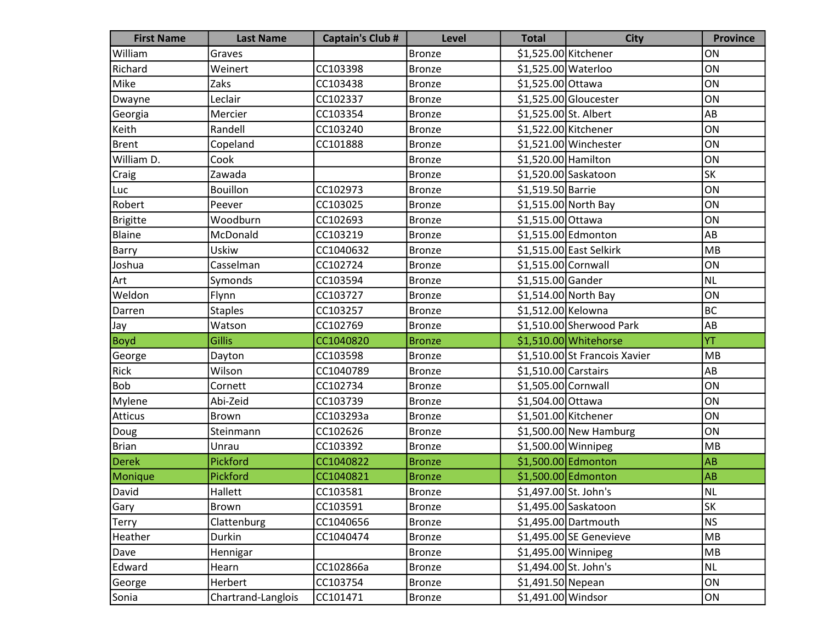| <b>First Name</b> | <b>Last Name</b>   | <b>Captain's Club #</b> | <b>Level</b>  | <b>Total</b>          | <b>City</b>                   | <b>Province</b> |
|-------------------|--------------------|-------------------------|---------------|-----------------------|-------------------------------|-----------------|
| William           | Graves             |                         | <b>Bronze</b> | \$1,525.00 Kitchener  |                               | ON              |
| Richard           | Weinert            | CC103398                | <b>Bronze</b> | \$1,525.00 Waterloo   |                               | ON              |
| Mike              | Zaks               | CC103438                | <b>Bronze</b> | \$1,525.00 Ottawa     |                               | ON              |
| Dwayne            | Leclair            | CC102337                | <b>Bronze</b> |                       | \$1,525.00 Gloucester         | ON              |
| Georgia           | Mercier            | CC103354                | <b>Bronze</b> | \$1,525.00 St. Albert |                               | AB              |
| Keith             | Randell            | CC103240                | <b>Bronze</b> | \$1,522.00 Kitchener  |                               | ON              |
| Brent             | Copeland           | CC101888                | <b>Bronze</b> |                       | \$1,521.00 Winchester         | ON              |
| William D.        | Cook               |                         | <b>Bronze</b> | \$1,520.00 Hamilton   |                               | ON              |
| Craig             | Zawada             |                         | <b>Bronze</b> |                       | \$1,520.00 Saskatoon          | SK              |
| Luc               | <b>Bouillon</b>    | CC102973                | <b>Bronze</b> | \$1,519.50 Barrie     |                               | ON              |
| Robert            | Peever             | CC103025                | <b>Bronze</b> |                       | \$1,515.00 North Bay          | ON              |
| <b>Brigitte</b>   | Woodburn           | CC102693                | <b>Bronze</b> | \$1,515.00 Ottawa     |                               | ON              |
| Blaine            | McDonald           | CC103219                | <b>Bronze</b> |                       | \$1,515.00 Edmonton           | AB              |
| Barry             | <b>Uskiw</b>       | CC1040632               | <b>Bronze</b> |                       | \$1,515.00 East Selkirk       | MB              |
| Joshua            | Casselman          | CC102724                | <b>Bronze</b> | \$1,515.00 Cornwall   |                               | ON              |
| Art               | Symonds            | CC103594                | <b>Bronze</b> | \$1,515.00 Gander     |                               | <b>NL</b>       |
| Weldon            | Flynn              | CC103727                | <b>Bronze</b> |                       | $$1,514.00$ North Bay         | ON              |
| Darren            | <b>Staples</b>     | CC103257                | <b>Bronze</b> | \$1,512.00 Kelowna    |                               | <b>BC</b>       |
| Jay               | Watson             | CC102769                | <b>Bronze</b> |                       | \$1,510.00 Sherwood Park      | AB              |
| <b>Boyd</b>       | <b>Gillis</b>      | CC1040820               | <b>Bronze</b> |                       | \$1,510.00 Whitehorse         | YT              |
| George            | Dayton             | CC103598                | <b>Bronze</b> |                       | \$1,510.00 St Francois Xavier | MB              |
| Rick              | Wilson             | CC1040789               | <b>Bronze</b> | \$1,510.00 Carstairs  |                               | AB              |
| <b>Bob</b>        | Cornett            | CC102734                | <b>Bronze</b> | \$1,505.00 Cornwall   |                               | ON              |
| Mylene            | Abi-Zeid           | CC103739                | <b>Bronze</b> | \$1,504.00 Ottawa     |                               | ON              |
| <b>Atticus</b>    | <b>Brown</b>       | CC103293a               | <b>Bronze</b> | \$1,501.00 Kitchener  |                               | ON              |
| Doug              | Steinmann          | CC102626                | <b>Bronze</b> |                       | $$1,500.00$ New Hamburg       | ON              |
| <b>Brian</b>      | Unrau              | CC103392                | <b>Bronze</b> | $$1,500.00$ Winnipeg  |                               | MB              |
| <b>Derek</b>      | Pickford           | CC1040822               | <b>Bronze</b> |                       | \$1,500.00 Edmonton           | <b>AB</b>       |
| Monique           | Pickford           | CC1040821               | <b>Bronze</b> |                       | \$1,500.00 Edmonton           | <b>AB</b>       |
| David             | Hallett            | CC103581                | Bronze        | \$1,497.00 St. John's |                               | NL              |
| Gary              | Brown              | CC103591                | <b>Bronze</b> |                       | \$1,495.00 Saskatoon          | SK              |
| <b>Terry</b>      | Clattenburg        | CC1040656               | <b>Bronze</b> |                       | \$1,495.00 Dartmouth          | <b>NS</b>       |
| Heather           | Durkin             | CC1040474               | <b>Bronze</b> |                       | $$1,495.00$ SE Genevieve      | MB              |
| Dave              | Hennigar           |                         | <b>Bronze</b> | $$1,495.00$ Winnipeg  |                               | MB              |
| Edward            | Hearn              | CC102866a               | <b>Bronze</b> | \$1,494.00 St. John's |                               | <b>NL</b>       |
| George            | Herbert            | CC103754                | <b>Bronze</b> | \$1,491.50 Nepean     |                               | ON              |
| Sonia             | Chartrand-Langlois | CC101471                | <b>Bronze</b> | \$1,491.00 Windsor    |                               | ON              |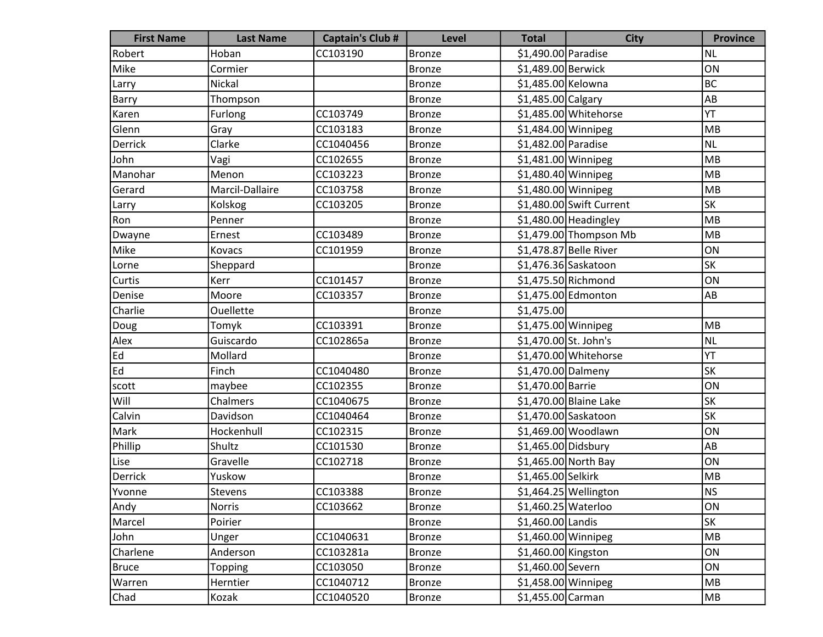| <b>First Name</b> | <b>Last Name</b> | <b>Captain's Club #</b> | <b>Level</b>  | <b>Total</b>          | <b>City</b>              | <b>Province</b> |
|-------------------|------------------|-------------------------|---------------|-----------------------|--------------------------|-----------------|
| Robert            | Hoban            | CC103190                | <b>Bronze</b> | \$1,490.00 Paradise   |                          | <b>NL</b>       |
| Mike              | Cormier          |                         | <b>Bronze</b> | \$1,489.00 Berwick    |                          | ON              |
| Larry             | Nickal           |                         | <b>Bronze</b> | \$1,485.00 Kelowna    |                          | <b>BC</b>       |
| Barry             | Thompson         |                         | <b>Bronze</b> | $$1,485.00$ Calgary   |                          | AB              |
| Karen             | Furlong          | CC103749                | <b>Bronze</b> |                       | \$1,485.00 Whitehorse    | YT              |
| Glenn             | Gray             | CC103183                | <b>Bronze</b> | $$1,484.00$ Winnipeg  |                          | MB              |
| Derrick           | Clarke           | CC1040456               | <b>Bronze</b> | \$1,482.00 Paradise   |                          | <b>NL</b>       |
| John              | Vagi             | CC102655                | <b>Bronze</b> | $$1,481.00$ Winnipeg  |                          | MB              |
| Manohar           | Menon            | CC103223                | <b>Bronze</b> | \$1,480.40 Winnipeg   |                          | MB              |
| Gerard            | Marcil-Dallaire  | CC103758                | <b>Bronze</b> | \$1,480.00 Winnipeg   |                          | MB              |
| Larry             | Kolskog          | CC103205                | <b>Bronze</b> |                       | \$1,480.00 Swift Current | SK              |
| Ron               | Penner           |                         | <b>Bronze</b> |                       | \$1,480.00 Headingley    | MB              |
| Dwayne            | Ernest           | CC103489                | <b>Bronze</b> |                       | $$1,479.00$ Thompson Mb  | MB              |
| Mike              | Kovacs           | CC101959                | <b>Bronze</b> |                       | \$1,478.87 Belle River   | ON              |
| Lorne             | Sheppard         |                         | <b>Bronze</b> |                       | \$1,476.36 Saskatoon     | SK              |
| Curtis            | Kerr             | CC101457                | <b>Bronze</b> |                       | $$1,475.50$ Richmond     | ON              |
| Denise            | Moore            | CC103357                | <b>Bronze</b> |                       | \$1,475.00 Edmonton      | AB              |
| Charlie           | Ouellette        |                         | <b>Bronze</b> | \$1,475.00            |                          |                 |
| Doug              | Tomyk            | CC103391                | <b>Bronze</b> | \$1,475.00 Winnipeg   |                          | MB              |
| Alex              | Guiscardo        | CC102865a               | <b>Bronze</b> | \$1,470.00 St. John's |                          | <b>NL</b>       |
| Ed                | Mollard          |                         | <b>Bronze</b> |                       | $$1,470.00$ Whitehorse   | YT              |
| Ed                | Finch            | CC1040480               | <b>Bronze</b> | \$1,470.00 Dalmeny    |                          | <b>SK</b>       |
| scott             | maybee           | CC102355                | <b>Bronze</b> | \$1,470.00 Barrie     |                          | ON              |
| Will              | Chalmers         | CC1040675               | <b>Bronze</b> |                       | \$1,470.00 Blaine Lake   | SK              |
| Calvin            | Davidson         | CC1040464               | <b>Bronze</b> |                       | \$1,470.00 Saskatoon     | SK              |
| Mark              | Hockenhull       | CC102315                | <b>Bronze</b> |                       | \$1,469.00 Woodlawn      | ON              |
| Phillip           | Shultz           | CC101530                | <b>Bronze</b> | \$1,465.00 Didsbury   |                          | AB              |
| Lise              | Gravelle         | CC102718                | <b>Bronze</b> |                       | \$1,465.00 North Bay     | ON              |
| Derrick           | Yuskow           |                         | <b>Bronze</b> | \$1,465.00 Selkirk    |                          | MB              |
| Yvonne            | Stevens          | CC103388                | <b>Bronze</b> |                       | $$1,464.25$ Wellington   | <b>NS</b>       |
| Andy              | <b>Norris</b>    | CC103662                | <b>Bronze</b> | \$1,460.25 Waterloo   |                          | ON              |
| Marcel            | Poirier          |                         | <b>Bronze</b> | \$1,460.00 Landis     |                          | SK              |
| John              | Unger            | CC1040631               | <b>Bronze</b> | $$1,460.00$ Winnipeg  |                          | MB              |
| Charlene          | Anderson         | CC103281a               | <b>Bronze</b> | \$1,460.00 Kingston   |                          | ON              |
| <b>Bruce</b>      | Topping          | CC103050                | Bronze        | \$1,460.00 Severn     |                          | ON              |
| Warren            | Herntier         | CC1040712               | <b>Bronze</b> | \$1,458.00 Winnipeg   |                          | MB              |
| Chad              | Kozak            | CC1040520               | Bronze        | \$1,455.00 Carman     |                          | MB              |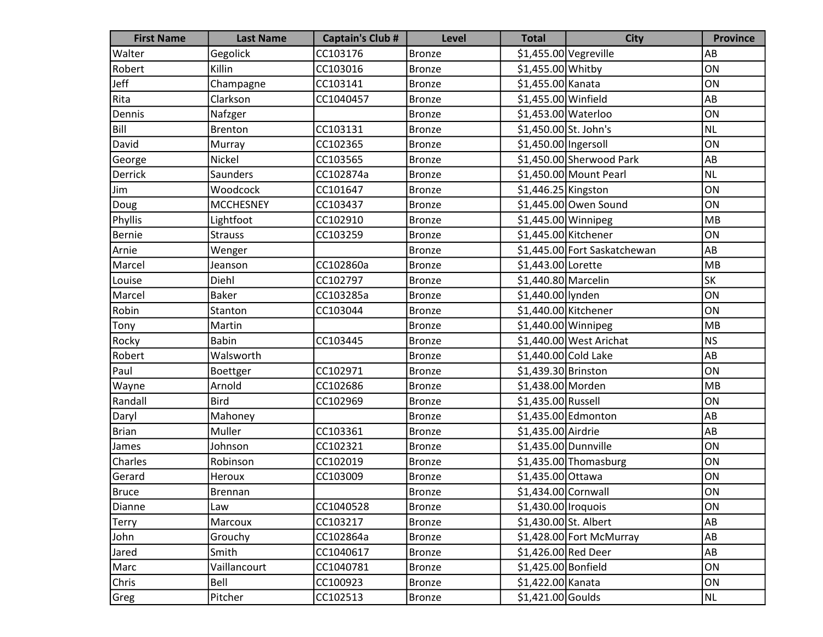| <b>First Name</b> | <b>Last Name</b> | <b>Captain's Club #</b> | <b>Level</b>  | <b>Total</b>           | <b>City</b>                  | <b>Province</b> |
|-------------------|------------------|-------------------------|---------------|------------------------|------------------------------|-----------------|
| Walter            | Gegolick         | CC103176                | <b>Bronze</b> | $$1,455.00$ Vegreville |                              | AB              |
| Robert            | Killin           | CC103016                | <b>Bronze</b> | \$1,455.00 Whitby      |                              | ON              |
| Jeff              | Champagne        | CC103141                | <b>Bronze</b> | \$1,455.00 Kanata      |                              | ON              |
| Rita              | Clarkson         | CC1040457               | <b>Bronze</b> | \$1,455.00 Winfield    |                              | AB              |
| Dennis            | Nafzger          |                         | <b>Bronze</b> | \$1,453.00 Waterloo    |                              | ON              |
| Bill              | <b>Brenton</b>   | CC103131                | <b>Bronze</b> | \$1,450.00 St. John's  |                              | NL              |
| David             | Murray           | CC102365                | <b>Bronze</b> | \$1,450.00 Ingersoll   |                              | ON              |
| George            | Nickel           | CC103565                | <b>Bronze</b> |                        | \$1,450.00 Sherwood Park     | AB              |
| Derrick           | Saunders         | CC102874a               | <b>Bronze</b> |                        | \$1,450.00 Mount Pearl       | <b>NL</b>       |
| Jim               | Woodcock         | CC101647                | <b>Bronze</b> | $$1,446.25$ Kingston   |                              | ON              |
| Doug              | <b>MCCHESNEY</b> | CC103437                | <b>Bronze</b> |                        | \$1,445.00 Owen Sound        | ON              |
| Phyllis           | Lightfoot        | CC102910                | <b>Bronze</b> | \$1,445.00 Winnipeg    |                              | MB              |
| Bernie            | <b>Strauss</b>   | CC103259                | <b>Bronze</b> | \$1,445.00 Kitchener   |                              | ON              |
| Arnie             | Wenger           |                         | <b>Bronze</b> |                        | \$1,445.00 Fort Saskatchewan | AB              |
| Marcel            | Jeanson          | CC102860a               | <b>Bronze</b> | \$1,443.00 Lorette     |                              | MB              |
| Louise            | Diehl            | CC102797                | <b>Bronze</b> | \$1,440.80 Marcelin    |                              | <b>SK</b>       |
| Marcel            | <b>Baker</b>     | CC103285a               | <b>Bronze</b> | \$1,440.00 lynden      |                              | ON              |
| Robin             | Stanton          | CC103044                | <b>Bronze</b> | \$1,440.00 Kitchener   |                              | ON              |
| Tony              | Martin           |                         | <b>Bronze</b> | \$1,440.00 Winnipeg    |                              | MB              |
| Rocky             | <b>Babin</b>     | CC103445                | <b>Bronze</b> |                        | \$1,440.00 West Arichat      | <b>NS</b>       |
| Robert            | Walsworth        |                         | <b>Bronze</b> | \$1,440.00 Cold Lake   |                              | AB              |
| Paul              | Boettger         | CC102971                | <b>Bronze</b> | \$1,439.30 Brinston    |                              | ON              |
| Wayne             | Arnold           | CC102686                | <b>Bronze</b> | \$1,438.00 Morden      |                              | MB              |
| Randall           | <b>Bird</b>      | CC102969                | <b>Bronze</b> | \$1,435.00 Russell     |                              | ON              |
| Daryl             | Mahoney          |                         | <b>Bronze</b> |                        | \$1,435.00 Edmonton          | AB              |
| Brian             | Muller           | CC103361                | <b>Bronze</b> | \$1,435.00 Airdrie     |                              | AB              |
| James             | Johnson          | CC102321                | <b>Bronze</b> | \$1,435.00 Dunnville   |                              | ON              |
| Charles           | Robinson         | CC102019                | <b>Bronze</b> |                        | \$1,435.00 Thomasburg        | ON              |
| Gerard            | Heroux           | CC103009                | <b>Bronze</b> | \$1,435.00 Ottawa      |                              | ON              |
| <b>Bruce</b>      | Brennan          |                         | Bronze        | \$1,434.00 Cornwall    |                              | ON              |
| Dianne            | Law              | CC1040528               | <b>Bronze</b> | \$1,430.00 Iroquois    |                              | ON              |
| Terry             | Marcoux          | CC103217                | <b>Bronze</b> | \$1,430.00 St. Albert  |                              | AB              |
| John              | Grouchy          | CC102864a               | <b>Bronze</b> |                        | \$1,428.00 Fort McMurray     | AB              |
| Jared             | Smith            | CC1040617               | <b>Bronze</b> | \$1,426.00 Red Deer    |                              | AB              |
| Marc              | Vaillancourt     | CC1040781               | <b>Bronze</b> | \$1,425.00 Bonfield    |                              | ON              |
| Chris             | Bell             | CC100923                | <b>Bronze</b> | \$1,422.00 Kanata      |                              | ON              |
| Greg              | Pitcher          | CC102513                | <b>Bronze</b> | $$1,421.00$ Goulds     |                              | NL              |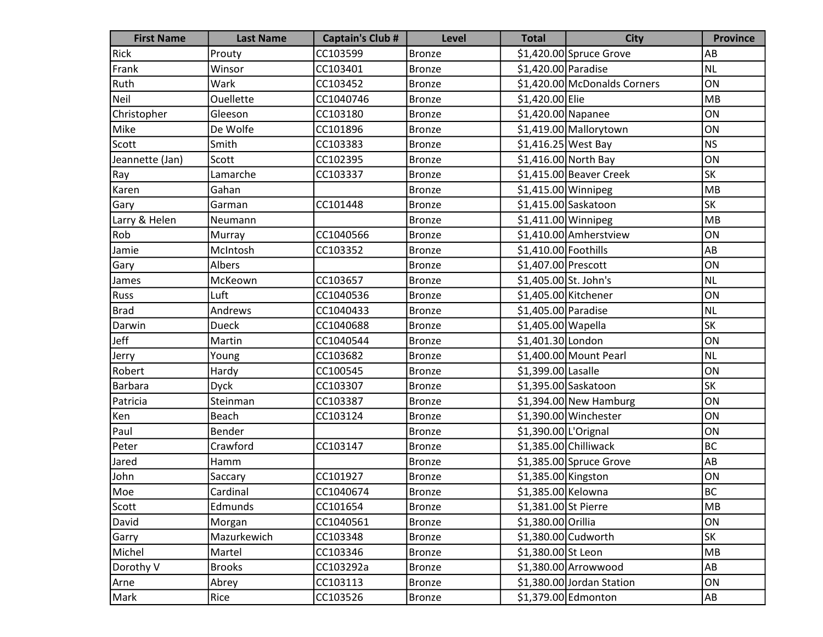| <b>First Name</b> | <b>Last Name</b> | <b>Captain's Club #</b> | <b>Level</b>  | <b>Total</b>          | <b>City</b>                  | <b>Province</b> |
|-------------------|------------------|-------------------------|---------------|-----------------------|------------------------------|-----------------|
| Rick              | Prouty           | CC103599                | <b>Bronze</b> |                       | $$1,420.00$ Spruce Grove     | AB              |
| Frank             | Winsor           | CC103401                | <b>Bronze</b> | \$1,420.00 Paradise   |                              | <b>NL</b>       |
| Ruth              | Wark             | CC103452                | <b>Bronze</b> |                       | \$1,420.00 McDonalds Corners | ON              |
| Neil              | <b>Ouellette</b> | CC1040746               | <b>Bronze</b> | \$1,420.00 Elie       |                              | MB              |
| Christopher       | Gleeson          | CC103180                | <b>Bronze</b> | \$1,420.00 Napanee    |                              | ON              |
| Mike              | De Wolfe         | CC101896                | <b>Bronze</b> |                       | \$1,419.00 Mallorytown       | ON              |
| Scott             | Smith            | CC103383                | <b>Bronze</b> | $$1,416.25$ West Bay  |                              | <b>NS</b>       |
| Jeannette (Jan)   | Scott            | CC102395                | <b>Bronze</b> |                       | $$1,416.00$ North Bay        | ON              |
| Ray               | Lamarche         | CC103337                | <b>Bronze</b> |                       | $$1,415.00$ Beaver Creek     | SK              |
| Karen             | Gahan            |                         | <b>Bronze</b> | \$1,415.00 Winnipeg   |                              | MB              |
| Gary              | Garman           | CC101448                | <b>Bronze</b> |                       | $$1,415.00$ Saskatoon        | <b>SK</b>       |
| Larry & Helen     | Neumann          |                         | <b>Bronze</b> | $$1,411.00$ Winnipeg  |                              | MB              |
| Rob               | Murray           | CC1040566               | <b>Bronze</b> |                       | \$1,410.00 Amherstview       | ON              |
| Jamie             | McIntosh         | CC103352                | <b>Bronze</b> | \$1,410.00 Foothills  |                              | AB              |
| Gary              | Albers           |                         | <b>Bronze</b> | \$1,407.00 Prescott   |                              | ON              |
| James             | McKeown          | CC103657                | <b>Bronze</b> | \$1,405.00 St. John's |                              | <b>NL</b>       |
| Russ              | Luft             | CC1040536               | <b>Bronze</b> | \$1,405.00 Kitchener  |                              | ON              |
| <b>Brad</b>       | Andrews          | CC1040433               | <b>Bronze</b> | \$1,405.00 Paradise   |                              | NL              |
| Darwin            | Dueck            | CC1040688               | <b>Bronze</b> | \$1,405.00 Wapella    |                              | <b>SK</b>       |
| Jeff              | Martin           | CC1040544               | <b>Bronze</b> | \$1,401.30 London     |                              | ON              |
| Jerry             | Young            | CC103682                | <b>Bronze</b> |                       | \$1,400.00 Mount Pearl       | <b>NL</b>       |
| Robert            | Hardy            | CC100545                | <b>Bronze</b> | \$1,399.00 Lasalle    |                              | ON              |
| Barbara           | <b>Dyck</b>      | CC103307                | <b>Bronze</b> |                       | \$1,395.00 Saskatoon         | <b>SK</b>       |
| Patricia          | Steinman         | CC103387                | <b>Bronze</b> |                       | $$1,394.00$ New Hamburg      | ON              |
| Ken               | Beach            | CC103124                | <b>Bronze</b> |                       | \$1,390.00 Winchester        | ON              |
| Paul              | Bender           |                         | <b>Bronze</b> | \$1,390.00 L'Orignal  |                              | ON              |
| Peter             | Crawford         | CC103147                | <b>Bronze</b> |                       | $$1,385.00$ Chilliwack       | <b>BC</b>       |
| Jared             | Hamm             |                         | <b>Bronze</b> |                       | $$1,385.00$ Spruce Grove     | AB              |
| John              | Saccary          | CC101927                | <b>Bronze</b> | \$1,385.00 Kingston   |                              | ON              |
| Moe               | Cardinal         | CC1040674               | Bronze        | \$1,385.00 Kelowna    |                              | BC              |
| Scott             | Edmunds          | CC101654                | <b>Bronze</b> | \$1,381.00 St Pierre  |                              | MB              |
| David             | Morgan           | CC1040561               | <b>Bronze</b> | \$1,380.00 Orillia    |                              | ON              |
| Garry             | Mazurkewich      | CC103348                | <b>Bronze</b> |                       | $$1,380.00$ Cudworth         | SK              |
| Michel            | Martel           | CC103346                | <b>Bronze</b> | \$1,380.00 St Leon    |                              | MB              |
| Dorothy V         | <b>Brooks</b>    | CC103292a               | <b>Bronze</b> |                       | \$1,380.00 Arrowwood         | AB              |
| Arne              | Abrey            | CC103113                | <b>Bronze</b> |                       | \$1,380.00 Jordan Station    | ON              |
| Mark              | Rice             | CC103526                | <b>Bronze</b> |                       | \$1,379.00 Edmonton          | AB              |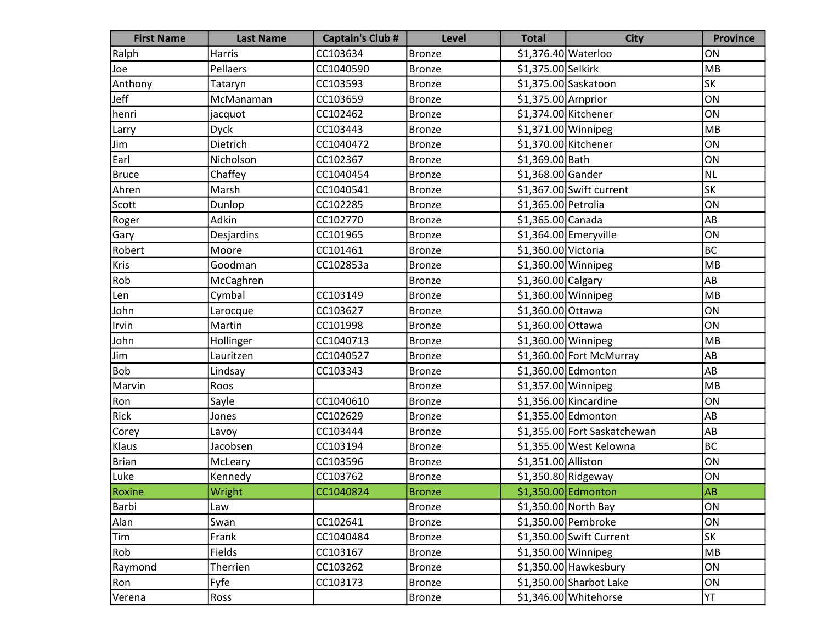| <b>First Name</b> | <b>Last Name</b> | <b>Captain's Club #</b> | <b>Level</b>  | <b>Total</b>         | <b>City</b>                  | <b>Province</b> |
|-------------------|------------------|-------------------------|---------------|----------------------|------------------------------|-----------------|
| Ralph             | <b>Harris</b>    | CC103634                | <b>Bronze</b> | \$1,376.40 Waterloo  |                              | ON              |
| Joe               | Pellaers         | CC1040590               | <b>Bronze</b> | \$1,375.00 Selkirk   |                              | MB              |
| Anthony           | Tataryn          | CC103593                | <b>Bronze</b> |                      | \$1,375.00 Saskatoon         | SK              |
| Jeff              | McManaman        | CC103659                | <b>Bronze</b> | $$1,375.00$ Arnprior |                              | ON              |
| henri             | jacquot          | CC102462                | <b>Bronze</b> | \$1,374.00 Kitchener |                              | ON              |
| Larry             | <b>Dyck</b>      | CC103443                | <b>Bronze</b> | $$1,371.00$ Winnipeg |                              | MB              |
| Jim               | Dietrich         | CC1040472               | <b>Bronze</b> | \$1,370.00 Kitchener |                              | ON              |
| Earl              | Nicholson        | CC102367                | <b>Bronze</b> | \$1,369.00 Bath      |                              | ON              |
| <b>Bruce</b>      | Chaffey          | CC1040454               | <b>Bronze</b> | \$1,368.00 Gander    |                              | <b>NL</b>       |
| Ahren             | Marsh            | CC1040541               | <b>Bronze</b> |                      | \$1,367.00 Swift current     | SK              |
| Scott             | Dunlop           | CC102285                | <b>Bronze</b> | \$1,365.00 Petrolia  |                              | ON              |
| Roger             | Adkin            | CC102770                | <b>Bronze</b> | \$1,365.00 Canada    |                              | AB              |
| Gary              | Desjardins       | CC101965                | <b>Bronze</b> |                      | $$1,364.00$ Emeryville       | ON              |
| Robert            | Moore            | CC101461                | <b>Bronze</b> | \$1,360.00 Victoria  |                              | <b>BC</b>       |
| Kris              | Goodman          | CC102853a               | <b>Bronze</b> | $$1,360.00$ Winnipeg |                              | MB              |
| Rob               | McCaghren        |                         | <b>Bronze</b> | $$1,360.00$ Calgary  |                              | AB              |
| Len               | Cymbal           | CC103149                | <b>Bronze</b> | \$1,360.00 Winnipeg  |                              | MB              |
| John              | Larocque         | CC103627                | <b>Bronze</b> | \$1,360.00 Ottawa    |                              | ON              |
| Irvin             | Martin           | CC101998                | <b>Bronze</b> | \$1,360.00 Ottawa    |                              | ON              |
| John              | Hollinger        | CC1040713               | <b>Bronze</b> | $$1,360.00$ Winnipeg |                              | MB              |
| Jim               | Lauritzen        | CC1040527               | <b>Bronze</b> |                      | \$1,360.00 Fort McMurray     | AB              |
| Bob               | Lindsay          | CC103343                | <b>Bronze</b> |                      | \$1,360.00 Edmonton          | AB              |
| Marvin            | Roos             |                         | <b>Bronze</b> | \$1,357.00 Winnipeg  |                              | MB              |
| Ron               | Sayle            | CC1040610               | <b>Bronze</b> |                      | $$1,356.00$ Kincardine       | ON              |
| Rick              | Jones            | CC102629                | <b>Bronze</b> |                      | \$1,355.00 Edmonton          | AB              |
| Corey             | Lavoy            | CC103444                | <b>Bronze</b> |                      | \$1,355.00 Fort Saskatchewan | AB              |
| Klaus             | Jacobsen         | CC103194                | <b>Bronze</b> |                      | \$1,355.00 West Kelowna      | <b>BC</b>       |
| <b>Brian</b>      | McLeary          | CC103596                | <b>Bronze</b> | \$1,351.00 Alliston  |                              | ON              |
| Luke              | Kennedy          | CC103762                | <b>Bronze</b> | $$1,350.80$ Ridgeway |                              | ON              |
| Roxine            | Wright           | CC1040824               | <b>Bronze</b> |                      | \$1,350.00 Edmonton          | AB              |
| Barbi             | Law              |                         | <b>Bronze</b> |                      | \$1,350.00 North Bay         | ON              |
| Alan              | Swan             | CC102641                | <b>Bronze</b> |                      | \$1,350.00 Pembroke          | ON              |
| Tim               | Frank            | CC1040484               | <b>Bronze</b> |                      | \$1,350.00 Swift Current     | SK              |
| Rob               | Fields           | CC103167                | <b>Bronze</b> | \$1,350.00 Winnipeg  |                              | MB              |
| Raymond           | Therrien         | CC103262                | <b>Bronze</b> |                      | \$1,350.00 Hawkesbury        | ON              |
| Ron               | Fyfe             | CC103173                | <b>Bronze</b> |                      | \$1,350.00 Sharbot Lake      | ON              |
| Verena            | Ross             |                         | <b>Bronze</b> |                      | $$1,346.00$ Whitehorse       | YT              |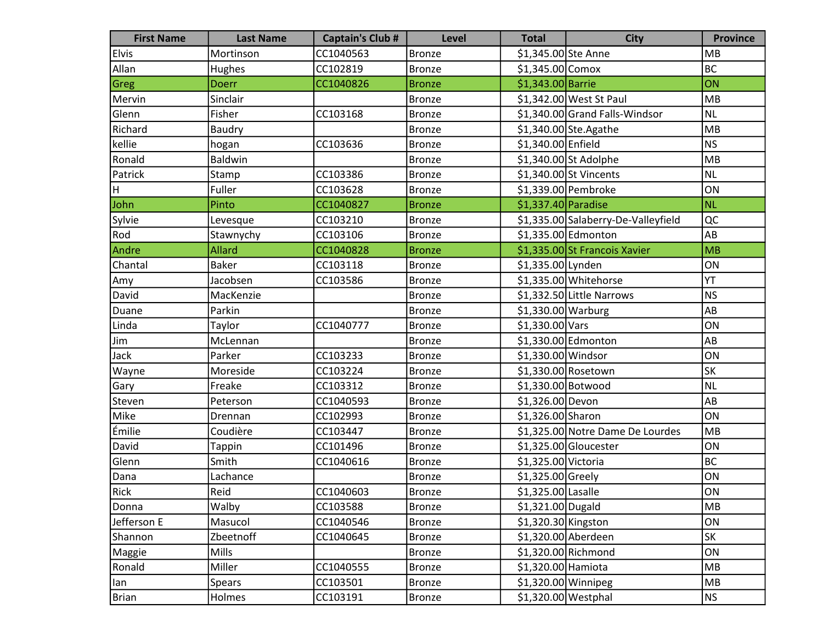| <b>First Name</b> | <b>Last Name</b> | <b>Captain's Club #</b> | <b>Level</b>  | <b>Total</b>         | <b>City</b>                         | <b>Province</b> |
|-------------------|------------------|-------------------------|---------------|----------------------|-------------------------------------|-----------------|
| <b>Elvis</b>      | Mortinson        | CC1040563               | <b>Bronze</b> | \$1,345.00 Ste Anne  |                                     | MB              |
| Allan             | Hughes           | CC102819                | <b>Bronze</b> | $$1,345.00$ Comox    |                                     | <b>BC</b>       |
| Greg              | <b>Doerr</b>     | CC1040826               | <b>Bronze</b> | \$1,343.00 Barrie    |                                     | ON              |
| Mervin            | Sinclair         |                         | <b>Bronze</b> |                      | \$1,342.00 West St Paul             | MB              |
| Glenn             | Fisher           | CC103168                | <b>Bronze</b> |                      | \$1,340.00 Grand Falls-Windsor      | <b>NL</b>       |
| Richard           | Baudry           |                         | <b>Bronze</b> |                      | \$1,340.00 Ste. Agathe              | MB              |
| kellie            | hogan            | CC103636                | <b>Bronze</b> | \$1,340.00 Enfield   |                                     | <b>NS</b>       |
| Ronald            | Baldwin          |                         | <b>Bronze</b> |                      | \$1,340.00 St Adolphe               | MB              |
| Patrick           | Stamp            | CC103386                | <b>Bronze</b> |                      | $$1,340.00$ St Vincents             | <b>NL</b>       |
| H                 | Fuller           | CC103628                | <b>Bronze</b> |                      | \$1,339.00 Pembroke                 | ON              |
| John              | Pinto            | CC1040827               | <b>Bronze</b> | \$1,337.40 Paradise  |                                     | <b>NL</b>       |
| Sylvie            | Levesque         | CC103210                | <b>Bronze</b> |                      | \$1,335.00 Salaberry-De-Valleyfield | QC              |
| Rod               | Stawnychy        | CC103106                | <b>Bronze</b> |                      | \$1,335.00 Edmonton                 | AB              |
| Andre             | <b>Allard</b>    | CC1040828               | <b>Bronze</b> |                      | \$1,335.00 St Francois Xavier       | MB              |
| Chantal           | <b>Baker</b>     | CC103118                | <b>Bronze</b> | \$1,335.00 Lynden    |                                     | ON              |
| Amy               | Jacobsen         | CC103586                | <b>Bronze</b> |                      | \$1,335.00 Whitehorse               | YT              |
| David             | MacKenzie        |                         | <b>Bronze</b> |                      | \$1,332.50 Little Narrows           | <b>NS</b>       |
| Duane             | Parkin           |                         | <b>Bronze</b> | $$1,330.00$ Warburg  |                                     | AB              |
| Linda             | Taylor           | CC1040777               | <b>Bronze</b> | \$1,330.00 Vars      |                                     | ON              |
| Jim               | McLennan         |                         | <b>Bronze</b> |                      | \$1,330.00 Edmonton                 | AB              |
| Jack              | Parker           | CC103233                | <b>Bronze</b> | \$1,330.00 Windsor   |                                     | ON              |
| Wayne             | Moreside         | CC103224                | <b>Bronze</b> |                      | \$1,330.00 Rosetown                 | <b>SK</b>       |
| Gary              | Freake           | CC103312                | <b>Bronze</b> | \$1,330.00 Botwood   |                                     | <b>NL</b>       |
| Steven            | Peterson         | CC1040593               | <b>Bronze</b> | \$1,326.00 Devon     |                                     | AB              |
| Mike              | Drennan          | CC102993                | <b>Bronze</b> | \$1,326.00 Sharon    |                                     | ON              |
| Émilie            | Coudière         | CC103447                | <b>Bronze</b> |                      | \$1,325.00 Notre Dame De Lourdes    | MB              |
| David             | <b>Tappin</b>    | CC101496                | <b>Bronze</b> |                      | \$1,325.00 Gloucester               | ON              |
| Glenn             | Smith            | CC1040616               | <b>Bronze</b> | \$1,325.00 Victoria  |                                     | <b>BC</b>       |
| Dana              | Lachance         |                         | <b>Bronze</b> | \$1,325.00 Greely    |                                     | ON              |
| Rick              | Reid             | CC1040603               | <b>Bronze</b> | \$1,325.00 Lasalle   |                                     | ON              |
| Donna             | Walby            | CC103588                | <b>Bronze</b> | \$1,321.00 Dugald    |                                     | MB              |
| Jefferson E       | Masucol          | CC1040546               | <b>Bronze</b> | \$1,320.30 Kingston  |                                     | ON              |
| Shannon           | Zbeetnoff        | CC1040645               | <b>Bronze</b> | \$1,320.00 Aberdeen  |                                     | SK              |
| Maggie            | Mills            |                         | <b>Bronze</b> |                      | $$1,320.00$ Richmond                | ON              |
| Ronald            | Miller           | CC1040555               | <b>Bronze</b> | \$1,320.00 Hamiota   |                                     | MB              |
| lan               | Spears           | CC103501                | <b>Bronze</b> | \$1,320.00 Winnipeg  |                                     | MB              |
| <b>Brian</b>      | Holmes           | CC103191                | <b>Bronze</b> | $$1,320.00$ Westphal |                                     | <b>NS</b>       |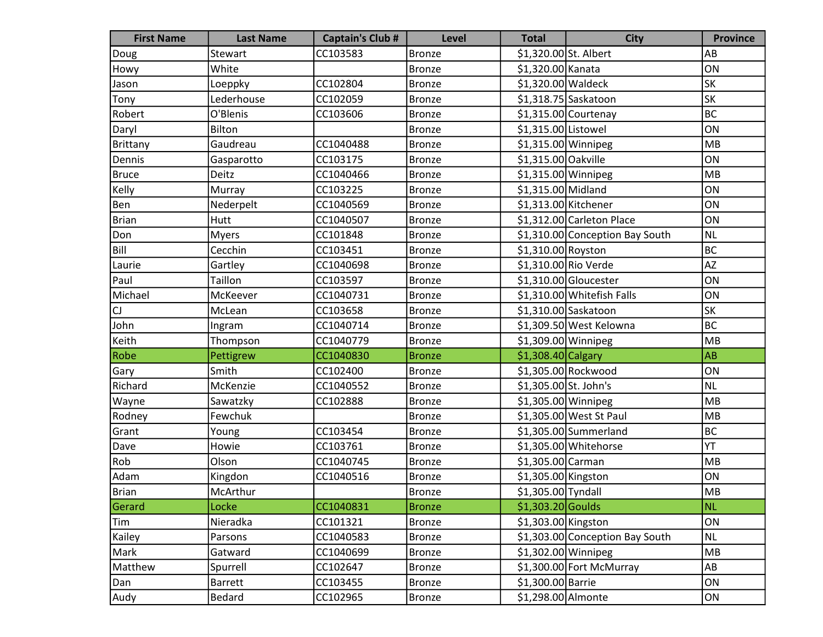| <b>First Name</b> | <b>Last Name</b> | <b>Captain's Club #</b> | <b>Level</b>  | <b>Total</b>          | <b>City</b>                     | <b>Province</b> |
|-------------------|------------------|-------------------------|---------------|-----------------------|---------------------------------|-----------------|
| Doug              | Stewart          | CC103583                | <b>Bronze</b> | \$1,320.00 St. Albert |                                 | AB              |
| Howy              | White            |                         | <b>Bronze</b> | \$1,320.00 Kanata     |                                 | ON              |
| Jason             | Loeppky          | CC102804                | <b>Bronze</b> | \$1,320.00 Waldeck    |                                 | <b>SK</b>       |
| Tony              | Lederhouse       | CC102059                | <b>Bronze</b> |                       | $$1,318.75$ Saskatoon           | <b>SK</b>       |
| Robert            | O'Blenis         | CC103606                | <b>Bronze</b> |                       | $$1,315.00$ Courtenay           | <b>BC</b>       |
| Daryl             | Bilton           |                         | <b>Bronze</b> | \$1,315.00 Listowel   |                                 | ON              |
| Brittany          | Gaudreau         | CC1040488               | <b>Bronze</b> | \$1,315.00 Winnipeg   |                                 | MB              |
| Dennis            | Gasparotto       | CC103175                | <b>Bronze</b> | \$1,315.00 Oakville   |                                 | ON              |
| Bruce             | Deitz            | CC1040466               | <b>Bronze</b> | \$1,315.00 Winnipeg   |                                 | MB              |
| Kelly             | Murray           | CC103225                | <b>Bronze</b> | \$1,315.00 Midland    |                                 | ON              |
| Ben               | Nederpelt        | CC1040569               | <b>Bronze</b> | \$1,313.00 Kitchener  |                                 | ON              |
| <b>Brian</b>      | Hutt             | CC1040507               | <b>Bronze</b> |                       | \$1,312.00 Carleton Place       | ON              |
| Don               | <b>Myers</b>     | CC101848                | <b>Bronze</b> |                       | \$1,310.00 Conception Bay South | NL              |
| Bill              | Cecchin          | CC103451                | <b>Bronze</b> | \$1,310.00 Royston    |                                 | <b>BC</b>       |
| Laurie            | Gartley          | CC1040698               | <b>Bronze</b> | \$1,310.00 Rio Verde  |                                 | <b>AZ</b>       |
| Paul              | Taillon          | CC103597                | <b>Bronze</b> |                       | $$1,310.00$ Gloucester          | ON              |
| Michael           | McKeever         | CC1040731               | <b>Bronze</b> |                       | \$1,310.00 Whitefish Falls      | ON              |
| CJ                | McLean           | CC103658                | <b>Bronze</b> |                       | \$1,310.00 Saskatoon            | <b>SK</b>       |
| John              | Ingram           | CC1040714               | <b>Bronze</b> |                       | \$1,309.50 West Kelowna         | <b>BC</b>       |
| Keith             | Thompson         | CC1040779               | <b>Bronze</b> | $$1,309.00$ Winnipeg  |                                 | MB              |
| Robe              | Pettigrew        | CC1040830               | <b>Bronze</b> | $$1,308.40$ Calgary   |                                 | <b>AB</b>       |
| Gary              | Smith            | CC102400                | <b>Bronze</b> |                       | \$1,305.00 Rockwood             | ON              |
| Richard           | McKenzie         | CC1040552               | <b>Bronze</b> | \$1,305.00 St. John's |                                 | <b>NL</b>       |
| Wayne             | Sawatzky         | CC102888                | <b>Bronze</b> | \$1,305.00 Winnipeg   |                                 | MB              |
| Rodney            | Fewchuk          |                         | <b>Bronze</b> |                       | \$1,305.00 West St Paul         | MB              |
| Grant             | Young            | CC103454                | <b>Bronze</b> |                       | $$1,305.00$ Summerland          | <b>BC</b>       |
| Dave              | Howie            | CC103761                | <b>Bronze</b> |                       | \$1,305.00 Whitehorse           | YT              |
| Rob               | Olson            | CC1040745               | <b>Bronze</b> | \$1,305.00 Carman     |                                 | MB              |
| Adam              | Kingdon          | CC1040516               | <b>Bronze</b> | \$1,305.00 Kingston   |                                 | ON              |
| Brian             | McArthur         |                         | Bronze        | \$1,305.00 Tyndall    |                                 | <b>MB</b>       |
| Gerard            | Locke            | CC1040831               | <b>Bronze</b> | $$1,303.20$ Goulds    |                                 | <b>NL</b>       |
| Tim               | Nieradka         | CC101321                | <b>Bronze</b> | \$1,303.00 Kingston   |                                 | ON              |
| Kailey            | Parsons          | CC1040583               | <b>Bronze</b> |                       | \$1,303.00 Conception Bay South | <b>NL</b>       |
| Mark              | Gatward          | CC1040699               | <b>Bronze</b> | \$1,302.00 Winnipeg   |                                 | MB              |
| Matthew           | Spurrell         | CC102647                | <b>Bronze</b> |                       | \$1,300.00 Fort McMurray        | AB              |
| Dan               | <b>Barrett</b>   | CC103455                | <b>Bronze</b> | \$1,300.00 Barrie     |                                 | ON              |
| Audy              | Bedard           | CC102965                | <b>Bronze</b> | \$1,298.00 Almonte    |                                 | ON              |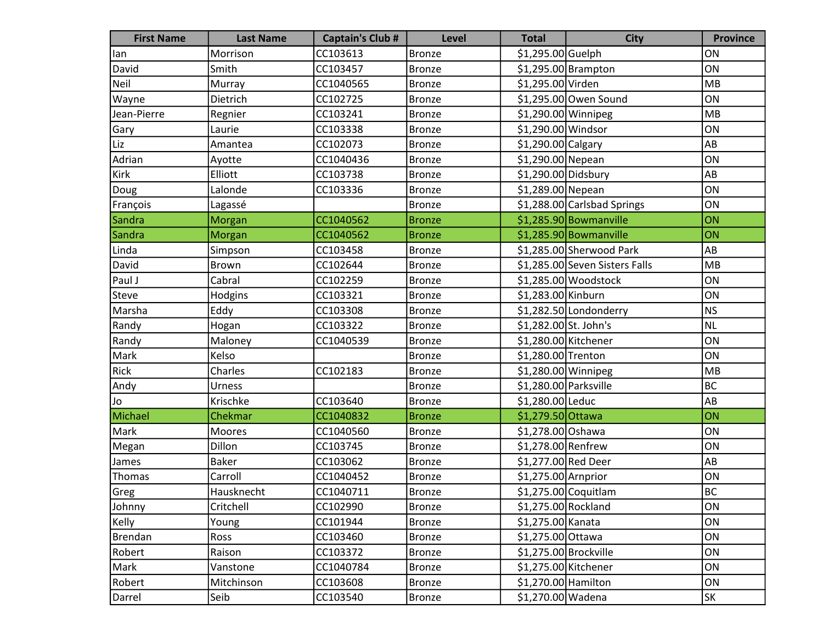| <b>First Name</b> | <b>Last Name</b> | <b>Captain's Club #</b> | <b>Level</b>  | <b>Total</b>          | <b>City</b>                    | <b>Province</b> |
|-------------------|------------------|-------------------------|---------------|-----------------------|--------------------------------|-----------------|
| lan               | Morrison         | CC103613                | <b>Bronze</b> | \$1,295.00 Guelph     |                                | ON              |
| David             | Smith            | CC103457                | <b>Bronze</b> |                       | $$1,295.00$ Brampton           | ON              |
| Neil              | Murray           | CC1040565               | <b>Bronze</b> | \$1,295.00 Virden     |                                | MB              |
| Wayne             | Dietrich         | CC102725                | <b>Bronze</b> |                       | \$1,295.00 Owen Sound          | ON              |
| Jean-Pierre       | Regnier          | CC103241                | <b>Bronze</b> | \$1,290.00 Winnipeg   |                                | MB              |
| Gary              | Laurie           | CC103338                | <b>Bronze</b> | \$1,290.00 Windsor    |                                | ON              |
| Liz               | Amantea          | CC102073                | <b>Bronze</b> | \$1,290.00 Calgary    |                                | AB              |
| Adrian            | Ayotte           | CC1040436               | <b>Bronze</b> | \$1,290.00 Nepean     |                                | ON              |
| Kirk              | Elliott          | CC103738                | <b>Bronze</b> | \$1,290.00 Didsbury   |                                | AB              |
| Doug              | Lalonde          | CC103336                | <b>Bronze</b> | \$1,289.00 Nepean     |                                | ON              |
| François          | Lagassé          |                         | <b>Bronze</b> |                       | \$1,288.00 Carlsbad Springs    | ON              |
| Sandra            | <b>Morgan</b>    | CC1040562               | <b>Bronze</b> |                       | \$1,285.90 Bowmanville         | ON              |
| Sandra            | Morgan           | CC1040562               | <b>Bronze</b> |                       | $$1,285.90$ Bowmanville        | ON              |
| Linda             | Simpson          | CC103458                | <b>Bronze</b> |                       | \$1,285.00 Sherwood Park       | AB              |
| David             | Brown            | CC102644                | <b>Bronze</b> |                       | \$1,285.00 Seven Sisters Falls | MB              |
| Paul J            | Cabral           | CC102259                | <b>Bronze</b> |                       | $$1,285.00$ Woodstock          | ON              |
| Steve             | Hodgins          | CC103321                | <b>Bronze</b> | \$1,283.00 Kinburn    |                                | ON              |
| Marsha            | Eddy             | CC103308                | <b>Bronze</b> |                       | \$1,282.50 Londonderry         | <b>NS</b>       |
| Randy             | Hogan            | CC103322                | <b>Bronze</b> | \$1,282.00 St. John's |                                | NL              |
| Randy             | Maloney          | CC1040539               | <b>Bronze</b> | \$1,280.00 Kitchener  |                                | ON              |
| Mark              | Kelso            |                         | <b>Bronze</b> | \$1,280.00 Trenton    |                                | ON              |
| Rick              | Charles          | CC102183                | <b>Bronze</b> | \$1,280.00 Winnipeg   |                                | MB              |
| Andy              | Urness           |                         | <b>Bronze</b> | \$1,280.00 Parksville |                                | <b>BC</b>       |
| Jo                | Krischke         | CC103640                | <b>Bronze</b> | \$1,280.00 Leduc      |                                | AB              |
| Michael           | Chekmar          | CC1040832               | <b>Bronze</b> | \$1,279.50 Ottawa     |                                | ON              |
| Mark              | Moores           | CC1040560               | <b>Bronze</b> | \$1,278.00 Oshawa     |                                | ON              |
| Megan             | Dillon           | CC103745                | <b>Bronze</b> | \$1,278.00 Renfrew    |                                | ON              |
| James             | <b>Baker</b>     | CC103062                | <b>Bronze</b> | \$1,277.00 Red Deer   |                                | AB              |
| Thomas            | Carroll          | CC1040452               | <b>Bronze</b> | \$1,275.00 Arnprior   |                                | ON              |
| Greg              | Hausknecht       | CC1040711               | Bronze        |                       | \$1,275.00 Coquitlam           | $\sf BC$        |
| Johnny            | Critchell        | CC102990                | <b>Bronze</b> | \$1,275.00 Rockland   |                                | ON              |
| Kelly             | Young            | CC101944                | <b>Bronze</b> | \$1,275.00 Kanata     |                                | ON              |
| Brendan           | Ross             | CC103460                | <b>Bronze</b> | \$1,275.00 Ottawa     |                                | ON              |
| Robert            | Raison           | CC103372                | <b>Bronze</b> | \$1,275.00 Brockville |                                | ON              |
| Mark              | Vanstone         | CC1040784               | <b>Bronze</b> | \$1,275.00 Kitchener  |                                | ON              |
| Robert            | Mitchinson       | CC103608                | <b>Bronze</b> | \$1,270.00 Hamilton   |                                | ON              |
| Darrel            | Seib             | CC103540                | <b>Bronze</b> | \$1,270.00 Wadena     |                                | SK              |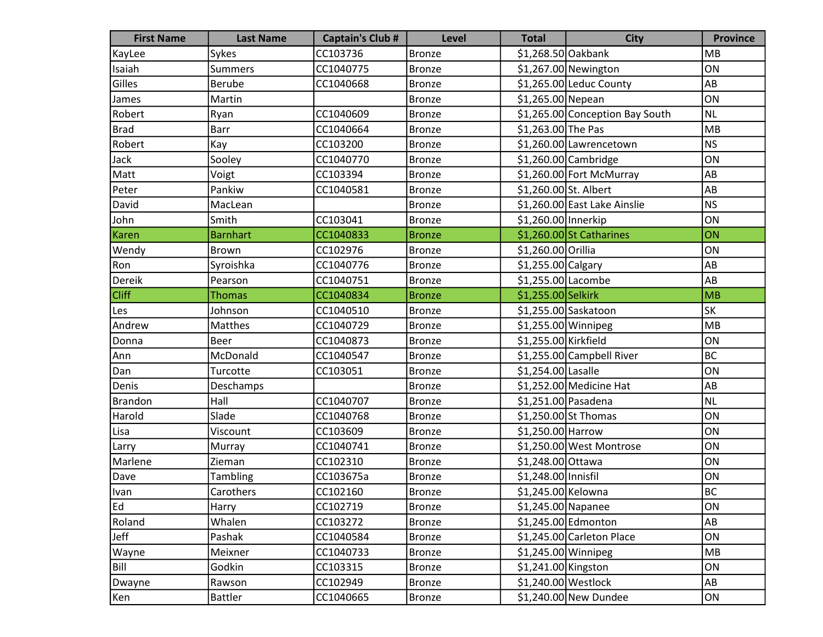| <b>First Name</b> | <b>Last Name</b> | <b>Captain's Club #</b> | <b>Level</b>  | <b>Total</b>          | <b>City</b>                     | <b>Province</b> |
|-------------------|------------------|-------------------------|---------------|-----------------------|---------------------------------|-----------------|
| KayLee            | Sykes            | CC103736                | <b>Bronze</b> | \$1,268.50 Oakbank    |                                 | <b>MB</b>       |
| Isaiah            | <b>Summers</b>   | CC1040775               | <b>Bronze</b> |                       | $$1,267.00$ Newington           | ON              |
| Gilles            | <b>Berube</b>    | CC1040668               | <b>Bronze</b> |                       | \$1,265.00 Leduc County         | AB              |
| James             | Martin           |                         | <b>Bronze</b> | \$1,265.00 Nepean     |                                 | ON              |
| Robert            | Ryan             | CC1040609               | <b>Bronze</b> |                       | \$1,265.00 Conception Bay South | <b>NL</b>       |
| <b>Brad</b>       | <b>Barr</b>      | CC1040664               | <b>Bronze</b> | \$1,263.00 The Pas    |                                 | MB              |
| Robert            | Kay              | CC103200                | <b>Bronze</b> |                       | \$1,260.00 Lawrencetown         | <b>NS</b>       |
| Jack              | Sooley           | CC1040770               | <b>Bronze</b> |                       | \$1,260.00 Cambridge            | ON              |
| Matt              | Voigt            | CC103394                | <b>Bronze</b> |                       | \$1,260.00 Fort McMurray        | AB              |
| Peter             | Pankiw           | CC1040581               | <b>Bronze</b> | \$1,260.00 St. Albert |                                 | AB              |
| David             | MacLean          |                         | <b>Bronze</b> |                       | \$1,260.00 East Lake Ainslie    | <b>NS</b>       |
| John              | Smith            | CC103041                | <b>Bronze</b> | \$1,260.00 Innerkip   |                                 | ON              |
| <b>Karen</b>      | <b>Barnhart</b>  | CC1040833               | <b>Bronze</b> |                       | \$1,260.00 St Catharines        | ON              |
| Wendy             | <b>Brown</b>     | CC102976                | <b>Bronze</b> | \$1,260.00 Orillia    |                                 | ON              |
| Ron               | Syroishka        | CC1040776               | <b>Bronze</b> | $$1,255.00$ Calgary   |                                 | AB              |
| Dereik            | Pearson          | CC1040751               | <b>Bronze</b> | \$1,255.00 Lacombe    |                                 | AB              |
| <b>Cliff</b>      | <b>Thomas</b>    | CC1040834               | <b>Bronze</b> | \$1,255.00 Selkirk    |                                 | MB              |
| Les               | Johnson          | CC1040510               | <b>Bronze</b> |                       | \$1,255.00 Saskatoon            | <b>SK</b>       |
| Andrew            | Matthes          | CC1040729               | <b>Bronze</b> | $$1,255.00$ Winnipeg  |                                 | MB              |
| Donna             | <b>Beer</b>      | CC1040873               | <b>Bronze</b> | \$1,255.00 Kirkfield  |                                 | ON              |
| Ann               | McDonald         | CC1040547               | <b>Bronze</b> |                       | \$1,255.00 Campbell River       | <b>BC</b>       |
| Dan               | Turcotte         | CC103051                | <b>Bronze</b> | \$1,254.00 Lasalle    |                                 | ON              |
| Denis             | Deschamps        |                         | <b>Bronze</b> |                       | \$1,252.00 Medicine Hat         | AB              |
| Brandon           | Hall             | CC1040707               | <b>Bronze</b> | \$1,251.00 Pasadena   |                                 | <b>NL</b>       |
| Harold            | Slade            | CC1040768               | <b>Bronze</b> |                       | $$1,250.00$ St Thomas           | ON              |
| Lisa              | Viscount         | CC103609                | <b>Bronze</b> | $$1,250.00$ Harrow    |                                 | ON              |
| Larry             | Murray           | CC1040741               | <b>Bronze</b> |                       | \$1,250.00 West Montrose        | ON              |
| Marlene           | Zieman           | CC102310                | <b>Bronze</b> | \$1,248.00 Ottawa     |                                 | ON              |
| Dave              | <b>Tambling</b>  | CC103675a               | <b>Bronze</b> | \$1,248.00 Innisfil   |                                 | ON              |
| Ivan              | Carothers        | CC102160                | Bronze        | \$1,245.00 Kelowna    |                                 | BC              |
| Ed                | Harry            | CC102719                | <b>Bronze</b> | \$1,245.00 Napanee    |                                 | ON              |
| Roland            | Whalen           | CC103272                | <b>Bronze</b> |                       | \$1,245.00 Edmonton             | AB              |
| Jeff              | Pashak           | CC1040584               | <b>Bronze</b> |                       | \$1,245.00 Carleton Place       | ON              |
| Wayne             | Meixner          | CC1040733               | <b>Bronze</b> | $$1,245.00$ Winnipeg  |                                 | MB              |
| Bill              | Godkin           | CC103315                | <b>Bronze</b> | \$1,241.00 Kingston   |                                 | ON              |
| Dwayne            | Rawson           | CC102949                | <b>Bronze</b> | \$1,240.00 Westlock   |                                 | AB              |
| Ken               | <b>Battler</b>   | CC1040665               | <b>Bronze</b> |                       | \$1,240.00 New Dundee           | ON              |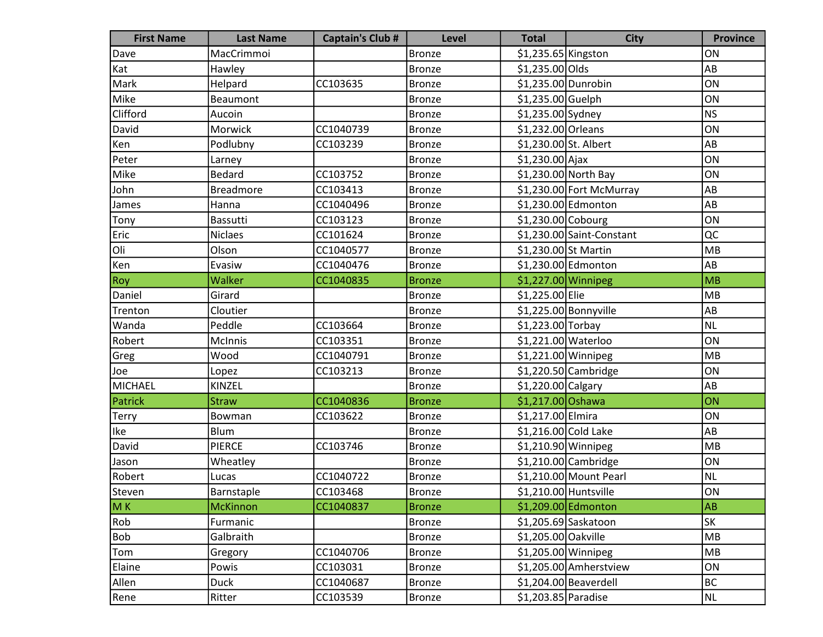| <b>First Name</b> | <b>Last Name</b> | <b>Captain's Club #</b> | <b>Level</b>  | <b>Total</b>          | <b>City</b>               | <b>Province</b> |
|-------------------|------------------|-------------------------|---------------|-----------------------|---------------------------|-----------------|
| Dave              | MacCrimmoi       |                         | <b>Bronze</b> | \$1,235.65 Kingston   |                           | ON              |
| Kat               | Hawley           |                         | <b>Bronze</b> | \$1,235.00 Olds       |                           | AB              |
| Mark              | Helpard          | CC103635                | <b>Bronze</b> | \$1,235.00 Dunrobin   |                           | ON              |
| Mike              | Beaumont         |                         | <b>Bronze</b> | \$1,235.00 Guelph     |                           | ON              |
| Clifford          | Aucoin           |                         | <b>Bronze</b> | \$1,235.00 Sydney     |                           | NS              |
| David             | Morwick          | CC1040739               | <b>Bronze</b> | \$1,232.00 Orleans    |                           | ON              |
| Ken               | Podlubny         | CC103239                | <b>Bronze</b> | \$1,230.00 St. Albert |                           | AB              |
| Peter             | Larney           |                         | <b>Bronze</b> | $$1,230.00$ Ajax      |                           | ON              |
| Mike              | <b>Bedard</b>    | CC103752                | <b>Bronze</b> |                       | \$1,230.00 North Bay      | ON              |
| John              | <b>Breadmore</b> | CC103413                | <b>Bronze</b> |                       | \$1,230.00 Fort McMurray  | AB              |
| James             | Hanna            | CC1040496               | <b>Bronze</b> |                       | \$1,230.00 Edmonton       | AB              |
| Tony              | Bassutti         | CC103123                | <b>Bronze</b> | \$1,230.00 Cobourg    |                           | ON              |
| Eric              | <b>Niclaes</b>   | CC101624                | <b>Bronze</b> |                       | \$1,230.00 Saint-Constant | QC              |
| Oli               | Olson            | CC1040577               | <b>Bronze</b> | \$1,230.00 St Martin  |                           | MB              |
| Ken               | Evasiw           | CC1040476               | <b>Bronze</b> |                       | \$1,230.00 Edmonton       | AB              |
| Roy               | Walker           | CC1040835               | <b>Bronze</b> | \$1,227.00 Winnipeg   |                           | MB              |
| Daniel            | Girard           |                         | <b>Bronze</b> | \$1,225.00 Elie       |                           | MB              |
| Trenton           | Cloutier         |                         | <b>Bronze</b> |                       | $$1,225.00$ Bonnyville    | AB              |
| Wanda             | Peddle           | CC103664                | <b>Bronze</b> | \$1,223.00 Torbay     |                           | NL              |
| Robert            | McInnis          | CC103351                | <b>Bronze</b> | \$1,221.00 Waterloo   |                           | ON              |
| Greg              | Wood             | CC1040791               | <b>Bronze</b> | \$1,221.00 Winnipeg   |                           | MB              |
| Joe               | Lopez            | CC103213                | <b>Bronze</b> |                       | $$1,220.50$ Cambridge     | ON              |
| MICHAEL           | KINZEL           |                         | <b>Bronze</b> | \$1,220.00 Calgary    |                           | AB              |
| Patrick           | <b>Straw</b>     | CC1040836               | <b>Bronze</b> | \$1,217.00 Oshawa     |                           | ON              |
| Terry             | Bowman           | CC103622                | <b>Bronze</b> | \$1,217.00 Elmira     |                           | ON              |
| Ike               | Blum             |                         | <b>Bronze</b> | \$1,216.00 Cold Lake  |                           | AB              |
| David             | <b>PIERCE</b>    | CC103746                | <b>Bronze</b> | \$1,210.90 Winnipeg   |                           | MB              |
| Jason             | Wheatley         |                         | <b>Bronze</b> |                       | $$1,210.00$ Cambridge     | ON              |
| Robert            | Lucas            | CC1040722               | <b>Bronze</b> |                       | \$1,210.00 Mount Pearl    | NL              |
| Steven            | Barnstaple       | CC103468                | Bronze        | \$1,210.00 Huntsville |                           | ON              |
| M <sub>K</sub>    | McKinnon         | CC1040837               | <b>Bronze</b> |                       | \$1,209.00 Edmonton       | AB              |
| Rob               | Furmanic         |                         | <b>Bronze</b> |                       | \$1,205.69 Saskatoon      | <b>SK</b>       |
| Bob               | Galbraith        |                         | <b>Bronze</b> | \$1,205.00 Oakville   |                           | MB              |
| Tom               | Gregory          | CC1040706               | <b>Bronze</b> | $$1,205.00$ Winnipeg  |                           | MB              |
| Elaine            | Powis            | CC103031                | <b>Bronze</b> |                       | \$1,205.00 Amherstview    | ON              |
| Allen             | <b>Duck</b>      | CC1040687               | <b>Bronze</b> |                       | $$1,204.00$ Beaverdell    | BC              |
| Rene              | Ritter           | CC103539                | <b>Bronze</b> | \$1,203.85 Paradise   |                           | <b>NL</b>       |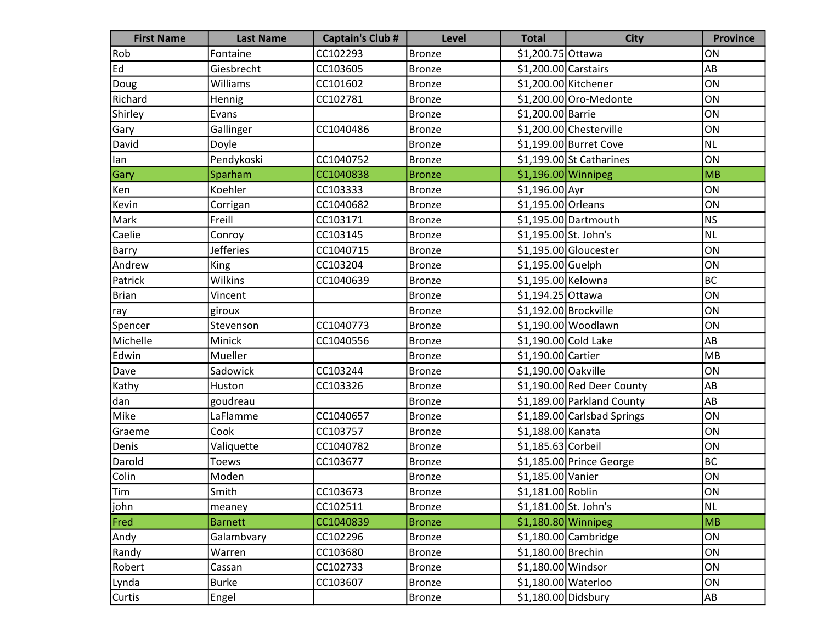| <b>First Name</b> | <b>Last Name</b> | <b>Captain's Club #</b> | <b>Level</b>  | <b>Total</b>          | <b>City</b>                 | <b>Province</b> |
|-------------------|------------------|-------------------------|---------------|-----------------------|-----------------------------|-----------------|
| Rob               | Fontaine         | CC102293                | <b>Bronze</b> | \$1,200.75 Ottawa     |                             | ON              |
| Ed                | Giesbrecht       | CC103605                | <b>Bronze</b> | $$1,200.00$ Carstairs |                             | AB              |
| Doug              | Williams         | CC101602                | <b>Bronze</b> |                       | \$1,200.00 Kitchener        | ON              |
| Richard           | Hennig           | CC102781                | <b>Bronze</b> |                       | \$1,200.00 Oro-Medonte      | ON              |
| Shirley           | Evans            |                         | <b>Bronze</b> | \$1,200.00 Barrie     |                             | ON              |
| Gary              | Gallinger        | CC1040486               | <b>Bronze</b> |                       | \$1,200.00 Chesterville     | ON              |
| David             | Doyle            |                         | <b>Bronze</b> |                       | \$1,199.00 Burret Cove      | <b>NL</b>       |
| lan               | Pendykoski       | CC1040752               | <b>Bronze</b> |                       | \$1,199.00 St Catharines    | ON              |
| Gary              | Sparham          | CC1040838               | <b>Bronze</b> | $$1,196.00$ Winnipeg  |                             | <b>MB</b>       |
| Ken               | Koehler          | CC103333                | <b>Bronze</b> | $$1,196.00$ Ayr       |                             | ON              |
| Kevin             | Corrigan         | CC1040682               | <b>Bronze</b> | \$1,195.00 Orleans    |                             | ON              |
| Mark              | Freill           | CC103171                | <b>Bronze</b> |                       | $$1,195.00$ Dartmouth       | <b>NS</b>       |
| Caelie            | Conroy           | CC103145                | <b>Bronze</b> | \$1,195.00 St. John's |                             | <b>NL</b>       |
| Barry             | <b>Jefferies</b> | CC1040715               | <b>Bronze</b> |                       | $$1,195.00$ Gloucester      | ON              |
| Andrew            | King             | CC103204                | <b>Bronze</b> | \$1,195.00 Guelph     |                             | ON              |
| Patrick           | Wilkins          | CC1040639               | <b>Bronze</b> | \$1,195.00 Kelowna    |                             | <b>BC</b>       |
| Brian             | Vincent          |                         | <b>Bronze</b> | \$1,194.25 Ottawa     |                             | ON              |
| ray               | giroux           |                         | <b>Bronze</b> | \$1,192.00 Brockville |                             | ON              |
| Spencer           | Stevenson        | CC1040773               | <b>Bronze</b> |                       | \$1,190.00 Woodlawn         | ON              |
| Michelle          | Minick           | CC1040556               | <b>Bronze</b> | \$1,190.00 Cold Lake  |                             | AB              |
| Edwin             | Mueller          |                         | <b>Bronze</b> | \$1,190.00 Cartier    |                             | MB              |
| Dave              | Sadowick         | CC103244                | <b>Bronze</b> | \$1,190.00 Oakville   |                             | ON              |
| Kathy             | Huston           | CC103326                | <b>Bronze</b> |                       | \$1,190.00 Red Deer County  | AB              |
| dan               | goudreau         |                         | <b>Bronze</b> |                       | \$1,189.00 Parkland County  | AB              |
| Mike              | LaFlamme         | CC1040657               | <b>Bronze</b> |                       | \$1,189.00 Carlsbad Springs | ON              |
| Graeme            | Cook             | CC103757                | <b>Bronze</b> | \$1,188.00 Kanata     |                             | ON              |
| Denis             | Valiquette       | CC1040782               | <b>Bronze</b> | \$1,185.63 Corbeil    |                             | ON              |
| Darold            | <b>Toews</b>     | CC103677                | <b>Bronze</b> |                       | \$1,185.00 Prince George    | <b>BC</b>       |
| Colin             | Moden            |                         | <b>Bronze</b> | \$1,185.00 Vanier     |                             | ON              |
| <b>Tim</b>        | Smith            | CC103673                | Bronze        | \$1,181.00 Roblin     |                             | ON              |
| john              | meaney           | CC102511                | <b>Bronze</b> | \$1,181.00 St. John's |                             | <b>NL</b>       |
| Fred              | <b>Barnett</b>   | CC1040839               | <b>Bronze</b> | $$1,180.80$ Winnipeg  |                             | <b>MB</b>       |
| Andy              | Galambvary       | CC102296                | <b>Bronze</b> |                       | $$1,180.00$ Cambridge       | ON              |
| Randy             | Warren           | CC103680                | <b>Bronze</b> | \$1,180.00 Brechin    |                             | ON              |
| Robert            | Cassan           | CC102733                | <b>Bronze</b> | \$1,180.00 Windsor    |                             | ON              |
| Lynda             | <b>Burke</b>     | CC103607                | <b>Bronze</b> | \$1,180.00 Waterloo   |                             | ON              |
| Curtis            | Engel            |                         | <b>Bronze</b> | \$1,180.00 Didsbury   |                             | A <sub>B</sub>  |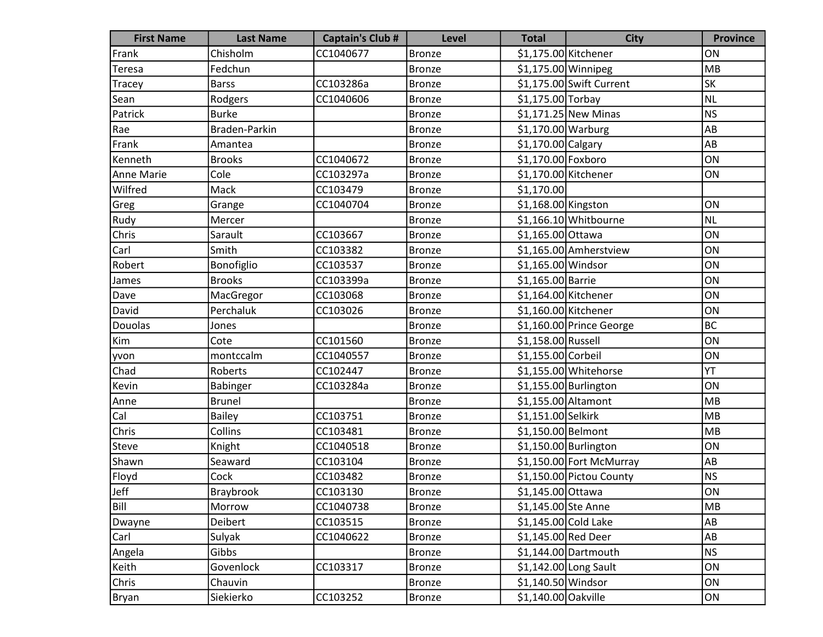| <b>First Name</b> | <b>Last Name</b> | <b>Captain's Club #</b> | Level         | <b>Total</b>         | <b>City</b>               | <b>Province</b> |
|-------------------|------------------|-------------------------|---------------|----------------------|---------------------------|-----------------|
| Frank             | Chisholm         | CC1040677               | <b>Bronze</b> | \$1,175.00 Kitchener |                           | ON              |
| Teresa            | Fedchun          |                         | <b>Bronze</b> | \$1,175.00 Winnipeg  |                           | MB              |
| Tracey            | <b>Barss</b>     | CC103286a               | <b>Bronze</b> |                      | $$1,175.00$ Swift Current | <b>SK</b>       |
| Sean              | Rodgers          | CC1040606               | <b>Bronze</b> | \$1,175.00 Torbay    |                           | <b>NL</b>       |
| Patrick           | <b>Burke</b>     |                         | <b>Bronze</b> |                      | $$1,171.25$ New Minas     | <b>NS</b>       |
| Rae               | Braden-Parkin    |                         | <b>Bronze</b> | $$1,170.00$ Warburg  |                           | AB              |
| Frank             | Amantea          |                         | <b>Bronze</b> | \$1,170.00 Calgary   |                           | AB              |
| Kenneth           | <b>Brooks</b>    | CC1040672               | <b>Bronze</b> | \$1,170.00 Foxboro   |                           | ON              |
| Anne Marie        | Cole             | CC103297a               | <b>Bronze</b> |                      | \$1,170.00 Kitchener      | ON              |
| Wilfred           | Mack             | CC103479                | <b>Bronze</b> | \$1,170.00           |                           |                 |
| Greg              | Grange           | CC1040704               | <b>Bronze</b> | $$1,168.00$ Kingston |                           | ON              |
| Rudy              | Mercer           |                         | <b>Bronze</b> |                      | $$1,166.10$ Whitbourne    | <b>NL</b>       |
| Chris             | Sarault          | CC103667                | <b>Bronze</b> | \$1,165.00 Ottawa    |                           | ON              |
| Carl              | Smith            | CC103382                | <b>Bronze</b> |                      | \$1,165.00 Amherstview    | ON              |
| Robert            | Bonofiglio       | CC103537                | <b>Bronze</b> | \$1,165.00 Windsor   |                           | ON              |
| James             | <b>Brooks</b>    | CC103399a               | <b>Bronze</b> | \$1,165.00 Barrie    |                           | ON              |
| Dave              | MacGregor        | CC103068                | Bronze        |                      | \$1,164.00 Kitchener      | ON              |
| David             | Perchaluk        | CC103026                | <b>Bronze</b> |                      | $$1,160.00$ Kitchener     | ON              |
| Douolas           | Jones            |                         | <b>Bronze</b> |                      | \$1,160.00 Prince George  | <b>BC</b>       |
| Kim               | Cote             | CC101560                | <b>Bronze</b> | \$1,158.00 Russell   |                           | ON              |
| yvon              | montccalm        | CC1040557               | <b>Bronze</b> | \$1,155.00 Corbeil   |                           | ON              |
| Chad              | Roberts          | CC102447                | <b>Bronze</b> |                      | \$1,155.00 Whitehorse     | YT              |
| Kevin             | Babinger         | CC103284a               | <b>Bronze</b> |                      | $$1,155.00$ Burlington    | ON              |
| Anne              | <b>Brunel</b>    |                         | <b>Bronze</b> | \$1,155.00 Altamont  |                           | <b>MB</b>       |
| Cal               | Bailey           | CC103751                | <b>Bronze</b> | \$1,151.00 Selkirk   |                           | <b>MB</b>       |
| Chris             | Collins          | CC103481                | <b>Bronze</b> | \$1,150.00 Belmont   |                           | <b>MB</b>       |
| Steve             | Knight           | CC1040518               | <b>Bronze</b> |                      | $$1,150.00$ Burlington    | ON              |
| Shawn             | Seaward          | CC103104                | <b>Bronze</b> |                      | \$1,150.00 Fort McMurray  | AB              |
| Floyd             | Cock             | CC103482                | <b>Bronze</b> |                      | \$1,150.00 Pictou County  | <b>NS</b>       |
| Jeff              | Braybrook        | CC103130                | <b>Bronze</b> | \$1,145.00 Ottawa    |                           | ON              |
| Bill              | Morrow           | CC1040738               | <b>Bronze</b> | \$1,145.00 Ste Anne  |                           | <b>MB</b>       |
| Dwayne            | Deibert          | CC103515                | <b>Bronze</b> |                      | $$1,145.00$ Cold Lake     | AB              |
| Carl              | Sulyak           | CC1040622               | <b>Bronze</b> | \$1,145.00 Red Deer  |                           | AB              |
| Angela            | Gibbs            |                         | <b>Bronze</b> |                      | $$1,144.00$ Dartmouth     | N <sub>S</sub>  |
| Keith             | Govenlock        | CC103317                | <b>Bronze</b> |                      | $$1,142.00$ Long Sault    | ON              |
| Chris             | Chauvin          |                         | <b>Bronze</b> | $$1,140.50$ Windsor  |                           | ON              |
| Bryan             | Siekierko        | CC103252                | <b>Bronze</b> | \$1,140.00 Oakville  |                           | ON              |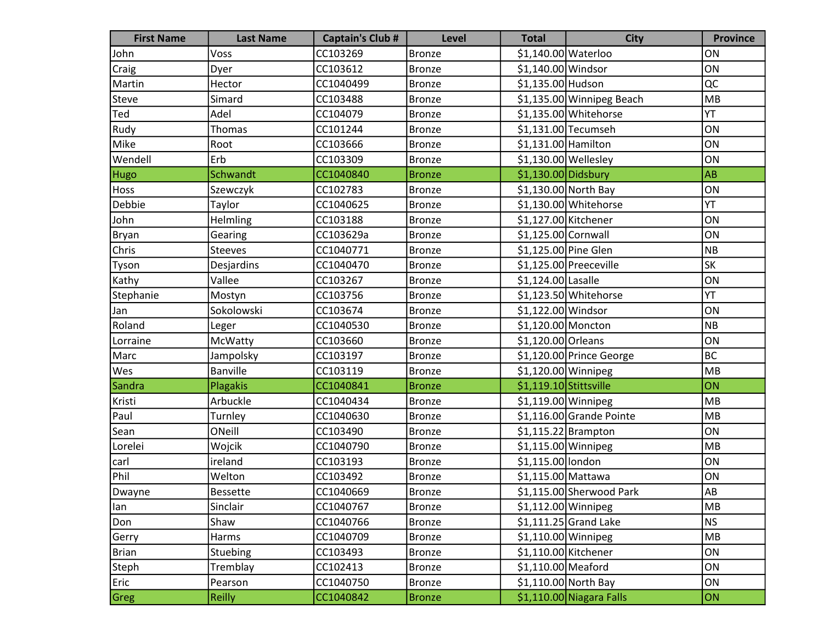| <b>First Name</b> | <b>Last Name</b> | <b>Captain's Club #</b> | <b>Level</b>  | <b>Total</b>            | <b>City</b>               | <b>Province</b> |
|-------------------|------------------|-------------------------|---------------|-------------------------|---------------------------|-----------------|
| John              | Voss             | CC103269                | <b>Bronze</b> | \$1,140.00 Waterloo     |                           | ON              |
| Craig             | Dyer             | CC103612                | <b>Bronze</b> | \$1,140.00 Windsor      |                           | ON              |
| Martin            | Hector           | CC1040499               | <b>Bronze</b> | \$1,135.00 Hudson       |                           | QC              |
| Steve             | Simard           | CC103488                | <b>Bronze</b> |                         | \$1,135.00 Winnipeg Beach | MB              |
| Ted               | Adel             | CC104079                | <b>Bronze</b> |                         | \$1,135.00 Whitehorse     | YT              |
| Rudy              | <b>Thomas</b>    | CC101244                | <b>Bronze</b> |                         | $$1,131.00$ Tecumseh      | ON              |
| Mike              | Root             | CC103666                | <b>Bronze</b> | $$1,131.00$ Hamilton    |                           | ON              |
| Wendell           | Erb              | CC103309                | <b>Bronze</b> | $$1,130.00$ Wellesley   |                           | ON              |
| <b>Hugo</b>       | Schwandt         | CC1040840               | <b>Bronze</b> | $$1,130.00$ Didsbury    |                           | <b>AB</b>       |
| Hoss              | Szewczyk         | CC102783                | <b>Bronze</b> |                         | \$1,130.00 North Bay      | ON              |
| Debbie            | Taylor           | CC1040625               | <b>Bronze</b> |                         | $$1,130.00$ Whitehorse    | YT              |
| John              | Helmling         | CC103188                | <b>Bronze</b> | \$1,127.00 Kitchener    |                           | ON              |
| Bryan             | Gearing          | CC103629a               | <b>Bronze</b> | \$1,125.00 Cornwall     |                           | ON              |
| Chris             | <b>Steeves</b>   | CC1040771               | <b>Bronze</b> | \$1,125.00 Pine Glen    |                           | <b>NB</b>       |
| Tyson             | Desjardins       | CC1040470               | <b>Bronze</b> |                         | \$1,125.00 Preeceville    | SK              |
| Kathy             | Vallee           | CC103267                | <b>Bronze</b> | \$1,124.00 Lasalle      |                           | ON              |
| Stephanie         | Mostyn           | CC103756                | <b>Bronze</b> |                         | $$1,123.50$ Whitehorse    | YT              |
| Jan               | Sokolowski       | CC103674                | <b>Bronze</b> | \$1,122.00 Windsor      |                           | ON              |
| Roland            | Leger            | CC1040530               | <b>Bronze</b> | \$1,120.00 Moncton      |                           | NB              |
| Lorraine          | McWatty          | CC103660                | <b>Bronze</b> | \$1,120.00 Orleans      |                           | ON              |
| Marc              | Jampolsky        | CC103197                | <b>Bronze</b> |                         | \$1,120.00 Prince George  | <b>BC</b>       |
| Wes               | <b>Banville</b>  | CC103119                | <b>Bronze</b> | $$1,120.00$ Winnipeg    |                           | MB              |
| Sandra            | Plagakis         | CC1040841               | <b>Bronze</b> | $$1,119.10$ Stittsville |                           | ON              |
| Kristi            | Arbuckle         | CC1040434               | <b>Bronze</b> | \$1,119.00 Winnipeg     |                           | MB              |
| Paul              | Turnley          | CC1040630               | <b>Bronze</b> |                         | \$1,116.00 Grande Pointe  | MB              |
| Sean              | ONeill           | CC103490                | <b>Bronze</b> |                         | $$1,115.22$ Brampton      | ON              |
| Lorelei           | Wojcik           | CC1040790               | <b>Bronze</b> | \$1,115.00 Winnipeg     |                           | MB              |
| carl              | ireland          | CC103193                | <b>Bronze</b> | \$1,115.00 london       |                           | ON              |
| Phil              | Welton           | CC103492                | <b>Bronze</b> | \$1,115.00 Mattawa      |                           | ON              |
| Dwayne            | <b>Bessette</b>  | CC1040669               | Bronze        |                         | \$1,115.00 Sherwood Park  | AB              |
| lan               | Sinclair         | CC1040767               | <b>Bronze</b> | \$1,112.00 Winnipeg     |                           | MB              |
| Don               | Shaw             | CC1040766               | <b>Bronze</b> |                         | $$1,111.25$ Grand Lake    | <b>NS</b>       |
| Gerry             | Harms            | CC1040709               | <b>Bronze</b> | $$1,110.00$ Winnipeg    |                           | MB              |
| <b>Brian</b>      | Stuebing         | CC103493                | <b>Bronze</b> | $$1,110.00$ Kitchener   |                           | ON              |
| Steph             | Tremblay         | CC102413                | <b>Bronze</b> | \$1,110.00 Meaford      |                           | ON              |
| Eric              | Pearson          | CC1040750               | <b>Bronze</b> |                         | \$1,110.00 North Bay      | ON              |
| Greg              | <b>Reilly</b>    | CC1040842               | <b>Bronze</b> |                         | \$1,110.00 Niagara Falls  | ON              |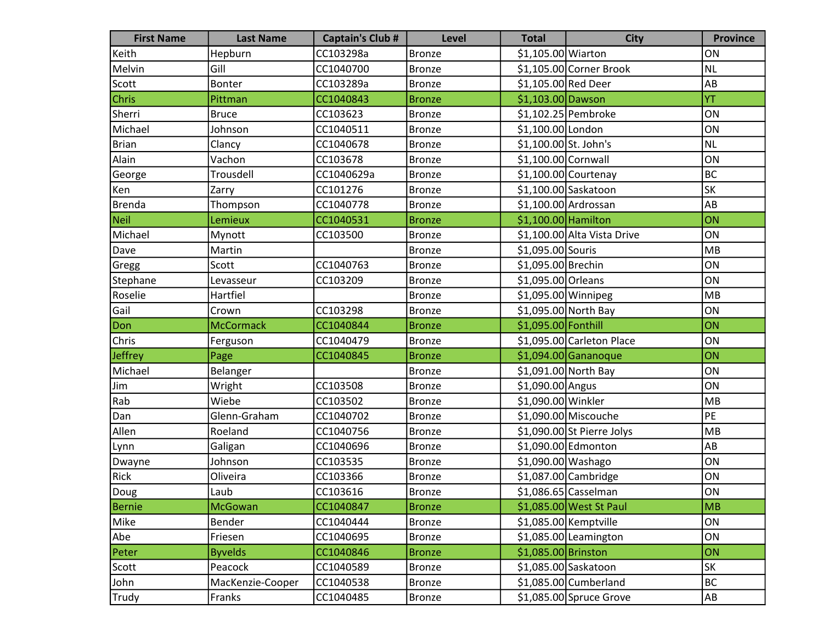| <b>First Name</b> | <b>Last Name</b> | <b>Captain's Club #</b> | <b>Level</b>  | <b>Total</b>          | <b>City</b>                 | <b>Province</b> |
|-------------------|------------------|-------------------------|---------------|-----------------------|-----------------------------|-----------------|
| Keith             | Hepburn          | CC103298a               | <b>Bronze</b> | \$1,105.00 Wiarton    |                             | ON              |
| Melvin            | Gill             | CC1040700               | <b>Bronze</b> |                       | \$1,105.00 Corner Brook     | NL              |
| Scott             | Bonter           | CC103289a               | <b>Bronze</b> | \$1,105.00 Red Deer   |                             | AB              |
| Chris             | Pittman          | CC1040843               | <b>Bronze</b> | \$1,103.00 Dawson     |                             | YT              |
| Sherri            | <b>Bruce</b>     | CC103623                | <b>Bronze</b> |                       | \$1,102.25 Pembroke         | ON              |
| Michael           | Johnson          | CC1040511               | <b>Bronze</b> | \$1,100.00 London     |                             | ON              |
| Brian             | Clancy           | CC1040678               | <b>Bronze</b> | \$1,100.00 St. John's |                             | NL              |
| Alain             | Vachon           | CC103678                | <b>Bronze</b> | \$1,100.00 Cornwall   |                             | ON              |
| George            | Trousdell        | CC1040629a              | <b>Bronze</b> |                       | $$1,100.00$ Courtenay       | BC              |
| Ken               | Zarry            | CC101276                | <b>Bronze</b> |                       | \$1,100.00 Saskatoon        | <b>SK</b>       |
| Brenda            | Thompson         | CC1040778               | <b>Bronze</b> |                       | $$1,100.00$ Ardrossan       | AB              |
| Neil              | Lemieux          | CC1040531               | <b>Bronze</b> | \$1,100.00 Hamilton   |                             | ON              |
| Michael           | Mynott           | CC103500                | <b>Bronze</b> |                       | \$1,100.00 Alta Vista Drive | ON              |
| Dave              | Martin           |                         | <b>Bronze</b> | \$1,095.00 Souris     |                             | MB              |
| Gregg             | Scott            | CC1040763               | <b>Bronze</b> | \$1,095.00 Brechin    |                             | ON              |
| Stephane          | Levasseur        | CC103209                | <b>Bronze</b> | \$1,095.00 Orleans    |                             | ON              |
| Roselie           | Hartfiel         |                         | <b>Bronze</b> | \$1,095.00 Winnipeg   |                             | MB              |
| Gail              | Crown            | CC103298                | <b>Bronze</b> |                       | \$1,095.00 North Bay        | ON              |
| Don               | <b>McCormack</b> | CC1040844               | <b>Bronze</b> | \$1,095.00 Fonthill   |                             | ON              |
| Chris             | Ferguson         | CC1040479               | <b>Bronze</b> |                       | \$1,095.00 Carleton Place   | ON              |
| Jeffrey           | Page             | CC1040845               | <b>Bronze</b> |                       | $$1,094.00$ Gananoque       | ON              |
| Michael           | Belanger         |                         | <b>Bronze</b> |                       | \$1,091.00 North Bay        | ON              |
| Jim               | Wright           | CC103508                | <b>Bronze</b> | \$1,090.00 Angus      |                             | ON              |
| Rab               | Wiebe            | CC103502                | <b>Bronze</b> | \$1,090.00 Winkler    |                             | MB              |
| Dan               | Glenn-Graham     | CC1040702               | <b>Bronze</b> |                       | \$1,090.00 Miscouche        | PE              |
| Allen             | Roeland          | CC1040756               | <b>Bronze</b> |                       | $$1,090.00$ St Pierre Jolys | MB              |
| Lynn              | Galigan          | CC1040696               | <b>Bronze</b> |                       | \$1,090.00 Edmonton         | AB              |
| Dwayne            | Johnson          | CC103535                | <b>Bronze</b> | \$1,090.00 Washago    |                             | ON              |
| Rick              | Oliveira         | CC103366                | <b>Bronze</b> |                       | $$1,087.00$ Cambridge       | ON              |
| Doug              | Laub             | CC103616                | Bronze        |                       | $$1,086.65$ Casselman       | ON              |
| Bernie            | McGowan          | CC1040847               | <b>Bronze</b> |                       | \$1,085.00 West St Paul     | MB              |
| Mike              | Bender           | CC1040444               | <b>Bronze</b> |                       | \$1,085.00 Kemptville       | ON              |
| Abe               | Friesen          | CC1040695               | <b>Bronze</b> |                       | \$1,085.00 Leamington       | ON              |
| Peter             | <b>Byvelds</b>   | CC1040846               | <b>Bronze</b> | \$1,085.00 Brinston   |                             | ON              |
| Scott             | Peacock          | CC1040589               | <b>Bronze</b> |                       | \$1,085.00 Saskatoon        | <b>SK</b>       |
| John              | MacKenzie-Cooper | CC1040538               | <b>Bronze</b> |                       | \$1,085.00 Cumberland       | BC              |
| Trudy             | Franks           | CC1040485               | <b>Bronze</b> |                       | $$1,085.00$ Spruce Grove    | AB              |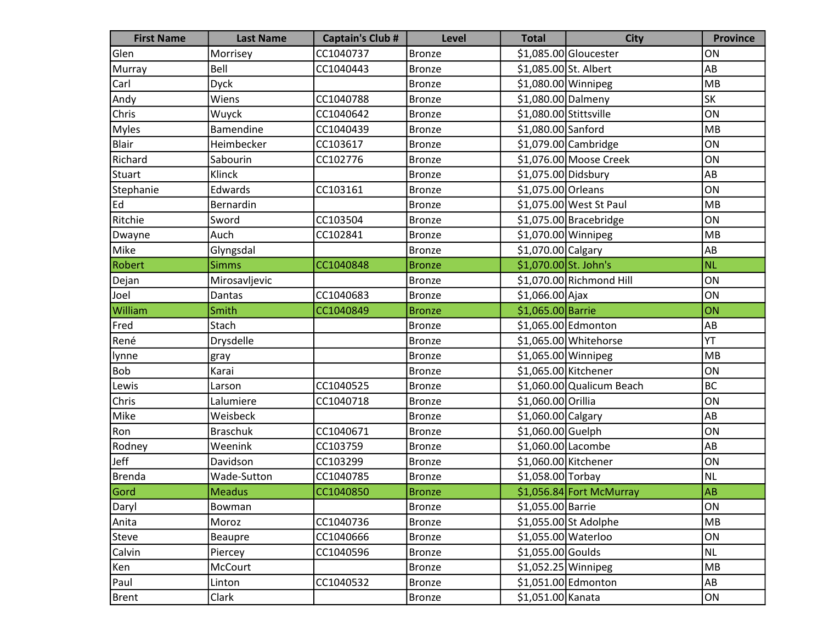| <b>First Name</b> | <b>Last Name</b> | <b>Captain's Club #</b> | <b>Level</b>  | <b>Total</b>           | <b>City</b>               | <b>Province</b> |
|-------------------|------------------|-------------------------|---------------|------------------------|---------------------------|-----------------|
| Glen              | Morrisey         | CC1040737               | <b>Bronze</b> |                        | \$1,085.00 Gloucester     | ON              |
| Murray            | Bell             | CC1040443               | <b>Bronze</b> | \$1,085.00 St. Albert  |                           | AB              |
| Carl              | <b>Dyck</b>      |                         | <b>Bronze</b> | \$1,080.00 Winnipeg    |                           | MB              |
| Andy              | Wiens            | CC1040788               | <b>Bronze</b> | \$1,080.00 Dalmeny     |                           | <b>SK</b>       |
| Chris             | Wuyck            | CC1040642               | <b>Bronze</b> | \$1,080.00 Stittsville |                           | ON              |
| Myles             | Bamendine        | CC1040439               | <b>Bronze</b> | \$1,080.00 Sanford     |                           | MB              |
| Blair             | Heimbecker       | CC103617                | <b>Bronze</b> |                        | $$1,079.00$ Cambridge     | ON              |
| Richard           | Sabourin         | CC102776                | <b>Bronze</b> |                        | \$1,076.00 Moose Creek    | ON              |
| Stuart            | Klinck           |                         | <b>Bronze</b> | \$1,075.00 Didsbury    |                           | AB              |
| Stephanie         | Edwards          | CC103161                | <b>Bronze</b> | \$1,075.00 Orleans     |                           | ON              |
| Ed                | Bernardin        |                         | <b>Bronze</b> |                        | \$1,075.00 West St Paul   | MB              |
| Ritchie           | Sword            | CC103504                | <b>Bronze</b> |                        | \$1,075.00 Bracebridge    | ON              |
| Dwayne            | Auch             | CC102841                | <b>Bronze</b> | \$1,070.00 Winnipeg    |                           | MB              |
| Mike              | Glyngsdal        |                         | <b>Bronze</b> | \$1,070.00 Calgary     |                           | AB              |
| Robert            | <b>Simms</b>     | CC1040848               | <b>Bronze</b> | \$1,070.00 St. John's  |                           | <b>NL</b>       |
| Dejan             | Mirosavljevic    |                         | <b>Bronze</b> |                        | \$1,070.00 Richmond Hill  | ON              |
| Joel              | Dantas           | CC1040683               | <b>Bronze</b> | $$1,066.00$ Ajax       |                           | ON              |
| William           | Smith            | CC1040849               | <b>Bronze</b> | \$1,065.00 Barrie      |                           | ON              |
| Fred              | Stach            |                         | <b>Bronze</b> |                        | \$1,065.00 Edmonton       | AB              |
| René              | Drysdelle        |                         | <b>Bronze</b> |                        | \$1,065.00 Whitehorse     | YT              |
| lynne             | gray             |                         | <b>Bronze</b> | \$1,065.00 Winnipeg    |                           | MB              |
| Bob               | Karai            |                         | <b>Bronze</b> | \$1,065.00 Kitchener   |                           | ON              |
| Lewis             | Larson           | CC1040525               | <b>Bronze</b> |                        | \$1,060.00 Qualicum Beach | BC              |
| <b>Chris</b>      | Lalumiere        | CC1040718               | <b>Bronze</b> | \$1,060.00 Orillia     |                           | ON              |
| Mike              | Weisbeck         |                         | Bronze        | \$1,060.00 Calgary     |                           | AB              |
| Ron               | <b>Braschuk</b>  | CC1040671               | <b>Bronze</b> | \$1,060.00 Guelph      |                           | ON              |
| Rodney            | Weenink          | CC103759                | <b>Bronze</b> | \$1,060.00 Lacombe     |                           | AB              |
| Jeff              | Davidson         | CC103299                | <b>Bronze</b> | \$1,060.00 Kitchener   |                           | ON              |
| Brenda            | Wade-Sutton      | CC1040785               | <b>Bronze</b> | \$1,058.00 Torbay      |                           | NL              |
| Gord              | Meadus           | CC1040850               | <b>Bronze</b> |                        | \$1,056.84 Fort McMurray  | <b>AB</b>       |
| Daryl             | Bowman           |                         | Bronze        | \$1,055.00 Barrie      |                           | ON              |
| Anita             | Moroz            | CC1040736               | <b>Bronze</b> |                        | \$1,055.00 St Adolphe     | MB              |
| Steve             | Beaupre          | CC1040666               | <b>Bronze</b> | \$1,055.00 Waterloo    |                           | ON              |
| Calvin            | Piercey          | CC1040596               | <b>Bronze</b> | $$1,055.00$ Goulds     |                           | NL              |
| Ken               | McCourt          |                         | <b>Bronze</b> | \$1,052.25 Winnipeg    |                           | MB              |
| Paul              | Linton           | CC1040532               | <b>Bronze</b> |                        | \$1,051.00 Edmonton       | AB              |
| Brent             | Clark            |                         | <b>Bronze</b> | \$1,051.00 Kanata      |                           | ON              |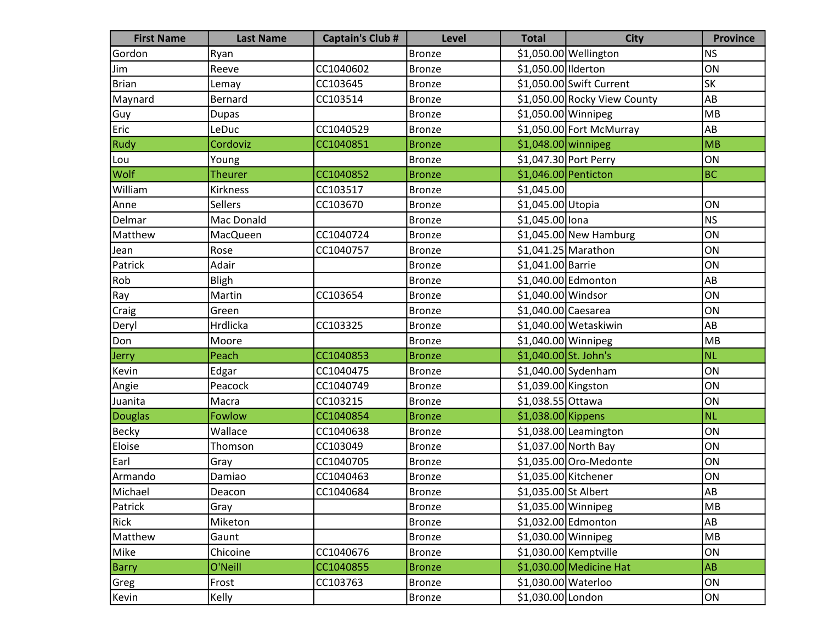| <b>First Name</b> | <b>Last Name</b> | <b>Captain's Club #</b> | <b>Level</b>  | <b>Total</b>          | <b>City</b>                  | <b>Province</b> |
|-------------------|------------------|-------------------------|---------------|-----------------------|------------------------------|-----------------|
| Gordon            | Ryan             |                         | <b>Bronze</b> |                       | \$1,050.00 Wellington        | NS              |
| Jim               | Reeve            | CC1040602               | <b>Bronze</b> | \$1,050.00 Ilderton   |                              | ON              |
| Brian             | Lemay            | CC103645                | <b>Bronze</b> |                       | \$1,050.00 Swift Current     | <b>SK</b>       |
| Maynard           | Bernard          | CC103514                | <b>Bronze</b> |                       | \$1,050.00 Rocky View County | AB              |
| Guy               | <b>Dupas</b>     |                         | <b>Bronze</b> | \$1,050.00 Winnipeg   |                              | MB              |
| Eric              | LeDuc            | CC1040529               | <b>Bronze</b> |                       | \$1,050.00 Fort McMurray     | AB              |
| <b>Rudy</b>       | Cordoviz         | CC1040851               | <b>Bronze</b> | $$1,048.00$ winnipeg  |                              | MB              |
| Lou               | Young            |                         | <b>Bronze</b> |                       | \$1,047.30 Port Perry        | ON              |
| <b>Wolf</b>       | <b>Theurer</b>   | CC1040852               | <b>Bronze</b> | \$1,046.00 Penticton  |                              | <b>BC</b>       |
| William           | Kirkness         | CC103517                | <b>Bronze</b> | \$1,045.00            |                              |                 |
| Anne              | <b>Sellers</b>   | CC103670                | <b>Bronze</b> | \$1,045.00 Utopia     |                              | ON              |
| Delmar            | Mac Donald       |                         | <b>Bronze</b> | \$1,045.00 lona       |                              | <b>NS</b>       |
| Matthew           | MacQueen         | CC1040724               | <b>Bronze</b> |                       | $$1,045.00$ New Hamburg      | ON              |
| Jean              | Rose             | CC1040757               | <b>Bronze</b> | $$1,041.25$ Marathon  |                              | ON              |
| Patrick           | Adair            |                         | <b>Bronze</b> | \$1,041.00 Barrie     |                              | ON              |
| Rob               | Bligh            |                         | <b>Bronze</b> |                       | \$1,040.00 Edmonton          | AB              |
| Ray               | Martin           | CC103654                | <b>Bronze</b> | \$1,040.00 Windsor    |                              | ON              |
| Craig             | Green            |                         | <b>Bronze</b> | \$1,040.00 Caesarea   |                              | ON              |
| Deryl             | Hrdlicka         | CC103325                | <b>Bronze</b> |                       | \$1,040.00 Wetaskiwin        | AB              |
| Don               | Moore            |                         | <b>Bronze</b> | $$1,040.00$ Winnipeg  |                              | MB              |
| Jerry             | Peach            | CC1040853               | <b>Bronze</b> | \$1,040.00 St. John's |                              | <b>NL</b>       |
| Kevin             | Edgar            | CC1040475               | <b>Bronze</b> |                       | $$1,040.00$ Sydenham         | ON              |
| Angie             | Peacock          | CC1040749               | <b>Bronze</b> | \$1,039.00 Kingston   |                              | ON              |
| Juanita           | Macra            | CC103215                | <b>Bronze</b> | \$1,038.55 Ottawa     |                              | ON              |
| Douglas           | Fowlow           | CC1040854               | <b>Bronze</b> | $$1,038.00$ Kippens   |                              | NL              |
| <b>Becky</b>      | Wallace          | CC1040638               | <b>Bronze</b> |                       | \$1,038.00 Leamington        | ON              |
| Eloise            | Thomson          | CC103049                | <b>Bronze</b> |                       | \$1,037.00 North Bay         | ON              |
| Earl              | Gray             | CC1040705               | <b>Bronze</b> |                       | \$1,035.00 Oro-Medonte       | ON              |
| Armando           | Damiao           | CC1040463               | <b>Bronze</b> | \$1,035.00 Kitchener  |                              | ON              |
| Michael           | Deacon           | CC1040684               | Bronze        | \$1,035.00 St Albert  |                              | AB              |
| Patrick           | Gray             |                         | Bronze        | \$1,035.00 Winnipeg   |                              | MB              |
| Rick              | Miketon          |                         | <b>Bronze</b> |                       | \$1,032.00 Edmonton          | AB              |
| Matthew           | Gaunt            |                         | <b>Bronze</b> | \$1,030.00 Winnipeg   |                              | MB              |
| Mike              | Chicoine         | CC1040676               | <b>Bronze</b> |                       | \$1,030.00 Kemptville        | ON              |
| <b>Barry</b>      | O'Neill          | CC1040855               | <b>Bronze</b> |                       | $$1,030.00$ Medicine Hat     | <b>AB</b>       |
| Greg              | Frost            | CC103763                | <b>Bronze</b> | \$1,030.00 Waterloo   |                              | ON              |
| Kevin             | Kelly            |                         | <b>Bronze</b> | \$1,030.00 London     |                              | ON              |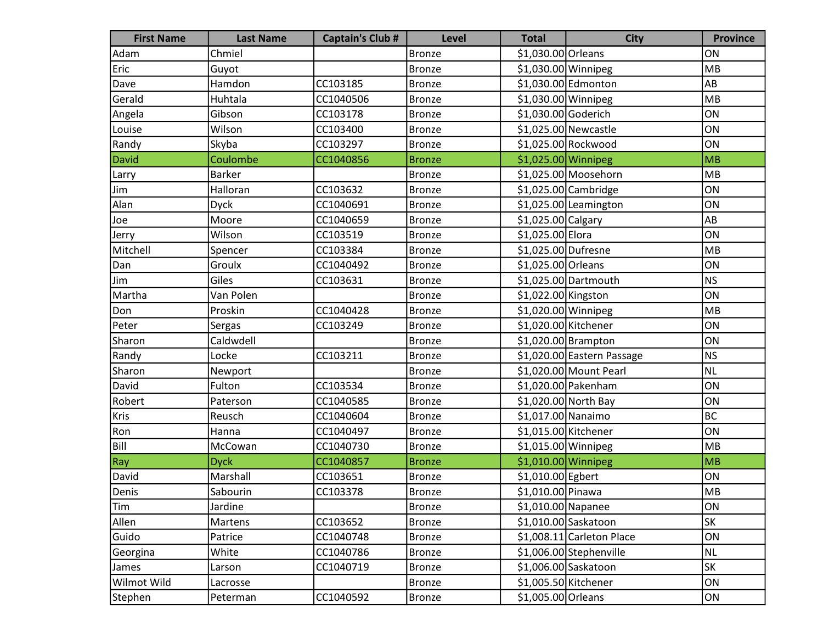| <b>First Name</b> | <b>Last Name</b> | <b>Captain's Club #</b> | <b>Level</b>  | <b>Total</b>         | <b>City</b>                | <b>Province</b> |
|-------------------|------------------|-------------------------|---------------|----------------------|----------------------------|-----------------|
| Adam              | Chmiel           |                         | <b>Bronze</b> | \$1,030.00 Orleans   |                            | ON              |
| Eric              | Guyot            |                         | <b>Bronze</b> | $$1,030.00$ Winnipeg |                            | MB              |
| Dave              | Hamdon           | CC103185                | <b>Bronze</b> |                      | \$1,030.00 Edmonton        | AB              |
| Gerald            | Huhtala          | CC1040506               | <b>Bronze</b> | \$1,030.00 Winnipeg  |                            | MB              |
| Angela            | Gibson           | CC103178                | <b>Bronze</b> | \$1,030.00 Goderich  |                            | ON              |
| Louise            | Wilson           | CC103400                | <b>Bronze</b> |                      | \$1,025.00 Newcastle       | ON              |
| Randy             | Skyba            | CC103297                | <b>Bronze</b> |                      | \$1,025.00 Rockwood        | ON              |
| David             | Coulombe         | CC1040856               | <b>Bronze</b> | \$1,025.00 Winnipeg  |                            | MB              |
| Larry             | <b>Barker</b>    |                         | <b>Bronze</b> |                      | \$1,025.00 Moosehorn       | MB              |
| Jim               | Halloran         | CC103632                | <b>Bronze</b> |                      | $$1,025.00$ Cambridge      | ON              |
| Alan              | <b>Dyck</b>      | CC1040691               | <b>Bronze</b> |                      | \$1,025.00 Leamington      | ON              |
| Joe               | Moore            | CC1040659               | <b>Bronze</b> | \$1,025.00 Calgary   |                            | AB              |
| Jerry             | Wilson           | CC103519                | <b>Bronze</b> | \$1,025.00 Elora     |                            | ON              |
| Mitchell          | Spencer          | CC103384                | <b>Bronze</b> | \$1,025.00 Dufresne  |                            | MB              |
| Dan               | Groulx           | CC1040492               | <b>Bronze</b> | \$1,025.00 Orleans   |                            | ON              |
| Jim               | Giles            | CC103631                | <b>Bronze</b> |                      | \$1,025.00 Dartmouth       | NS              |
| Martha            | Van Polen        |                         | <b>Bronze</b> | \$1,022.00 Kingston  |                            | ON              |
| Don               | Proskin          | CC1040428               | <b>Bronze</b> | \$1,020.00 Winnipeg  |                            | MB              |
| Peter             | Sergas           | CC103249                | <b>Bronze</b> | \$1,020.00 Kitchener |                            | ON              |
| Sharon            | Caldwdell        |                         | <b>Bronze</b> |                      | $$1,020.00$ Brampton       | ON              |
| Randy             | Locke            | CC103211                | <b>Bronze</b> |                      | \$1,020.00 Eastern Passage | NS              |
| Sharon            | Newport          |                         | <b>Bronze</b> |                      | \$1,020.00 Mount Pearl     | NL              |
| David             | Fulton           | CC103534                | <b>Bronze</b> |                      | \$1,020.00 Pakenham        | ON              |
| Robert            | Paterson         | CC1040585               | <b>Bronze</b> |                      | \$1,020.00 North Bay       | ON              |
| Kris              | Reusch           | CC1040604               | <b>Bronze</b> | \$1,017.00 Nanaimo   |                            | <b>BC</b>       |
| Ron               | Hanna            | CC1040497               | <b>Bronze</b> | \$1,015.00 Kitchener |                            | ON              |
| Bill              | McCowan          | CC1040730               | <b>Bronze</b> | $$1,015.00$ Winnipeg |                            | MB              |
| Ray               | <b>Dyck</b>      | CC1040857               | <b>Bronze</b> | \$1,010.00 Winnipeg  |                            | MB              |
| David             | Marshall         | CC103651                | <b>Bronze</b> | \$1,010.00 Egbert    |                            | ON              |
| Denis             | Sabourin         | CC103378                | Bronze        | \$1,010.00 Pinawa    |                            | MB              |
| Tim               | Jardine          |                         | Bronze        | \$1,010.00 Napanee   |                            | ON              |
| Allen             | Martens          | CC103652                | <b>Bronze</b> |                      | $$1,010.00$ Saskatoon      | <b>SK</b>       |
| Guido             | Patrice          | CC1040748               | <b>Bronze</b> |                      | \$1,008.11 Carleton Place  | ON              |
| Georgina          | White            | CC1040786               | <b>Bronze</b> |                      | \$1,006.00 Stephenville    | NL              |
| James             | Larson           | CC1040719               | <b>Bronze</b> |                      | \$1,006.00 Saskatoon       | <b>SK</b>       |
| Wilmot Wild       | Lacrosse         |                         | <b>Bronze</b> | \$1,005.50 Kitchener |                            | ON              |
| Stephen           | Peterman         | CC1040592               | <b>Bronze</b> | \$1,005.00 Orleans   |                            | ON              |